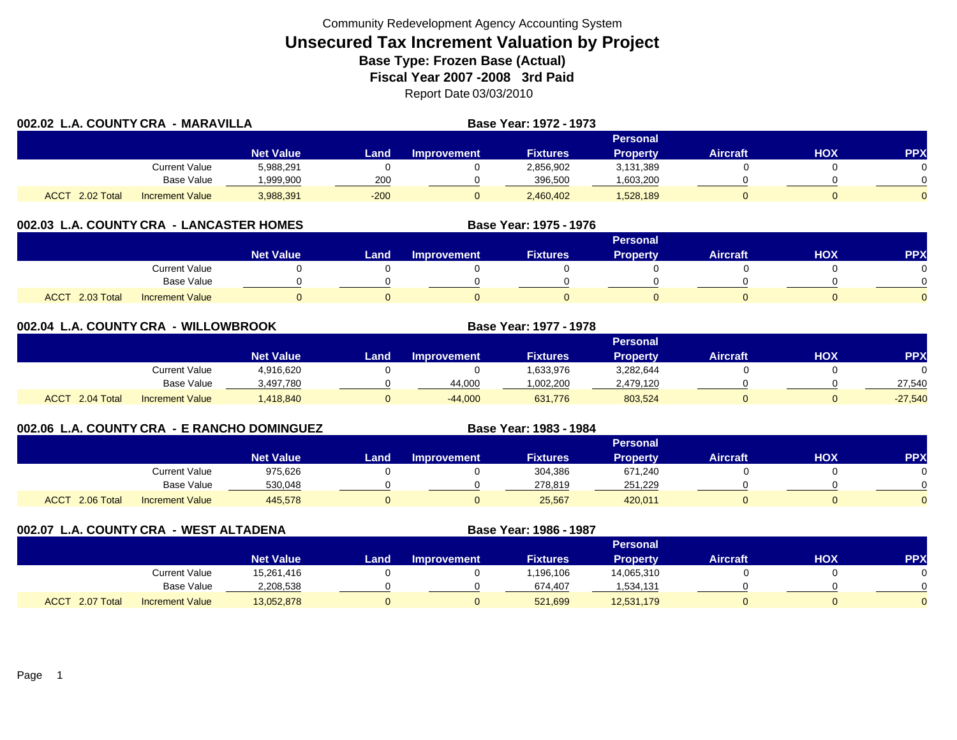| 002.02 L.A. COUNTY CRA - MARAVILLA |                        |                  |        |                    | Base Year: 1972 - 1973 |                 |          |     |     |
|------------------------------------|------------------------|------------------|--------|--------------------|------------------------|-----------------|----------|-----|-----|
|                                    |                        |                  |        |                    |                        | Personal        |          |     |     |
|                                    |                        | <b>Net Value</b> | Land   | <b>Improvement</b> | <b>Fixtures</b>        | <b>Property</b> | Aircraft | HOX | PPX |
|                                    | Current Value          | 5,988,291        |        |                    | 2,856,902              | 3,131,389       |          |     |     |
|                                    | <b>Base Value</b>      | .999.900         | 200    |                    | 396,500                | .603,200        |          |     |     |
| 2.02 Total<br><b>ACCT</b>          | <b>Increment Value</b> | 3,988,391        | $-200$ |                    | 2,460,402              | 1,528,189       |          |     |     |

## **002.03 L.A. COUNTY CRA - LANCASTER HOMES**

|                           |                        |                  |      |                    |                 | <b>Personal</b> |                 |     |          |
|---------------------------|------------------------|------------------|------|--------------------|-----------------|-----------------|-----------------|-----|----------|
|                           |                        | <b>Net Value</b> | Land | <b>Improvement</b> | <b>Fixtures</b> | Property        | <b>Aircraft</b> | HOX | PPX      |
|                           | <b>Current Value</b>   |                  |      |                    |                 |                 |                 |     |          |
|                           | Base Value             |                  |      |                    |                 |                 |                 |     | ∩        |
| 2.03 Total<br><b>ACCT</b> | <b>Increment Value</b> |                  |      |                    |                 |                 |                 |     | $\Omega$ |

**Base Year: 1975 - 1976**

**Base Year: 1983 - 1984**

| 002.04 | L.A. COUNTY CRA - WILLOWBROOK |                        |                  |      |                    | Base Year: 1977 - 1978 |                 |                 |     |            |
|--------|-------------------------------|------------------------|------------------|------|--------------------|------------------------|-----------------|-----------------|-----|------------|
|        |                               |                        |                  |      |                    |                        | <b>Personal</b> |                 |     |            |
|        |                               |                        | <b>Net Value</b> | Land | <b>Improvement</b> | <b>Fixtures</b>        | <b>Property</b> | <b>Aircraft</b> | нох | <b>PPX</b> |
|        |                               | Current Value          | 4,916,620        |      |                    | .633,976               | 3,282,644       |                 |     |            |
|        |                               | Base Value             | 3,497,780        |      | 44,000             | 1,002,200              | 2,479,120       |                 |     | 27,540     |
|        | ACCT 2.04 Total               | <b>Increment Value</b> | A18,840          |      | $-44,000$          | 631,776                | 803.524         |                 |     | $-27,540$  |

## **002.06 L.A. COUNTY CRA - E RANCHO DOMINGUEZ**

|                       |                        |                  |      |             |                 | <b>Personal</b> |                 |     |            |
|-----------------------|------------------------|------------------|------|-------------|-----------------|-----------------|-----------------|-----|------------|
|                       |                        | <b>Net Value</b> | Land | Improvement | <b>Fixtures</b> | <b>Property</b> | <b>Aircraft</b> | НОХ | <b>PPX</b> |
|                       | Current Value          | 975,626          |      |             | 304,386         | 671,240         |                 |     |            |
|                       | Base Value             | 530.048          |      |             | 278.819         | 251.229         |                 |     | $\Omega$   |
| $-2.06$ Total<br>ACCT | <b>Increment Value</b> | 445,578          |      |             | 25,567          | 420,011         |                 |     | $\Omega$   |

**002.07 L.A. COUNTY CRA - WEST ALTADENA Base Year: 1986 - 1987 Personal Net Value Land Improvement Fixtures Property Aircraft HOX PPX** Current Value 15,261,416 0 0 1,196,106 14,065,310 0 0 Base Value 2,208,538 0 0 674,407 1,534,131 0 0 0 ACCT 2.07 TotalI Increment Value 13,052,878 0 521,699 12,531,179 0 0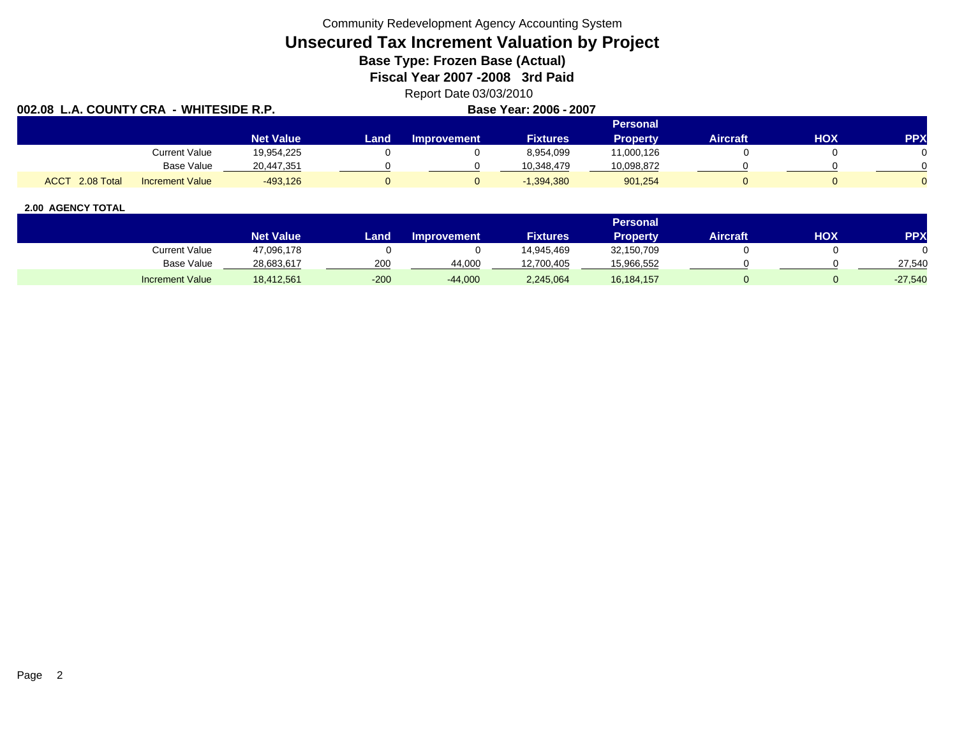Community Redevelopment Agency Accounting System

# **Unsecured Tax Increment Valuation by Project**

**Base Type: Frozen Base (Actual)** 

**Fiscal Year 2007 -2008 3rd Paid**

Report Date 03/03/2010<br>Raso Yoar: 2006 - 2007

| 002.08<br>COUNTY CRA -WHITESIDE R.P.<br>L.A. |                  |      |                    | Base Year: 2006 - 2007 |                 |          |     |            |
|----------------------------------------------|------------------|------|--------------------|------------------------|-----------------|----------|-----|------------|
|                                              |                  |      |                    |                        | <b>Personal</b> |          |     |            |
|                                              | <b>Net Value</b> | Land | <b>Improvement</b> | <b>Fixtures</b>        | <b>Property</b> | Aircraft | HOX | <b>PPX</b> |
| Current Value                                | 19,954,225       |      |                    | 8,954,099              | 11,000,126      |          |     |            |
| Base Value                                   | 20,447,351       |      |                    | 10.348.479             | 10,098,872      |          |     |            |
| ACCT 2.08 Total<br><b>Increment Value</b>    | $-493.126$       |      |                    | $-1,394,380$           | 901,254         |          |     |            |

|                        |                  |        |                    |                 | Personal   |                 |     |           |
|------------------------|------------------|--------|--------------------|-----------------|------------|-----------------|-----|-----------|
|                        | <b>Net Value</b> | Land   | <b>Improvement</b> | <b>Fixtures</b> | Property   | <b>Aircraft</b> | ΗΟΧ | PPX       |
| <b>Current Value</b>   | 47,096,178       |        |                    | 14.945.469      | 32,150,709 |                 |     |           |
| <b>Base Value</b>      | 28,683,617       | 200    | 44.000             | 12,700,405      | 15,966,552 |                 |     | 27,540    |
| <b>Increment Value</b> | 18,412,561       | $-200$ | $-44,000$          | 2,245,064       | 16,184,157 |                 |     | $-27,540$ |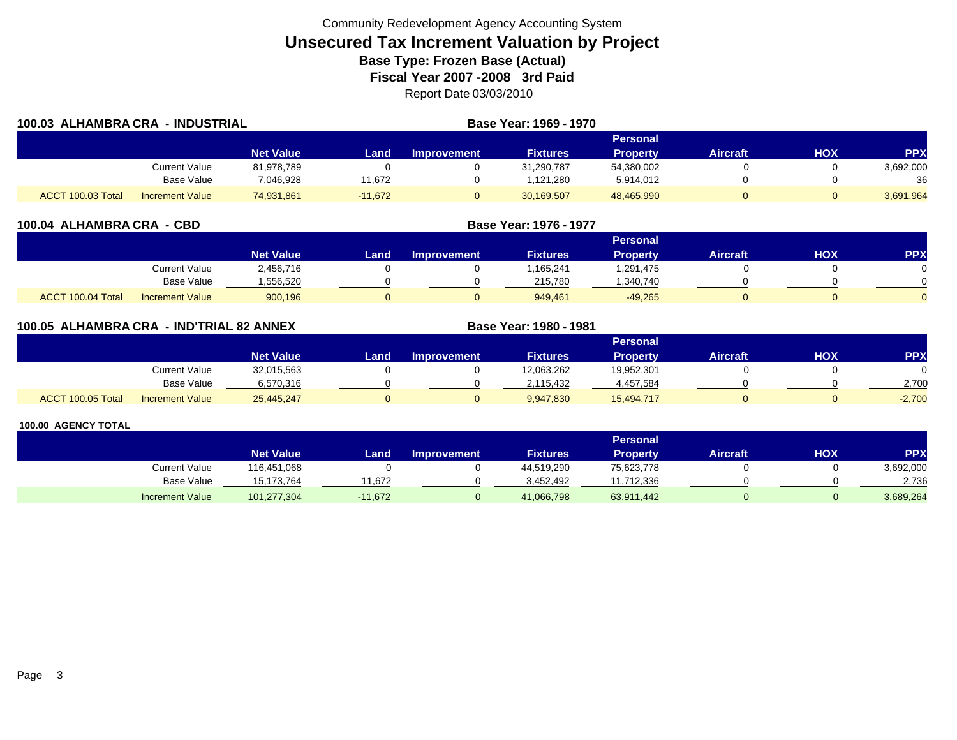| 100.03 ALHAMBRA CRA | - INDUSTRIAL           |                  |           |             | Base Year: 1969 - 1970 |                 |                 |     |            |
|---------------------|------------------------|------------------|-----------|-------------|------------------------|-----------------|-----------------|-----|------------|
|                     |                        |                  |           |             |                        | Personal        |                 |     |            |
|                     |                        | <b>Net Value</b> | Land.     | Improvement | <b>Fixtures</b>        | <b>Property</b> | <b>Aircraft</b> | HOX | <b>PPX</b> |
|                     | Current Value          | 81,978,789       |           |             | 31,290,787             | 54,380,002      |                 |     | 3,692,000  |
|                     | Base Value             | 7,046,928        | 1.672     |             | ,121,280               | 5,914,012       |                 |     | 36         |
| ACCT 100.03 Total   | <b>Increment Value</b> | 74,931,861       | $-11.672$ |             | 30,169,507             | 48,465,990      |                 |     | 3,691,964  |

| 100.04 ALHAMBRA CRA - CBD |                        |                  |      |                    | Base Year: 1976 - 1977 |                 |                 |            |            |
|---------------------------|------------------------|------------------|------|--------------------|------------------------|-----------------|-----------------|------------|------------|
|                           |                        |                  |      |                    |                        | <b>Personal</b> |                 |            |            |
|                           |                        | <b>Net Value</b> | Land | <b>Improvement</b> | <b>Fixtures</b>        | <b>Property</b> | <b>Aircraft</b> | <b>HOX</b> | <b>PPX</b> |
|                           | <b>Current Value</b>   | 2,456,716        |      |                    | 1,165,241              | 1,291,475       |                 |            |            |
|                           | <b>Base Value</b>      | .556,520         |      |                    | 215,780                | ,340,740        |                 |            |            |
| ACCT 100.04 Total         | <b>Increment Value</b> | 900,196          |      |                    | 949,461                | $-49,265$       |                 |            |            |

|                   | <b>100.05 ALHAMBRA CRA</b><br>. - IND'TRIAL 82 ANNEX |                  |      |                    | Base Year: 1980 - 1981 |                 |                 |     |            |
|-------------------|------------------------------------------------------|------------------|------|--------------------|------------------------|-----------------|-----------------|-----|------------|
|                   |                                                      |                  |      |                    |                        | Personal        |                 |     |            |
|                   |                                                      | <b>Net Value</b> | Land | <b>Improvement</b> | <b>Fixtures</b>        | <b>Property</b> | <b>Aircraft</b> | ΗΟΧ | <b>PPX</b> |
|                   | Current Value                                        | 32,015,563       |      |                    | 12,063,262             | 19,952,301      |                 |     |            |
|                   | Base Value                                           | 6,570,316        |      |                    | 2,115,432              | 4,457,584       |                 |     | 2,700      |
| ACCT 100.05 Total | <b>Increment Value</b>                               | 25,445,247       |      |                    | 9,947,830              | 15,494,717      |                 |     | $-2,700$   |

|                        |                  |           |                    |                 | Personal   |                 |     |            |
|------------------------|------------------|-----------|--------------------|-----------------|------------|-----------------|-----|------------|
|                        | <b>Net Value</b> | Land i    | <b>Improvement</b> | <b>Fixtures</b> | Property   | <b>Aircraft</b> | нох | <b>PPX</b> |
| Current Value          | 116,451,068      |           |                    | 44,519,290      | 75,623,778 |                 |     | 3,692,000  |
| Base Value             | 15.173.764       | 11.672    |                    | 3.452.492       | 11,712,336 |                 |     | 2.736      |
| <b>Increment Value</b> | 101,277,304      | $-11,672$ |                    | 41,066,798      | 63,911,442 |                 |     | 3,689,264  |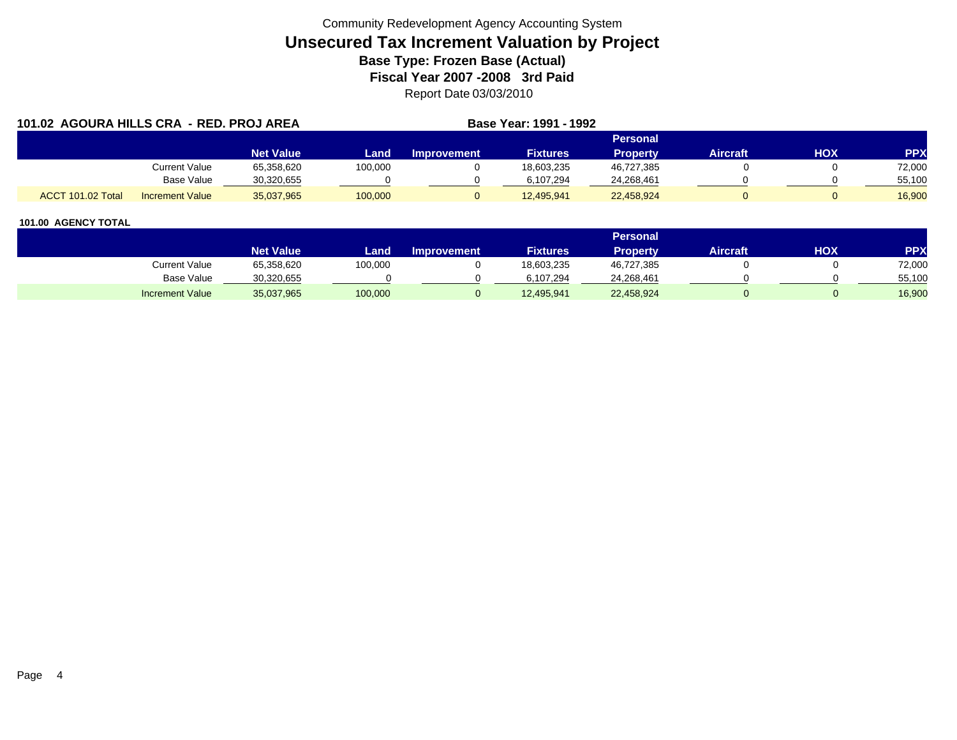| 101.02 AGOURA HILLS CRA - RED. PROJ AREA |                        |                  |         |             | Base Year: 1991 - 1992 |                 |          |     |            |
|------------------------------------------|------------------------|------------------|---------|-------------|------------------------|-----------------|----------|-----|------------|
|                                          |                        |                  |         |             |                        | Personal        |          |     |            |
|                                          |                        | <b>Net Value</b> | Land    | Improvement | <b>Fixtures</b>        | <b>Property</b> | Aircraft | нох | <b>PPX</b> |
|                                          | Current Value          | 65,358,620       | 100,000 |             | 18,603,235             | 46,727,385      |          |     | 72,000     |
|                                          | Base Value             | 30,320,655       |         |             | 6.107.294              | 24,268,461      |          |     | 55,100     |
| ACCT 101.02 Total                        | <b>Increment Value</b> | 35,037,965       | 100,000 |             | 12.495.941             | 22,458,924      |          |     | 16.900     |

|                        |                  |         |                    |                 | Personal   |                 |            |            |
|------------------------|------------------|---------|--------------------|-----------------|------------|-----------------|------------|------------|
|                        | <b>Net Value</b> | Land    | <b>Improvement</b> | <b>Fixtures</b> | Property   | <b>Aircraft</b> | <b>HOX</b> | <b>PPX</b> |
| Current Value          | 65,358,620       | 100,000 |                    | 18,603,235      | 46,727,385 |                 |            | 72,000     |
| <b>Base Value</b>      | 30,320,655       |         |                    | 6.107.294       | 24,268,461 |                 |            | 55,100     |
| <b>Increment Value</b> | 35,037,965       | 100,000 |                    | 12,495,941      | 22,458,924 |                 |            | 16,900     |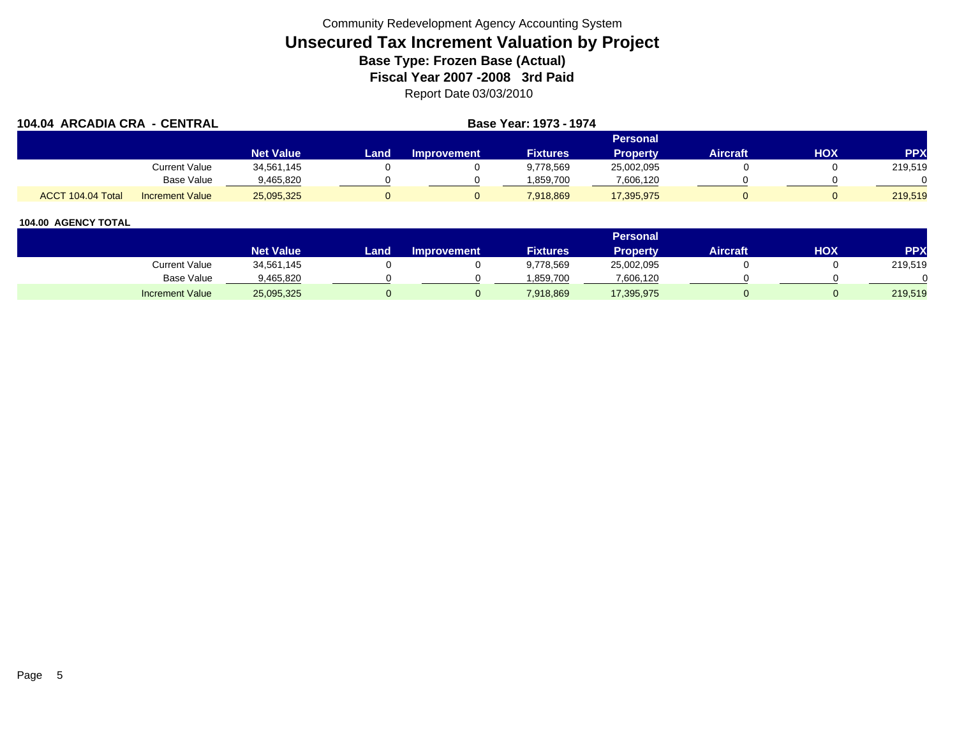| 104.04 ARCADIA CRA - CENTRAL |                        |                  |      |                    | Base Year: 1973 - 1974 |                 |          |     |            |
|------------------------------|------------------------|------------------|------|--------------------|------------------------|-----------------|----------|-----|------------|
|                              |                        |                  |      |                    |                        | <b>Personal</b> |          |     |            |
|                              |                        | <b>Net Value</b> | Land | <b>Improvement</b> | <b>Fixtures</b>        | <b>Property</b> | Aircraft | нох | <b>PPX</b> |
|                              | Current Value          | 34,561,145       |      |                    | 9,778,569              | 25,002,095      |          |     | 219,519    |
|                              | <b>Base Value</b>      | 9,465,820        |      |                    | 1,859,700              | 7,606,120       |          |     |            |
| ACCT 104.04 Total            | <b>Increment Value</b> | 25,095,325       |      |                    | 7,918,869              | 17,395,975      |          |     | 219.519    |

|                        |                  |      |                    |                 | Personal   |                 |            |         |
|------------------------|------------------|------|--------------------|-----------------|------------|-----------------|------------|---------|
|                        | <b>Net Value</b> | Land | <b>Improvement</b> | <b>Fixtures</b> | Property   | <b>Aircraft</b> | <b>HOX</b> | PPX     |
| <b>Current Value</b>   | 34,561,145       |      |                    | 9,778,569       | 25,002,095 |                 |            | 219,519 |
| <b>Base Value</b>      | 9,465,820        |      |                    | 1.859.700       | 7,606,120  |                 |            |         |
| <b>Increment Value</b> | 25,095,325       |      |                    | 7,918,869       | 17,395,975 |                 |            | 219,519 |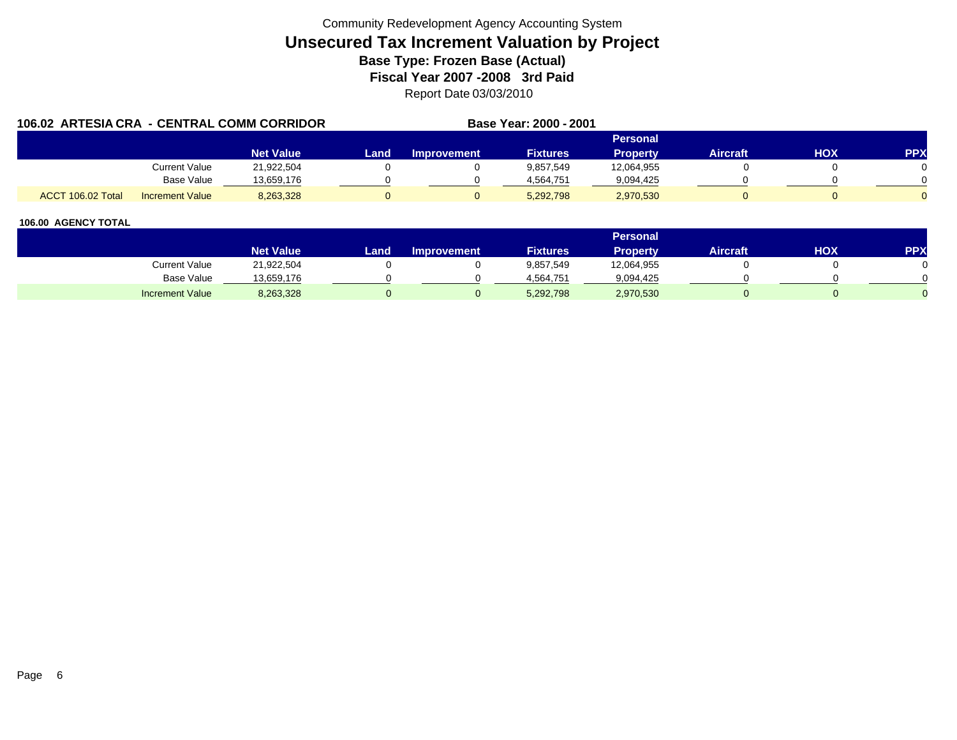| 106.02 ARTESIA CRA - CENTRAL COMM CORRIDOR |                        |                  |      |                    | Base Year: 2000 - 2001 |                 |                 |     |            |
|--------------------------------------------|------------------------|------------------|------|--------------------|------------------------|-----------------|-----------------|-----|------------|
|                                            |                        |                  |      |                    |                        | Personal        |                 |     |            |
|                                            |                        | <b>Net Value</b> | Land | <b>Improvement</b> | <b>Fixtures</b>        | <b>Property</b> | <b>Aircraft</b> | HOX | <b>PPX</b> |
|                                            | Current Value          | 21.922.504       |      |                    | 9,857,549              | 12,064,955      |                 |     |            |
|                                            | Base Value             | 13,659,176       |      |                    | 4.564.751              | 9,094,425       |                 |     |            |
| ACCT 106.02 Total                          | <b>Increment Value</b> | 8,263,328        |      |                    | 5,292,798              | 2,970,530       |                 |     |            |

|                        |                    |      |                    |                 | <b>Personal</b> |                 |            |     |
|------------------------|--------------------|------|--------------------|-----------------|-----------------|-----------------|------------|-----|
|                        | Net Value <b>\</b> | Land | <b>Improvement</b> | <b>Fixtures</b> | <b>Property</b> | <b>Aircraft</b> | <b>HOX</b> | PPX |
| Current Value          | 21,922,504         |      |                    | 9,857,549       | 12,064,955      |                 |            |     |
| Base Value             | 13,659,176         |      |                    | 4.564.751       | 9,094,425       |                 |            |     |
| <b>Increment Value</b> | 8,263,328          |      |                    | 5,292,798       | 2,970,530       |                 |            |     |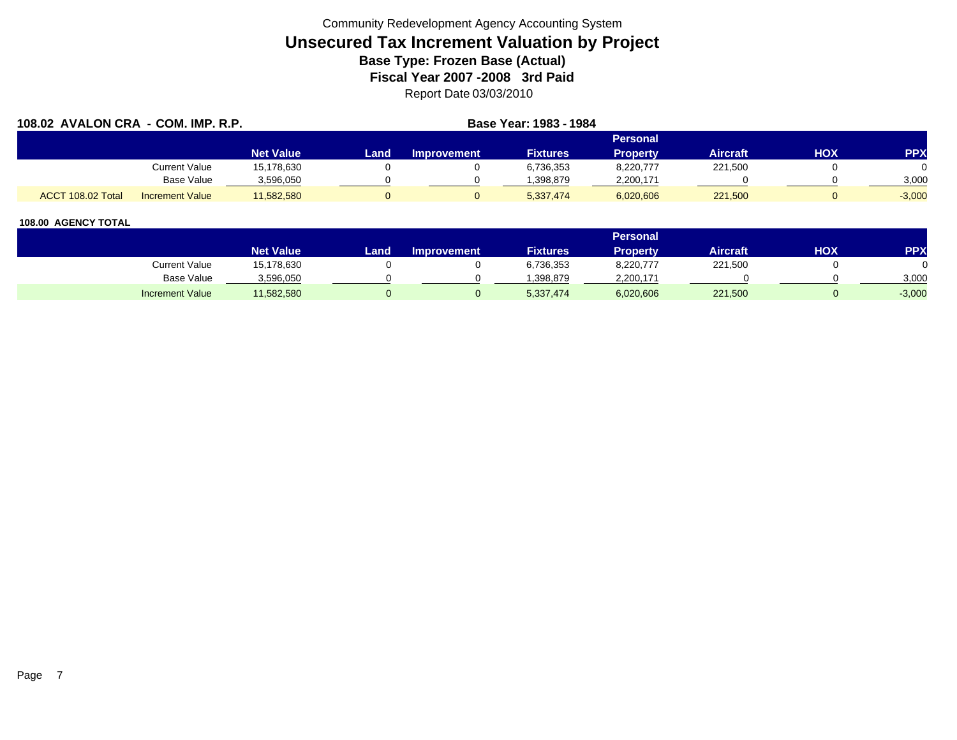| 108.02 AVALON CRA - COM. IMP. R.P. |                        |                  | Base Year: 1983 - 1984 |                    |                 |                 |                 |     |            |
|------------------------------------|------------------------|------------------|------------------------|--------------------|-----------------|-----------------|-----------------|-----|------------|
|                                    |                        |                  |                        |                    |                 | <b>Personal</b> |                 |     |            |
|                                    |                        | <b>Net Value</b> | Land                   | <b>Improvement</b> | <b>Fixtures</b> | <b>Property</b> | <b>Aircraft</b> | нох | <b>PPX</b> |
|                                    | Current Value          | 15,178,630       |                        |                    | 6,736,353       | 8,220,777       | 221,500         |     |            |
|                                    | <b>Base Value</b>      | 3,596,050        |                        |                    | 1,398,879       | 2,200,171       |                 |     | 3,000      |
| ACCT 108.02 Total                  | <b>Increment Value</b> | 11,582,580       |                        |                    | 5,337,474       | 6,020,606       | 221,500         |     | $-3,000$   |

|                        |                  |      |                    |                 | <b>Personal</b> |                 |            |          |
|------------------------|------------------|------|--------------------|-----------------|-----------------|-----------------|------------|----------|
|                        | <b>Net Value</b> | Land | <b>Improvement</b> | <b>Fixtures</b> | <b>Property</b> | <b>Aircraft</b> | <b>HOX</b> | PPX      |
| Current Value          | 15,178,630       |      |                    | 6,736,353       | 8,220,777       | 221,500         |            |          |
| Base Value             | 3,596,050        |      |                    | .398.879        | 2,200,171       |                 |            | 3,000    |
| <b>Increment Value</b> | 11,582,580       |      |                    | 5,337,474       | 6,020,606       | 221,500         |            | $-3,000$ |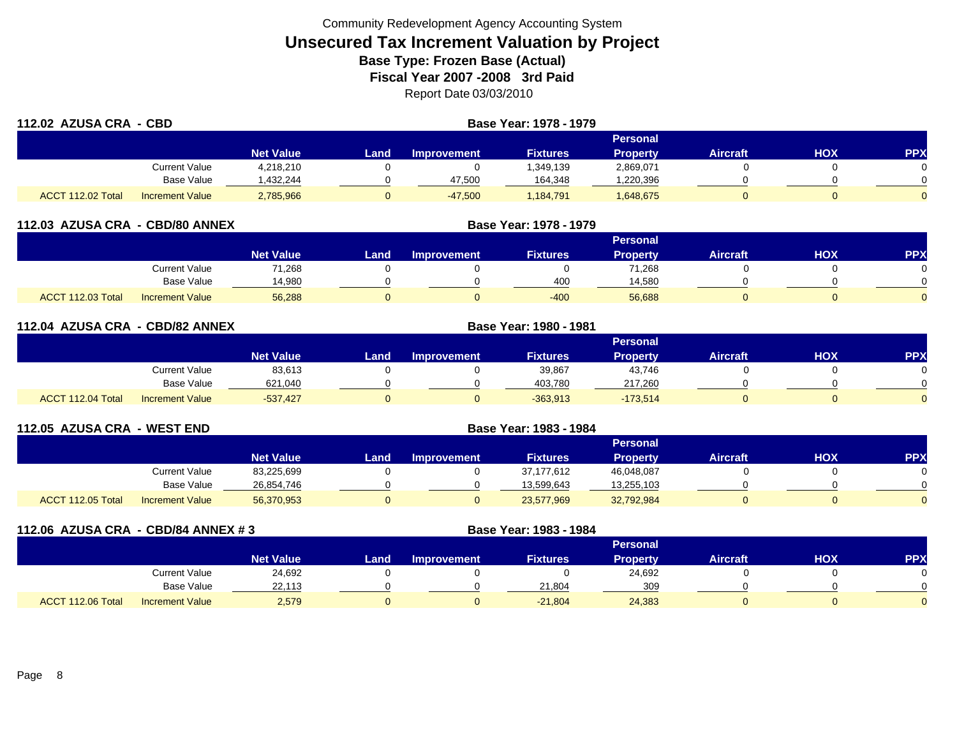| 112.02 AZUSA CRA - CBD |                        |                  | Base Year: 1978 - 1979 |                    |                 |                 |                 |            |            |  |
|------------------------|------------------------|------------------|------------------------|--------------------|-----------------|-----------------|-----------------|------------|------------|--|
|                        |                        |                  |                        |                    |                 | <b>Personal</b> |                 |            |            |  |
|                        |                        | <b>Net Value</b> | Land                   | <b>Improvement</b> | <b>Fixtures</b> | <b>Property</b> | <b>Aircraft</b> | <b>HOX</b> | <b>PPX</b> |  |
|                        | Current Value          | 4,218,210        |                        |                    | 1,349,139       | 2,869,071       |                 |            | $\Omega$   |  |
|                        | <b>Base Value</b>      | ,432,244         |                        | 47,500             | 164,348         | ,220,396        |                 |            | $\Omega$   |  |
| ACCT 112.02 Total      | <b>Increment Value</b> | 2,785,966        |                        | $-47,500$          | 1,184,791       | 1,648,675       |                 |            | $\Omega$   |  |

|                   | 112.03 AZUSA CRA - CBD/80 ANNEX |                  |      |                    |                 |                 |                 |            |            |
|-------------------|---------------------------------|------------------|------|--------------------|-----------------|-----------------|-----------------|------------|------------|
|                   |                                 |                  |      |                    |                 | Personal        |                 |            |            |
|                   |                                 | <b>Net Value</b> | Land | <b>Improvement</b> | <b>Fixtures</b> | <b>Property</b> | <b>Aircraft</b> | <b>HOX</b> | <b>PPX</b> |
|                   | <b>Current Value</b>            | 71,268           |      |                    |                 | 71,268          |                 |            |            |
|                   | <b>Base Value</b>               | 14,980           |      |                    | 400             | 14,580          |                 |            |            |
| ACCT 112.03 Total | <b>Increment Value</b>          | 56,288           |      |                    | $-400$          | 56,688          |                 |            |            |

| 112.04 AZUSA CRA - CBD/82 ANNEX |                        |                  |       |                    |                 |                 |                 |            |          |
|---------------------------------|------------------------|------------------|-------|--------------------|-----------------|-----------------|-----------------|------------|----------|
| Personal                        |                        |                  |       |                    |                 |                 |                 |            |          |
|                                 |                        | <b>Net Value</b> | Landı | <b>Improvement</b> | <b>Fixtures</b> | <b>Property</b> | <b>Aircraft</b> | <b>HOX</b> | PPX      |
|                                 | <b>Current Value</b>   | 83,613           |       |                    | 39,867          | 43,746          |                 |            | 0        |
|                                 | Base Value             | 621,040          |       |                    | 403,780         | 217,260         |                 |            | $\Omega$ |
| ACCT 112.04 Total               | <b>Increment Value</b> | $-537.427$       |       |                    | $-363,913$      | $-173,514$      |                 |            | $\Omega$ |

| 112.05 AZUSA CRA - WEST END |                        |                  |      |                    |                 |                 |                 |     |           |
|-----------------------------|------------------------|------------------|------|--------------------|-----------------|-----------------|-----------------|-----|-----------|
|                             |                        |                  |      |                    |                 | Personal        |                 |     |           |
|                             |                        | <b>Net Value</b> | Land | <b>Improvement</b> | <b>Fixtures</b> | <b>Property</b> | <b>Aircraft</b> | нох | <b>PP</b> |
|                             | Current Value          | 83,225,699       |      |                    | 37, 177, 612    | 46,048,087      |                 |     |           |
|                             | <b>Base Value</b>      | 26,854,746       |      |                    | 13,599,643      | 13,255,103      |                 |     |           |
| ACCT 112.05 Total           | <b>Increment Value</b> | 56,370,953       |      |                    | 23,577,969      | 32,792,984      |                 |     |           |

| 112.06 AZUSA CRA - CBD/84 ANNEX #3 |                        |                  | Base Year: 1983 - 1984 |                    |                 |                 |                 |     |            |
|------------------------------------|------------------------|------------------|------------------------|--------------------|-----------------|-----------------|-----------------|-----|------------|
|                                    |                        |                  |                        |                    |                 | <b>Personal</b> |                 |     |            |
|                                    |                        | <b>Net Value</b> | Land                   | <b>Improvement</b> | <b>Fixtures</b> | <b>Property</b> | <b>Aircraft</b> | HOX | <b>PPX</b> |
|                                    | Current Value          | 24,692           |                        |                    |                 | 24,692          |                 |     |            |
|                                    | Base Value             | 22,113           |                        |                    | 21,804          | 309             |                 |     |            |
| ACCT 112.06 Total                  | <b>Increment Value</b> | 2,579            | v                      |                    | $-21,804$       | 24,383          |                 |     |            |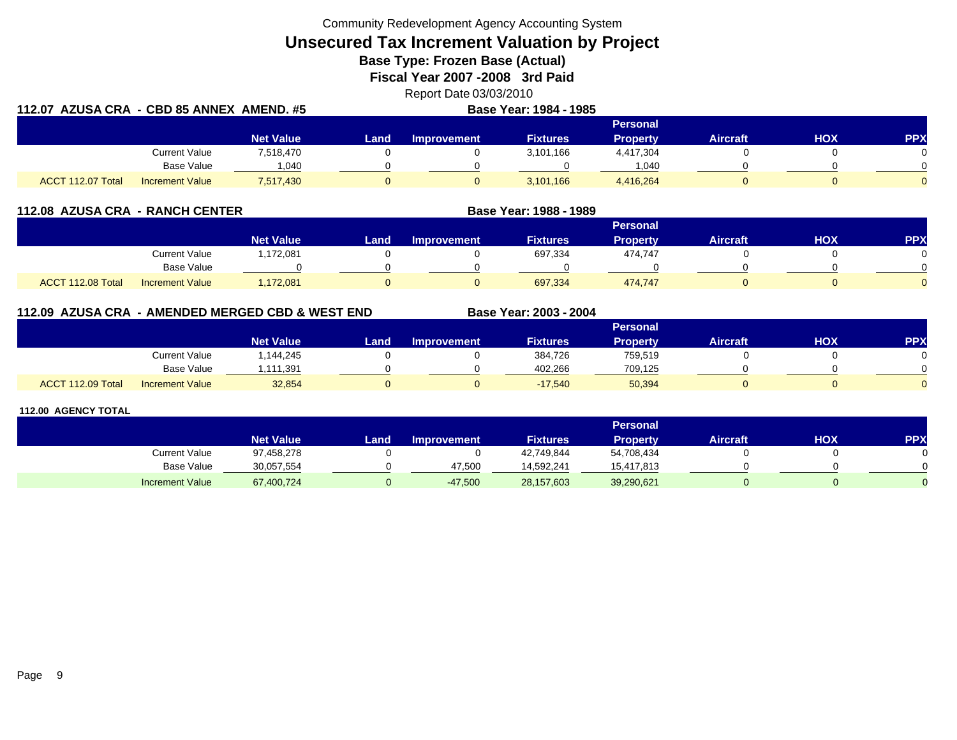Community Redevelopment Agency Accounting System

**Unsecured Tax Increment Valuation by Project**

**Base Type: Frozen Base (Actual)** 

**Fiscal Year 2007 -2008 3rd Paid**

Report Date 03/03/2010

|                   | 112.07 AZUSA CRA - CBD 85 ANNEX AMEND. #5<br>Base Year: 1984 - 1985 |                  |      |             |                 |                 |                 |            |            |  |
|-------------------|---------------------------------------------------------------------|------------------|------|-------------|-----------------|-----------------|-----------------|------------|------------|--|
|                   |                                                                     |                  |      |             |                 | <b>Personal</b> |                 |            |            |  |
|                   |                                                                     | <b>Net Value</b> | Land | Improvement | <b>Fixtures</b> | <b>Property</b> | <b>Aircraft</b> | <b>HOX</b> | <b>PPX</b> |  |
|                   | <b>Current Value</b>                                                | 7,518,470        |      |             | 3,101,166       | 4,417,304       |                 |            |            |  |
|                   | Base Value                                                          | 040              |      |             |                 | 1.040           |                 |            |            |  |
| ACCT 112.07 Total | <b>Increment Value</b>                                              | 7,517,430        |      |             | 3,101,166       | 4,416,264       |                 |            |            |  |

| 112.08 AZUSA CRA - RANCH CENTER |                        |                  | Base Year: 1988 - 1989 |                    |                 |                 |                 |     |     |
|---------------------------------|------------------------|------------------|------------------------|--------------------|-----------------|-----------------|-----------------|-----|-----|
|                                 |                        |                  |                        |                    |                 | <b>Personal</b> |                 |     |     |
|                                 |                        | <b>Net Value</b> | Land                   | <b>Improvement</b> | <b>Fixtures</b> | <b>Property</b> | <b>Aircraft</b> | нох | PP) |
|                                 | <b>Current Value</b>   | 1,172,081        |                        |                    | 697,334         | 474,747         |                 |     |     |
|                                 | Base Value             |                  |                        |                    |                 |                 |                 |     |     |
| ACCT 112.08 Total               | <b>Increment Value</b> | 1,172,081        |                        |                    | 697,334         | 474,747         |                 |     |     |

## **112.09 AZUSA CRA - AMENDED MERGED CBD & WEST END**

|                   |                        |                  |      |                    |                 | <b>Personal</b> |                 |            |              |
|-------------------|------------------------|------------------|------|--------------------|-----------------|-----------------|-----------------|------------|--------------|
|                   |                        | <b>Net Value</b> | Land | <b>Improvement</b> | <b>Fixtures</b> | <b>Property</b> | <b>Aircraft</b> | <b>XOH</b> | PPX          |
|                   | Current Value          | .144,245         |      |                    | 384,726         | 759,519         |                 |            |              |
|                   | <b>Base Value</b>      | ,111,391         |      |                    | 402,266         | 709,125         |                 |            | <sup>n</sup> |
| ACCT 112.09 Total | <b>Increment Value</b> | 32,854           |      |                    | $-17.540$       | 50,394          |                 |            | $\Omega$     |

**Base Year: 2003 - 2004**

|                        |                  |      |                    |                 | <b>Personal</b> |                 |     |            |
|------------------------|------------------|------|--------------------|-----------------|-----------------|-----------------|-----|------------|
|                        | <b>Net Value</b> | Land | <b>Improvement</b> | <b>Fixtures</b> | Property        | <b>Aircraft</b> | нох | <b>PPX</b> |
| Current Value          | 97,458,278       |      |                    | 42,749,844      | 54,708,434      |                 |     |            |
| Base Value             | 30,057,554       |      | 47.500             | 14.592.241      | 15.417.813      |                 |     |            |
| <b>Increment Value</b> | 67,400,724       |      | $-47,500$          | 28,157,603      | 39,290,621      |                 |     |            |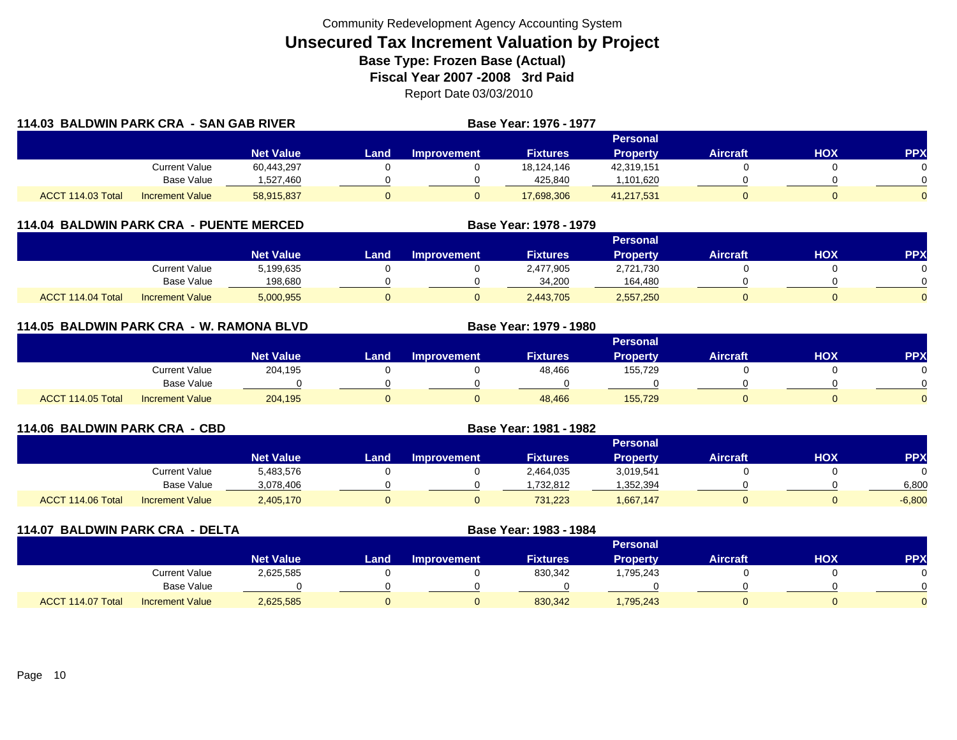|                   | 114.03 BALDWIN PARK CRA - SAN GAB RIVER |                  |      |                    | Base Year: 1976 - 1977 |                 |                 |     |            |
|-------------------|-----------------------------------------|------------------|------|--------------------|------------------------|-----------------|-----------------|-----|------------|
|                   |                                         |                  |      |                    |                        | Personal        |                 |     |            |
|                   |                                         | <b>Net Value</b> | Land | <b>Improvement</b> | <b>Fixtures</b>        | <b>Property</b> | <b>Aircraft</b> | HOX | <b>PPX</b> |
|                   | <b>Current Value</b>                    | 60,443,297       |      |                    | 18.124.146             | 42,319,151      |                 |     |            |
|                   | Base Value                              | 1,527,460        |      |                    | 425.840                | 1,101,620       |                 |     |            |
| ACCT 114.03 Total | <b>Increment Value</b>                  | 58,915,837       | 0    |                    | 17,698,306             | 41,217,531      |                 |     | $\Omega$   |

## **114.04 BALDWIN PARK CRA - PUENTE MERCED**

|                   |                        |                  |      |                    |                 | Personal        |                 |     |     |
|-------------------|------------------------|------------------|------|--------------------|-----------------|-----------------|-----------------|-----|-----|
|                   |                        | <b>Net Value</b> | Land | <b>Improvement</b> | <b>Fixtures</b> | <b>Property</b> | <b>Aircraft</b> | нох | PPX |
|                   | Current Value          | 5,199,635        |      |                    | 2,477,905       | 2,721,730       |                 |     |     |
|                   | <b>Base Value</b>      | 198,680          |      |                    | 34.200          | 164.480         |                 |     |     |
| ACCT 114.04 Total | <b>Increment Value</b> | 5,000,955        |      |                    | 2,443,705       | 2,557,250       |                 |     |     |

**Base Year: 1978 - 1979**

**Base Year: 1979 - 1980**

## **114.05 BALDWIN PARK CRA - W. RAMONA BLVD**

|                   |                        |                  |      |                    |                 | Personal        |                 |            |            |
|-------------------|------------------------|------------------|------|--------------------|-----------------|-----------------|-----------------|------------|------------|
|                   |                        | <b>Net Value</b> | Land | <b>Improvement</b> | <b>Fixtures</b> | <b>Property</b> | <b>Aircraft</b> | <b>XOH</b> | <b>PPX</b> |
|                   | Current Value          | 204,195          |      |                    | 48,466          | 155,729         |                 |            | 0          |
|                   | Base Value             |                  |      |                    |                 |                 |                 |            | 0          |
| ACCT 114.05 Total | <b>Increment Value</b> | 204,195          |      |                    | 48,466          | 155,729         |                 |            | $\Omega$   |

| 114.06 BALDWIN PARK CRA - CBD |                        |                  |      |                    |                 |                 |                 |     |            |
|-------------------------------|------------------------|------------------|------|--------------------|-----------------|-----------------|-----------------|-----|------------|
|                               |                        |                  |      |                    |                 | Personal        |                 |     |            |
|                               |                        | <b>Net Value</b> | Land | <b>Improvement</b> | <b>Fixtures</b> | <b>Property</b> | <b>Aircraft</b> | ΗΟΧ | <b>PPX</b> |
|                               | Current Value          | 5,483,576        |      |                    | 2,464,035       | 3,019,541       |                 |     |            |
|                               | Base Value             | 3,078,406        |      |                    | .732.812        | 352,394         |                 |     | 6,800      |
| ACCT 114.06 Total             | <b>Increment Value</b> | 2,405,170        | 0    |                    | 731,223         | 1,667,147       |                 |     | $-6,800$   |

|                   | 114.07 BALDWIN PARK CRA - DELTA |                  |      | Base Year: 1983 - 1984 |                 |                 |                 |            |           |
|-------------------|---------------------------------|------------------|------|------------------------|-----------------|-----------------|-----------------|------------|-----------|
|                   |                                 |                  |      |                        |                 | <b>Personal</b> |                 |            |           |
|                   |                                 | <b>Net Value</b> | Land | <b>Improvement</b>     | <b>Fixtures</b> | <b>Property</b> | <b>Aircraft</b> | <b>HOX</b> | <b>PP</b> |
|                   | <b>Current Value</b>            | 2,625,585        |      |                        | 830,342         | .795.243        |                 |            |           |
|                   | Base Value                      |                  |      |                        |                 |                 |                 |            |           |
| ACCT 114.07 Total | <b>Increment Value</b>          | 2,625,585        |      | 0                      | 830,342         | 1,795,243       |                 |            |           |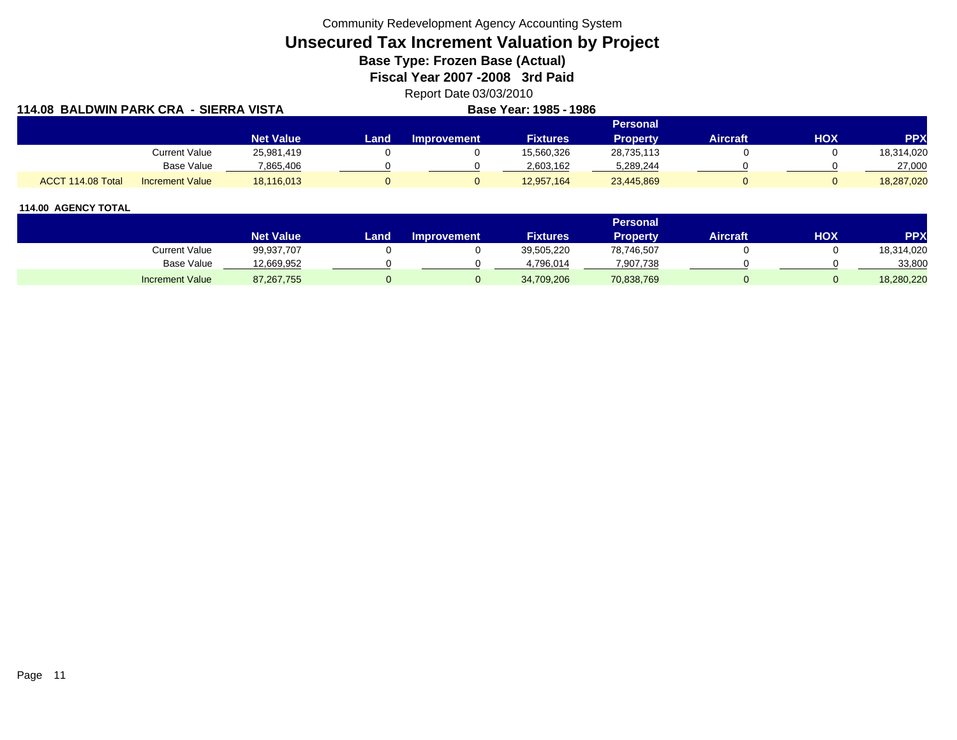Community Redevelopment Agency Accounting System

# **Unsecured Tax Increment Valuation by Project**

**Base Type: Frozen Base (Actual)** 

**Fiscal Year 2007 -2008 3rd Paid**

Report Date 03/03/2010

| 114.08 BALDWIN PARK CRA - SIERRA VISTA      |                  |      |             | Base Year: 1985 - 1986 |                 |          |            |            |
|---------------------------------------------|------------------|------|-------------|------------------------|-----------------|----------|------------|------------|
|                                             |                  |      |             |                        | <b>Personal</b> |          |            |            |
|                                             | <b>Net Value</b> | Land | Improvement | <b>Fixtures</b>        | <b>Property</b> | Aircraft | <b>HOX</b> | PPX        |
| Current Value                               | 25,981,419       |      |             | 15,560,326             | 28,735,113      |          |            | 18,314,020 |
| Base Value                                  | 7,865,406        |      |             | 2,603,162              | 5,289,244       |          |            | 27,000     |
| ACCT 114.08 Total<br><b>Increment Value</b> | 18,116,013       |      |             | 12,957,164             | 23,445,869      |          |            | 18,287,020 |

|                        |                  |       |                    |                   | <b>Personal</b> |                 |     |            |
|------------------------|------------------|-------|--------------------|-------------------|-----------------|-----------------|-----|------------|
|                        | <b>Net Value</b> | Land. | <b>Improvement</b> | <b>Fixtures</b> ' | Property.       | <b>Aircraft</b> | HOX | PPX        |
| Current Value          | 99,937,707       |       |                    | 39,505,220        | 78,746,507      |                 |     | 18,314,020 |
| <b>Base Value</b>      | 12,669,952       |       |                    | 4.796.014         | 7,907,738       |                 |     | 33,800     |
| <b>Increment Value</b> | 87, 267, 755     |       |                    | 34,709,206        | 70,838,769      |                 |     | 18,280,220 |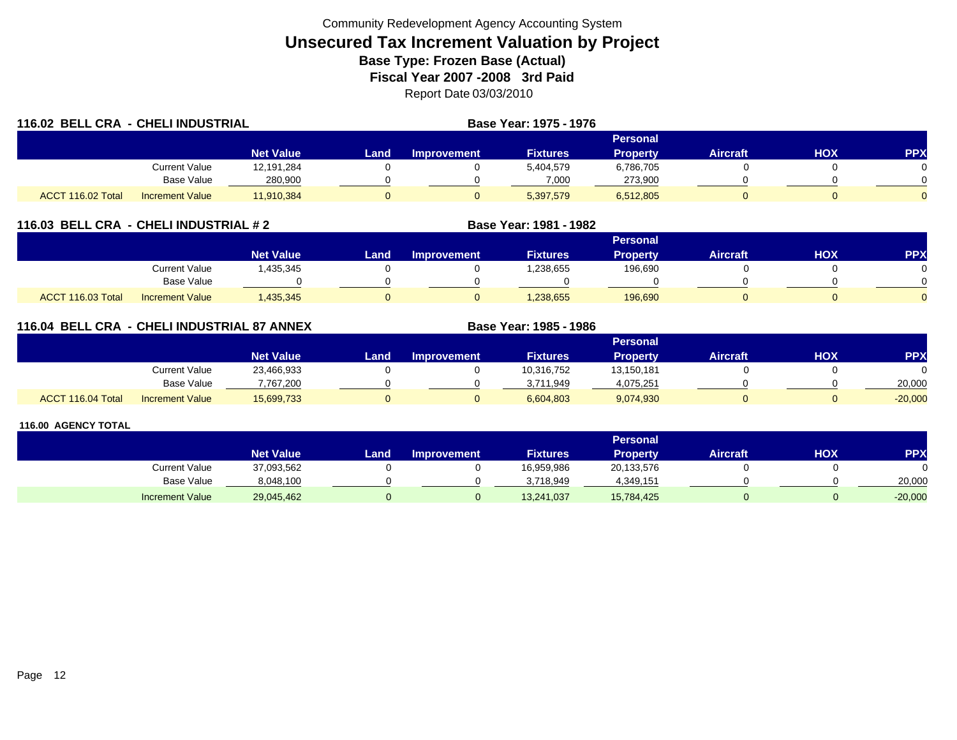|                   | 116.02 BELL CRA - CHELI INDUSTRIAL |                  |      |                    | <b>Base Year: 1975 - 1976</b> |                 |                 |     |            |
|-------------------|------------------------------------|------------------|------|--------------------|-------------------------------|-----------------|-----------------|-----|------------|
|                   |                                    |                  |      |                    |                               | Personal        |                 |     |            |
|                   |                                    | <b>Net Value</b> | Land | <b>Improvement</b> | <b>Fixtures</b>               | <b>Property</b> | <b>Aircraft</b> | HOX | <b>PPX</b> |
|                   | Current Value                      | 12,191,284       |      |                    | 5,404,579                     | 6,786,705       |                 |     |            |
|                   | Base Value                         | 280,900          |      |                    | 7,000                         | 273,900         |                 |     |            |
| ACCT 116.02 Total | <b>Increment Value</b>             | 11,910,384       |      |                    | 5,397,579                     | 6,512,805       |                 |     | $\Omega$   |

## **116.03 BELL CRA - CHELI INDUSTRIAL # 2 Base Year: 1981 - 1982**

|                   |                        |                  |      |                    |                 | Personal |                 |            |            |
|-------------------|------------------------|------------------|------|--------------------|-----------------|----------|-----------------|------------|------------|
|                   |                        | <b>Net Value</b> | Land | <b>Improvement</b> | <b>Fixtures</b> | Property | <b>Aircraft</b> | <b>HOX</b> | <b>PPX</b> |
|                   | <b>Current Value</b>   | ,435,345         |      |                    | .238,655        | 196,690  |                 |            |            |
|                   | <b>Base Value</b>      |                  |      |                    |                 |          |                 |            | ∩          |
| ACCT 116.03 Total | <b>Increment Value</b> | ,435,345         |      |                    | 1,238,655       | 196,690  |                 |            | $\Omega$   |

## **116.04 BELL CRA - CHELI INDUSTRIAL 87 ANNEX**

|                             |                        |                  |      |                    |                 | <b>Personal</b> |                 |     |            |
|-----------------------------|------------------------|------------------|------|--------------------|-----------------|-----------------|-----------------|-----|------------|
|                             |                        | <b>Net Value</b> | Land | <b>Improvement</b> | <b>Fixtures</b> | Property        | <b>Aircraft</b> | нох | <b>PPX</b> |
|                             | <b>Current Value</b>   | 23,466,933       |      |                    | 10,316,752      | 13,150,181      |                 |     |            |
|                             | <b>Base Value</b>      | 7.767.200        |      |                    | 3.711.949       | 4,075,251       |                 |     | 20,000     |
| <b>ACCT</b><br>116.04 Total | <b>Increment Value</b> | 15,699,733       |      |                    | 6,604,803       | 9,074,930       |                 |     | $-20,000$  |

**Base Year: 1985 - 1986**

|                        |                  |      |                    |                 | <b>Personal</b> |                 |     |            |
|------------------------|------------------|------|--------------------|-----------------|-----------------|-----------------|-----|------------|
|                        | <b>Net Value</b> | Land | <b>Improvement</b> | <b>Fixtures</b> | <b>Property</b> | <b>Aircraft</b> | НОХ | <b>PPX</b> |
| Current Value          | 37,093,562       |      |                    | 16,959,986      | 20,133,576      |                 |     |            |
| <b>Base Value</b>      | 8,048,100        |      |                    | 3.718.949       | 4,349,151       |                 |     | 20,000     |
| <b>Increment Value</b> | 29,045,462       |      |                    | 13,241,037      | 15,784,425      |                 |     | $-20,000$  |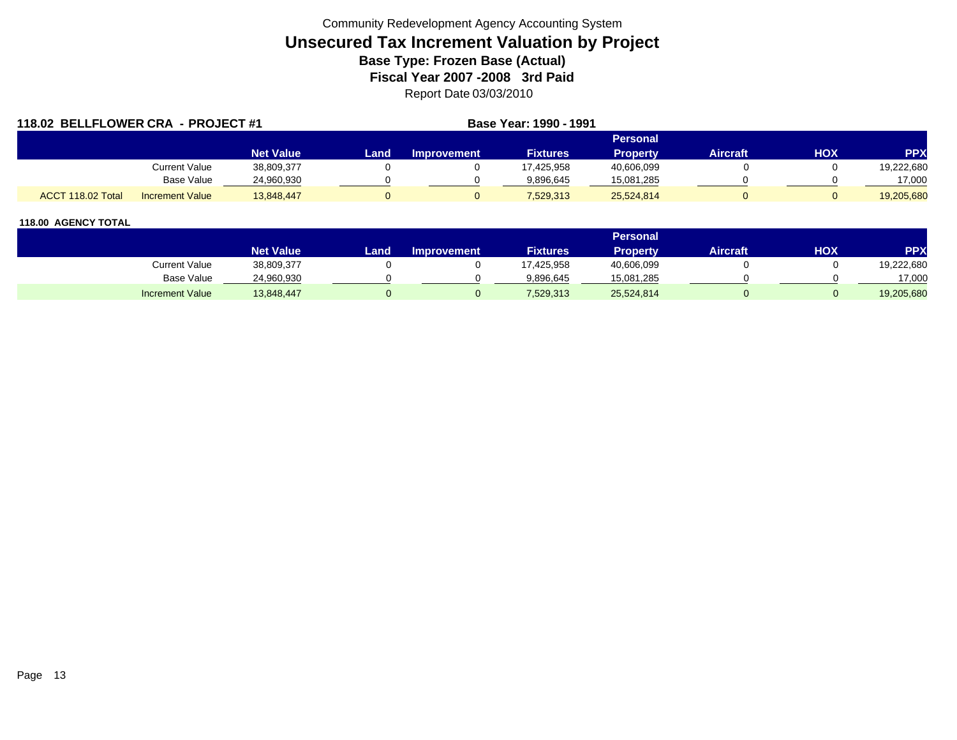| 118.02 BELLFLOWER CRA - PROJECT #1 |                        |                  |      |                    | Base Year: 1990 - 1991 |                 |                 |     |            |
|------------------------------------|------------------------|------------------|------|--------------------|------------------------|-----------------|-----------------|-----|------------|
|                                    |                        |                  |      |                    |                        | <b>Personal</b> |                 |     |            |
|                                    |                        | <b>Net Value</b> | Land | <b>Improvement</b> | <b>Fixtures</b>        | <b>Property</b> | <b>Aircraft</b> | HOX | <b>PPX</b> |
|                                    | Current Value          | 38,809,377       |      |                    | 17.425.958             | 40,606,099      |                 |     | 19,222,680 |
|                                    | Base Value             | 24,960,930       |      |                    | 9.896.645              | 15,081,285      |                 |     | 17,000     |
| ACCT 118.02 Total                  | <b>Increment Value</b> | 13,848,447       |      |                    | 7,529,313              | 25,524,814      |                 |     | 19,205,680 |

|                        |                  |      |                    |                 | Personal . |                 |            |            |
|------------------------|------------------|------|--------------------|-----------------|------------|-----------------|------------|------------|
|                        | <b>Net Value</b> | Land | <b>Improvement</b> | <b>Fixtures</b> | Property   | <b>Aircraft</b> | <b>HOX</b> | PPX        |
| <b>Current Value</b>   | 38,809,377       |      |                    | 17,425,958      | 40,606,099 |                 |            | 19,222,680 |
| <b>Base Value</b>      | 24,960,930       |      |                    | 9,896,645       | 15,081,285 |                 |            | 17,000     |
| <b>Increment Value</b> | 13,848,447       |      |                    | 7,529,313       | 25,524,814 |                 |            | 19,205,680 |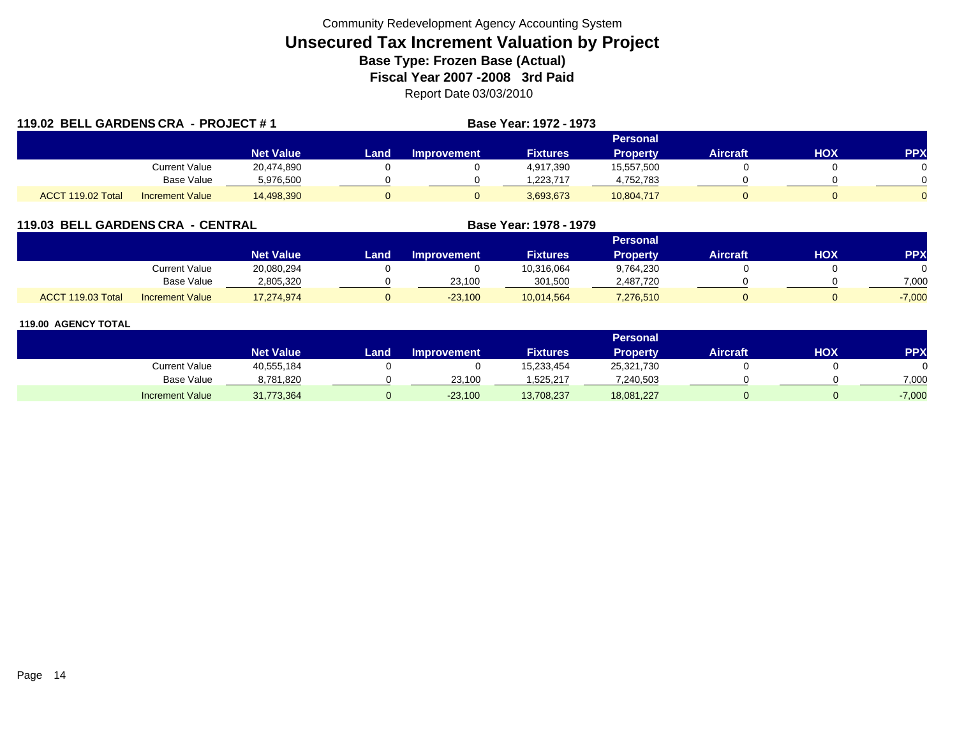| 119.02 BELL GARDENS CRA - PROJECT #1 |                        |                  |      |                    | Base Year: 1972 - 1973 |                 |                 |            |            |
|--------------------------------------|------------------------|------------------|------|--------------------|------------------------|-----------------|-----------------|------------|------------|
|                                      |                        |                  |      |                    |                        | Personal        |                 |            |            |
|                                      |                        | <b>Net Value</b> | Land | <b>Improvement</b> | <b>Fixtures</b>        | <b>Property</b> | <b>Aircraft</b> | <b>HOX</b> | <b>PPX</b> |
|                                      | Current Value          | 20,474,890       |      |                    | 4,917,390              | 15,557,500      |                 |            |            |
|                                      | <b>Base Value</b>      | 5,976,500        |      |                    | 1,223,717              | 4,752,783       |                 |            |            |
| ACCT 119.02 Total                    | <b>Increment Value</b> | 14,498,390       | 0    |                    | 3,693,673              | 10,804,717      |                 |            |            |

## **119.03 BELL GARDENS CRA - CENTRAL**

|                   |                        |                  |      |                    |                 | Personal        |          |     |          |
|-------------------|------------------------|------------------|------|--------------------|-----------------|-----------------|----------|-----|----------|
|                   |                        | <b>Net Value</b> | Land | <b>Improvement</b> | <b>Fixtures</b> | <b>Property</b> | Aircraft | нох | PPX      |
|                   | Current Value          | 20,080,294       |      |                    | 10,316,064      | 9,764,230       |          |     |          |
|                   | <b>Base Value</b>      | 2,805,320        |      | 23,100             | 301.500         | 2,487,720       |          |     | 7.000    |
| ACCT 119.03 Total | <b>Increment Value</b> | 17,274,974       |      | $-23,100$          | 10,014,564      | 7,276,510       |          |     | $-7,000$ |

**Base Year: 1978 - 1979**

|                        |                  |      |                    |                 | Personal        |                 |     |            |
|------------------------|------------------|------|--------------------|-----------------|-----------------|-----------------|-----|------------|
|                        | <b>Net Value</b> | Land | <b>Improvement</b> | <b>Fixtures</b> | <b>Property</b> | <b>Aircraft</b> | нох | <b>PPX</b> |
| Current Value          | 40,555,184       |      |                    | 15,233,454      | 25,321,730      |                 |     |            |
| Base Value             | 8,781,820        |      | 23,100             | 1,525,217       | 7,240,503       |                 |     | 7,000      |
| <b>Increment Value</b> | 31,773,364       |      | $-23,100$          | 13,708,237      | 18,081,227      |                 |     | $-7,000$   |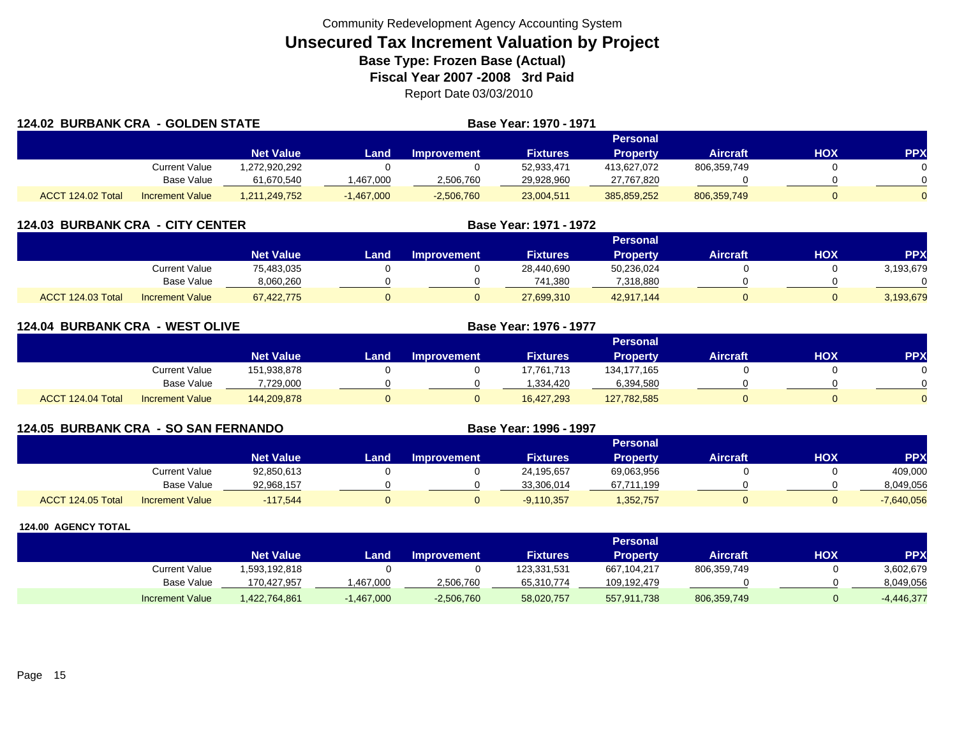|                   | <b>124.02 BURBANK CRA - GOLDEN STATE</b> |                  |              |                    | Base Year: 1970 - 1971 |                 |                 |     |            |
|-------------------|------------------------------------------|------------------|--------------|--------------------|------------------------|-----------------|-----------------|-----|------------|
|                   |                                          |                  |              |                    |                        | <b>Personal</b> |                 |     |            |
|                   |                                          | <b>Net Value</b> | Landı        | <b>Improvement</b> | <b>Fixtures</b>        | <b>Property</b> | <b>Aircraft</b> | нох | <b>PPX</b> |
|                   | Current Value                            | .272,920,292     |              |                    | 52,933,471             | 413.627.072     | 806,359,749     |     |            |
|                   | Base Value                               | 61,670,540       | ,467,000     | 2,506,760          | 29,928,960             | 27,767,820      |                 |     |            |
| ACCT 124.02 Total | <b>Increment Value</b>                   | 1,211,249,752    | $-1,467,000$ | $-2,506,760$       | 23,004,511             | 385,859,252     | 806,359,749     |     | $\Omega$   |

| <b>124.03 BURBANK CRA - CITY CENTER</b> |                        |                  |      | Base Year: 1971 - 1972 |                 |                 |                 |            |            |
|-----------------------------------------|------------------------|------------------|------|------------------------|-----------------|-----------------|-----------------|------------|------------|
|                                         |                        |                  |      |                        |                 | Personal        |                 |            |            |
|                                         |                        | <b>Net Value</b> | Land | <b>Improvement</b>     | <b>Fixtures</b> | <b>Property</b> | <b>Aircraft</b> | <b>HOX</b> | <b>PPX</b> |
|                                         | Current Value          | 75,483,035       |      |                        | 28,440,690      | 50,236,024      |                 |            | 3,193,679  |
|                                         | Base Value             | 8,060,260        |      |                        | 741,380         | 7,318,880       |                 |            |            |
| ACCT 124.03 Total                       | <b>Increment Value</b> | 67,422,775       |      |                        | 27,699,310      | 42,917,144      |                 |            | 3,193,679  |

|                   | <b>124.04 BURBANK CRA - WEST OLIVE</b> |                  |       | <b>Base Year: 1976 - 1977</b> |                 |                 |                 |     |                |
|-------------------|----------------------------------------|------------------|-------|-------------------------------|-----------------|-----------------|-----------------|-----|----------------|
|                   |                                        |                  |       |                               |                 | Personal        |                 |     |                |
|                   |                                        | <b>Net Value</b> | Land. | <b>Improvement</b>            | <b>Fixtures</b> | <b>Property</b> | <b>Aircraft</b> | HOX | <b>PPX</b>     |
|                   | <b>Current Value</b>                   | 151,938,878      |       |                               | 17,761,713      | 134,177,165     |                 |     | 0.             |
|                   | Base Value                             | 7,729,000        |       |                               | 1.334.420       | 6,394,580       |                 |     | ∩              |
| ACCT 124.04 Total | <b>Increment Value</b>                 | 144,209,878      | 0     |                               | 16,427,293      | 127,782,585     |                 |     | $\overline{0}$ |

| <b>124.05 BURBANK CRA - SO SAN FERNANDO</b> |                        |                  |       |                    | Base Year: 1996 - 1997 |                 |                 |     |              |
|---------------------------------------------|------------------------|------------------|-------|--------------------|------------------------|-----------------|-----------------|-----|--------------|
|                                             |                        |                  |       |                    |                        | <b>Personal</b> |                 |     |              |
|                                             |                        | <b>Net Value</b> | Landı | <b>Improvement</b> | <b>Fixtures</b>        | <b>Property</b> | <b>Aircraft</b> | нох | <b>PPX</b>   |
|                                             | Current Value          | 92,850,613       |       |                    | 24,195,657             | 69.063.956      |                 |     | 409,000      |
|                                             | Base Value             | 92,968,157       |       |                    | 33.306.014             | 67,711,199      |                 |     | 8,049,056    |
| ACCT 124.05 Total                           | <b>Increment Value</b> | $-117.544$       |       | 0                  | $-9,110,357$           | 1,352,757       |                 |     | $-7,640,056$ |

|                        |                  |              |                    |                 | Personal    |                 |     |              |
|------------------------|------------------|--------------|--------------------|-----------------|-------------|-----------------|-----|--------------|
|                        | <b>Net Value</b> | Land         | <b>Improvement</b> | <b>Fixtures</b> | Property    | <b>Aircraft</b> | HOX | <b>PPX</b>   |
| <b>Current Value</b>   | 1,593,192,818    |              |                    | 123,331,531     | 667,104,217 | 806,359,749     |     | 3,602,679    |
| Base Value             | 170,427,957      | ,467,000     | 2,506,760          | 65,310,774      | 109,192,479 |                 |     | 8,049,056    |
| <b>Increment Value</b> | 1,422,764,861    | $-1,467,000$ | $-2,506,760$       | 58,020,757      | 557,911,738 | 806,359,749     |     | $-4,446,377$ |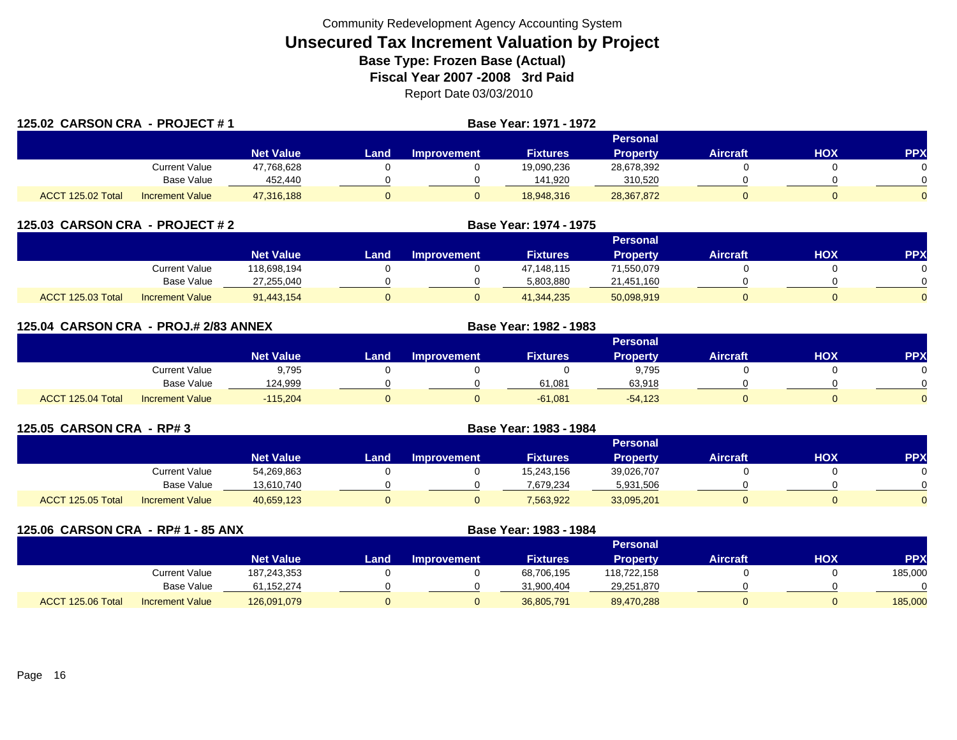| 125.02 CARSON CRA - PROJECT #1 |                        |                  | <b>Base Year: 1971 - 1972</b> |             |                 |                 |                 |     |            |
|--------------------------------|------------------------|------------------|-------------------------------|-------------|-----------------|-----------------|-----------------|-----|------------|
|                                |                        |                  |                               |             |                 | <b>Personal</b> |                 |     |            |
|                                |                        | <b>Net Value</b> | <b>Land</b>                   | Improvement | <b>Fixtures</b> | <b>Property</b> | <b>Aircraft</b> | HOX | <b>PPX</b> |
|                                | Current Value          | 47,768,628       |                               |             | 19,090,236      | 28,678,392      |                 |     |            |
|                                | Base Value             | 452,440          |                               |             | 141,920         | 310,520         |                 |     |            |
| ACCT 125.02 Total              | <b>Increment Value</b> | 47,316,188       |                               |             | 18,948,316      | 28,367,872      |                 |     |            |

| 125.03 CARSON CRA - PROJECT # 2 |                        |                  | Base Year: 1974 - 1975 |                    |                 |            |                 |     |            |
|---------------------------------|------------------------|------------------|------------------------|--------------------|-----------------|------------|-----------------|-----|------------|
|                                 |                        |                  |                        |                    |                 | Personal   |                 |     |            |
|                                 |                        | <b>Net Value</b> | Land                   | <b>Improvement</b> | <b>Fixtures</b> | Property   | <b>Aircraft</b> | нох | <b>PPX</b> |
|                                 | Current Value          | 118.698.194      |                        |                    | 47.148.115      | 71,550,079 |                 |     |            |
|                                 | Base Value             | 27,255,040       |                        |                    | 5,803,880       | 21,451,160 |                 |     |            |
| ACCT 125.03 Total               | <b>Increment Value</b> | 91,443,154       |                        |                    | 41.344.235      | 50,098,919 |                 |     |            |

| 125.04 CARSON CRA - PROJ.# 2/83 ANNEX |                        |                  |      | Base Year: 1982 - 1983 |                 |                 |                 |            |            |
|---------------------------------------|------------------------|------------------|------|------------------------|-----------------|-----------------|-----------------|------------|------------|
|                                       |                        |                  |      |                        |                 | <b>Personal</b> |                 |            |            |
|                                       |                        | <b>Net Value</b> | Land | <b>Improvement</b>     | <b>Fixtures</b> | <b>Property</b> | <b>Aircraft</b> | <b>HOX</b> | <b>PPX</b> |
|                                       | Current Value          | 9,795            |      |                        |                 | 9,795           |                 |            | 0          |
|                                       | <b>Base Value</b>      | 124.999          |      |                        | 61.081          | 63.918          |                 |            | $\Omega$   |
| ACCT 125.04 Total                     | <b>Increment Value</b> | $-115,204$       |      |                        | $-61,081$       | $-54,123$       |                 |            | $\Omega$   |

| 125.05 CARSON CRA - RP# 3 |                        |                  |       |                    |                 |                 |                 |     |           |
|---------------------------|------------------------|------------------|-------|--------------------|-----------------|-----------------|-----------------|-----|-----------|
|                           |                        |                  |       |                    |                 | <b>Personal</b> |                 |     |           |
|                           |                        | <b>Net Value</b> | Land. | <b>Improvement</b> | <b>Fixtures</b> | <b>Property</b> | <b>Aircraft</b> | нох | <b>PP</b> |
|                           | Current Value          | 54,269,863       |       |                    | 15,243,156      | 39,026,707      |                 |     |           |
|                           | Base Value             | 13.610.740       |       |                    | 7.679.234       | 5,931,506       |                 |     |           |
| ACCT 125.05 Total         | <b>Increment Value</b> | 40,659,123       |       |                    | 7,563,922       | 33,095,201      |                 |     |           |

| 125.06 CARSON CRA - RP# 1 - 85 ANX |                        |                  |      | Base Year: 1983 - 1984 |                 |                 |                 |     |            |
|------------------------------------|------------------------|------------------|------|------------------------|-----------------|-----------------|-----------------|-----|------------|
|                                    |                        |                  |      |                        |                 | <b>Personal</b> |                 |     |            |
|                                    |                        | <b>Net Value</b> | Land | <b>Improvement</b>     | <b>Fixtures</b> | <b>Property</b> | <b>Aircraft</b> | нох | <b>PPX</b> |
|                                    | Current Value          | 187,243,353      |      |                        | 68,706,195      | 118,722,158     |                 |     | 185,000    |
|                                    | Base Value             | 61,152,274       |      |                        | 31,900,404      | 29,251,870      |                 |     |            |
| ACCT 125.06 Total                  | <b>Increment Value</b> | 126,091,079      | υ    |                        | 36,805,791      | 89,470,288      |                 |     | 185,000    |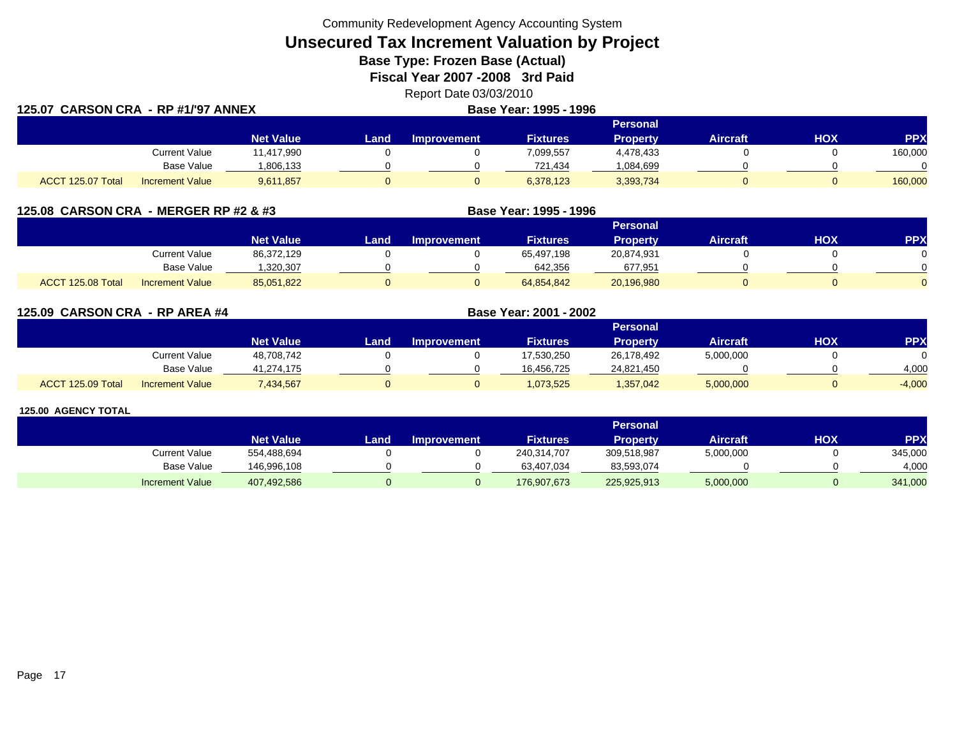Community Redevelopment Agency Accounting System

## **Unsecured Tax Increment Valuation by Project**

**Base Type: Frozen Base (Actual)** 

**Fiscal Year 2007 -2008 3rd Paid**

Report Date 03/03/2010 **Base Year: 1995 - 1996**

| 125.07  CARSON CRA  - RP #1/'97 ANNEX |                        |                  |       | <b>Base Year: 1995 - 1996</b> |           |                 |                 |     |            |
|---------------------------------------|------------------------|------------------|-------|-------------------------------|-----------|-----------------|-----------------|-----|------------|
|                                       |                        |                  |       |                               |           | <b>Personal</b> |                 |     |            |
|                                       |                        | <b>Net Value</b> | Land. | Improvement                   | Fixtures  | <b>Property</b> | <b>Aircraft</b> | нох | <b>PPX</b> |
|                                       | <b>Current Value</b>   | 11,417,990       |       |                               | 7,099,557 | 4,478,433       |                 |     | 160,000    |
|                                       | Base Value             | 1,806,133        |       |                               | 721,434   | 1,084,699       |                 |     |            |
| ACCT 125.07 Total                     | <b>Increment Value</b> | 9,611,857        |       |                               | 6,378,123 | 3,393,734       |                 |     | 160,000    |

|                   | 125.08 CARSON CRA - MERGER RP #2 & #3 |                  |      |                    | Base Year: 1995 - 1996 |                 |                 |     |            |
|-------------------|---------------------------------------|------------------|------|--------------------|------------------------|-----------------|-----------------|-----|------------|
|                   |                                       |                  |      |                    |                        | Personal        |                 |     |            |
|                   |                                       | <b>Net Value</b> | Land | <b>Improvement</b> | <b>Fixtures</b>        | <b>Property</b> | <b>Aircraft</b> | ΗΟΧ | <b>PPX</b> |
|                   | Current Value                         | 86,372,129       |      |                    | 65,497,198             | 20,874,931      |                 |     |            |
|                   | Base Value                            | 320,307          |      |                    | 642,356                | 677,951         |                 |     |            |
| ACCT 125.08 Total | <b>Increment Value</b>                | 85,051,822       |      |                    | 64,854,842             | 20,196,980      |                 |     |            |

**125.09 CARSON CRA - RP AREA #4 Base Year: 2001 - 2002 Personal Net Value Land Improvement Fixtures Property Aircraft HOX PPX** Current Value 48,708,742 0 0 17,530,250 26,178,492 5,000,000 0 0 Base Value 41,274,175 0 0 16,456,725 24,821,450 0 0 4,000 ACCT 125.09 TotalIncrement Value 7,434,567 0 0 1,073,525 1,357,042 5,000,000 0 -4,000

#### **125.00 AGENCY TOTAL**

**CARSON CRA - RP #1/'97 ANNEX**

|                        |                  |       |                    |                 | <b>Personal</b> |                 |            |         |
|------------------------|------------------|-------|--------------------|-----------------|-----------------|-----------------|------------|---------|
|                        | <b>Net Value</b> | Land. | <b>Improvement</b> | <b>Fixtures</b> | Property        | <b>Aircraft</b> | <b>HOX</b> | PPX     |
| Current Value          | 554,488,694      |       |                    | 240,314,707     | 309,518,987     | 5,000,000       |            | 345,000 |
| <b>Base Value</b>      | 146.996.108      |       |                    | 63.407.034      | 83,593,074      |                 |            | 4.000   |
| <b>Increment Value</b> | 407,492,586      |       |                    | 176,907,673     | 225,925,913     | 5,000,000       |            | 341,000 |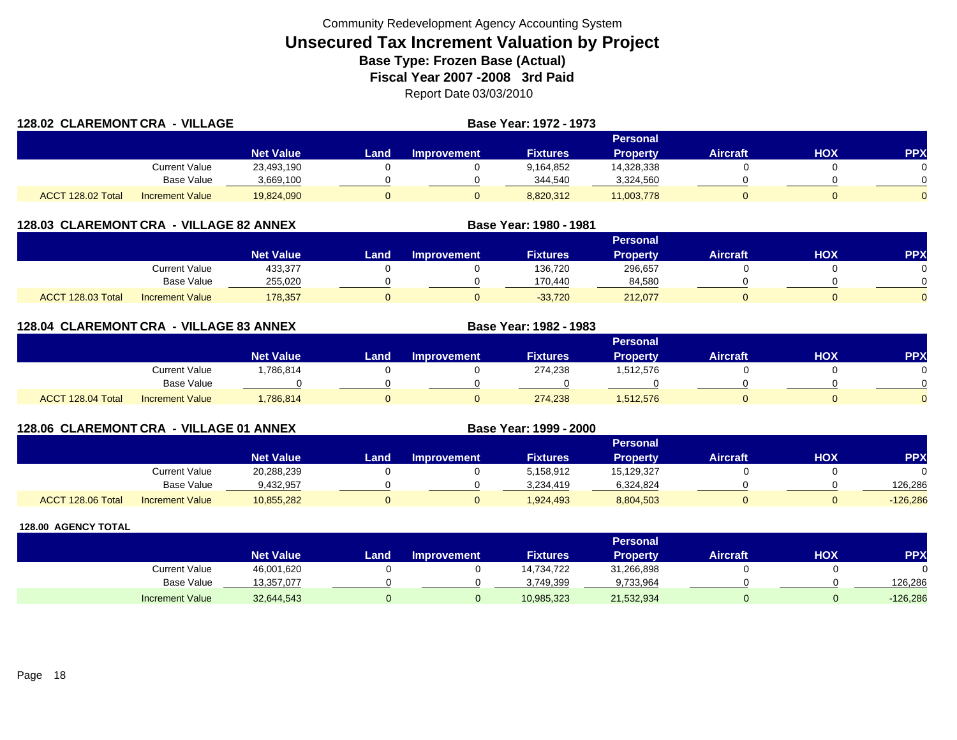| 128.02 CLAREMONT CRA - VILLAGE |                        |                  |      | Base Year: 1972 - 1973 |                 |                 |                 |     |     |
|--------------------------------|------------------------|------------------|------|------------------------|-----------------|-----------------|-----------------|-----|-----|
|                                |                        |                  |      |                        |                 | Personal        |                 |     |     |
|                                |                        | <b>Net Value</b> | Land | <b>Improvement</b>     | <b>Fixtures</b> | <b>Property</b> | <b>Aircraft</b> | HOX | PPX |
|                                | Current Value          | 23,493,190       |      |                        | 9,164,852       | 14,328,338      |                 |     |     |
|                                | <b>Base Value</b>      | 3,669,100        |      |                        | 344,540         | 3,324,560       |                 |     |     |
| ACCT 128.02 Total              | <b>Increment Value</b> | 19,824,090       |      |                        | 8,820,312       | 11,003,778      |                 |     |     |

## **128.03 CLAREMONT CRA - VILLAGE 82 ANNEX**

|                   |                        |                  |      |                    |                 | Personal        |                 |            |          |
|-------------------|------------------------|------------------|------|--------------------|-----------------|-----------------|-----------------|------------|----------|
|                   |                        | <b>Net Value</b> | Land | <b>Improvement</b> | <b>Fixtures</b> | <b>Property</b> | <b>Aircraft</b> | <b>HOX</b> | PPX      |
|                   | Current Value          | 433,377          |      |                    | 136.720         | 296,657         |                 |            |          |
|                   | <b>Base Value</b>      | 255,020          |      |                    | 170.440         | 84,580          |                 |            |          |
| ACCT 128.03 Total | <b>Increment Value</b> | 178,357          |      |                    | $-33.720$       | 212,077         |                 |            | $\Omega$ |

**Base Year: 1980 - 1981**

**Base Year: 1982 - 1983**

**Base Year: 1999 - 2000**

### **128.04 CLAREMONT CRA - VILLAGE 83 ANNEX**

|                   |                        |                  |      |                    |                 | Personal        |                 |            |          |
|-------------------|------------------------|------------------|------|--------------------|-----------------|-----------------|-----------------|------------|----------|
|                   |                        | <b>Net Value</b> | Land | <b>Improvement</b> | <b>Fixtures</b> | <b>Property</b> | <b>Aircraft</b> | <b>XOH</b> | PPX      |
|                   | Current Value          | ,786,814         |      |                    | 274,238         | 1,512,576       |                 |            |          |
|                   | <b>Base Value</b>      |                  |      |                    |                 |                 |                 |            | $\Omega$ |
| ACCT 128.04 Total | <b>Increment Value</b> | ,786,814         |      |                    | 274,238         | 1,512,576       |                 |            | $\Omega$ |

## **128.06 CLAREMONT CRA - VILLAGE 01 ANNEX**

|                      |                        |                  |       |             |                 | Personal        |                 |            |            |
|----------------------|------------------------|------------------|-------|-------------|-----------------|-----------------|-----------------|------------|------------|
|                      |                        | <b>Net Value</b> | Land. | Improvement | <b>Fixtures</b> | <b>Property</b> | <b>Aircraft</b> | <b>HOX</b> | <b>PPX</b> |
|                      | Current Value          | 20,288,239       |       |             | 5.158.912       | 15,129,327      |                 |            | 0          |
|                      | Base Value             | 9.432.957        |       |             | 3.234.419       | 6,324,824       |                 |            | 126.286    |
| 128.06 Total<br>ACCT | <b>Increment Value</b> | 10,855,282       |       |             | 1,924,493       | 8,804,503       |                 |            | $-126,286$ |

|                        |                  |      |                    |                 | Personal        |                 |     |            |
|------------------------|------------------|------|--------------------|-----------------|-----------------|-----------------|-----|------------|
|                        | <b>Net Value</b> | Land | <b>Improvement</b> | <b>Fixtures</b> | <b>Property</b> | <b>Aircraft</b> | нох | <b>PPX</b> |
| Current Value          | 46,001,620       |      |                    | 14,734,722      | 31,266,898      |                 |     |            |
| <b>Base Value</b>      | 13,357,077       |      |                    | 3,749,399       | 9,733,964       |                 |     | 126,286    |
| <b>Increment Value</b> | 32,644,543       |      |                    | 10,985,323      | 21,532,934      |                 |     | $-126,286$ |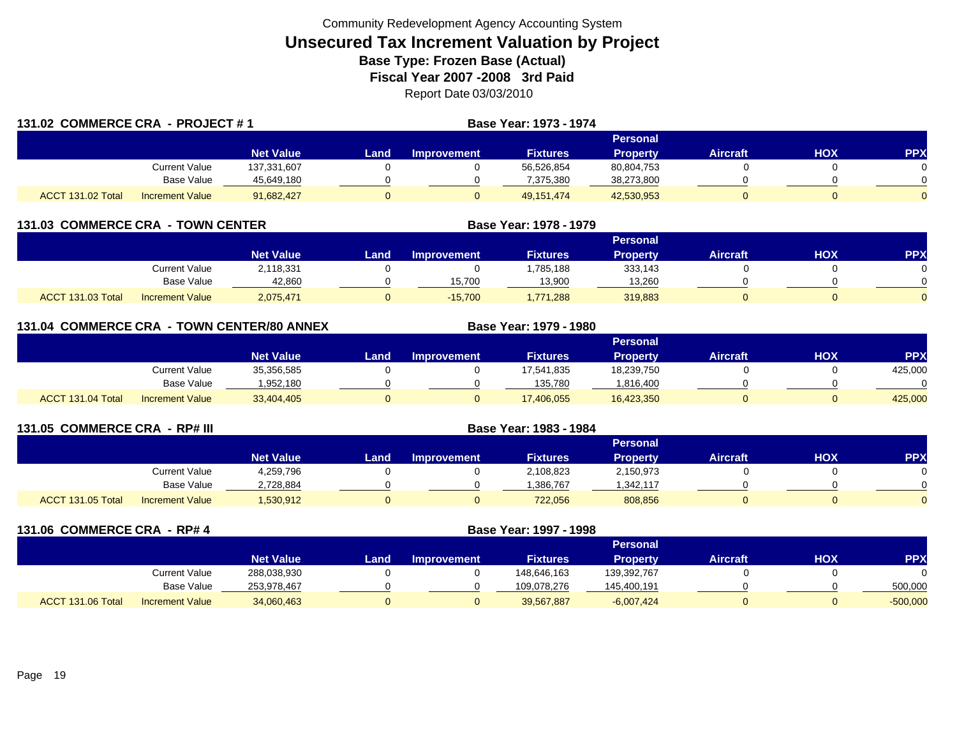| 131.02 COMMERCE CRA - PROJECT #1 |                        |                  |       |             | Base Year: 1973 - 1974 |                 |                 |     |                |
|----------------------------------|------------------------|------------------|-------|-------------|------------------------|-----------------|-----------------|-----|----------------|
|                                  |                        |                  |       |             | Personal               |                 |                 |     |                |
|                                  |                        | <b>Net Value</b> | Land. | Improvement | <b>Fixtures</b>        | <b>Property</b> | <b>Aircraft</b> | НОХ | <b>PPX</b>     |
|                                  | Current Value          | 137,331,607      |       |             | 56,526,854             | 80,804,753      |                 |     | 0              |
|                                  | Base Value             | 45,649,180       |       |             | 7.375.380              | 38,273,800      |                 |     | $\Omega$       |
| ACCT 131.02 Total                | <b>Increment Value</b> | 91,682,427       |       |             | 49,151,474             | 42,530,953      |                 |     | $\overline{0}$ |

|                          | 131.03 COMMERCE CRA - TOWN CENTER |                  |      |                    | Base Year: 1978 - 1979 |                 |                 |     |            |
|--------------------------|-----------------------------------|------------------|------|--------------------|------------------------|-----------------|-----------------|-----|------------|
|                          |                                   |                  |      |                    |                        | Personal        |                 |     |            |
|                          |                                   | <b>Net Value</b> | Land | <b>Improvement</b> | <b>Fixtures</b>        | <b>Property</b> | <b>Aircraft</b> | нох | <b>PPX</b> |
|                          | <b>Current Value</b>              | 2,118,331        |      |                    | ,785,188               | 333,143         |                 |     |            |
|                          | Base Value                        | 42,860           |      | 15,700             | 13,900                 | 13,260          |                 |     |            |
| <b>ACCT 131.03 Total</b> | <b>Increment Value</b>            | 2,075,471        |      | $-15,700$          | .771.288               | 319,883         |                 | 0   |            |

| 131.04 COMMERCE CRA - TOWN CENTER/80 ANNEX |                        |                  |      |                    | Base Year: 1979 - 1980 |                 |                 |            |            |
|--------------------------------------------|------------------------|------------------|------|--------------------|------------------------|-----------------|-----------------|------------|------------|
|                                            |                        |                  |      |                    | <b>Personal</b>        |                 |                 |            |            |
|                                            |                        | <b>Net Value</b> | Land | <b>Improvement</b> | <b>Fixtures</b>        | <b>Property</b> | <b>Aircraft</b> | <b>HOX</b> | <b>PPX</b> |
|                                            | Current Value          | 35,356,585       |      |                    | 17,541,835             | 18,239,750      |                 |            | 425,000    |
|                                            | <b>Base Value</b>      | 1,952,180        |      |                    | 135.780                | .816,400        |                 |            |            |
| ACCT 131.04 Total                          | <b>Increment Value</b> | 33,404,405       |      | 0                  | 17,406,055             | 16,423,350      |                 |            | 425,000    |

| 131.05 COMMERCE CRA - RP# III |                        |                  | Base Year: 1983 - 1984 |                    |                 |                 |                 |     |            |  |
|-------------------------------|------------------------|------------------|------------------------|--------------------|-----------------|-----------------|-----------------|-----|------------|--|
|                               |                        |                  | Personal               |                    |                 |                 |                 |     |            |  |
|                               |                        | <b>Net Value</b> | Land.                  | <b>Improvement</b> | <b>Fixtures</b> | <b>Property</b> | <b>Aircraft</b> | нох | <b>PPX</b> |  |
|                               | Current Value          | 4,259,796        |                        |                    | 2,108,823       | 2,150,973       |                 |     |            |  |
|                               | <b>Base Value</b>      | 2,728,884        |                        |                    | ,386,767        | ,342,117        |                 |     |            |  |
| <b>ACCT 131.05 Total</b>      | <b>Increment Value</b> | 1,530,912        |                        |                    | 722,056         | 808,856         |                 |     |            |  |

| 131.06 COMMERCE CRA - RP# 4 |                        | Base Year: 1997 - 1998 |      |                    |                 |                 |                 |            |            |
|-----------------------------|------------------------|------------------------|------|--------------------|-----------------|-----------------|-----------------|------------|------------|
|                             |                        |                        |      |                    |                 | <b>Personal</b> |                 |            |            |
|                             |                        | <b>Net Value</b>       | Land | <b>Improvement</b> | <b>Fixtures</b> | <b>Property</b> | <b>Aircraft</b> | <b>HOX</b> | <b>PPX</b> |
|                             | <b>Current Value</b>   | 288,038,930            |      |                    | 148,646,163     | 139,392,767     |                 |            | $\Omega$   |
|                             | <b>Base Value</b>      | 253,978,467            |      |                    | 109,078,276     | 145,400,191     |                 |            | 500,000    |
| ACCT 131.06 Total           | <b>Increment Value</b> | 34,060,463             |      |                    | 39,567,887      | $-6,007,424$    |                 |            | $-500,000$ |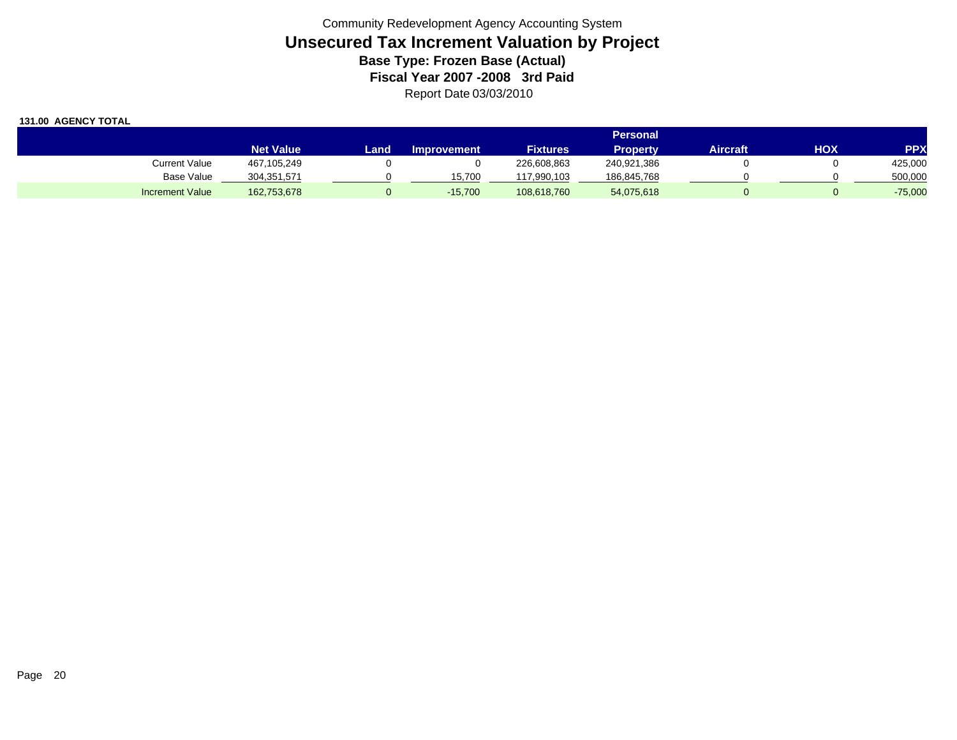|                        |                  | Personal |                    |                 |             |                 |     |            |  |  |
|------------------------|------------------|----------|--------------------|-----------------|-------------|-----------------|-----|------------|--|--|
|                        | <b>Net Value</b> | Land     | <b>Improvement</b> | <b>Fixtures</b> | Propertv    | <b>Aircraft</b> | HOX | <b>PPX</b> |  |  |
| Current Value          | 467,105,249      |          |                    | 226,608,863     | 240,921,386 |                 |     | 425,000    |  |  |
| <b>Base Value</b>      | 304,351,571      |          | 15.700             | 117,990,103     | 186,845,768 |                 |     | 500,000    |  |  |
| <b>Increment Value</b> | 162,753,678      |          | $-15,700$          | 108,618,760     | 54,075,618  |                 |     | $-75,000$  |  |  |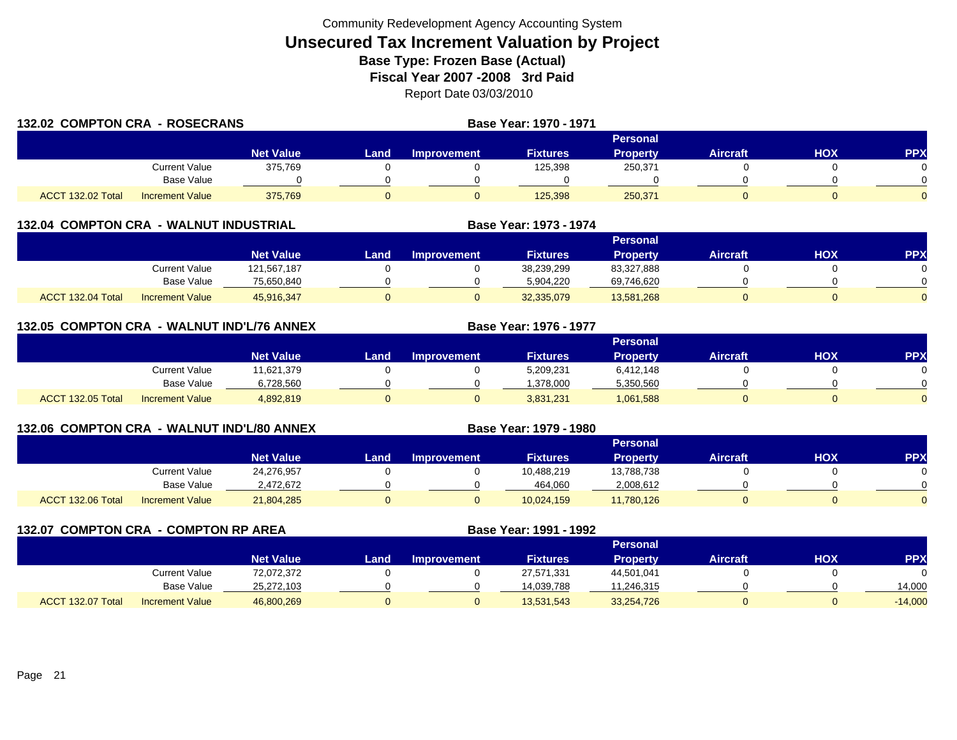| <b>132.02 COMPTON CRA - ROSECRANS</b> |                        | Base Year: 1970 - 1971 |                 |             |                 |                 |                 |     |     |
|---------------------------------------|------------------------|------------------------|-----------------|-------------|-----------------|-----------------|-----------------|-----|-----|
|                                       |                        |                        | <b>Personal</b> |             |                 |                 |                 |     |     |
|                                       |                        | <b>Net Value</b>       | Landı           | Improvement | <b>Fixtures</b> | <b>Property</b> | <b>Aircraft</b> | HOX | PPX |
|                                       | Current Value          | 375,769                |                 |             | 125,398         | 250,371         |                 |     |     |
|                                       | Base Value             |                        |                 |             |                 |                 |                 |     |     |
| ACCT 132.02 Total                     | <b>Increment Value</b> | 375.769                |                 |             | 125,398         | 250,371         |                 |     |     |

|                   |                        |                  |      |                    |                 | <b>Personal</b> |                 |     |     |
|-------------------|------------------------|------------------|------|--------------------|-----------------|-----------------|-----------------|-----|-----|
|                   |                        | <b>Net Value</b> | Land | <b>Improvement</b> | <b>Fixtures</b> | Property        | <b>Aircraft</b> | HOX | PP) |
|                   | <b>Current Value</b>   | 121,567,187      |      |                    | 38,239,299      | 83,327,888      |                 |     |     |
|                   | Base Value             | 75,650,840       |      |                    | 5,904,220       | 69,746,620      |                 |     |     |
| ACCT 132.04 Total | <b>Increment Value</b> | 45,916,347       |      |                    | 32,335,079      | 13,581,268      |                 |     |     |

**Base Year: 1973 - 1974**

**Base Year: 1976 - 1977**

**Base Year: 1979 - 1980**

| 132.05 COMPTON CRA - WALNUT IND'L/76 ANNEX |  |  |
|--------------------------------------------|--|--|
|                                            |  |  |

|                   |                        |                  |      |                    |                 | <b>Personal</b> |          |            |            |
|-------------------|------------------------|------------------|------|--------------------|-----------------|-----------------|----------|------------|------------|
|                   |                        | <b>Net Value</b> | Land | <b>Improvement</b> | <b>Fixtures</b> | <b>Property</b> | Aircraft | <b>HOX</b> | <b>PPX</b> |
|                   | <b>Current Value</b>   | 11,621,379       |      |                    | 5,209,231       | 6,412,148       |          |            | 0          |
|                   | <b>Base Value</b>      | 6,728,560        |      |                    | .378.000        | 5,350,560       |          |            | $\Omega$   |
| ACCT 132.05 Total | <b>Increment Value</b> | 4,892,819        |      |                    | 3,831,231       | 1,061,588       |          |            | $\Omega$   |

## **132.06 COMPTON CRA - WALNUT IND'L/80 ANNEX**

|                                             |                  |       |                    |                 | Personal        |                 |            |           |
|---------------------------------------------|------------------|-------|--------------------|-----------------|-----------------|-----------------|------------|-----------|
|                                             | <b>Net Value</b> | Land. | <b>Improvement</b> | <b>Fixtures</b> | <b>Property</b> | <b>Aircraft</b> | <b>HOX</b> | <b>PP</b> |
| <b>Current Value</b>                        | 24,276,957       |       |                    | 10,488,219      | 13,788,738      |                 |            |           |
| Base Value                                  | 2.472.672        |       |                    | 464,060         | 2,008,612       |                 |            |           |
| ACCT 132.06 Total<br><b>Increment Value</b> | 21,804,285       |       |                    | 10,024,159      | 11,780,126      |                 |            |           |

**132.07 COMPTON CRA - COMPTON RP AREA Base Year: 1991 - 1992 Personal Net Value Land Improvement Fixtures Property Aircraft HOX PPX** Current Value 72,072,372 0 0 27,571,331 44,501,041 0 0 0 Base Value 25,272,103 0 0 14,039,788 11,246,315 0 0 14,000 ACCT 132.07 TotalIncrement Value 46,800,269 0 0 13,531,543 33,254,726 0 0 -14,000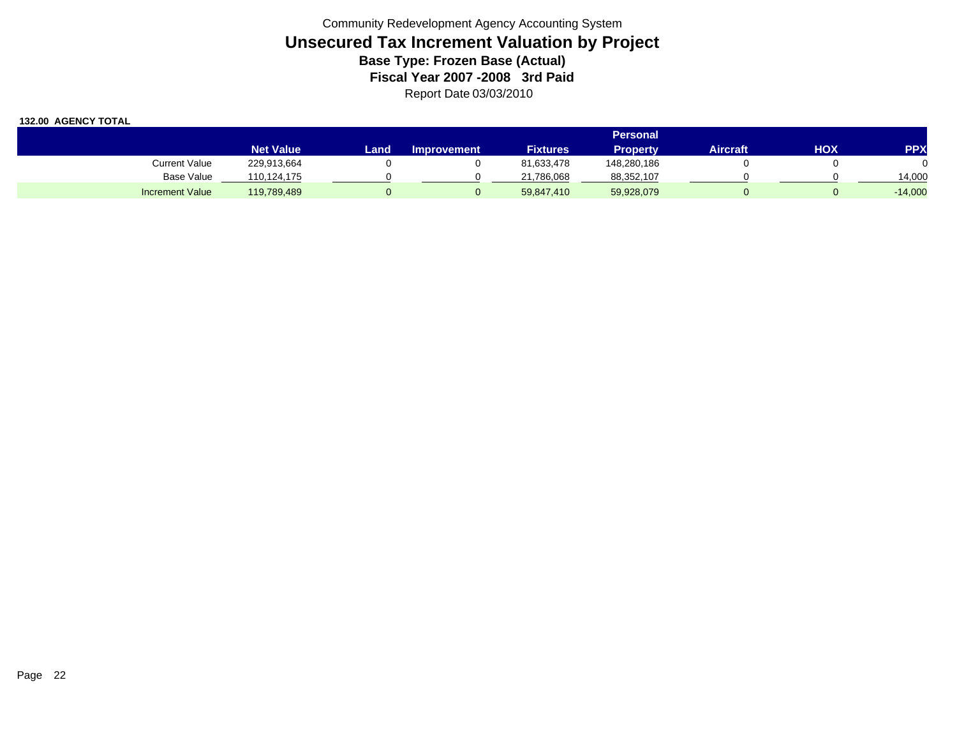|                        | <b>Personal</b>  |      |                    |                 |                 |          |     |            |  |  |  |
|------------------------|------------------|------|--------------------|-----------------|-----------------|----------|-----|------------|--|--|--|
|                        | <b>Net Value</b> | Land | <b>Improvement</b> | <b>Fixtures</b> | <b>Property</b> | Aircraft | ΗΟΧ | <b>PPX</b> |  |  |  |
| <b>Current Value</b>   | 229,913,664      |      |                    | 81,633,478      | 148,280,186     |          |     |            |  |  |  |
| Base Value             | 110,124,175      |      |                    | 21,786,068      | 88,352,107      |          |     | 14.000     |  |  |  |
| <b>Increment Value</b> | 119,789,489      |      |                    | 59,847,410      | 59,928,079      |          |     | $-14,000$  |  |  |  |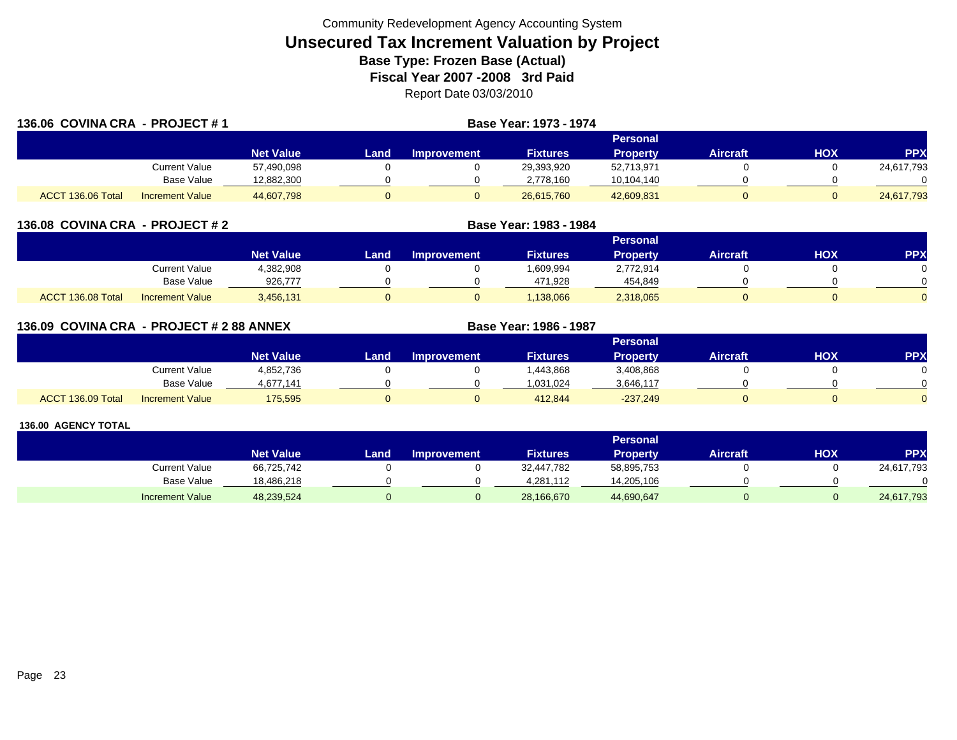| 136.06 COVINA CRA - PROJECT #1 |                        |                  | Base Year: 1973 - 1974 |                    |                 |                 |                 |     |            |  |  |  |
|--------------------------------|------------------------|------------------|------------------------|--------------------|-----------------|-----------------|-----------------|-----|------------|--|--|--|
|                                |                        |                  |                        |                    |                 |                 |                 |     |            |  |  |  |
|                                |                        | <b>Net Value</b> | Land                   | <b>Improvement</b> | <b>Fixtures</b> | <b>Property</b> | <b>Aircraft</b> | HOX | <b>PPX</b> |  |  |  |
|                                | Current Value          | 57,490,098       |                        |                    | 29,393,920      | 52,713,971      |                 |     | 24,617,793 |  |  |  |
|                                | Base Value             | 12,882,300       |                        |                    | 2,778,160       | 10,104,140      |                 |     |            |  |  |  |
| ACCT 136.06 Total              | <b>Increment Value</b> | 44,607,798       |                        |                    | 26.615.760      | 42,609,831      |                 |     | 24,617,793 |  |  |  |

| 136.08 COVINA CRA - PROJECT # 2 |                        |                  | Base Year: 1983 - 1984 |                    |                 |                 |                 |            |            |  |  |  |
|---------------------------------|------------------------|------------------|------------------------|--------------------|-----------------|-----------------|-----------------|------------|------------|--|--|--|
|                                 |                        |                  | <b>Personal</b>        |                    |                 |                 |                 |            |            |  |  |  |
|                                 |                        | <b>Net Value</b> | Land                   | <b>Improvement</b> | <b>Fixtures</b> | <b>Property</b> | <b>Aircraft</b> | <b>HOX</b> | <b>PPX</b> |  |  |  |
|                                 | Current Value          | 4,382,908        |                        |                    | 1,609,994       | 2,772,914       |                 |            |            |  |  |  |
|                                 | <b>Base Value</b>      | 926,777          |                        |                    | 471,928         | 454,849         |                 |            |            |  |  |  |
| ACCT 136.08 Total               | <b>Increment Value</b> | 3,456,131        |                        |                    | 1,138,066       | 2,318,065       |                 |            |            |  |  |  |

| 136.09 COVINA CRA - PROJECT # 2 88 ANNEX |                        |                  |      | Base Year: 1986 - 1987 |                 |                 |                 |     |            |
|------------------------------------------|------------------------|------------------|------|------------------------|-----------------|-----------------|-----------------|-----|------------|
|                                          |                        |                  |      |                        |                 | <b>Personal</b> |                 |     |            |
|                                          |                        | <b>Net Value</b> | Land | <b>Improvement</b>     | <b>Fixtures</b> | <b>Property</b> | <b>Aircraft</b> | HOX | <b>PPX</b> |
|                                          | Current Value          | 4,852,736        |      |                        | .443,868        | 3,408,868       |                 |     |            |
|                                          | Base Value             | 4,677,141        |      |                        | 1,031,024       | 3,646,117       |                 |     |            |
| ACCT 136.09 Total                        | <b>Increment Value</b> | 175,595          |      |                        | 412.844         | $-237,249$      |                 |     |            |

|                        |                  |       |                    |                 | <b>Personal</b> |                 |     |            |
|------------------------|------------------|-------|--------------------|-----------------|-----------------|-----------------|-----|------------|
|                        | <b>Net Value</b> | Land. | <b>Improvement</b> | <b>Fixtures</b> | Property        | <b>Aircraft</b> | нох | <b>PPX</b> |
| Current Value          | 66,725,742       |       |                    | 32,447,782      | 58,895,753      |                 |     | 24,617,793 |
| Base Value             | 18.486.218       |       |                    | 4.281.112       | 14,205,106      |                 |     |            |
| <b>Increment Value</b> | 48,239,524       |       |                    | 28,166,670      | 44,690,647      |                 |     | 24,617,793 |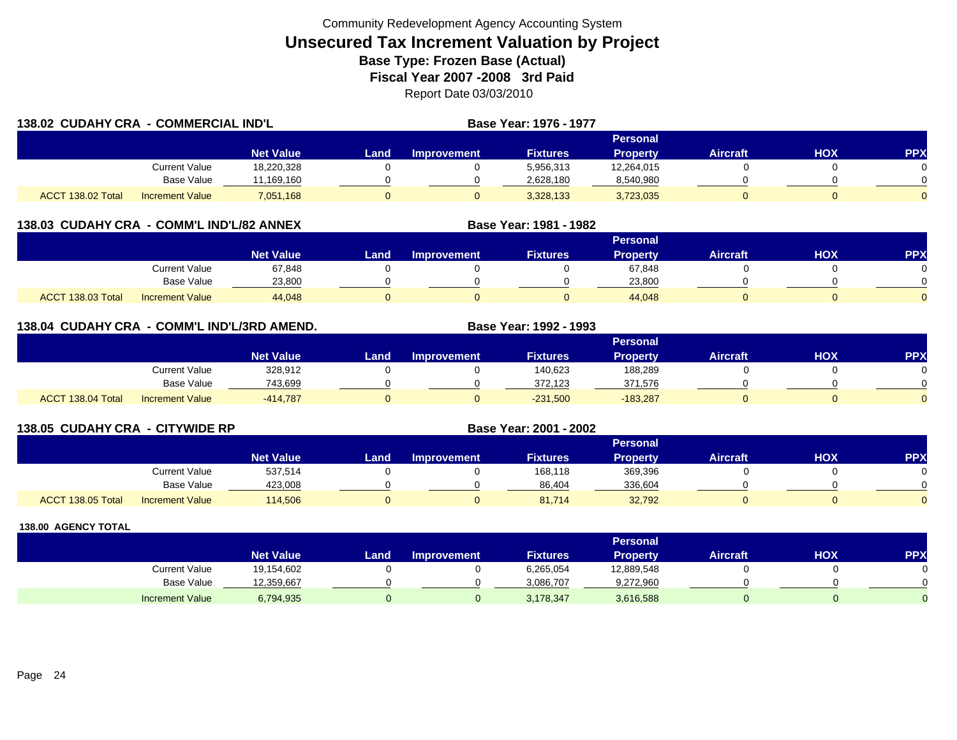| 138.02 CUDAHY CRA - COMMERCIAL IND'L |                        |                  |       |                    | <b>Base Year: 1976 - 1977</b> |                 |                 |     |            |
|--------------------------------------|------------------------|------------------|-------|--------------------|-------------------------------|-----------------|-----------------|-----|------------|
|                                      |                        |                  |       |                    |                               | Personal        |                 |     |            |
|                                      |                        | <b>Net Value</b> | Land, | <b>Improvement</b> | <b>Fixtures</b>               | <b>Property</b> | <b>Aircraft</b> | HOX | <b>PPX</b> |
|                                      | <b>Current Value</b>   | 18,220,328       |       |                    | 5,956,313                     | 12,264,015      |                 |     |            |
|                                      | <b>Base Value</b>      | 11,169,160       |       |                    | 2,628,180                     | 8,540,980       |                 |     |            |
| ACCT 138.02 Total                    | <b>Increment Value</b> | 7,051,168        | 0     |                    | 3,328,133                     | 3,723,035       |                 |     |            |

### **138.03 CUDAHY CRA - COMM'L IND'L/82 ANNEX**

|                   |                        |                  |      |                    |                 | <b>Personal</b> |                 |            |          |
|-------------------|------------------------|------------------|------|--------------------|-----------------|-----------------|-----------------|------------|----------|
|                   |                        | <b>Net Value</b> | Land | <b>Improvement</b> | <b>Fixtures</b> | <b>Property</b> | <b>Aircraft</b> | <b>XOH</b> | PPX      |
|                   | <b>Current Value</b>   | 67,848           |      |                    |                 | 67,848          |                 |            |          |
|                   | <b>Base Value</b>      | 23,800           |      |                    |                 | 23,800          |                 |            |          |
| ACCT 138.03 Total | <b>Increment Value</b> | 44,048           |      |                    |                 | 44,048          |                 |            | $\Omega$ |

**Base Year: 1981 - 1982**

## **138.04 CUDAHY CRA - COMM'L IND'L/3RD AMEND. Base Year: 1992 - 1993**

|                   |                        |                  |      |                    |                 | Personal        |                 |            |          |
|-------------------|------------------------|------------------|------|--------------------|-----------------|-----------------|-----------------|------------|----------|
|                   |                        | <b>Net Value</b> | Land | <b>Improvement</b> | <b>Fixtures</b> | <b>Property</b> | <b>Aircraft</b> | <b>HOX</b> | PPX      |
|                   | Current Value          | 328,912          |      |                    | 140,623         | 188,289         |                 |            |          |
|                   | <b>Base Value</b>      | 743,699          |      |                    | 372,123         | 371,576         |                 |            | 0        |
| ACCT 138.04 Total | <b>Increment Value</b> | $-414,787$       |      |                    | $-231,500$      | $-183,287$      |                 |            | $\Omega$ |

| 138.05 CUDAHY CRA - CITYWIDE RP |                        |                  | Base Year: 2001 - 2002 |                    |                 |                 |                 |     |     |  |  |
|---------------------------------|------------------------|------------------|------------------------|--------------------|-----------------|-----------------|-----------------|-----|-----|--|--|
|                                 |                        |                  | <b>Personal</b>        |                    |                 |                 |                 |     |     |  |  |
|                                 |                        | <b>Net Value</b> | Land                   | <b>Improvement</b> | <b>Fixtures</b> | <b>Property</b> | <b>Aircraft</b> | нох | PP) |  |  |
|                                 | Current Value          | 537,514          |                        |                    | 168,118         | 369,396         |                 |     |     |  |  |
|                                 | <b>Base Value</b>      | 423,008          |                        |                    | 86,404          | 336,604         |                 |     |     |  |  |
| ACCT 138.05 Total               | <b>Increment Value</b> | 114,506          |                        | 0                  | 81,714          | 32,792          | 0               |     |     |  |  |

|                        |                  |      |                    |                 | <b>Personal</b> |                 |     |              |
|------------------------|------------------|------|--------------------|-----------------|-----------------|-----------------|-----|--------------|
|                        | <b>Net Value</b> | Land | <b>Improvement</b> | <b>Fixtures</b> | <b>Property</b> | <b>Aircraft</b> | нох | PPX          |
| <b>Current Value</b>   | 19,154,602       |      |                    | 6,265,054       | 12,889,548      |                 |     |              |
| <b>Base Value</b>      | 12,359,667       |      |                    | 3,086,707       | 9,272,960       |                 |     | <sup>n</sup> |
| <b>Increment Value</b> | 6,794,935        |      |                    | 3,178,347       | 3,616,588       |                 |     |              |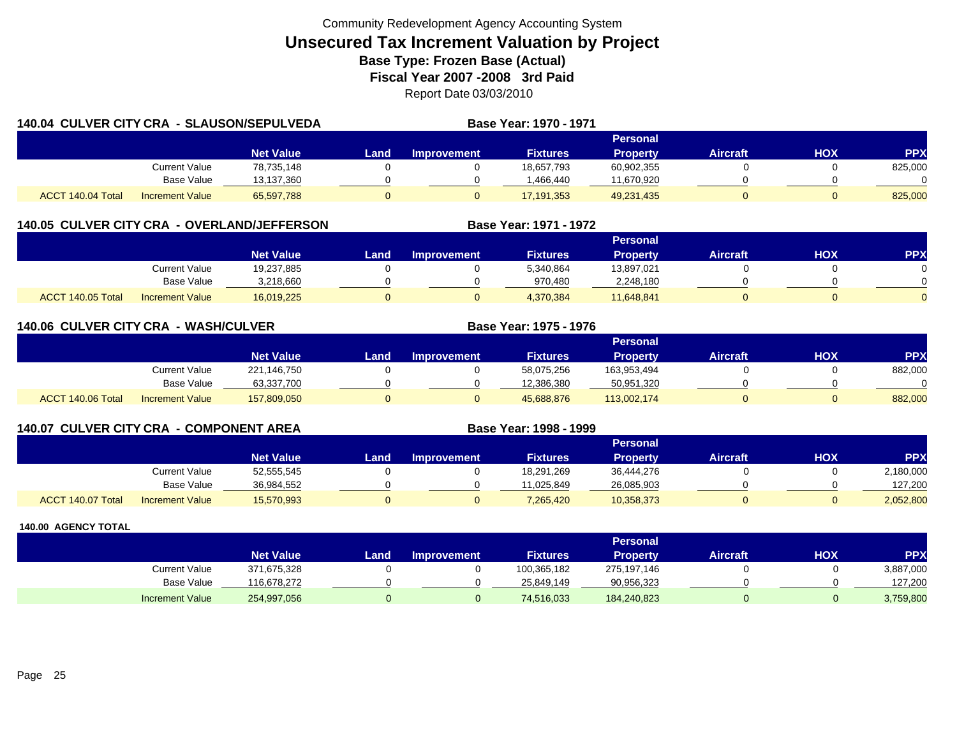| 140.04 CULVER CITY CRA - SLAUSON/SEPULVEDA |                        |                  |       |                    | Base Year: 1970 - 1971 |                 |                 |     |            |
|--------------------------------------------|------------------------|------------------|-------|--------------------|------------------------|-----------------|-----------------|-----|------------|
|                                            |                        |                  |       |                    |                        |                 |                 |     |            |
|                                            |                        | <b>Net Value</b> | Land. | <b>Improvement</b> | <b>Fixtures</b>        | <b>Property</b> | <b>Aircraft</b> | HOX | <b>PPX</b> |
|                                            | Current Value          | 78,735,148       |       |                    | 18,657,793             | 60,902,355      |                 |     | 825,000    |
|                                            | <b>Base Value</b>      | 13,137,360       |       |                    | 1,466,440              | 11,670,920      |                 |     |            |
| ACCT 140.04 Total                          | <b>Increment Value</b> | 65,597,788       |       |                    | 17, 191, 353           | 49,231,435      |                 |     | 825,000    |

## **140.05 CULVER CITY CRA - OVERLAND/JEFFERSON**

|                   |                        |                  |      |                    |                 | <b>Personal</b> |                 |            |          |
|-------------------|------------------------|------------------|------|--------------------|-----------------|-----------------|-----------------|------------|----------|
|                   |                        | <b>Net Value</b> | Land | <b>Improvement</b> | <b>Fixtures</b> | Property        | <b>Aircraft</b> | <b>XOH</b> | PPX      |
|                   | Current Value          | 19,237,885       |      |                    | 5,340,864       | 13,897,021      |                 |            |          |
|                   | <b>Base Value</b>      | 3.218.660        |      |                    | 970.480         | 2,248,180       |                 |            | 0        |
| ACCT 140.05 Total | <b>Increment Value</b> | 16,019,225       |      |                    | 4,370,384       | 11,648,841      |                 |            | $\Omega$ |

**Base Year: 1971 - 1972**

**Base Year: 1998 - 1999**

| 140.06 CULVER CITY CRA - WASH/CULVER |                        |                  |      |                    | Base Year: 1975 - 1976 |                 |                 |            |            |
|--------------------------------------|------------------------|------------------|------|--------------------|------------------------|-----------------|-----------------|------------|------------|
|                                      |                        |                  |      |                    |                        | <b>Personal</b> |                 |            |            |
|                                      |                        | <b>Net Value</b> | Land | <b>Improvement</b> | <b>Fixtures</b>        | <b>Property</b> | <b>Aircraft</b> | <b>HOX</b> | <b>PPX</b> |
|                                      | Current Value          | 221,146,750      |      |                    | 58,075,256             | 163,953,494     |                 |            | 882,000    |
|                                      | <b>Base Value</b>      | 63,337,700       |      |                    | 12,386,380             | 50,951,320      |                 |            |            |
| ACCT 140.06 Total                    | <b>Increment Value</b> | 157,809,050      |      |                    | 45,688,876             | 113,002,174     |                 |            | 882,000    |

|--|

|                   |                        |                  |      |                    |                 | Personal   |          |            |           |
|-------------------|------------------------|------------------|------|--------------------|-----------------|------------|----------|------------|-----------|
|                   |                        | <b>Net Value</b> | _and | <b>Improvement</b> | <b>Fixtures</b> | Property   | Aircraft | <b>NOH</b> | <b>PP</b> |
|                   | Current Value          | 52,555,545       |      |                    | 18,291,269      | 36,444,276 |          |            | 2,180,000 |
|                   | <b>Base Value</b>      | 36.984.552       |      |                    | 11.025.849      | 26,085,903 |          |            | 127.200   |
| ACCT 140.07 Total | <b>Increment Value</b> | 15,570,993       |      |                    | 7,265,420       | 10,358,373 |          |            | 2,052,800 |

|                        |                  |      |                    |                 | <b>Personal</b> |                 |            |            |
|------------------------|------------------|------|--------------------|-----------------|-----------------|-----------------|------------|------------|
|                        | <b>Net Value</b> | Land | <b>Improvement</b> | <b>Fixtures</b> | Property        | <b>Aircraft</b> | <b>HOX</b> | <b>PPX</b> |
| <b>Current Value</b>   | 371,675,328      |      |                    | 100,365,182     | 275,197,146     |                 |            | 3,887,000  |
| <b>Base Value</b>      | 116,678,272      |      |                    | 25.849.149      | 90,956,323      |                 |            | 127.200    |
| <b>Increment Value</b> | 254,997,056      |      |                    | 74,516,033      | 184,240,823     |                 |            | 3,759,800  |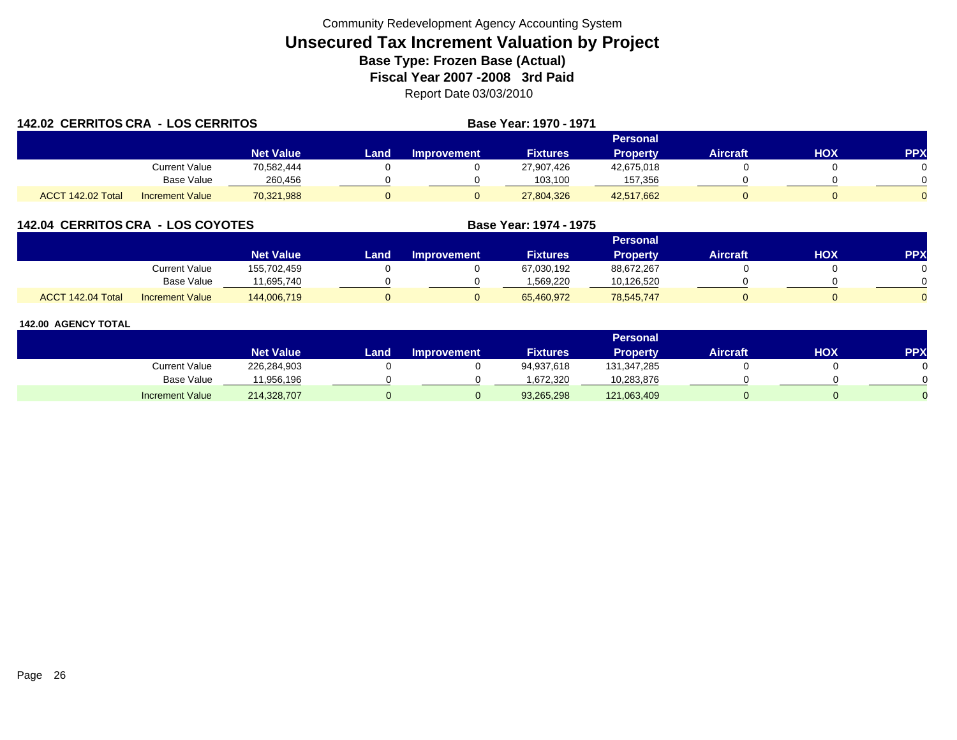| 142.02 CERRITOS CRA - LOS CERRITOS |                        |                  |       |             | Base Year: 1970 - 1971 |                 |                 |     |            |
|------------------------------------|------------------------|------------------|-------|-------------|------------------------|-----------------|-----------------|-----|------------|
|                                    |                        |                  |       |             |                        |                 |                 |     |            |
|                                    |                        | <b>Net Value</b> | Land. | Improvement | <b>Fixtures</b>        | <b>Property</b> | <b>Aircraft</b> | HOX | <b>PPX</b> |
|                                    | Current Value          | 70,582,444       |       |             | 27,907,426             | 42,675,018      |                 |     |            |
|                                    | Base Value             | 260,456          |       |             | 103.100                | 157,356         |                 |     |            |
| ACCT 142.02 Total                  | <b>Increment Value</b> | 70,321,988       |       |             | 27,804,326             | 42,517,662      |                 |     |            |

## **142.04 CERRITOS CRA - LOS COYOTES**

|                   |                        |                  |      |                    |                 | Personal        |          |     |     |
|-------------------|------------------------|------------------|------|--------------------|-----------------|-----------------|----------|-----|-----|
|                   |                        | <b>Net Value</b> | Land | <b>Improvement</b> | <b>Fixtures</b> | <b>Property</b> | Aircraft | нох | PPX |
|                   | Current Value          | 155,702,459      |      |                    | 67,030,192      | 88,672,267      |          |     |     |
|                   | Base Value             | 11.695.740       |      |                    | 1.569.220       | 10,126,520      |          |     |     |
| ACCT 142.04 Total | <b>Increment Value</b> | 144,006,719      |      |                    | 65,460,972      | 78,545,747      |          |     |     |

**Base Year: 1974 - 1975**

|                        |                  |      |                    |                 | Personal        |                 |     |            |
|------------------------|------------------|------|--------------------|-----------------|-----------------|-----------------|-----|------------|
|                        | <b>Net Value</b> | Land | <b>Improvement</b> | <b>Fixtures</b> | <b>Property</b> | <b>Aircraft</b> | нох | <b>PPX</b> |
| Current Value          | 226,284,903      |      |                    | 94,937,618      | 131,347,285     |                 |     |            |
| Base Value             | 11,956,196       |      |                    | 1.672.320       | 10,283,876      |                 |     |            |
| <b>Increment Value</b> | 214,328,707      |      |                    | 93,265,298      | 121,063,409     |                 |     |            |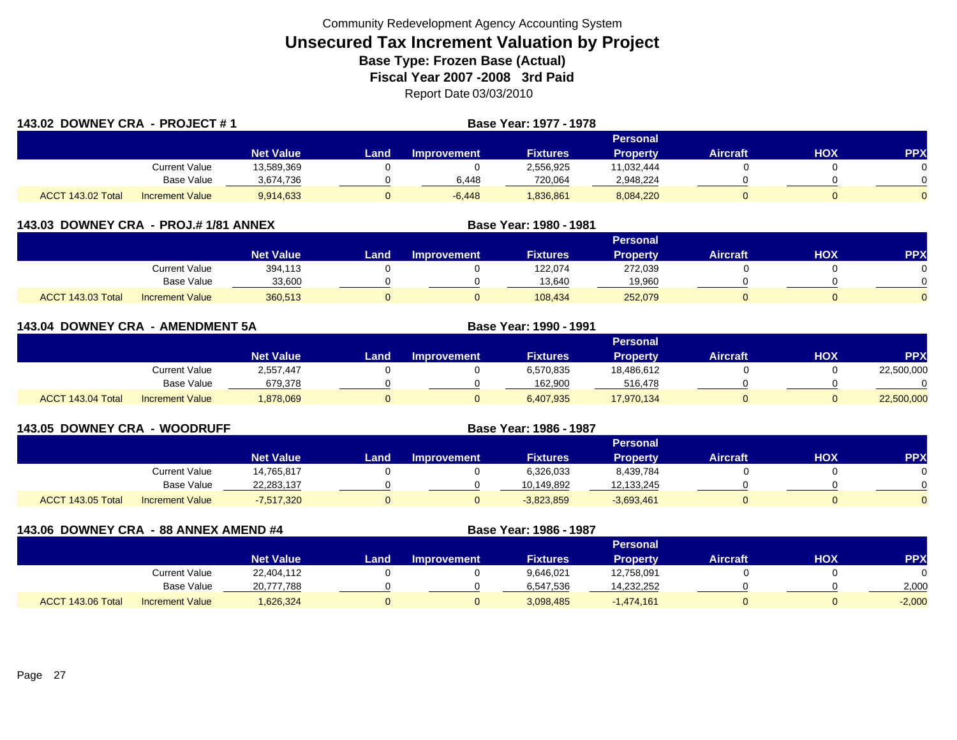| 143.02 DOWNEY CRA - PROJECT #1 |                        |                  |       |                 | Base Year: 1977 - 1978 |                 |                 |     |            |  |  |
|--------------------------------|------------------------|------------------|-------|-----------------|------------------------|-----------------|-----------------|-----|------------|--|--|
|                                |                        |                  |       | <b>Personal</b> |                        |                 |                 |     |            |  |  |
|                                |                        | <b>Net Value</b> | Land. | Improvement     | <b>Fixtures</b>        | <b>Property</b> | <b>Aircraft</b> | нох | <b>PPX</b> |  |  |
|                                | Current Value          | 13,589,369       |       |                 | 2,556,925              | 11,032,444      |                 |     |            |  |  |
|                                | <b>Base Value</b>      | 3,674,736        |       | 6,448           | 720,064                | 2,948,224       |                 |     |            |  |  |
| ACCT 143.02 Total              | <b>Increment Value</b> | 9,914,633        |       | $-6,448$        | 1,836,861              | 8,084,220       |                 |     |            |  |  |

| 143.03 DOWNEY CRA - PROJ.# 1/81 ANNEX |                        |                  | Base Year: 1980 - 1981 |                    |                 |                 |                 |            |            |  |
|---------------------------------------|------------------------|------------------|------------------------|--------------------|-----------------|-----------------|-----------------|------------|------------|--|
|                                       |                        |                  | <b>Personal</b>        |                    |                 |                 |                 |            |            |  |
|                                       |                        | <b>Net Value</b> | Land                   | <b>Improvement</b> | <b>Fixtures</b> | <b>Property</b> | <b>Aircraft</b> | <b>XOH</b> | <b>PPX</b> |  |
|                                       | Current Value          | 394,113          |                        |                    | 122,074         | 272,039         |                 |            |            |  |
|                                       | <b>Base Value</b>      | 33,600           |                        |                    | 13,640          | 19,960          |                 |            |            |  |
| ACCT 143.03 Total                     | <b>Increment Value</b> | 360,513          |                        |                    | 108.434         | 252,079         |                 |            |            |  |

| 143.04 DOWNEY CRA - AMENDMENT 5A |                   |                        |                  |      |                    | Base Year: 1990 - 1991 |                 |                 |            |            |  |  |
|----------------------------------|-------------------|------------------------|------------------|------|--------------------|------------------------|-----------------|-----------------|------------|------------|--|--|
|                                  |                   |                        |                  |      | Personal           |                        |                 |                 |            |            |  |  |
|                                  |                   |                        | <b>Net Value</b> | Land | <b>Improvement</b> | <b>Fixtures</b>        | <b>Property</b> | <b>Aircraft</b> | <b>HOX</b> | PPX        |  |  |
|                                  |                   | <b>Current Value</b>   | 2,557,447        |      |                    | 6,570,835              | 18,486,612      |                 |            | 22,500,000 |  |  |
|                                  |                   | Base Value             | 679,378          |      |                    | 162.900                | 516,478         |                 |            | $\Omega$   |  |  |
|                                  | ACCT 143.04 Total | <b>Increment Value</b> | 1,878,069        | 0    |                    | 6,407,935              | 17,970,134      |                 |            | 22,500,000 |  |  |

| <b>143.05 DOWNEY CRA - WOODRUFF</b> |                        |                  | Base Year: 1986 - 1987 |                    |                 |                 |                 |            |           |  |
|-------------------------------------|------------------------|------------------|------------------------|--------------------|-----------------|-----------------|-----------------|------------|-----------|--|
|                                     |                        |                  | <b>Personal</b>        |                    |                 |                 |                 |            |           |  |
|                                     |                        | <b>Net Value</b> | Land                   | <b>Improvement</b> | <b>Fixtures</b> | <b>Property</b> | <b>Aircraft</b> | <b>HOX</b> | <b>PP</b> |  |
|                                     | <b>Current Value</b>   | 14,765,817       |                        |                    | 6,326,033       | 8,439,784       |                 |            |           |  |
|                                     | Base Value             | 22,283,137       |                        |                    | 10.149.892      | 12,133,245      |                 |            |           |  |
| ACCT 143.05 Total                   | <b>Increment Value</b> | $-7,517,320$     |                        | 0                  | $-3,823,859$    | $-3,693,461$    |                 |            |           |  |

| 143.06 DOWNEY CRA - 88 ANNEX AMEND #4 |                        |                  |      |                    | Base Year: 1986 - 1987 |                 |                 |     |           |
|---------------------------------------|------------------------|------------------|------|--------------------|------------------------|-----------------|-----------------|-----|-----------|
|                                       |                        |                  |      |                    |                        | <b>Personal</b> |                 |     |           |
|                                       |                        | <b>Net Value</b> | Land | <b>Improvement</b> | <b>Fixtures</b>        | <b>Property</b> | <b>Aircraft</b> | нох | <b>PP</b> |
|                                       | <b>Current Value</b>   | 22,404,112       |      |                    | 9,646,021              | 12,758,091      |                 |     |           |
|                                       | <b>Base Value</b>      | 20,777,788       |      |                    | 6,547,536              | 14,232,252      |                 |     | 2,000     |
| ACCT 143.06 Total                     | <b>Increment Value</b> | 1,626,324        |      |                    | 3,098,485              | $-1,474,161$    |                 |     | $-2,000$  |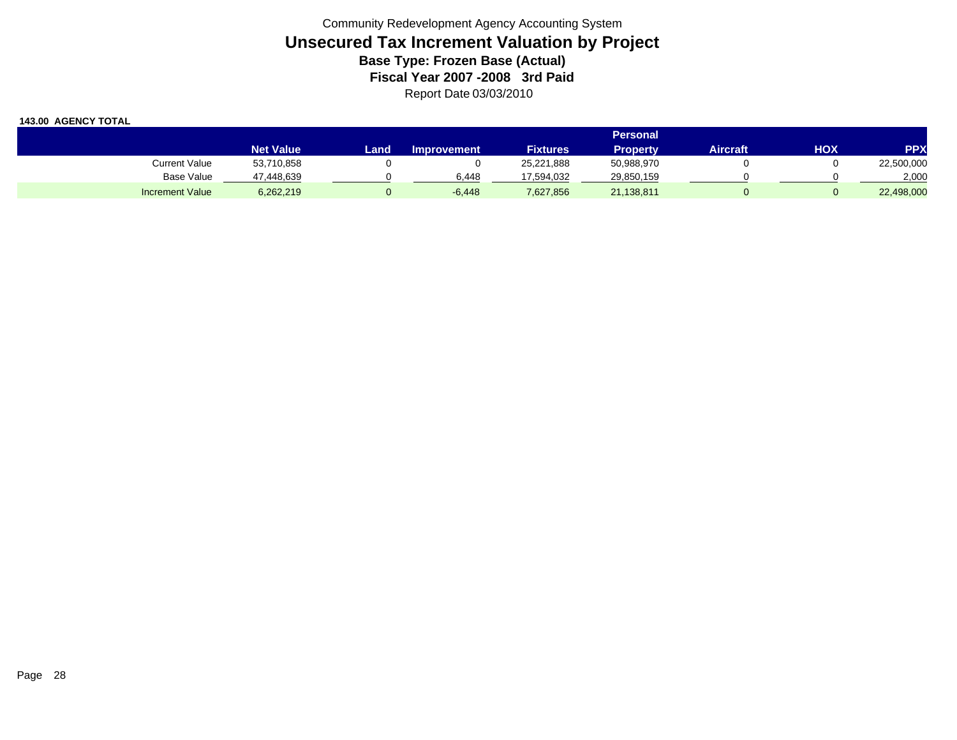|                        |                  |      |                    |                 | Personal   |          |     |            |
|------------------------|------------------|------|--------------------|-----------------|------------|----------|-----|------------|
|                        | <b>Net Value</b> | Land | <b>Improvement</b> | <b>Fixtures</b> | Propertv   | Aircraft | нох | <b>PPX</b> |
| Current Value          | 53,710,858       |      |                    | 25,221,888      | 50,988,970 |          |     | 22,500,000 |
| <b>Base Value</b>      | 47.448.639       |      | 6.448              | 17,594,032      | 29,850,159 |          |     | 2,000      |
| <b>Increment Value</b> | 6,262,219        |      | $-6,448$           | 7,627,856       | 21,138,811 |          |     | 22,498,000 |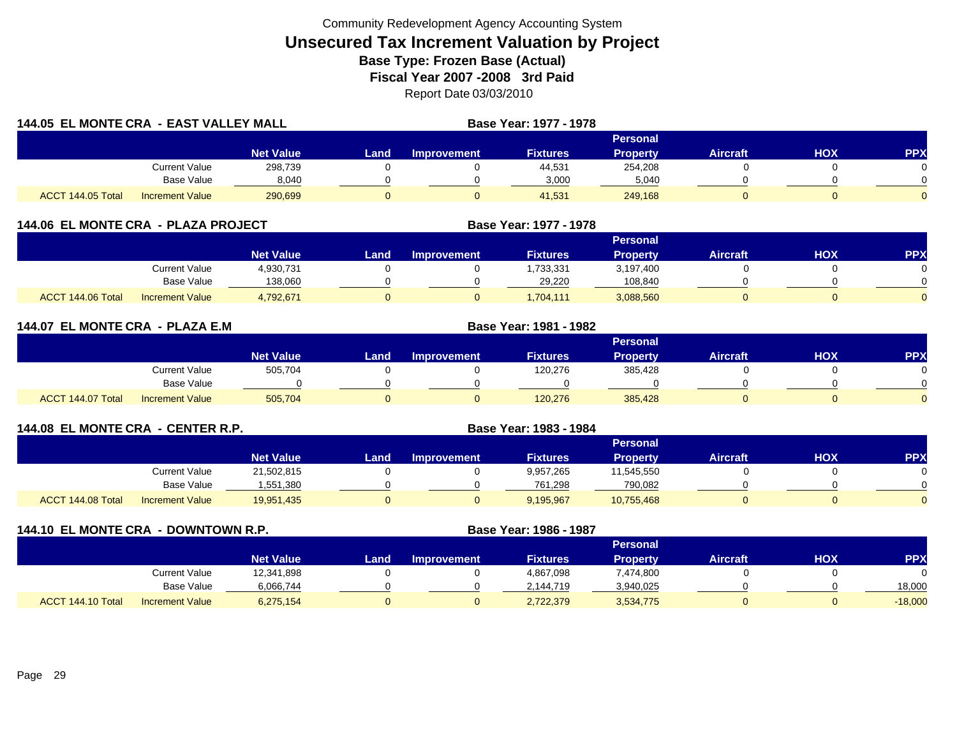| 144.05 EL MONTE CRA - EAST VALLEY MALL |                        |                  |       |                    | Base Year: 1977 - 1978 |                 |                 |     |                |
|----------------------------------------|------------------------|------------------|-------|--------------------|------------------------|-----------------|-----------------|-----|----------------|
|                                        |                        |                  |       |                    |                        | Personal        |                 |     |                |
|                                        |                        | <b>Net Value</b> | Land. | <b>Improvement</b> | <b>Fixtures</b>        | <b>Property</b> | <b>Aircraft</b> | HOX | <b>PPX</b>     |
|                                        | <b>Current Value</b>   | 298,739          |       |                    | 44,531                 | 254,208         |                 |     | 0              |
|                                        | <b>Base Value</b>      | 8,040            |       |                    | 3,000                  | 5,040           |                 |     |                |
| ACCT 144.05 Total                      | <b>Increment Value</b> | 290,699          | 0     |                    | 41,531                 | 249,168         |                 |     | $\overline{0}$ |

| 144.06 EL MONTE CRA - PLAZA PROJECT |                        |                  | Base Year: 1977 - 1978 |                    |                 |                 |                 |     |            |
|-------------------------------------|------------------------|------------------|------------------------|--------------------|-----------------|-----------------|-----------------|-----|------------|
|                                     |                        |                  |                        |                    |                 | <b>Personal</b> |                 |     |            |
|                                     |                        | <b>Net Value</b> | Landı                  | <b>Improvement</b> | <b>Fixtures</b> | <b>Property</b> | <b>Aircraft</b> | нох | <b>PPX</b> |
|                                     | <b>Current Value</b>   | 4,930,731        |                        |                    | ,733,331        | 3,197,400       |                 |     |            |
|                                     | <b>Base Value</b>      | 138,060          |                        |                    | 29,220          | 108,840         |                 |     |            |
| ACCT 144.06 Total                   | <b>Increment Value</b> | 4,792,671        |                        |                    | 1.704.111       | 3,088,560       |                 |     |            |

| 144.07 EL MONTE CRA - PLAZA E.M |                        |                  |       | Base Year: 1981 - 1982 |                 |                 |                 |     |                |
|---------------------------------|------------------------|------------------|-------|------------------------|-----------------|-----------------|-----------------|-----|----------------|
|                                 |                        |                  |       |                        |                 | Personal        |                 |     |                |
|                                 |                        | <b>Net Value</b> | Land. | <b>Improvement</b>     | <b>Fixtures</b> | <b>Property</b> | <b>Aircraft</b> | HOX | <b>PPX</b>     |
|                                 | <b>Current Value</b>   | 505,704          |       |                        | 120,276         | 385,428         |                 |     | 0.             |
|                                 | Base Value             |                  |       |                        |                 |                 |                 |     |                |
| ACCT 144.07 Total               | <b>Increment Value</b> | 505,704          | 0     |                        | 120,276         | 385,428         |                 |     | $\overline{0}$ |

| 144.08 EL MONTE CRA - CENTER R.P. |                        |                  | Base Year: 1983 - 1984 |                    |                 |                 |                 |     |            |
|-----------------------------------|------------------------|------------------|------------------------|--------------------|-----------------|-----------------|-----------------|-----|------------|
|                                   |                        |                  |                        |                    |                 | <b>Personal</b> |                 |     |            |
|                                   |                        | <b>Net Value</b> | Land                   | <b>Improvement</b> | <b>Fixtures</b> | <b>Property</b> | <b>Aircraft</b> | HOX | <b>PPX</b> |
|                                   | Current Value          | 21,502,815       |                        |                    | 9,957,265       | 11,545,550      |                 |     |            |
|                                   | Base Value             | 1,551,380        |                        |                    | 761.298         | 790.082         |                 |     |            |
| ACCT 144.08 Total                 | <b>Increment Value</b> | 19,951,435       |                        |                    | 9,195,967       | 10,755,468      |                 |     |            |

| 144.10 EL MONTE CRA - DOWNTOWN R.P. |                        |                  |      |                    | Base Year: 1986 - 1987 |                 |                 |     |            |
|-------------------------------------|------------------------|------------------|------|--------------------|------------------------|-----------------|-----------------|-----|------------|
|                                     |                        |                  |      |                    |                        | <b>Personal</b> |                 |     |            |
|                                     |                        | <b>Net Value</b> | Land | <b>Improvement</b> | <b>Fixtures</b>        | <b>Property</b> | <b>Aircraft</b> | нох | <b>PPX</b> |
|                                     | <b>Current Value</b>   | 12,341,898       |      |                    | 4,867,098              | 7,474,800       |                 |     |            |
|                                     | <b>Base Value</b>      | 6,066,744        |      |                    | 2,144,719              | 3,940,025       |                 |     | 18,000     |
| ACCT 144.10 Total                   | <b>Increment Value</b> | 6,275,154        |      |                    | 2,722,379              | 3,534,775       |                 |     | $-18,000$  |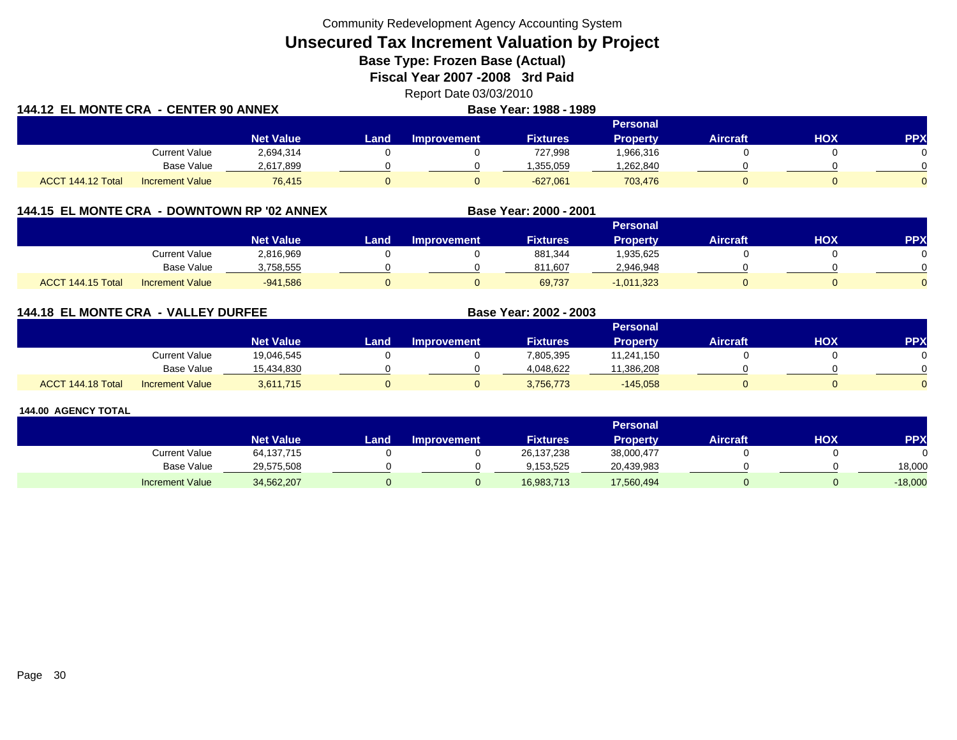Community Redevelopment Agency Accounting System

# **Unsecured Tax Increment Valuation by Project**

**Base Type: Frozen Base (Actual)** 

**Fiscal Year 2007 -2008 3rd Paid**

Report Date 03/03/2010

| 144.12 EL MONTE CRA - CENTER 90 ANNEX |                        |                  | Base Year: 1988 - 1989 |                    |                 |                 |                 |     |            |
|---------------------------------------|------------------------|------------------|------------------------|--------------------|-----------------|-----------------|-----------------|-----|------------|
|                                       |                        |                  |                        |                    |                 | <b>Personal</b> |                 |     |            |
|                                       |                        | <b>Net Value</b> | Land                   | <b>Improvement</b> | <b>Fixtures</b> | Propertv        | <b>Aircraft</b> | нох | <b>PPX</b> |
|                                       | <b>Current Value</b>   | 2,694,314        |                        |                    | 727,998         | 1,966,316       |                 |     |            |
|                                       | Base Value             | 2,617,899        |                        |                    | .355.059        | ,262,840        |                 |     |            |
| ACCT 144.12 Total                     | <b>Increment Value</b> | 76.415           |                        |                    | $-627.061$      | 703,476         |                 |     |            |

## **144.15 EL MONTE CRA - DOWNTOWN RP '02 ANNEX**

|                   |                        |                  |      |                    |                 | <b>Personal</b> |                 |            |           |
|-------------------|------------------------|------------------|------|--------------------|-----------------|-----------------|-----------------|------------|-----------|
|                   |                        | <b>Net Value</b> | Land | <b>Improvement</b> | <b>Fixtures</b> | <b>Property</b> | <b>Aircraft</b> | <b>HOX</b> | <b>PP</b> |
|                   | <b>Current Value</b>   | 2,816,969        |      |                    | 881,344         | .935,625        |                 |            |           |
|                   | <b>Base Value</b>      | 1,758,555        |      |                    | 811.607         | 2,946,948       |                 |            |           |
| ACCT 144.15 Total | <b>Increment Value</b> | $-941,586$       |      |                    | 69,737          | $-1,011,323$    |                 |            |           |

**Base Year: 2000 - 2001**

**Base Year: 2002 - 2003**

## **144.18 EL MONTE CRA - VALLEY DURFEE**

|                   |                        |                  |      |                    |                 | <b>Personal</b> |                 |            |          |
|-------------------|------------------------|------------------|------|--------------------|-----------------|-----------------|-----------------|------------|----------|
|                   |                        | <b>Net Value</b> | Land | <b>Improvement</b> | <b>Fixtures</b> | Property        | <b>Aircraft</b> | <b>HOX</b> | PPX      |
|                   | <b>Current Value</b>   | 19.046.545       |      |                    | 805,395         | 11,241,150      |                 |            |          |
|                   | <b>Base Value</b>      | 15.434.830       |      |                    | 4.048.622       | 1,386,208       |                 |            | ∩        |
| ACCT 144.18 Total | <b>Increment Value</b> | 3,611,715        |      |                    | 3,756,773       | $-145,058$      |                 |            | $\Omega$ |

|                        |                  |       |                    |                 | Personal   |                 |     |            |
|------------------------|------------------|-------|--------------------|-----------------|------------|-----------------|-----|------------|
|                        | <b>Net Value</b> | Land. | <b>Improvement</b> | <b>Fixtures</b> | Propertv   | <b>Aircraft</b> | нох | <b>PPX</b> |
| <b>Current Value</b>   | 64,137,715       |       |                    | 26,137,238      | 38,000,477 |                 |     |            |
| <b>Base Value</b>      | 29,575,508       |       |                    | 9.153.525       | 20,439,983 |                 |     | 18.000     |
| <b>Increment Value</b> | 34,562,207       |       |                    | 16,983,713      | 17,560,494 |                 |     | $-18,000$  |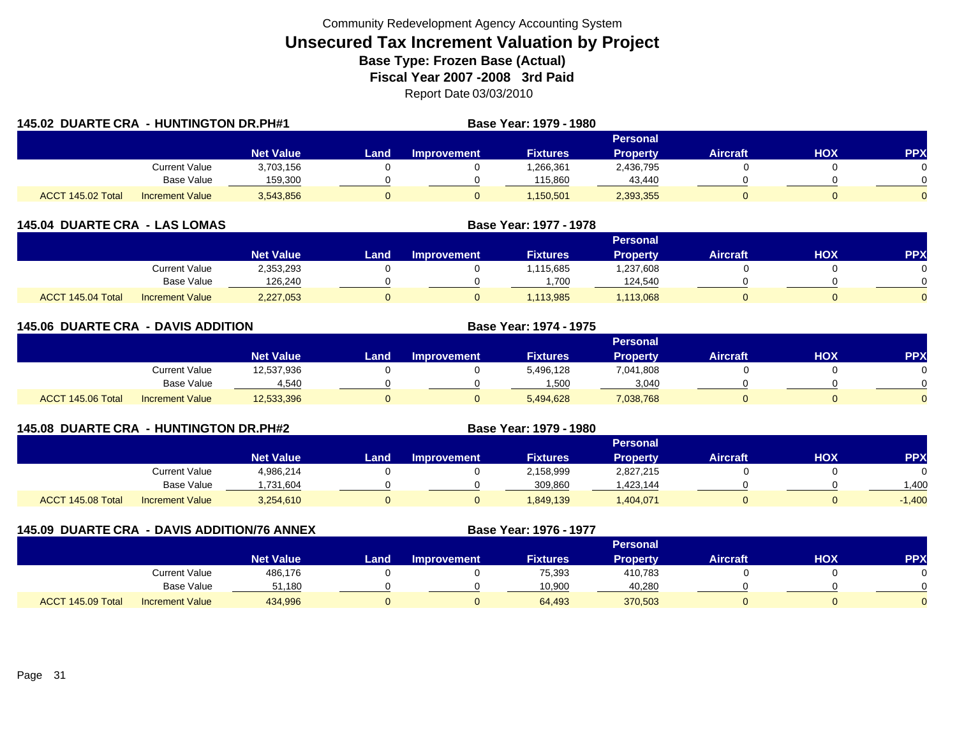| <b>145.02 DUARTE CRA - HUNTINGTON DR.PH#1</b> |                        |                  | Base Year: 1979 - 1980 |                    |                 |                 |                 |     |            |
|-----------------------------------------------|------------------------|------------------|------------------------|--------------------|-----------------|-----------------|-----------------|-----|------------|
|                                               |                        |                  |                        |                    |                 | Personal        |                 |     |            |
|                                               |                        | <b>Net Value</b> | Land.                  | <b>Improvement</b> | <b>Fixtures</b> | <b>Property</b> | <b>Aircraft</b> | HOX | <b>PPX</b> |
|                                               | <b>Current Value</b>   | 3,703,156        |                        |                    | 1,266,361       | 2,436,795       |                 |     |            |
|                                               | <b>Base Value</b>      | 159,300          |                        |                    | 115,860         | 43,440          |                 |     | 0          |
| ACCT 145.02 Total                             | <b>Increment Value</b> | 3,543,856        |                        |                    | 1,150,501       | 2,393,355       |                 |     | 0          |

| <b>145.04 DUARTE CRA - LAS LOMAS</b> |                        |                  |      | Base Year: 1977 - 1978 |                 |                 |                 |     |            |
|--------------------------------------|------------------------|------------------|------|------------------------|-----------------|-----------------|-----------------|-----|------------|
|                                      |                        |                  |      |                        |                 | <b>Personal</b> |                 |     |            |
|                                      |                        | <b>Net Value</b> | Land | Improvement            | <b>Fixtures</b> | <b>Property</b> | <b>Aircraft</b> | нох | <b>PPX</b> |
|                                      | Current Value          | 2,353,293        |      |                        | .115.685        | 1,237,608       |                 |     |            |
|                                      | <b>Base Value</b>      | 126,240          |      |                        | .700            | 124,540         |                 |     |            |
| ACCT 145.04 Total                    | <b>Increment Value</b> | 2,227,053        |      |                        | 1,113,985       | 1,113,068       |                 |     |            |

| <b>145.06 DUARTE CRA - DAVIS ADDITION</b> |                        |                  |       |                    | <b>Base Year: 1974 - 1975</b> |                 |                 |            |            |
|-------------------------------------------|------------------------|------------------|-------|--------------------|-------------------------------|-----------------|-----------------|------------|------------|
|                                           |                        |                  |       |                    |                               | Personal        |                 |            |            |
|                                           |                        | <b>Net Value</b> | Land, | <b>Improvement</b> | <b>Fixtures</b>               | <b>Property</b> | <b>Aircraft</b> | <b>HOX</b> | <b>PPX</b> |
|                                           | Current Value          | 12,537,936       |       |                    | 5,496,128                     | 7,041,808       |                 |            |            |
|                                           | Base Value             | 4,540            |       |                    | .500                          | 3,040           |                 |            |            |
| ACCT 145.06 Total                         | <b>Increment Value</b> | 12,533,396       |       |                    | 5,494,628                     | 7,038,768       |                 |            |            |

| 145.08 DUARTE CRA - HUNTINGTON DR.PH#2 |                        |                  |      |                    | Base Year: 1979 - 1980 |                 |                 |     |            |
|----------------------------------------|------------------------|------------------|------|--------------------|------------------------|-----------------|-----------------|-----|------------|
|                                        |                        |                  |      |                    |                        | Personal        |                 |     |            |
|                                        |                        | <b>Net Value</b> | Land | <b>Improvement</b> | <b>Fixtures</b>        | <b>Property</b> | <b>Aircraft</b> | нох | <b>PPX</b> |
|                                        | Current Value          | 4,986,214        |      |                    | 2,158,999              | 2,827,215       |                 |     |            |
|                                        | Base Value             | ,731,604         |      |                    | 309.860                | ,423,144        |                 |     | .400       |
| ACCT 145.08 Total                      | <b>Increment Value</b> | 3,254,610        | U    |                    | 1.849.139              | ,404,071        |                 |     | $-1,400$   |

| 145.09 DUARTE CRA - DAVIS ADDITION/76 ANNEX |                        |                  |      | <b>Base Year: 1976 - 1977</b> |                 |                 |                 |      |            |
|---------------------------------------------|------------------------|------------------|------|-------------------------------|-----------------|-----------------|-----------------|------|------------|
|                                             |                        |                  |      |                               |                 | Personal        |                 |      |            |
|                                             |                        | <b>Net Value</b> | Land | <b>Improvement</b>            | <b>Fixtures</b> | <b>Property</b> | <b>Aircraft</b> | HOX. | <b>PPX</b> |
|                                             | <b>Current Value</b>   | 486,176          |      |                               | 75,393          | 410,783         |                 |      |            |
|                                             | <b>Base Value</b>      | 51.180           |      |                               | 10,900          | 40,280          |                 |      |            |
| ACCT 145.09 Total                           | <b>Increment Value</b> | 434,996          |      |                               | 64,493          | 370,503         |                 |      |            |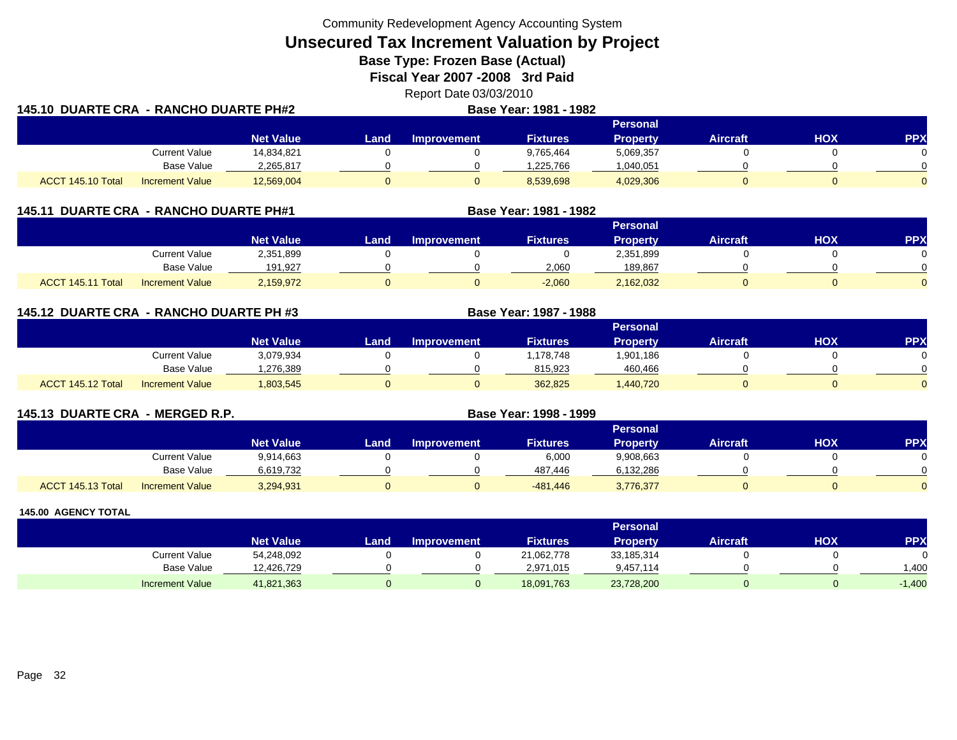Community Redevelopment Agency Accounting System

**Unsecured Tax Increment Valuation by Project**

**Base Type: Frozen Base (Actual)** 

**Fiscal Year 2007 -2008 3rd Paid**

Report Date 03/03/2010

| 145.10 DUARTE CRA - RANCHO DUARTE PH#2 |                        |                  |        |                    | <b>Base Year: 1981 - 1982</b> |                 |                 |     |            |
|----------------------------------------|------------------------|------------------|--------|--------------------|-------------------------------|-----------------|-----------------|-----|------------|
|                                        |                        |                  |        |                    |                               | <b>Personal</b> |                 |     |            |
|                                        |                        | <b>Net Value</b> | Land . | <b>Improvement</b> | <b>Fixtures</b>               | <b>Property</b> | <b>Aircraft</b> | нох | <b>PPX</b> |
|                                        | <b>Current Value</b>   | 14.834.821       |        |                    | 9.765.464                     | 5,069,357       |                 |     |            |
|                                        | Base Value             | 2,265,817        |        |                    | 1.225.766                     | 1,040,051       |                 |     |            |
| ACCT 145.10 Total                      | <b>Increment Value</b> | 12,569,004       |        |                    | 8,539,698                     | 4,029,306       |                 |     |            |

| 145.11            | <b>DUARTE CRA - RANCHO DUARTE PH#1</b> |                  |      |                    | Base Year: 1981 - 1982 |                 |                 |     |            |
|-------------------|----------------------------------------|------------------|------|--------------------|------------------------|-----------------|-----------------|-----|------------|
|                   |                                        |                  |      |                    |                        |                 |                 |     |            |
|                   |                                        | <b>Net Value</b> | Land | <b>Improvement</b> | <b>Fixtures</b>        | <b>Property</b> | <b>Aircraft</b> | ΗΟΧ | <b>PPX</b> |
|                   | <b>Current Value</b>                   | 2,351,899        |      |                    |                        | 2,351,899       |                 |     |            |
|                   | Base Value                             | 191,927          |      |                    | 2,060                  | 189.867         |                 |     |            |
| ACCT 145.11 Total | <b>Increment Value</b>                 | 2,159,972        |      |                    | $-2,060$               | 2,162,032       |                 |     |            |

**145.12 DUARTE CRA - RANCHO DUARTE PH #3 Base Year: 1987 - 1988 Personal Net Value Land Improvement Fixtures Property Aircraft HOX PPX** Current Value 3,079,934 0 0 1,178,748 1,901,186 0 0 Base Value 1,276,389 0 0 815,923 460,466 0 0 ACCT 145.12 Totall Increment Value 1,803,545 0 0 362,825 1,440,720 0 0

| 145.13 DUARTE CRA - MERGED R.P. |                        |                  |      |                    | Base Year: 1998 - 1999 |                 |                 |     |           |
|---------------------------------|------------------------|------------------|------|--------------------|------------------------|-----------------|-----------------|-----|-----------|
|                                 |                        |                  |      |                    |                        | <b>Personal</b> |                 |     |           |
|                                 |                        | <b>Net Value</b> | Land | <b>Improvement</b> | <b>Fixtures</b>        | <b>Property</b> | <b>Aircraft</b> | нох | <b>PP</b> |
|                                 | <b>Current Value</b>   | 9,914,663        |      |                    | 6,000                  | 9,908,663       |                 |     |           |
|                                 | <b>Base Value</b>      | 6,619,732        |      |                    | 487,446                | 6,132,286       |                 |     |           |
| ACCT 145.13 Total               | <b>Increment Value</b> | 3,294,931        | 0    |                    | -481,446               | 3,776,377       |                 |     |           |

|                        |                  |      |                    |                 | <b>Personal</b> |                 |     |            |
|------------------------|------------------|------|--------------------|-----------------|-----------------|-----------------|-----|------------|
|                        | <b>Net Value</b> | Land | <b>Improvement</b> | <b>Fixtures</b> | Property        | <b>Aircraft</b> | нох | <b>PPX</b> |
| Current Value          | 54,248,092       |      |                    | 21,062,778      | 33,185,314      |                 |     |            |
| Base Value             | 12,426,729       |      |                    | 2,971,015       | 9,457,114       |                 |     | .400       |
| <b>Increment Value</b> | 41,821,363       |      |                    | 18,091,763      | 23,728,200      |                 |     | $-1,400$   |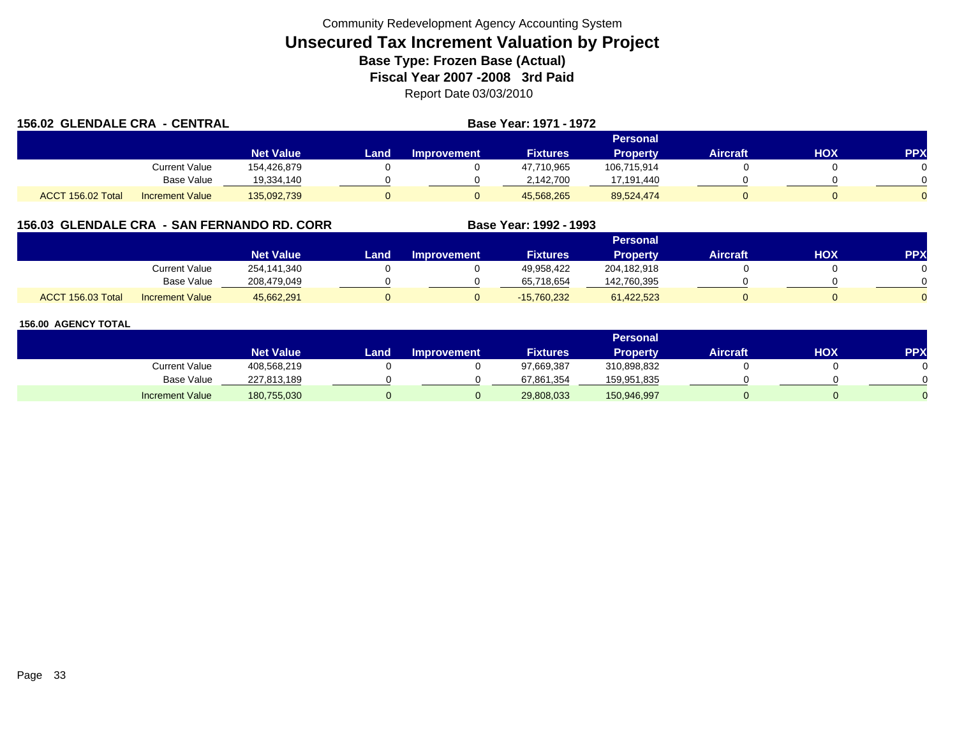| <b>156.02 GLENDALE CRA - CENTRAL</b> |                        |                  |          |                    |                 |                 |                 |     |            |
|--------------------------------------|------------------------|------------------|----------|--------------------|-----------------|-----------------|-----------------|-----|------------|
|                                      |                        |                  | Personal |                    |                 |                 |                 |     |            |
|                                      |                        | <b>Net Value</b> | Land     | <b>Improvement</b> | <b>Fixtures</b> | <b>Property</b> | <b>Aircraft</b> | HOX | <b>PPX</b> |
|                                      | Current Value          | 154.426.879      |          |                    | 47,710,965      | 106.715.914     |                 |     |            |
|                                      | <b>Base Value</b>      | 19,334,140       |          |                    | 2,142,700       | 17,191,440      |                 |     |            |
| ACCT 156.02 Total                    | <b>Increment Value</b> | 135,092,739      |          |                    | 45.568.265      | 89,524,474      |                 |     |            |

## **156.03 GLENDALE CRA - SAN FERNANDO RD. CORR**

|                   |                        |                  |      |                    |                 | <b>Personal</b> |                 |     |     |
|-------------------|------------------------|------------------|------|--------------------|-----------------|-----------------|-----------------|-----|-----|
|                   |                        | <b>Net Value</b> | Land | <b>Improvement</b> | <b>Fixtures</b> | Property        | <b>Aircraft</b> | нох | PPX |
|                   | <b>Current Value</b>   | 254,141,340      |      |                    | 49,958,422      | 204,182,918     |                 |     |     |
|                   | <b>Base Value</b>      | 208.479.049      |      |                    | 65,718,654      | 142,760,395     |                 |     |     |
| ACCT 156.03 Total | <b>Increment Value</b> | 45,662,291       |      |                    | $-15,760,232$   | 61,422,523      |                 |     |     |

**Base Year: 1992 - 1993**

|                        |                  |      |                    |                 | <b>Personal</b> |                 |     |                 |
|------------------------|------------------|------|--------------------|-----------------|-----------------|-----------------|-----|-----------------|
|                        | <b>Net Value</b> | Land | <b>Improvement</b> | <b>Fixtures</b> | <b>Property</b> | <b>Aircraft</b> | нох | PP <sub>2</sub> |
| Current Value          | 408,568,219      |      |                    | 97,669,387      | 310,898,832     |                 |     |                 |
| <b>Base Value</b>      | 227,813,189      |      |                    | 67,861,354      | 159,951,835     |                 |     |                 |
| <b>Increment Value</b> | 180,755,030      |      |                    | 29,808,033      | 150,946,997     |                 |     |                 |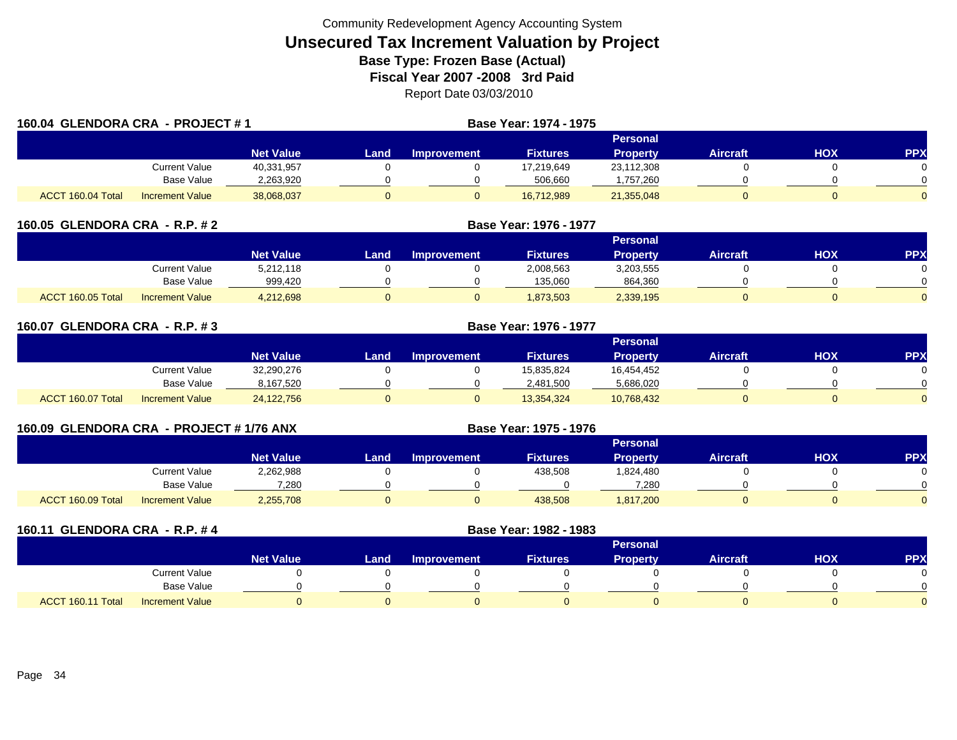| 160.04 GLENDORA CRA - PROJECT #1 |                        |                  |      |                    | <b>Base Year: 1974 - 1975</b> |                 |                 |            |                |
|----------------------------------|------------------------|------------------|------|--------------------|-------------------------------|-----------------|-----------------|------------|----------------|
|                                  |                        |                  |      |                    |                               | Personal        |                 |            |                |
|                                  |                        | <b>Net Value</b> | Land | <b>Improvement</b> | <b>Fixtures</b>               | <b>Property</b> | <b>Aircraft</b> | <b>HOX</b> | <b>PPX</b>     |
|                                  | Current Value          | 40,331,957       |      |                    | 17,219,649                    | 23,112,308      |                 |            |                |
|                                  | Base Value             | 2,263,920        |      |                    | 506,660                       | ,757,260        |                 |            |                |
| ACCT 160.04 Total                | <b>Increment Value</b> | 38,068,037       |      | 0                  | 16,712,989                    | 21,355,048      |                 |            | $\overline{0}$ |

| 160.05 GLENDORA CRA - R.P. # 2              | Base Year: 1976 - 1977 |      |                    |                 |           |          |     |            |
|---------------------------------------------|------------------------|------|--------------------|-----------------|-----------|----------|-----|------------|
|                                             |                        |      |                    |                 |           |          |     |            |
|                                             | <b>Net Value</b>       | Land | <b>Improvement</b> | <b>Fixtures</b> | Propertv  | Aircraft | HOX | <b>PPX</b> |
| Current Value                               | 5.212.118              |      |                    | 2,008,563       | 3,203,555 |          |     |            |
| <b>Base Value</b>                           | 999,420                |      |                    | 135,060         | 864,360   |          |     |            |
| ACCT 160.05 Total<br><b>Increment Value</b> | 4.212.698              |      | 0                  | 1,873,503       | 2,339,195 |          |     |            |

| 160.07 GLENDORA CRA - R.P. #3 |                        |                  |      | <b>Base Year: 1976 - 1977</b> |                 |                 |                 |     |            |
|-------------------------------|------------------------|------------------|------|-------------------------------|-----------------|-----------------|-----------------|-----|------------|
|                               |                        |                  |      |                               |                 | Personal        |                 |     |            |
|                               |                        | <b>Net Value</b> | Land | <b>Improvement</b>            | <b>Fixtures</b> | <b>Property</b> | <b>Aircraft</b> | нох | <b>PPX</b> |
|                               | <b>Current Value</b>   | 32,290,276       |      |                               | 15,835,824      | 16,454,452      |                 |     |            |
|                               | <b>Base Value</b>      | 8,167,520        |      |                               | 2,481,500       | 5,686,020       |                 |     |            |
| ACCT 160.07 Total             | <b>Increment Value</b> | 24,122,756       | 0    |                               | 13,354,324      | 10,768,432      |                 |     |            |

| 160.09 GLENDORA CRA - PROJECT # 1/76 ANX |                   |                        |                  | <b>Base Year: 1975 - 1976</b> |                    |                 |                 |                 |     |            |  |  |
|------------------------------------------|-------------------|------------------------|------------------|-------------------------------|--------------------|-----------------|-----------------|-----------------|-----|------------|--|--|
|                                          |                   |                        |                  | Personal                      |                    |                 |                 |                 |     |            |  |  |
|                                          |                   |                        | <b>Net Value</b> | Land                          | <b>Improvement</b> | <b>Fixtures</b> | <b>Property</b> | <b>Aircraft</b> | нох | <b>PPX</b> |  |  |
|                                          |                   | Current Value          | 2,262,988        |                               |                    | 438,508         | 824,480.ا       |                 |     |            |  |  |
|                                          |                   | Base Value             | 7,280            |                               |                    |                 | 7,280           |                 |     |            |  |  |
|                                          | ACCT 160.09 Total | <b>Increment Value</b> | 2,255,708        |                               |                    | 438,508         | 1,817,200       |                 |     |            |  |  |

| 160.11 GLENDORA CRA - R.P. #4               |                  | Base Year: 1982 - 1983 |                    |                 |                 |                 |            |            |
|---------------------------------------------|------------------|------------------------|--------------------|-----------------|-----------------|-----------------|------------|------------|
|                                             |                  |                        |                    |                 | <b>Personal</b> |                 |            |            |
|                                             | <b>Net Value</b> | Land                   | <b>Improvement</b> | <b>Fixtures</b> | <b>Property</b> | <b>Aircraft</b> | <b>HOX</b> | <b>PPX</b> |
| <b>Current Value</b>                        |                  |                        |                    |                 |                 |                 |            |            |
| Base Value                                  |                  |                        |                    |                 |                 |                 |            |            |
| ACCT 160.11 Total<br><b>Increment Value</b> |                  |                        |                    |                 |                 |                 |            |            |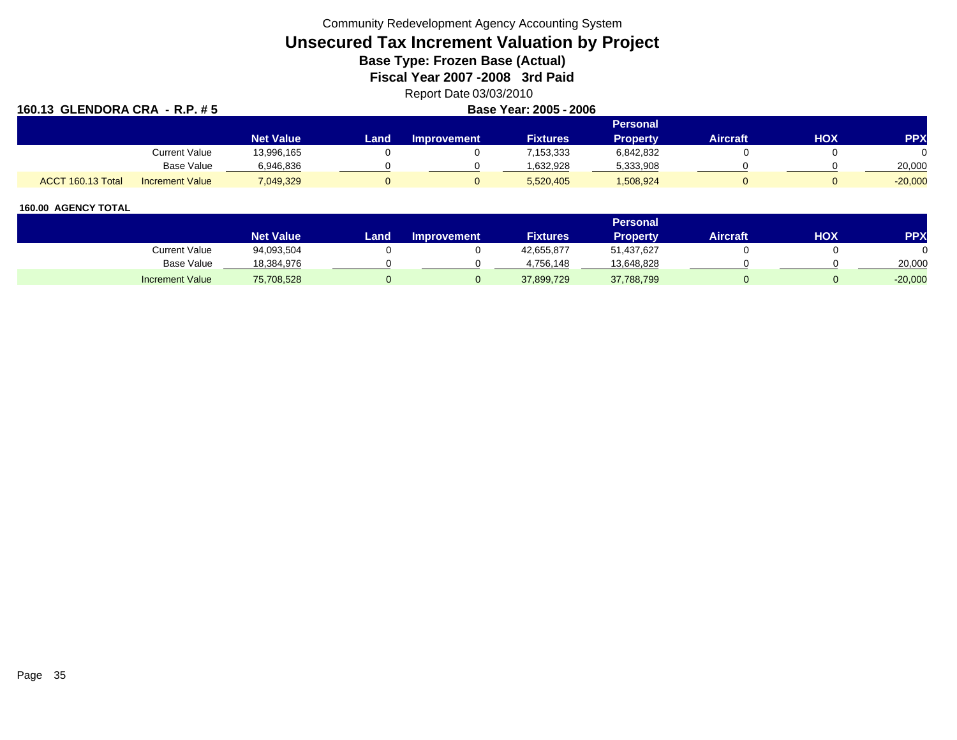Community Redevelopment Agency Accounting System

# **Unsecured Tax Increment Valuation by Project**

**Base Type: Frozen Base (Actual)** 

**Fiscal Year 2007 -2008 3rd Paid**

Report Date 03/03/2010

| 160.13 GLENDORA CRA - R.P. # 5 |                        |                  | Base Year: 2005 - 2006 |                    |                 |           |                 |            |            |  |  |
|--------------------------------|------------------------|------------------|------------------------|--------------------|-----------------|-----------|-----------------|------------|------------|--|--|
| <b>Personal</b>                |                        |                  |                        |                    |                 |           |                 |            |            |  |  |
|                                |                        | <b>Net Value</b> | Land                   | <b>Improvement</b> | <b>Fixtures</b> | Property  | <b>Aircraft</b> | <b>HOX</b> | <b>PPX</b> |  |  |
|                                | Current Value          | 13,996,165       |                        |                    | 7,153,333       | 6,842,832 |                 |            | 0          |  |  |
|                                | Base Value             | 6,946,836        |                        |                    | 1.632.928       | 5,333,908 |                 |            | 20,000     |  |  |
| ACCT 160.13 Total              | <b>Increment Value</b> | 7,049,329        |                        |                    | 5,520,405       | 1,508,924 |                 |            | $-20,000$  |  |  |

|                        |                  |      |                    |                 | <b>Personal</b> |                 |     |           |
|------------------------|------------------|------|--------------------|-----------------|-----------------|-----------------|-----|-----------|
|                        | <b>Net Value</b> | Land | <b>Improvement</b> | <b>Fixtures</b> | Propertv        | <b>Aircraft</b> | HOX | PPX       |
| Current Value          | 94,093,504       |      |                    | 42,655,877      | 51,437,627      |                 |     |           |
| Base Value             | 18,384,976       |      |                    | 4.756.148       | 13,648,828      |                 |     | 20,000    |
| <b>Increment Value</b> | 75,708,528       |      |                    | 37,899,729      | 37,788,799      |                 |     | $-20,000$ |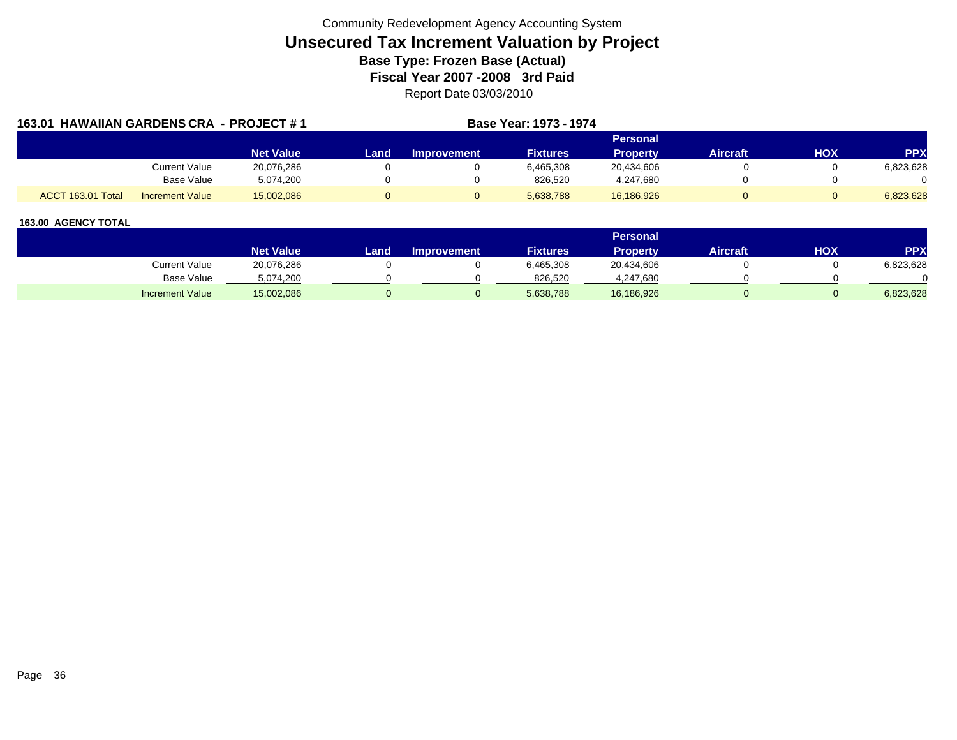| 163.01 HAWAIIAN GARDENS CRA - PROJECT #1 |                        |                  |      |             | Base Year: 1973 - 1974 |                 |                 |            |            |
|------------------------------------------|------------------------|------------------|------|-------------|------------------------|-----------------|-----------------|------------|------------|
|                                          |                        |                  |      |             |                        | <b>Personal</b> |                 |            |            |
|                                          |                        | <b>Net Value</b> | Land | Improvement | <b>Fixtures</b>        | Property        | <b>Aircraft</b> | <b>HOX</b> | <b>PPX</b> |
|                                          | Current Value          | 20,076,286       |      |             | 6,465,308              | 20,434,606      |                 |            | 6,823,628  |
|                                          | Base Value             | 5,074,200        |      |             | 826,520                | 4,247,680       |                 |            |            |
| ACCT 163.01 Total                        | <b>Increment Value</b> | 15,002,086       |      |             | 5,638,788              | 16,186,926      |                 |            | 6.823.628  |

|                        |                  |       |                    |                 | Personal   |          |            |            |
|------------------------|------------------|-------|--------------------|-----------------|------------|----------|------------|------------|
|                        | <b>Net Value</b> | Land. | <b>Improvement</b> | <b>Fixtures</b> | Property   | Aircraft | <b>HOX</b> | <b>PPX</b> |
| <b>Current Value</b>   | 20,076,286       |       |                    | 6,465,308       | 20,434,606 |          |            | 6,823,628  |
| <b>Base Value</b>      | 5,074,200        |       |                    | 826.520         | 4,247,680  |          |            |            |
| <b>Increment Value</b> | 15,002,086       |       |                    | 5,638,788       | 16,186,926 |          |            | 6,823,628  |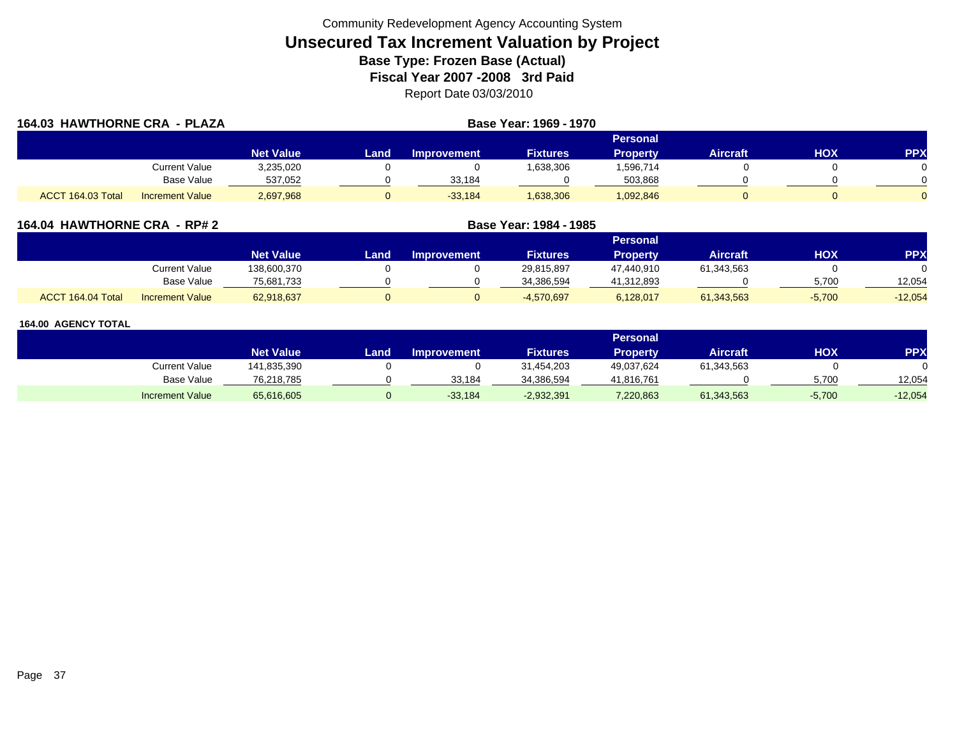| 164.03 HAWTHORNE CRA - PLAZA | Base Year: 1969 - 1970 |                  |      |                    |                 |                 |                 |            |            |
|------------------------------|------------------------|------------------|------|--------------------|-----------------|-----------------|-----------------|------------|------------|
|                              |                        |                  |      |                    |                 | <b>Personal</b> |                 |            |            |
|                              |                        | <b>Net Value</b> | Land | <b>Improvement</b> | <b>Fixtures</b> | <b>Property</b> | <b>Aircraft</b> | <b>HOX</b> | <b>PPX</b> |
|                              | Current Value          | 3,235,020        |      |                    | 1,638,306       | 1,596,714       |                 |            |            |
|                              | Base Value             | 537,052          |      | 33,184             |                 | 503,868         |                 |            |            |
| ACCT 164.03 Total            | <b>Increment Value</b> | 2,697,968        |      | $-33,184$          | 1,638,306       | 1,092,846       |                 |            |            |

| 164.04 HAWTHORNE CRA - RP# 2 | <b>Base Year: 1984 - 1985</b> |
|------------------------------|-------------------------------|
|                              |                               |

|                   |                        |                  |      |                    |                 | Personal   |            |            |           |
|-------------------|------------------------|------------------|------|--------------------|-----------------|------------|------------|------------|-----------|
|                   |                        | <b>Net Value</b> | Land | <b>Improvement</b> | <b>Fixtures</b> | Property   | Aircraft   | <b>XOH</b> | <b>PP</b> |
|                   | Current Value          | 138,600,370      |      |                    | 29,815,897      | 47,440,910 | 61,343,563 |            |           |
|                   | Base Value             | 75.681.733       |      |                    | 34.386.594      | 41.312.893 |            | 5.700      | 12.054    |
| ACCT 164.04 Total | <b>Increment Value</b> | 62,918,637       |      |                    | $-4,570,697$    | 6,128,017  | 61,343,563 | $-5,700$   | $-12,054$ |

|                        |                  |       |                    |                 | Personal        |                 |          |            |
|------------------------|------------------|-------|--------------------|-----------------|-----------------|-----------------|----------|------------|
|                        | <b>Net Value</b> | Land. | <b>Improvement</b> | <b>Fixtures</b> | <b>Property</b> | <b>Aircraft</b> | нох      | <b>PPX</b> |
| Current Value          | 141,835,390      |       |                    | 31,454,203      | 49,037,624      | 61,343,563      |          |            |
| Base Value             | 76,218,785       |       | 33.184             | 34,386,594      | 41,816,761      |                 | 5.700    | 12.054     |
| <b>Increment Value</b> | 65,616,605       |       | $-33,184$          | $-2,932,391$    | 7,220,863       | 61,343,563      | $-5,700$ | $-12,054$  |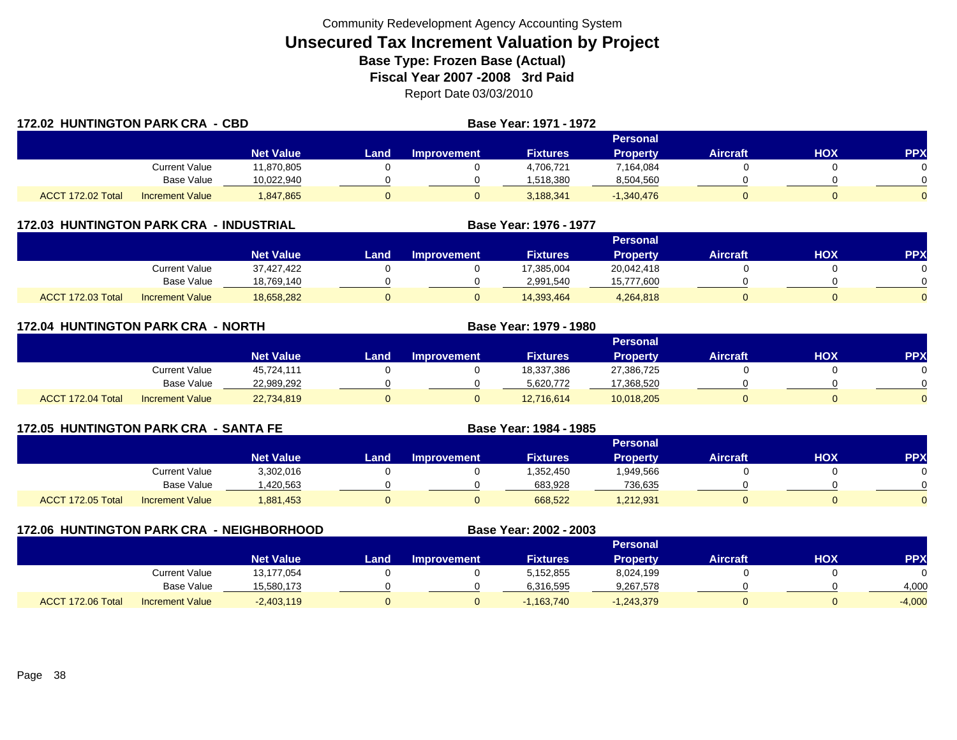|                   | <b>172.02 HUNTINGTON PARK CRA - CBD</b> |                  |       |             | <b>Base Year: 1971 - 1972</b> |                 |                 |            |          |
|-------------------|-----------------------------------------|------------------|-------|-------------|-------------------------------|-----------------|-----------------|------------|----------|
|                   |                                         |                  |       |             |                               | Personal        |                 |            |          |
|                   |                                         | <b>Net Value</b> | Landı | Improvement | <b>Fixtures</b>               | <b>Property</b> | <b>Aircraft</b> | <b>HOX</b> | PPX      |
|                   | Current Value                           | 11,870,805       |       |             | 4,706,721                     | 7,164,084       |                 |            | $\Omega$ |
|                   | Base Value                              | 10,022,940       |       |             | 1,518,380                     | 8,504,560       |                 |            | $\Omega$ |
| ACCT 172.02 Total | <b>Increment Value</b>                  | 1,847,865        |       |             | 3,188,341                     | $-1,340,476$    |                 |            | $\Omega$ |

| 172.03 HUNTINGTON PARK CRA - INDUSTRIAL |  |  |  |  |  |
|-----------------------------------------|--|--|--|--|--|
|-----------------------------------------|--|--|--|--|--|

|                   |                        |                  |      |                    |                 | Personal   |                 |            |           |
|-------------------|------------------------|------------------|------|--------------------|-----------------|------------|-----------------|------------|-----------|
|                   |                        | <b>Net Value</b> | Land | <b>Improvement</b> | <b>Fixtures</b> | Propertv   | <b>Aircraft</b> | <b>HOX</b> | <b>PP</b> |
|                   | <b>Current Value</b>   | 37,427,422       |      |                    | 17,385,004      | 20,042,418 |                 |            |           |
|                   | Base Value             | 18,769,140       |      |                    | 2.991.540       | 15,777,600 |                 |            |           |
| ACCT 172.03 Total | <b>Increment Value</b> | 18,658,282       |      |                    | 14,393,464      | 4,264,818  |                 |            |           |

**Base Year: 1976 - 1977**

| <b>172.04 HUNTINGTON PARK CRA - NORTH</b> |                        |            |      |             | Base Year: 1979 - 1980 |                 |                 |     |            |
|-------------------------------------------|------------------------|------------|------|-------------|------------------------|-----------------|-----------------|-----|------------|
|                                           |                        |            |      |             |                        | <b>Personal</b> |                 |     |            |
|                                           |                        | Net Value  | Land | Improvement | <b>Fixtures</b>        | <b>Property</b> | <b>Aircraft</b> | HOX | <b>PPX</b> |
|                                           | Current Value          | 45.724.111 |      |             | 18,337,386             | 27,386,725      |                 |     |            |
|                                           | Base Value             | 22,989,292 |      |             | 5,620,772              | 17,368,520      |                 |     |            |
| ACCT 172.04 Total                         | <b>Increment Value</b> | 22,734,819 |      |             | 12,716,614             | 10,018,205      |                 |     |            |

| <b>172.05 HUNTINGTON PARK CRA - SANTA FE</b> |                      |                  |      |                    | Base Year: 1984 - 1985 |                 |                 |     |           |
|----------------------------------------------|----------------------|------------------|------|--------------------|------------------------|-----------------|-----------------|-----|-----------|
|                                              |                      |                  |      |                    |                        | <b>Personal</b> |                 |     |           |
|                                              |                      | <b>Net Value</b> | Land | <b>Improvement</b> | <b>Fixtures</b>        | <b>Property</b> | <b>Aircraft</b> | нох | <b>PP</b> |
|                                              | <b>Current Value</b> | 3,302,016        |      |                    | .352,450               | 1,949,566       |                 |     |           |
|                                              | Base Value           | .420.563         |      |                    | 683,928                | 736,635         |                 |     |           |
| ACCT 172.05 Total                            | Increment Value      | 1,881,453        |      |                    | 668.522                | 1,212,931       |                 |     |           |

| <b>172.06 HUNTINGTON PARK CRA - NEIGHBORHOOD</b> |                        |                  |      |                    | Base Year: 2002 - 2003 |                 |                 |     |           |
|--------------------------------------------------|------------------------|------------------|------|--------------------|------------------------|-----------------|-----------------|-----|-----------|
|                                                  |                        |                  |      |                    |                        |                 |                 |     |           |
|                                                  |                        | <b>Net Value</b> | Land | <b>Improvement</b> | <b>Fixtures</b>        | <b>Property</b> | <b>Aircraft</b> | нох | <b>PP</b> |
|                                                  | Current Value          | 13.177.054       |      |                    | 5,152,855              | 8,024,199       |                 |     |           |
|                                                  | <b>Base Value</b>      | 15,580,173       |      |                    | 6,316,595              | 9,267,578       |                 |     | 4,000     |
| ACCT 172.06 Total                                | <b>Increment Value</b> | $-2,403,119$     |      | 0                  | 1,163,740              | $-1,243,379$    | 0               |     | $-4,000$  |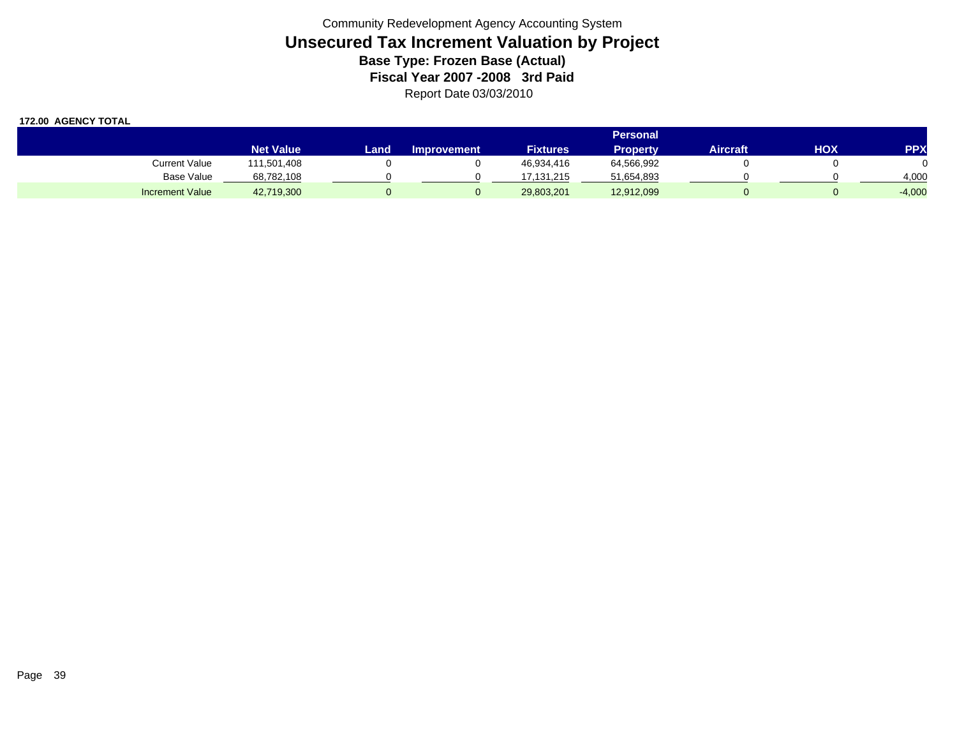|                        |                  |       |                    |                 | <b>Personal</b> |                 |     |            |
|------------------------|------------------|-------|--------------------|-----------------|-----------------|-----------------|-----|------------|
|                        | <b>Net Value</b> | Land. | <b>Improvement</b> | <b>Fixtures</b> | <b>Property</b> | <b>Aircraft</b> | нох | <b>PPX</b> |
| Current Value          | 111,501,408      |       |                    | 46,934,416      | 64,566,992      |                 |     |            |
| <b>Base Value</b>      | 68,782,108       |       |                    | 7.131.215       | 51,654,893      |                 |     | 4,000      |
| <b>Increment Value</b> | 42,719,300       |       |                    | 29,803,201      | 12,912,099      |                 |     | $-4,000$   |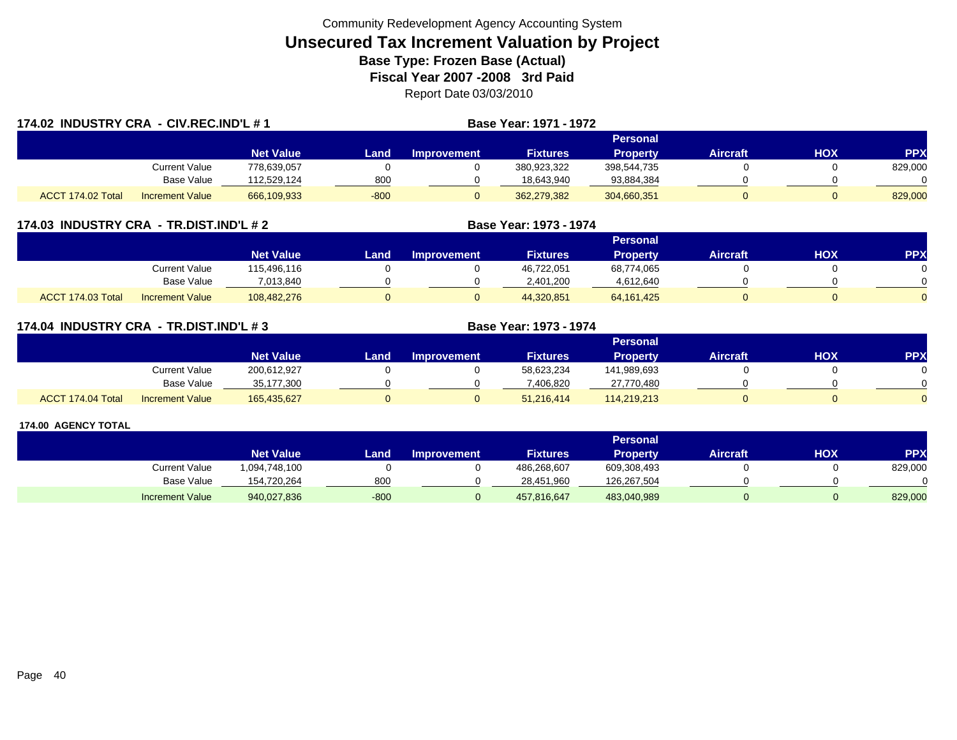| 174.02 INDUSTRY CRA - CIV.REC.IND'L #1 |                        |                  |        |                    | Base Year: 1971 - 1972 |                 |                 |     |            |  |
|----------------------------------------|------------------------|------------------|--------|--------------------|------------------------|-----------------|-----------------|-----|------------|--|
|                                        |                        |                  |        |                    |                        | Personal        |                 |     |            |  |
|                                        |                        | <b>Net Value</b> | Land   | <b>Improvement</b> | <b>Fixtures</b>        | <b>Property</b> | <b>Aircraft</b> | HOX | <b>PPX</b> |  |
|                                        | <b>Current Value</b>   | 778.639.057      |        |                    | 380,923,322            | 398,544,735     |                 |     | 829,000    |  |
|                                        | <b>Base Value</b>      | 112,529,124      | 800    |                    | 18,643,940             | 93,884,384      |                 |     |            |  |
| ACCT 174.02 Total                      | <b>Increment Value</b> | 666,109,933      | $-800$ |                    | 362,279,382            | 304,660,351     |                 |     | 829,000    |  |

### **174.03 INDUSTRY CRA - TR.DIST.IND'L # 2 Base Year: 1973 - 1974**

|                   |                        |                  |      |                    |                 | Personal        |                 |     |     |
|-------------------|------------------------|------------------|------|--------------------|-----------------|-----------------|-----------------|-----|-----|
|                   |                        | <b>Net Value</b> | Land | <b>Improvement</b> | <b>Fixtures</b> | <b>Property</b> | <b>Aircraft</b> | нох | PPX |
|                   | Current Value          | 115,496,116      |      |                    | 46,722,051      | 68,774,065      |                 |     |     |
|                   | Base Value             | 7.013.840        |      |                    | 2.401.200       | 4,612,640       |                 |     |     |
| ACCT 174.03 Total | <b>Increment Value</b> | 108,482,276      |      |                    | 44,320,851      | 64, 161, 425    |                 |     |     |

### **174.04 INDUSTRY CRA - TR.DIST.IND'L # 3 Base Year: 1973 - 1974**

|                   |                        |                  |      |                    |                 | Personal    |                 |            |          |
|-------------------|------------------------|------------------|------|--------------------|-----------------|-------------|-----------------|------------|----------|
|                   |                        | <b>Net Value</b> | Land | <b>Improvement</b> | <b>Fixtures</b> | Property    | <b>Aircraft</b> | <b>HOX</b> | PPX      |
|                   | <b>Current Value</b>   | 200,612,927      |      |                    | 58,623,234      | 141,989,693 |                 |            |          |
|                   | <b>Base Value</b>      | 35,177,300       |      |                    | 406.820         | 27,770,480  |                 |            |          |
| ACCT 174.04 Total | <b>Increment Value</b> | 165,435,627      |      |                    | 51,216,414      | 114,219,213 |                 |            | $\Omega$ |

|                        |                  |        |                    |                 | <b>Personal</b> |                 |     |                 |
|------------------------|------------------|--------|--------------------|-----------------|-----------------|-----------------|-----|-----------------|
|                        | <b>Net Value</b> | Land   | <b>Improvement</b> | <b>Fixtures</b> | <b>Property</b> | <b>Aircraft</b> | нох | PP <sub>2</sub> |
| Current Value          | 1,094,748,100    |        |                    | 486,268,607     | 609,308,493     |                 |     | 829,000         |
| <b>Base Value</b>      | 154,720,264      | 800    |                    | 28,451,960      | 126,267,504     |                 |     |                 |
| <b>Increment Value</b> | 940,027,836      | $-800$ |                    | 457,816,647     | 483,040,989     |                 |     | 829,000         |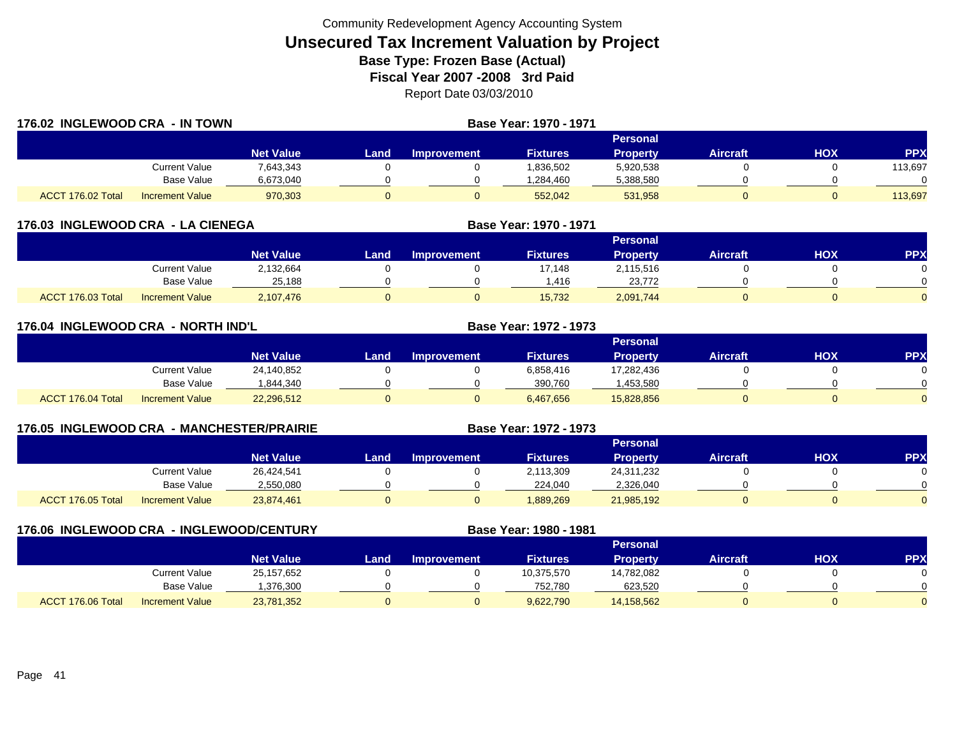| 176.02 INGLEWOOD CRA - IN TOWN |                        |                  |      | Base Year: 1970 - 1971 |                 |                 |                 |            |            |
|--------------------------------|------------------------|------------------|------|------------------------|-----------------|-----------------|-----------------|------------|------------|
|                                |                        |                  |      |                        |                 | Personal        |                 |            |            |
|                                |                        | <b>Net Value</b> | Land | <b>Improvement</b>     | <b>Fixtures</b> | <b>Property</b> | <b>Aircraft</b> | <b>HOX</b> | <b>PPX</b> |
|                                | Current Value          | 7,643,343        |      |                        | 1,836,502       | 5,920,538       |                 |            | 113,697    |
|                                | Base Value             | 6,673,040        |      |                        | 1,284,460       | 5,388,580       |                 |            | 0          |
| ACCT 176.02 Total              | <b>Increment Value</b> | 970,303          |      |                        | 552,042         | 531,958         |                 |            | 113,697    |

| 176.03 INGLEWOOD CRA - LA CIENEGA |                        |                  | <b>Base Year: 1970 - 1971</b> |                    |                 |                 |                 |     |            |
|-----------------------------------|------------------------|------------------|-------------------------------|--------------------|-----------------|-----------------|-----------------|-----|------------|
|                                   |                        |                  |                               |                    |                 | <b>Personal</b> |                 |     |            |
|                                   |                        | <b>Net Value</b> | Land                          | <b>Improvement</b> | <b>Fixtures</b> | <b>Property</b> | <b>Aircraft</b> | НОХ | <b>PPX</b> |
|                                   | <b>Current Value</b>   | 2,132,664        |                               |                    | 17.148          | 2,115,516       |                 |     |            |
|                                   | <b>Base Value</b>      | 25.188           |                               |                    | .416            | 23.772          |                 |     |            |
| ACCT 176.03 Total                 | <b>Increment Value</b> | 2,107,476        |                               |                    | 15,732          | 2,091,744       |                 |     |            |

|                   | 176.04 INGLEWOOD CRA - NORTH IND'L |                  |      |                    | <b>Base Year: 1972 - 1973</b> |                 |                 |            |          |
|-------------------|------------------------------------|------------------|------|--------------------|-------------------------------|-----------------|-----------------|------------|----------|
|                   |                                    |                  |      |                    |                               | Personal        |                 |            |          |
|                   |                                    | <b>Net Value</b> | Land | <b>Improvement</b> | <b>Fixtures</b>               | <b>Property</b> | <b>Aircraft</b> | <b>HOX</b> | PPX      |
|                   | <b>Current Value</b>               | 24,140,852       |      |                    | 6,858,416                     | 17,282,436      |                 |            | 0        |
|                   | Base Value                         | 1,844,340        |      |                    | 390.760                       | ,453,580        |                 |            | $\Omega$ |
| ACCT 176.04 Total | <b>Increment Value</b>             | 22,296,512       | 0    |                    | 6,467,656                     | 15,828,856      |                 |            | $\Omega$ |

| 176.05 INGLEWOOD CRA |                        | - MANCHESTER/PRAIRIE |      |                    | Base Year: 1972 - 1973 |                 |                 |     |           |
|----------------------|------------------------|----------------------|------|--------------------|------------------------|-----------------|-----------------|-----|-----------|
|                      |                        |                      |      |                    |                        | <b>Personal</b> |                 |     |           |
|                      |                        | <b>Net Value</b>     | Land | <b>Improvement</b> | <b>Fixtures</b>        | <b>Property</b> | <b>Aircraft</b> | HOX | <b>PP</b> |
|                      | Current Value          | 26,424,541           |      |                    | 2,113,309              | 24,311,232      |                 |     |           |
|                      | Base Value             | 2,550,080            |      |                    | 224,040                | 2,326,040       |                 |     |           |
| ACCT 176.05 Total    | <b>Increment Value</b> | 23,874,461           |      |                    | 889,269                | 21,985,192      |                 |     |           |

|                   |                        | 176.06 INGLEWOOD CRA - INGLEWOOD/CENTURY |      |                    | Base Year: 1980 - 1981 |                 |                 |            |            |
|-------------------|------------------------|------------------------------------------|------|--------------------|------------------------|-----------------|-----------------|------------|------------|
|                   |                        |                                          |      |                    |                        | <b>Personal</b> |                 |            |            |
|                   |                        | <b>Net Value</b>                         | Land | <b>Improvement</b> | <b>Fixtures</b>        | <b>Property</b> | <b>Aircraft</b> | <b>NOH</b> | <b>PPX</b> |
|                   | <b>Current Value</b>   | 25,157,652                               |      |                    | 10,375,570             | 14,782,082      |                 |            |            |
|                   | Base Value             | ,376,300                                 |      |                    | 752.780                | 623,520         |                 |            |            |
| ACCT 176.06 Total | <b>Increment Value</b> | 23,781,352                               |      |                    | 9,622,790              | 14,158,562      |                 |            |            |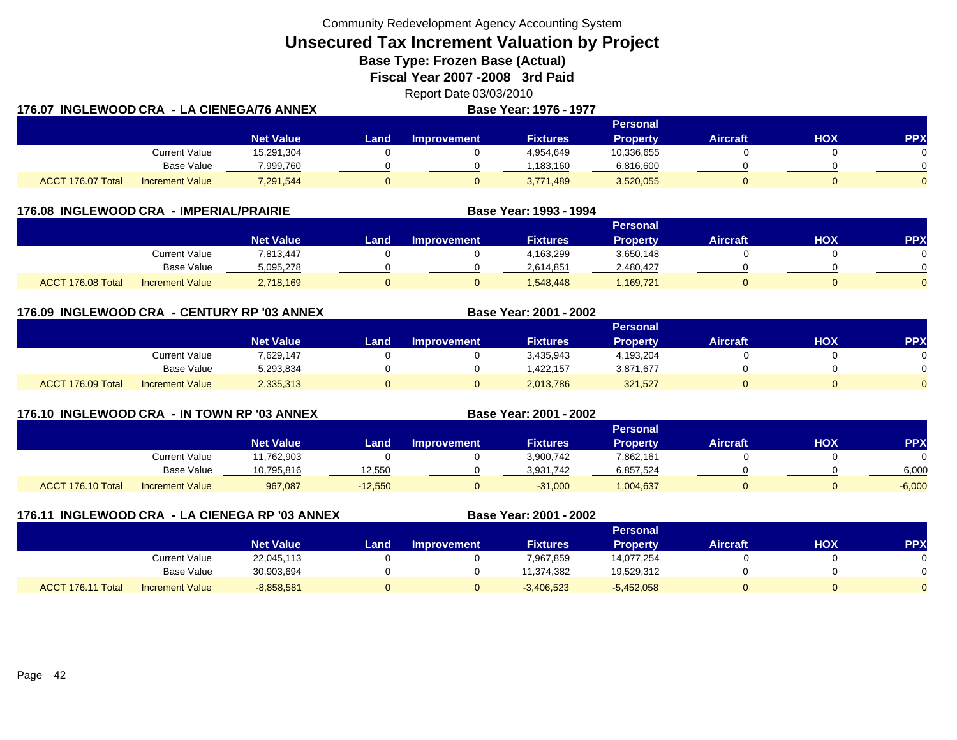**Unsecured Tax Increment Valuation by Project**

**Base Type: Frozen Base (Actual)** 

**Fiscal Year 2007 -2008 3rd Paid**

Report Date 03/03/2010 **176.07 INGLEWOOD CRA - LA CIENEGA/76 ANNEXBase Year: 1976 - 1977**

|                   |                        |                  | Personal |                    |                 |            |          |     |            |  |  |  |  |
|-------------------|------------------------|------------------|----------|--------------------|-----------------|------------|----------|-----|------------|--|--|--|--|
|                   |                        | <b>Net Value</b> | Land     | <b>Improvement</b> | <b>Fixtures</b> | Property   | Aircraft | HOX | <b>PPX</b> |  |  |  |  |
|                   | Current Value          | 15,291,304       |          |                    | 4,954,649       | 10,336,655 |          |     |            |  |  |  |  |
|                   | <b>Base Value</b>      | 7,999,760        |          |                    | 1.183.160       | 6,816,600  |          |     |            |  |  |  |  |
| ACCT 176.07 Total | <b>Increment Value</b> | 7,291,544        |          |                    | 3,771,489       | 3,520,055  |          |     | $\Omega$   |  |  |  |  |

|                   | 176.08 INGLEWOOD CRA - IMPERIAL/PRAIRIE |                  |      |                    | Base Year: 1993 - 1994 |                 |                 |            |            |
|-------------------|-----------------------------------------|------------------|------|--------------------|------------------------|-----------------|-----------------|------------|------------|
|                   |                                         |                  |      |                    |                        | Personal        |                 |            |            |
|                   |                                         | <b>Net Value</b> | Land | <b>Improvement</b> | <b>Fixtures</b>        | <b>Property</b> | <b>Aircraft</b> | <b>XOH</b> | <b>PPX</b> |
|                   | Current Value                           | 7,813,447        |      |                    | 4,163,299              | 3,650,148       |                 |            |            |
|                   | Base Value                              | 5,095,278        |      |                    | 2,614,851              | 2,480,427       |                 |            |            |
| ACCT 176.08 Total | <b>Increment Value</b>                  | 2,718,169        |      |                    | 1.548.448              | ,169,721        |                 |            |            |

**176.09 INGLEWOOD CRA - CENTURY RP '03 ANNEX**

|                   |                        | <b>Personal</b>  |      |                    |                 |                 |          |     |     |
|-------------------|------------------------|------------------|------|--------------------|-----------------|-----------------|----------|-----|-----|
|                   |                        | <b>Net Value</b> | Land | <b>Improvement</b> | <b>Fixtures</b> | <b>Property</b> | Aircraft | нох | PPX |
|                   | Current Value          | 7,629,147        |      |                    | 3,435,943       | 4,193,204       |          |     |     |
|                   | Base Value             | 5,293,834        |      |                    | .422.157        | 3,871,677       |          |     |     |
| ACCT 176.09 Total | <b>Increment Value</b> | 2,335,313        |      |                    | 2,013,786       | 321,527         |          |     |     |

**Base Year: 2001 - 2002**

**176.10 INGLEWOOD CRA - IN TOWN RP '03 ANNEX**

| 176.10 INGLEWOOD CRA - IN TOWN RP '03 ANNEX |                        |                  |           |                    | Base Year: 2001 - 2002 |                 |          |     |            |
|---------------------------------------------|------------------------|------------------|-----------|--------------------|------------------------|-----------------|----------|-----|------------|
|                                             |                        |                  |           |                    |                        | <b>Personal</b> |          |     |            |
|                                             |                        | <b>Net Value</b> | Land      | <b>Improvement</b> | <b>Fixtures</b>        | <b>Property</b> | Aircraft | HOX | <b>PPX</b> |
|                                             | Current Value          | 11,762,903       |           |                    | 3,900,742              | 7,862,161       |          |     | $\Omega$   |
|                                             | Base Value             | 10,795,816       | 12.550    |                    | 3,931,742              | 6,857,524       |          |     | 6,000      |
| ACCT 176.10 Total                           | <b>Increment Value</b> | 967,087          | $-12.550$ |                    | $-31,000$              | 1,004,637       |          |     | $-6,000$   |

|                   |                        | 176.11 INGLEWOOD CRA - LA CIENEGA RP '03 ANNEX | Base Year: 2001 - 2002 |                    |                 |                 |                 |     |            |
|-------------------|------------------------|------------------------------------------------|------------------------|--------------------|-----------------|-----------------|-----------------|-----|------------|
|                   |                        |                                                |                        |                    |                 | <b>Personal</b> |                 |     |            |
|                   |                        | <b>Net Value</b>                               | Land                   | <b>Improvement</b> | <b>Fixtures</b> | <b>Property</b> | <b>Aircraft</b> | нох | <b>PPX</b> |
|                   | Current Value          | 22,045,113                                     |                        |                    | 7,967,859       | 14,077,254      |                 |     |            |
|                   | Base Value             | 30,903,694                                     |                        |                    | 11,374,382      | 19,529,312      |                 |     |            |
| ACCT 176.11 Total | <b>Increment Value</b> | $-8,858,581$                                   |                        |                    | $-3,406,523$    | $-5,452,058$    |                 |     |            |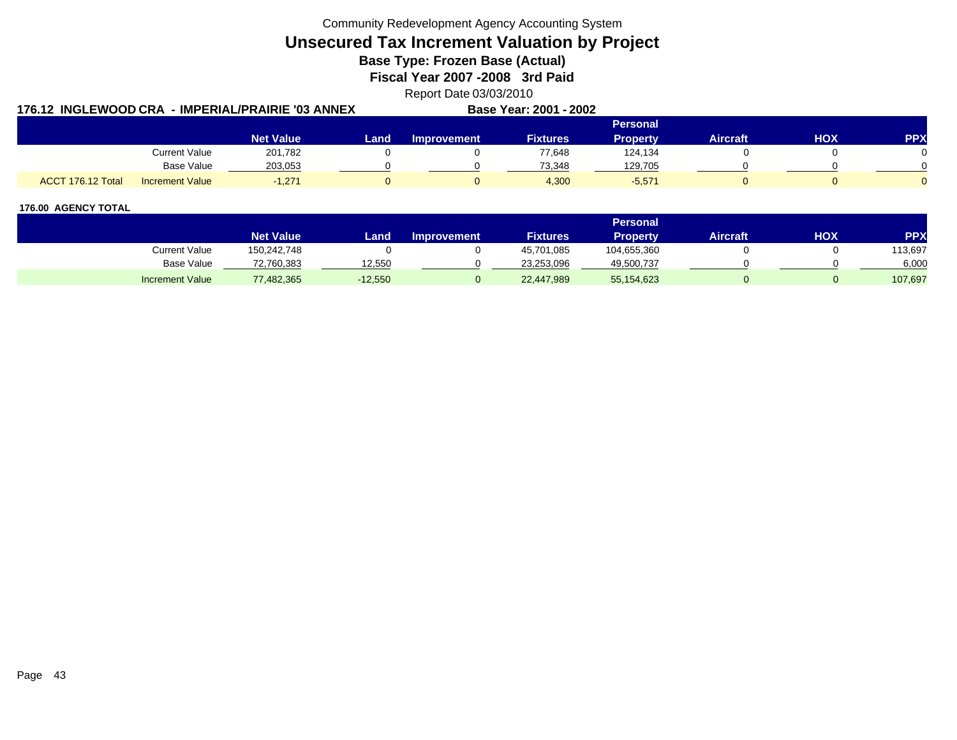**Unsecured Tax Increment Valuation by Project**

**Base Type: Frozen Base (Actual)** 

**Fiscal Year 2007 -2008 3rd Paid**

Report Date 03/03/2010

| 176.12 INGLEWOOD CRA - IMPERIAL/PRAIRIE '03 ANNEX |                  |      |             | Base Year: 2001 - 2002 |                 |          |     |            |
|---------------------------------------------------|------------------|------|-------------|------------------------|-----------------|----------|-----|------------|
|                                                   |                  |      |             |                        | <b>Personal</b> |          |     |            |
|                                                   | <b>Net Value</b> | Land | Improvement | <b>Fixtures</b>        | Property        | Aircraft | HOX | <b>PPX</b> |
| <b>Current Value</b>                              | 201,782          |      |             | 77,648                 | 124,134         |          |     |            |
| Base Value                                        | 203,053          |      |             | 73.348                 | 129,705         |          |     |            |
| ACCT 176.12 Total<br>Increment Value              | $-1,271$         |      |             | 4,300                  | $-5,571$        |          |     |            |

|                        |                  |           |                    |                 | <b>Personal</b> |                 |     |            |
|------------------------|------------------|-----------|--------------------|-----------------|-----------------|-----------------|-----|------------|
|                        | <b>Net Value</b> | Land.     | <b>Improvement</b> | <b>Fixtures</b> | Propertv        | <b>Aircraft</b> | HOX | <b>PPX</b> |
| Current Value          | 150,242,748      |           |                    | 45,701,085      | 104,655,360     |                 |     | 113,697    |
| Base Value             | 72,760,383       | 12.550    |                    | 23,253,096      | 49,500,737      |                 |     | 6,000      |
| <b>Increment Value</b> | 77,482,365       | $-12,550$ |                    | 22,447,989      | 55,154,623      |                 |     | 107,697    |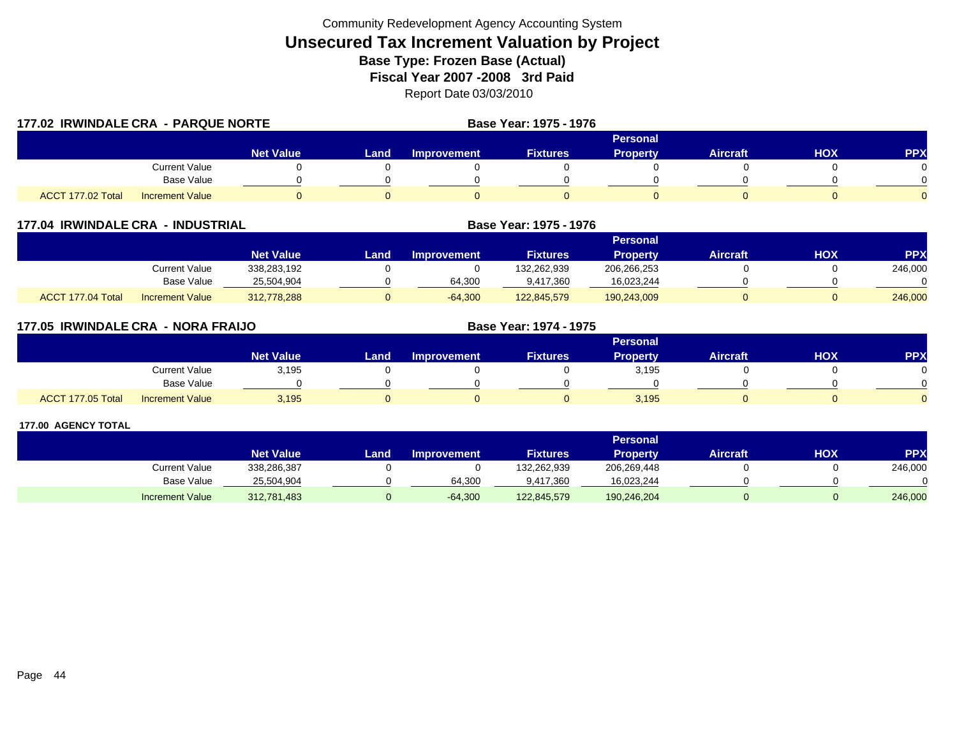| 177.02 IRWINDALE CRA - PARQUE NORTE |                        |                  |             |                    | Base Year: 1975 - 1976 |                 |                 |            |            |
|-------------------------------------|------------------------|------------------|-------------|--------------------|------------------------|-----------------|-----------------|------------|------------|
|                                     |                        |                  |             |                    |                        |                 |                 |            |            |
|                                     |                        | <b>Net Value</b> | <b>Land</b> | <b>Improvement</b> | <b>Fixtures</b>        | <b>Property</b> | <b>Aircraft</b> | <b>HOX</b> | <b>PPX</b> |
|                                     | <b>Current Value</b>   |                  |             |                    |                        |                 |                 |            |            |
|                                     | <b>Base Value</b>      |                  |             |                    |                        |                 |                 |            |            |
| ACCT 177.02 Total                   | <b>Increment Value</b> |                  | 0           |                    |                        |                 |                 |            |            |

| <b>177.04 IRWINDALE CRA</b> | - INDUSTRIAL           |                  |      |                    | Base Year: 1975 - 1976 |                 |                 |     |           |
|-----------------------------|------------------------|------------------|------|--------------------|------------------------|-----------------|-----------------|-----|-----------|
|                             |                        |                  |      |                    |                        | <b>Personal</b> |                 |     |           |
|                             |                        | <b>Net Value</b> | Land | <b>Improvement</b> | <b>Fixtures</b>        | <b>Property</b> | <b>Aircraft</b> | HOX | <b>PP</b> |
|                             | Current Value          | 338,283,192      |      |                    | 132.262.939            | 206,266,253     |                 |     | 246,000   |
|                             | Base Value             | 25,504,904       |      | 64,300             | 9,417,360              | 16,023,244      |                 |     |           |
| ACCT 177.04 Total           | <b>Increment Value</b> | 312,778,288      |      | $-64,300$          | 122.845.579            | 190,243,009     |                 |     | 246,000   |

| 177.05 IRWINDALE CRA - NORA FRAIJO          |                  |      | Base Year: 1974 - 1975 |                 |                 |                 |            |            |
|---------------------------------------------|------------------|------|------------------------|-----------------|-----------------|-----------------|------------|------------|
|                                             |                  |      |                        |                 | <b>Personal</b> |                 |            |            |
|                                             | <b>Net Value</b> | Land | <b>Improvement</b>     | <b>Fixtures</b> | Property        | <b>Aircraft</b> | <b>HOX</b> | <b>PPX</b> |
| <b>Current Value</b>                        | 3,195            |      |                        |                 | 3,195           |                 |            | 0          |
| Base Value                                  |                  |      |                        |                 |                 |                 |            | $\Omega$   |
| ACCT 177.05 Total<br><b>Increment Value</b> | 3,195            |      |                        |                 | 3,195           |                 |            | $\Omega$   |

|                        |                  |       |                    |                 | <b>Personal</b> |                 |     |            |
|------------------------|------------------|-------|--------------------|-----------------|-----------------|-----------------|-----|------------|
|                        | <b>Net Value</b> | Land, | <b>Improvement</b> | <b>Fixtures</b> | Property        | <b>Aircraft</b> | нох | <b>PPX</b> |
| Current Value          | 338,286,387      |       |                    | 132,262,939     | 206,269,448     |                 |     | 246,000    |
| Base Value             | 25,504,904       |       | 64.300             | 9.417.360       | 16,023,244      |                 |     |            |
| <b>Increment Value</b> | 312,781,483      |       | $-64,300$          | 122,845,579     | 190,246,204     |                 |     | 246,000    |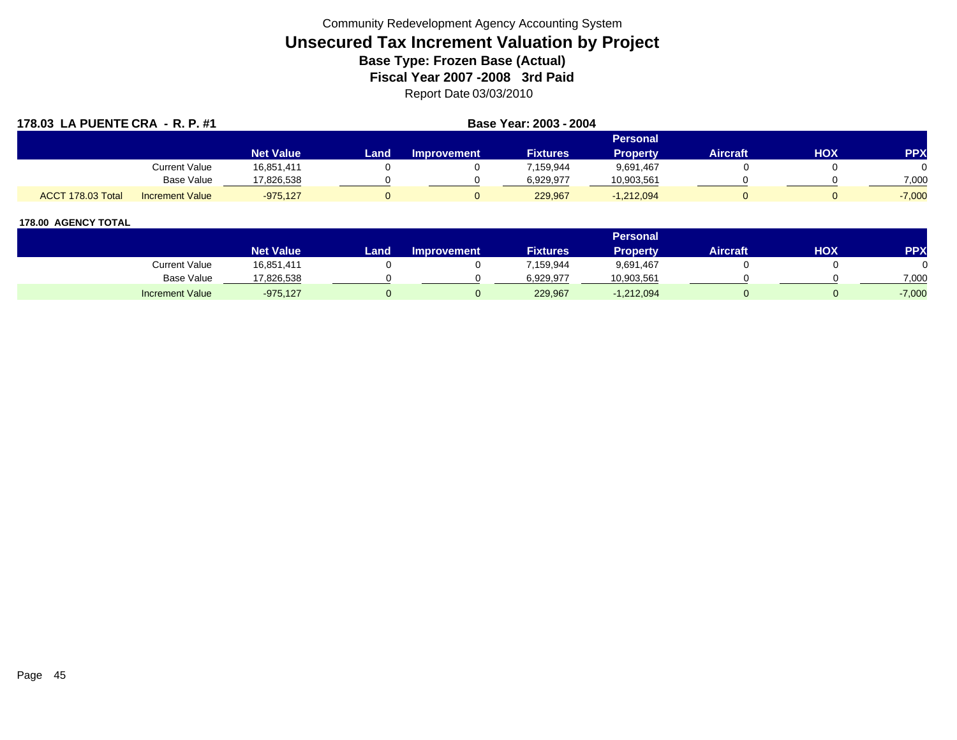| 178.03 LA PUENTE CRA - R. P. #1             |                  | Base Year: 2003 - 2004 |                    |                 |                 |          |     |            |
|---------------------------------------------|------------------|------------------------|--------------------|-----------------|-----------------|----------|-----|------------|
|                                             |                  |                        |                    |                 | Personal        |          |     |            |
|                                             | <b>Net Value</b> | Land                   | <b>Improvement</b> | <b>Fixtures</b> | <b>Property</b> | Aircraft | HOX | <b>PPX</b> |
| Current Value                               | 16,851,411       |                        |                    | 159,944         | 9,691,467       |          |     |            |
| Base Value                                  | 17,826,538       |                        |                    | 6,929,977       | 10,903,561      |          |     | 7,000      |
| ACCT 178.03 Total<br><b>Increment Value</b> | $-975,127$       |                        |                    | 229,967         | $-1,212,094$    |          |     | $-7,000$   |

|                        |                  |       |                    |                 | <b>Personal</b> |                 |     |          |
|------------------------|------------------|-------|--------------------|-----------------|-----------------|-----------------|-----|----------|
|                        | <b>Net Value</b> | Land. | <b>Improvement</b> | <b>Fixtures</b> | <b>Property</b> | <b>Aircraft</b> | HOX | PPX      |
| <b>Current Value</b>   | 16,851,411       |       |                    | 7.159,944       | 9,691,467       |                 |     |          |
| <b>Base Value</b>      | 17,826,538       |       |                    | 6.929.977       | 10,903,561      |                 |     | 7,000    |
| <b>Increment Value</b> | $-975,127$       |       |                    | 229,967         | $-1,212,094$    |                 |     | $-7,000$ |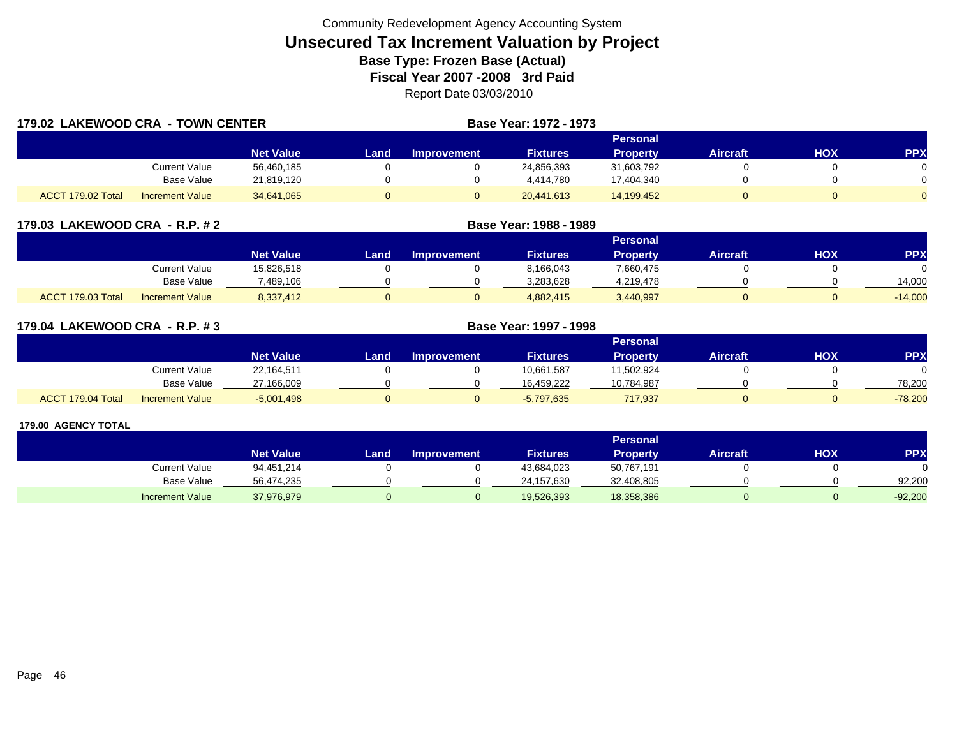| 179.02 LAKEWOOD CRA - TOWN CENTER |                        |                  |      |                    | <b>Base Year: 1972 - 1973</b> |                 |                 |     |            |
|-----------------------------------|------------------------|------------------|------|--------------------|-------------------------------|-----------------|-----------------|-----|------------|
|                                   |                        |                  |      |                    |                               | Personal        |                 |     |            |
|                                   |                        | <b>Net Value</b> | Land | <b>Improvement</b> | <b>Fixtures</b>               | <b>Property</b> | <b>Aircraft</b> | HOX | <b>PPX</b> |
|                                   | Current Value          | 56,460,185       |      |                    | 24,856,393                    | 31,603,792      |                 |     |            |
|                                   | <b>Base Value</b>      | 21,819,120       |      |                    | 4,414,780                     | 17,404,340      |                 |     |            |
| ACCT 179.02 Total                 | <b>Increment Value</b> | 34,641,065       |      |                    | 20,441,613                    | 14,199,452      |                 |     |            |

| 179.03 LAKEWOOD CRA - R.P. # 2              |                  |       | Base Year: 1988 - 1989 |                 |                 |                 |            |            |
|---------------------------------------------|------------------|-------|------------------------|-----------------|-----------------|-----------------|------------|------------|
|                                             |                  |       |                        |                 | <b>Personal</b> |                 |            |            |
|                                             | <b>Net Value</b> | Land. | <b>Improvement</b>     | <b>Fixtures</b> | <b>Property</b> | <b>Aircraft</b> | <b>NOH</b> | <b>PPX</b> |
| Current Value                               | 15,826,518       |       |                        | 8,166,043       | 7,660,475       |                 |            |            |
| Base Value                                  | 7,489,106        |       |                        | 3,283,628       | 4,219,478       |                 |            | 14,000     |
| ACCT 179.03 Total<br><b>Increment Value</b> | 8,337,412        |       |                        | 4,882,415       | 3,440,997       |                 |            | $-14,000$  |

| 179.04 LAKEWOOD CRA - R.P. #3 |                        |                  | Base Year: 1997 - 1998 |                    |                 |                 |                 |     |            |
|-------------------------------|------------------------|------------------|------------------------|--------------------|-----------------|-----------------|-----------------|-----|------------|
|                               |                        |                  |                        |                    |                 | Personal        |                 |     |            |
|                               |                        | <b>Net Value</b> | Land                   | <b>Improvement</b> | <b>Fixtures</b> | <b>Property</b> | <b>Aircraft</b> | HOX | <b>PPX</b> |
|                               | Current Value          | 22,164,511       |                        |                    | 10,661,587      | 11,502,924      |                 |     |            |
|                               | Base Value             | 27,166,009       |                        |                    | 16.459.222      | 10,784,987      |                 |     | 78,200     |
| ACCT 179.04 Total             | <b>Increment Value</b> | $-5,001,498$     |                        |                    | $-5,797,635$    | 717,937         |                 |     | $-78,200$  |

|                        |                  |      |                    |                 | Personal   |                 |     |            |
|------------------------|------------------|------|--------------------|-----------------|------------|-----------------|-----|------------|
|                        | <b>Net Value</b> | Land | <b>Improvement</b> | <b>Fixtures</b> | Property   | <b>Aircraft</b> | нох | <b>PPX</b> |
| Current Value          | 94,451,214       |      |                    | 43,684,023      | 50,767,191 |                 |     |            |
| Base Value             | 56,474,235       |      |                    | 24,157,630      | 32,408,805 |                 |     | 92.200     |
| <b>Increment Value</b> | 37,976,979       |      |                    | 19,526,393      | 18,358,386 |                 |     | $-92,200$  |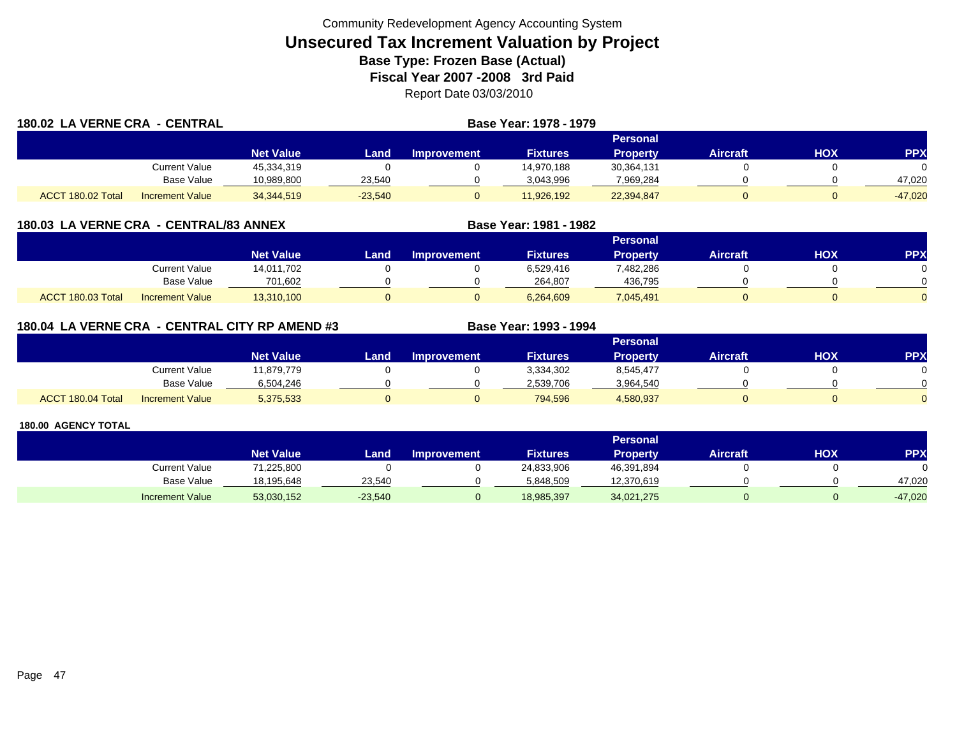| 180.02 LA VERNE CRA - CENTRAL |                        |                  | Base Year: 1978 - 1979 |                    |                 |                 |                 |     |            |  |
|-------------------------------|------------------------|------------------|------------------------|--------------------|-----------------|-----------------|-----------------|-----|------------|--|
|                               |                        |                  |                        |                    |                 | Personal        |                 |     |            |  |
|                               |                        | <b>Net Value</b> | Land                   | <b>Improvement</b> | <b>Fixtures</b> | <b>Property</b> | <b>Aircraft</b> | нох | <b>PPX</b> |  |
|                               | Current Value          | 45,334,319       |                        |                    | 14,970,188      | 30,364,131      |                 |     |            |  |
|                               | <b>Base Value</b>      | 10,989,800       | 23,540                 |                    | 3,043,996       | 7,969,284       |                 |     | 47,020     |  |
| ACCT 180.02 Total             | <b>Increment Value</b> | 34, 344, 519     | $-23,540$              |                    | 11.926.192      | 22,394,847      |                 |     | $-47.020$  |  |

| 180.03 LA VERNE CRA - CENTRAL/83 ANNEX |  |
|----------------------------------------|--|
|----------------------------------------|--|

|                   |                        |                  |      |                    |                 | Personal        |                 |            |              |
|-------------------|------------------------|------------------|------|--------------------|-----------------|-----------------|-----------------|------------|--------------|
|                   |                        | <b>Net Value</b> | Land | <b>Improvement</b> | <b>Fixtures</b> | <b>Property</b> | <b>Aircraft</b> | <b>HOX</b> | PPX          |
|                   | Current Value          | 14,011,702       |      |                    | 6,529,416       | 482,286.        |                 |            |              |
|                   | <b>Base Value</b>      | 701,602          |      |                    | 264.807         | 436,795         |                 |            | <sup>n</sup> |
| ACCT 180.03 Total | <b>Increment Value</b> | 13,310,100       |      |                    | 6,264,609       | 7,045,491       |                 |            | $\Omega$     |

**Base Year: 1981 - 1982**

| 180.04 LA VERNE CRA - CENTRAL CITY RP AMEND #3 | <b>Base Year: 1993 - 1994</b> |
|------------------------------------------------|-------------------------------|
|                                                |                               |

|                   |                        |                  |       |                    |                 | Personal  |                 |     |     |
|-------------------|------------------------|------------------|-------|--------------------|-----------------|-----------|-----------------|-----|-----|
|                   |                        | <b>Net Value</b> | Land, | <b>Improvement</b> | <b>Fixtures</b> | Property  | <b>Aircraft</b> | нох | PPX |
|                   | <b>Current Value</b>   | 11,879,779       |       |                    | 3,334,302       | 8,545,477 |                 |     |     |
|                   | <b>Base Value</b>      | 6,504,246        |       |                    | 2.539.706       | 3,964,540 |                 |     |     |
| ACCT 180.04 Total | <b>Increment Value</b> | 5,375,533        |       |                    | 794,596         | 4,580,937 |                 |     |     |

|                        |                  |           |                    |                 | Personal   |                 |     |            |
|------------------------|------------------|-----------|--------------------|-----------------|------------|-----------------|-----|------------|
|                        | <b>Net Value</b> | Land      | <b>Improvement</b> | <b>Fixtures</b> | Property   | <b>Aircraft</b> | нох | <b>PPX</b> |
| Current Value          | 71,225,800       |           |                    | 24,833,906      | 46,391,894 |                 |     |            |
| Base Value             | 18,195,648       | 23.540    |                    | 5,848,509       | 12,370,619 |                 |     | 47,020     |
| <b>Increment Value</b> | 53,030,152       | $-23,540$ |                    | 18,985,397      | 34,021,275 |                 |     | $-47,020$  |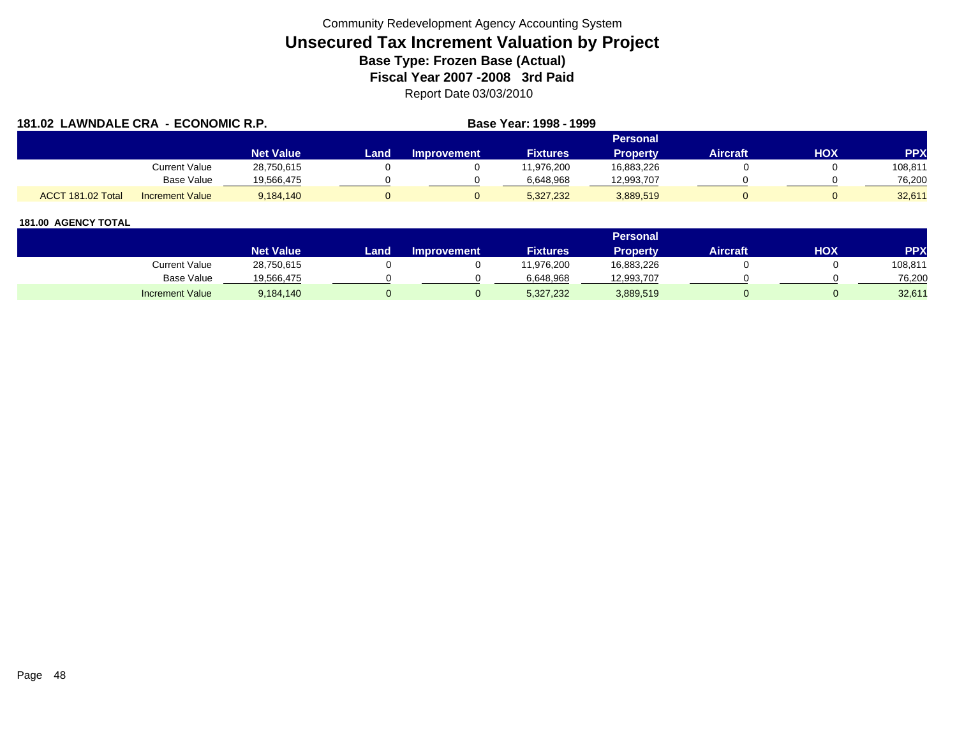| 181.02 LAWNDALE CRA - ECONOMIC R.P. |                        |                  |      |                    | Base Year: 1998 - 1999 |                 |                 |     |            |
|-------------------------------------|------------------------|------------------|------|--------------------|------------------------|-----------------|-----------------|-----|------------|
|                                     |                        |                  |      |                    |                        | Personal        |                 |     |            |
|                                     |                        | <b>Net Value</b> | Land | <b>Improvement</b> | <b>Fixtures</b>        | <b>Property</b> | <b>Aircraft</b> | нох | <b>PPX</b> |
|                                     | Current Value          | 28,750,615       |      |                    | 11,976,200             | 16,883,226      |                 |     | 108,811    |
|                                     | Base Value             | 19.566.475       |      |                    | 6.648.968              | 12,993,707      |                 |     | 76,200     |
| ACCT 181.02 Total                   | <b>Increment Value</b> | 9,184,140        |      |                    | 5,327,232              | 3,889,519       |                 |     | 32,611     |

|                        |                  |      |                    |                 | <b>Personal</b> |          |            |         |
|------------------------|------------------|------|--------------------|-----------------|-----------------|----------|------------|---------|
|                        | <b>Net Value</b> | Land | <b>Improvement</b> | <b>Fixtures</b> | Property        | Aircraft | <b>XOH</b> | PPX     |
| Current Value          | 28,750,615       |      |                    | 1,976,200       | 16,883,226      |          |            | 108,811 |
| <b>Base Value</b>      | 19,566,475       |      |                    | 6.648.968       | 12,993,707      |          |            | 76,200  |
| <b>Increment Value</b> | 9,184,140        |      |                    | 5,327,232       | 3,889,519       |          |            | 32,61'  |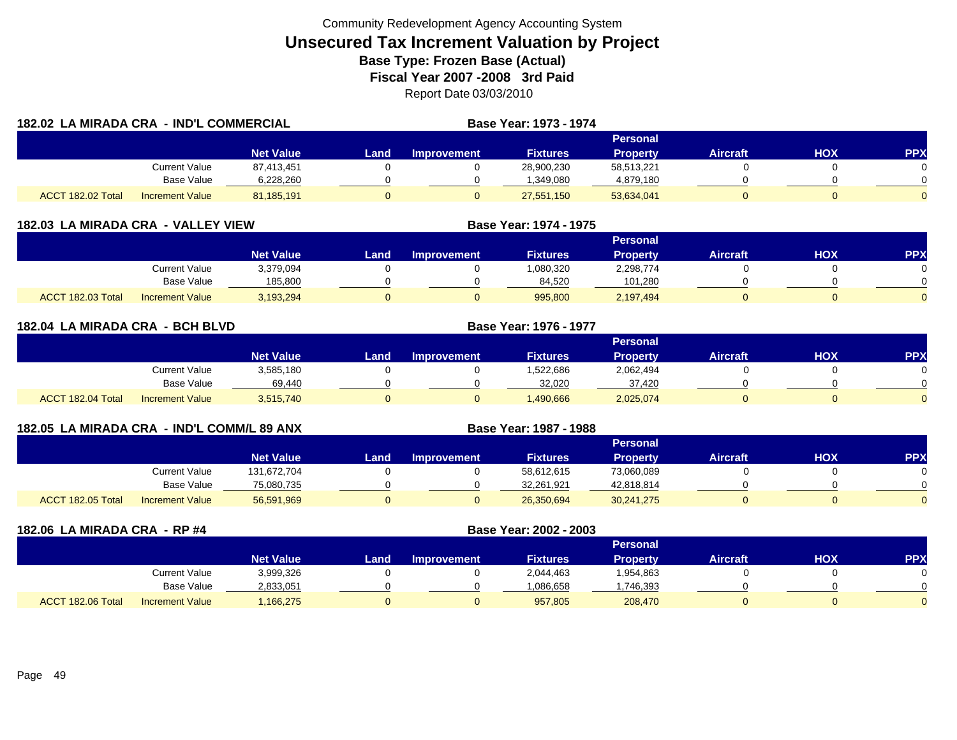| 182.02 LA MIRADA CRA - IND'L COMMERCIAL |                        |                  |       |                    | Base Year: 1973 - 1974 |                 |                 |            |            |
|-----------------------------------------|------------------------|------------------|-------|--------------------|------------------------|-----------------|-----------------|------------|------------|
|                                         |                        |                  |       |                    |                        | <b>Personal</b> |                 |            |            |
|                                         |                        | <b>Net Value</b> | Land. | <b>Improvement</b> | <b>Fixtures</b>        | <b>Property</b> | <b>Aircraft</b> | <b>HOX</b> | <b>PPX</b> |
|                                         | <b>Current Value</b>   | 87,413,451       |       |                    | 28,900,230             | 58,513,221      |                 |            |            |
|                                         | <b>Base Value</b>      | 6,228,260        |       |                    | 1,349,080              | 4,879,180       |                 |            |            |
| ACCT 182.02 Total                       | <b>Increment Value</b> | 81,185,191       | 0     |                    | 27,551,150             | 53,634,041      |                 |            |            |

| 182.03 LA MIRADA CRA - VALLEY VIEW |                        |                  |      | Base Year: 1974 - 1975 |                 |                 |                 |     |            |  |  |  |
|------------------------------------|------------------------|------------------|------|------------------------|-----------------|-----------------|-----------------|-----|------------|--|--|--|
|                                    |                        |                  |      | <b>Personal</b>        |                 |                 |                 |     |            |  |  |  |
|                                    |                        | <b>Net Value</b> | Land | <b>Improvement</b>     | <b>Fixtures</b> | <b>Property</b> | <b>Aircraft</b> | нох | <b>PPX</b> |  |  |  |
|                                    | Current Value          | 3,379,094        |      |                        | 1,080,320       | 2,298,774       |                 |     |            |  |  |  |
|                                    | Base Value             | 185,800          |      |                        | 84,520          | 101,280         |                 |     |            |  |  |  |
| ACCT 182.03 Total                  | <b>Increment Value</b> | 3,193,294        |      |                        | 995,800         | 2,197,494       |                 |     |            |  |  |  |

| 182.04 LA MIRADA CRA - BCH BLVD |                        |                  |          |                    |                 |                 |                 |     |            |  |
|---------------------------------|------------------------|------------------|----------|--------------------|-----------------|-----------------|-----------------|-----|------------|--|
|                                 |                        |                  | Personal |                    |                 |                 |                 |     |            |  |
|                                 |                        | <b>Net Value</b> | Land I   | <b>Improvement</b> | <b>Fixtures</b> | <b>Property</b> | <b>Aircraft</b> | HOX | <b>PPX</b> |  |
|                                 | <b>Current Value</b>   | 3,585,180        |          |                    | 1,522,686       | 2,062,494       |                 |     |            |  |
|                                 | <b>Base Value</b>      | 69,440           |          |                    | 32,020          | 37,420          |                 |     |            |  |
| ACCT 182.04 Total               | <b>Increment Value</b> | 3,515,740        | 0        |                    | 1,490,666       | 2,025,074       |                 |     |            |  |

| 182.05 LA MIRADA CRA - IND'L COMM/L 89 ANX |                        |                  | Base Year: 1987 - 1988 |                    |                 |                 |                 |     |            |
|--------------------------------------------|------------------------|------------------|------------------------|--------------------|-----------------|-----------------|-----------------|-----|------------|
|                                            |                        |                  |                        |                    |                 | <b>Personal</b> |                 |     |            |
|                                            |                        | <b>Net Value</b> | Land                   | <b>Improvement</b> | <b>Fixtures</b> | <b>Property</b> | <b>Aircraft</b> | нох | <b>PPX</b> |
|                                            | Current Value          | 131,672,704      |                        |                    | 58,612,615      | 73,060,089      |                 |     |            |
|                                            | Base Value             | 75,080,735       |                        |                    | 32,261,921      | 42,818,814      |                 |     |            |
| ACCT 182.05 Total                          | <b>Increment Value</b> | 56,591,969       |                        |                    | 26,350,694      | 30,241,275      |                 | 0   |            |

| 182.06 LA MIRADA CRA - RP #4 |                        |                  |      | Base Year: 2002 - 2003 |                 |                 |                 |     |     |
|------------------------------|------------------------|------------------|------|------------------------|-----------------|-----------------|-----------------|-----|-----|
|                              |                        |                  |      |                        |                 | <b>Personal</b> |                 |     |     |
|                              |                        | <b>Net Value</b> | Land | <b>Improvement</b>     | <b>Fixtures</b> | <b>Property</b> | <b>Aircraft</b> | нох | PP) |
|                              | Current Value          | 3,999,326        |      |                        | 2,044,463       | 1,954,863       |                 |     |     |
|                              | <b>Base Value</b>      | 2,833,051        |      |                        | 1,086,658       | 1,746,393       |                 |     |     |
| ACCT 182.06 Total            | <b>Increment Value</b> | ,166,275         |      |                        | 957,805         | 208,470         |                 |     |     |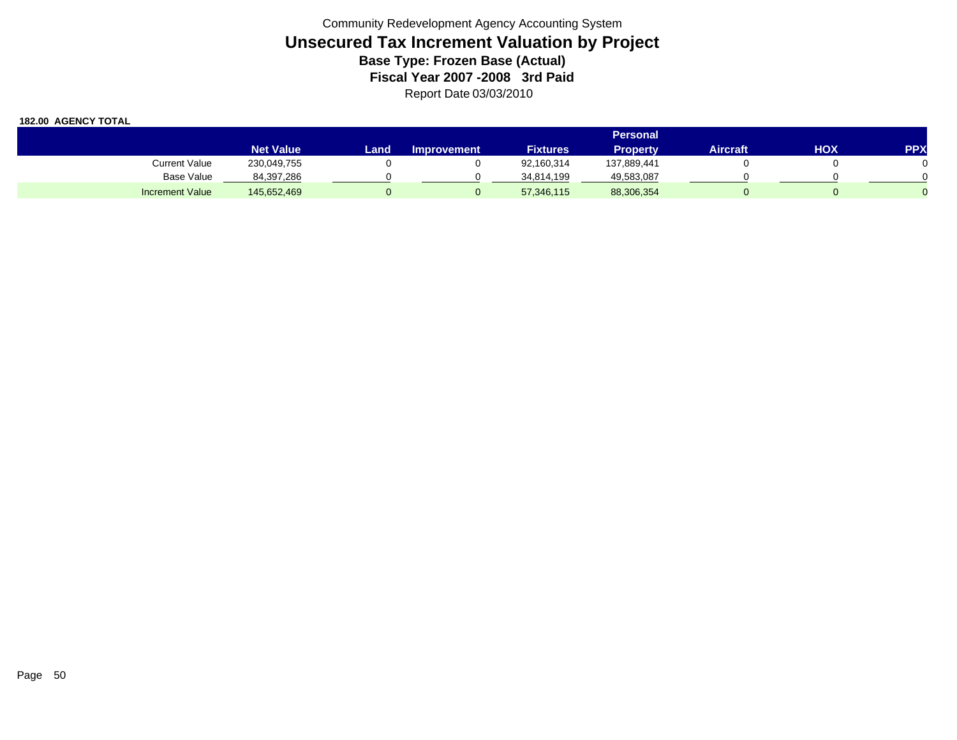|                        | <b>Personal</b>  |      |                    |                 |                 |          |     |            |  |  |
|------------------------|------------------|------|--------------------|-----------------|-----------------|----------|-----|------------|--|--|
|                        | <b>Net Value</b> | Land | <b>Improvement</b> | <b>Fixtures</b> | <b>Property</b> | Aircraft | нох | <b>PPX</b> |  |  |
| <b>Current Value</b>   | 230,049,755      |      |                    | 92,160,314      | 137,889,441     |          |     |            |  |  |
| Base Value             | 84,397,286       |      |                    | 34.814.199      | 49,583,087      |          |     |            |  |  |
| <b>Increment Value</b> | 145,652,469      |      |                    | 57,346,115      | 88,306,354      |          |     |            |  |  |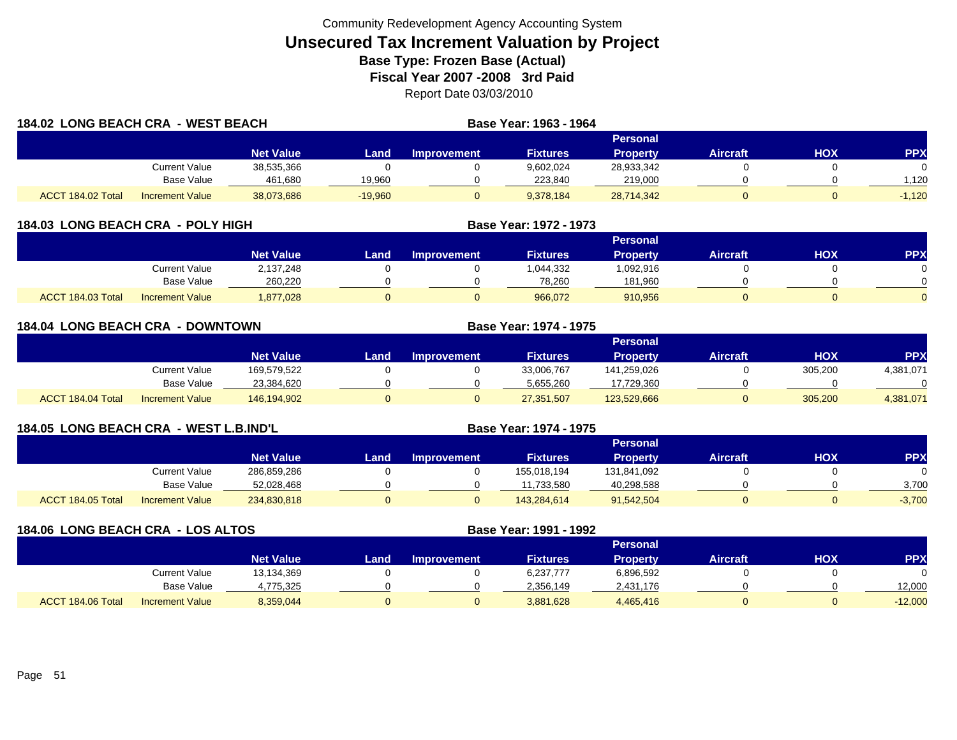| <b>184.02 LONG BEACH CRA - WEST BEACH</b> |                        |                  |           |                    | Base Year: 1963 - 1964 |                 |                 |     |            |
|-------------------------------------------|------------------------|------------------|-----------|--------------------|------------------------|-----------------|-----------------|-----|------------|
|                                           |                        |                  |           |                    |                        | Personal        |                 |     |            |
|                                           |                        | <b>Net Value</b> | Land      | <b>Improvement</b> | <b>Fixtures</b>        | <b>Property</b> | <b>Aircraft</b> | HOX | <b>PPX</b> |
|                                           | <b>Current Value</b>   | 38,535,366       |           |                    | 9,602,024              | 28,933,342      |                 |     |            |
|                                           | Base Value             | 461.680          | 19.960    |                    | 223.840                | 219,000         |                 |     | .120       |
| ACCT 184.02 Total                         | <b>Increment Value</b> | 38,073,686       | $-19,960$ |                    | 9,378,184              | 28,714,342      |                 |     | $-1,120$   |

| 184.03 LONG BEACH CRA - POLY HIGH           |            |                  |      |                    | Base Year: 1972 - 1973 |                 |                 |     |            |
|---------------------------------------------|------------|------------------|------|--------------------|------------------------|-----------------|-----------------|-----|------------|
|                                             |            |                  |      |                    |                        | Personal        |                 |     |            |
|                                             |            | <b>Net Value</b> | Land | <b>Improvement</b> | <b>Fixtures</b>        | <b>Property</b> | <b>Aircraft</b> | НОХ | <b>PPX</b> |
| Current Value                               |            | 2,137,248        |      |                    | 1,044,332              | 1,092,916       |                 |     |            |
|                                             | Base Value | 260,220          |      |                    | 78,260                 | 181,960         |                 |     |            |
| ACCT 184.03 Total<br><b>Increment Value</b> |            | 1,877,028        |      |                    | 966,072                | 910,956         |                 |     |            |

| <b>184.04 LONG BEACH CRA - DOWNTOWN</b> |                        |                  |      |             | <b>Base Year: 1974 - 1975</b> |                 |                 |            |            |
|-----------------------------------------|------------------------|------------------|------|-------------|-------------------------------|-----------------|-----------------|------------|------------|
|                                         |                        |                  |      |             |                               | Personal        |                 |            |            |
|                                         |                        | <b>Net Value</b> | _and | Improvement | <b>Fixtures</b>               | <b>Property</b> | <b>Aircraft</b> | <b>HOX</b> | <b>PPX</b> |
|                                         | Current Value          | 169,579,522      |      |             | 33,006,767                    | 141,259,026     |                 | 305,200    | 4,381,071  |
|                                         | <b>Base Value</b>      | 23,384,620       |      |             | 5,655,260                     | 17,729,360      |                 |            | $\Omega$   |
| ACCT 184.04 Total                       | <b>Increment Value</b> | 146,194,902      |      |             | 27,351,507                    | 123,529,666     |                 | 305,200    | 4,381,071  |

| <b>184.05 LONG BEACH CRA</b> |                        | - WEST L.B.IND'L |      |                    | Base Year: 1974 - 1975 |                 |                 |     |            |
|------------------------------|------------------------|------------------|------|--------------------|------------------------|-----------------|-----------------|-----|------------|
|                              |                        |                  |      |                    |                        | Personal        |                 |     |            |
|                              |                        | <b>Net Value</b> | Land | <b>Improvement</b> | <b>Fixtures</b>        | <b>Property</b> | <b>Aircraft</b> | HOX | <b>PPX</b> |
|                              | Current Value          | 286,859,286      |      |                    | 155,018,194            | 131,841,092     |                 |     |            |
|                              | Base Value             | 52,028,468       |      |                    | 11,733,580             | 40,298,588      |                 |     | 3,700      |
| ACCT 184.05 Total            | <b>Increment Value</b> | 234,830,818      |      |                    | 143.284.614            | 91,542,504      | 0               |     | $-3,700$   |

| 184.06 LONG BEACH CRA - LOS ALTOS |                        |                  |      | Base Year: 1991 - 1992 |                 |                 |                 |     |           |
|-----------------------------------|------------------------|------------------|------|------------------------|-----------------|-----------------|-----------------|-----|-----------|
|                                   |                        |                  |      |                        |                 | <b>Personal</b> |                 |     |           |
|                                   |                        | <b>Net Value</b> | Land | <b>Improvement</b>     | <b>Fixtures</b> | <b>Property</b> | <b>Aircraft</b> | нох | <b>PP</b> |
|                                   | <b>Current Value</b>   | 13,134,369       |      |                        | 6,237,777       | 6,896,592       |                 |     |           |
|                                   | Base Value             | 4,775,325        |      |                        | 2.356.149       | 2,431,176       |                 |     | 12,000    |
| ACCT 184.06 Total                 | <b>Increment Value</b> | 8,359,044        |      |                        | 3,881,628       | 4,465,416       |                 |     | $-12,000$ |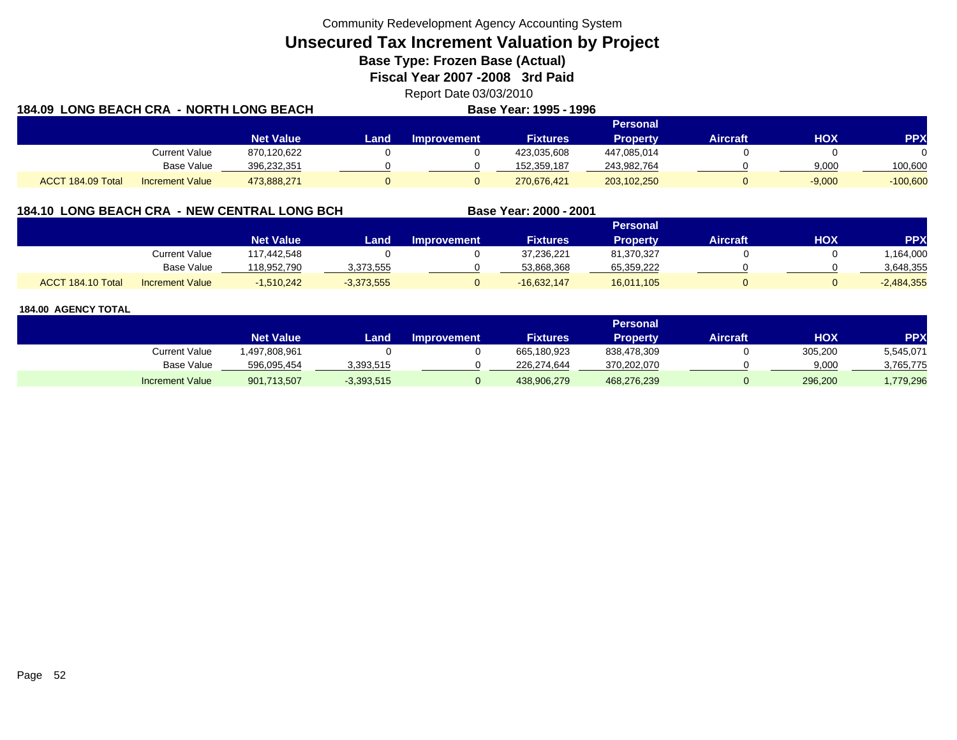**Unsecured Tax Increment Valuation by Project**

**Base Type: Frozen Base (Actual)** 

**Fiscal Year 2007 -2008 3rd Paid**

Report Date 03/03/2010 **Base Year: 1995 - 1996**

| 184.09 LONG BEACH CRA - NORTH LONG BEACH |                        |                  |             |             | Base Year: 1995 - 1996 |                 |                 |            |            |
|------------------------------------------|------------------------|------------------|-------------|-------------|------------------------|-----------------|-----------------|------------|------------|
|                                          |                        |                  |             |             |                        | Personal        |                 |            |            |
|                                          |                        | <b>Net Value</b> | <b>Land</b> | Improvement | <b>Fixtures</b>        | <b>Property</b> | <b>Aircraft</b> | <b>HOX</b> | <b>PPX</b> |
|                                          | <b>Current Value</b>   | 870,120,622      |             |             | 423,035,608            | 447,085,014     |                 |            |            |
|                                          | Base Value             | 396,232,351      |             |             | 152,359,187            | 243,982,764     |                 | 9,000      | 100,600    |
| ACCT 184.09 Total                        | <b>Increment Value</b> | 473,888,271      |             |             | 270,676,421            | 203,102,250     |                 | $-9,000$   | $-100,600$ |

## **184.10 LONG BEACH CRA - NEW CENTRAL LONG BCH**

|                   |                        |                  |              |                    |                 | Personal   |                 |     |              |
|-------------------|------------------------|------------------|--------------|--------------------|-----------------|------------|-----------------|-----|--------------|
|                   |                        | <b>Net Value</b> | Land         | <b>Improvement</b> | <b>Fixtures</b> | Property   | <b>Aircraft</b> | HOX | PPX          |
|                   | <b>Current Value</b>   | 117.442.548      |              |                    | 37,236,221      | 81,370,327 |                 |     | ,164,000     |
|                   | <b>Base Value</b>      | 118.952.790      | 3,373,555    |                    | 53.868.368      | 65,359,222 |                 |     | 3,648,355    |
| ACCT 184.10 Total | <b>Increment Value</b> | 1,510,242        | $-3,373,555$ |                    | -16,632,147     | 16,011,105 |                 |     | $-2,484,355$ |

**Base Year: 2000 - 2001**

|                        |                    |              |                    |                   | Personal        |          |         |            |
|------------------------|--------------------|--------------|--------------------|-------------------|-----------------|----------|---------|------------|
|                        | Net Value <b>'</b> | Land         | <b>Improvement</b> | Fixtures <b>'</b> | <b>Property</b> | Aircraft | нох     | <b>PPX</b> |
| Current Value          | 497,808,961,       |              |                    | 665,180,923       | 838,478,309     |          | 305,200 | 5,545,071  |
| Base Value             | 596,095,454        | 3,393,515    |                    | 226.274.644       | 370,202,070     |          | 9,000   | 3,765,775  |
| <b>Increment Value</b> | 901,713,507        | $-3,393,515$ |                    | 438.906.279       | 468,276,239     |          | 296,200 | ,779,296   |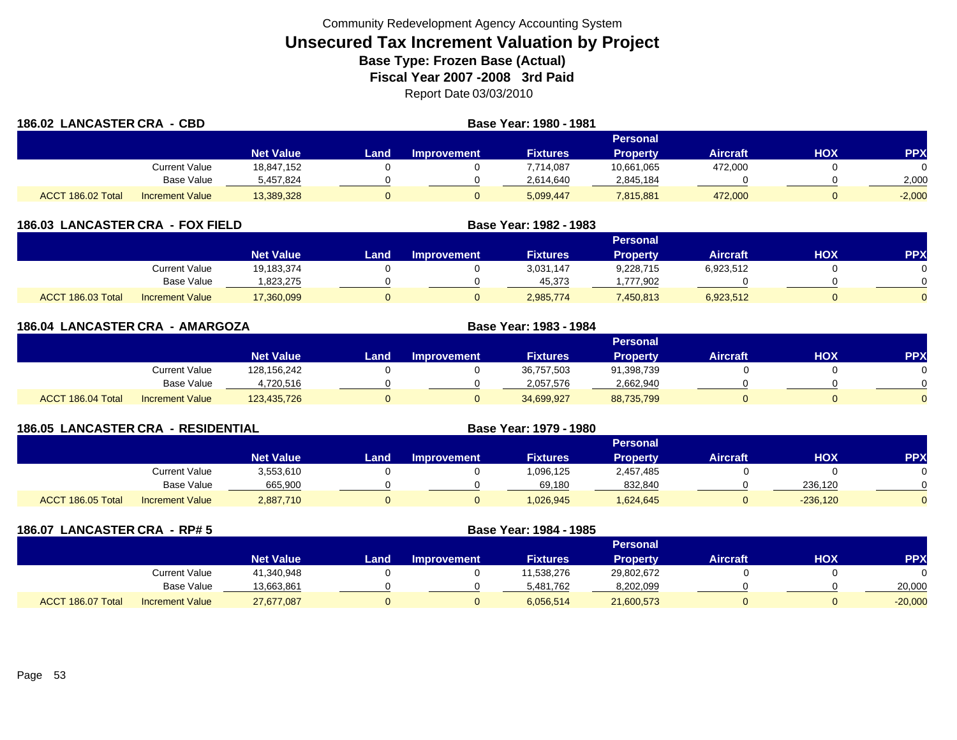| 186.02 LANCASTER CRA - CBD |                        |                  | Base Year: 1980 - 1981 |                    |                 |                 |                 |     |            |
|----------------------------|------------------------|------------------|------------------------|--------------------|-----------------|-----------------|-----------------|-----|------------|
|                            |                        |                  |                        |                    |                 | Personal        |                 |     |            |
|                            |                        | <b>Net Value</b> | Land                   | <b>Improvement</b> | <b>Fixtures</b> | <b>Property</b> | <b>Aircraft</b> | нох | <b>PPX</b> |
|                            | Current Value          | 18,847,152       |                        |                    | 7,714,087       | 10,661,065      | 472,000         |     |            |
|                            | Base Value             | 5,457,824        |                        |                    | 2,614,640       | 2,845,184       |                 |     | 2,000      |
| ACCT 186.02 Total          | <b>Increment Value</b> | 13,389,328       |                        | 0                  | 5,099,447       | 7,815,881       | 472,000         |     | $-2,000$   |

| 186.03 LANCASTER CRA - FOX FIELD |                        | Base Year: 1982 - 1983 |      |                    |                 |                 |                 |     |                 |  |
|----------------------------------|------------------------|------------------------|------|--------------------|-----------------|-----------------|-----------------|-----|-----------------|--|
|                                  |                        |                        |      | <b>Personal</b>    |                 |                 |                 |     |                 |  |
|                                  |                        | <b>Net Value</b>       | Land | <b>Improvement</b> | <b>Fixtures</b> | <b>Property</b> | <b>Aircraft</b> | нох | PP <sub>2</sub> |  |
|                                  | Current Value          | 19.183.374             |      |                    | 3.031.147       | 9,228,715       | 6,923,512       |     |                 |  |
|                                  | Base Value             | 823,275.               |      |                    | 45,373          | ,777,902        |                 |     |                 |  |
| ACCT 186.03 Total                | <b>Increment Value</b> | 17,360,099             |      |                    | 2,985,774       | 7,450,813       | 6,923,512       |     |                 |  |

| 186.04 LANCASTER CRA - AMARGOZA |                   |                        |                  |      |                    | Base Year: 1983 - 1984 |                 |                 |     |            |
|---------------------------------|-------------------|------------------------|------------------|------|--------------------|------------------------|-----------------|-----------------|-----|------------|
|                                 |                   |                        |                  |      |                    |                        | <b>Personal</b> |                 |     |            |
|                                 |                   |                        | <b>Net Value</b> | Land | <b>Improvement</b> | <b>Fixtures</b>        | <b>Property</b> | <b>Aircraft</b> | HOX | <b>PPX</b> |
|                                 |                   | <b>Current Value</b>   | 128,156,242      |      |                    | 36,757,503             | 91,398,739      |                 |     |            |
|                                 |                   | Base Value             | 4,720,516        |      |                    | 2,057,576              | 2,662,940       |                 |     |            |
|                                 | ACCT 186.04 Total | <b>Increment Value</b> | 123,435,726      |      |                    | 34,699,927             | 88,735,799      |                 |     | $\Omega$   |

| <b>186.05 LANCASTER CRA - RESIDENTIAL</b> |                        |                  |      |                    | Base Year: 1979 - 1980 |                 |                 |            |            |
|-------------------------------------------|------------------------|------------------|------|--------------------|------------------------|-----------------|-----------------|------------|------------|
|                                           |                        |                  |      |                    |                        | Personal        |                 |            |            |
|                                           |                        | <b>Net Value</b> | Land | <b>Improvement</b> | <b>Fixtures</b>        | <b>Property</b> | <b>Aircraft</b> | нох        | <b>PPX</b> |
|                                           | Current Value          | 3,553,610        |      |                    | 1,096,125              | 2,457,485       |                 |            |            |
|                                           | Base Value             | 665,900          |      |                    | 69,180                 | 832,840         |                 | 236.120    |            |
| ACCT 186.05 Total                         | <b>Increment Value</b> | 2,887,710        |      |                    | 1,026,945              | 624,645.        |                 | $-236.120$ |            |

| 186.07            | <b>LANCASTER CRA - RP#5</b> |                  |      | Base Year: 1984 - 1985 |                 |                 |                 |     |            |
|-------------------|-----------------------------|------------------|------|------------------------|-----------------|-----------------|-----------------|-----|------------|
|                   |                             |                  |      |                        |                 | <b>Personal</b> |                 |     |            |
|                   |                             | <b>Net Value</b> | Land | <b>Improvement</b>     | <b>Fixtures</b> | <b>Property</b> | <b>Aircraft</b> | нох | <b>PPX</b> |
|                   | <b>Current Value</b>        | 41,340,948       |      |                        | 11,538,276      | 29,802,672      |                 |     |            |
|                   | <b>Base Value</b>           | 13,663,861       |      |                        | 5,481,762       | 8,202,099       |                 |     | 20,000     |
| ACCT 186.07 Total | <b>Increment Value</b>      | 27,677,087       |      |                        | 6,056,514       | 21,600,573      | 0               |     | $-20,000$  |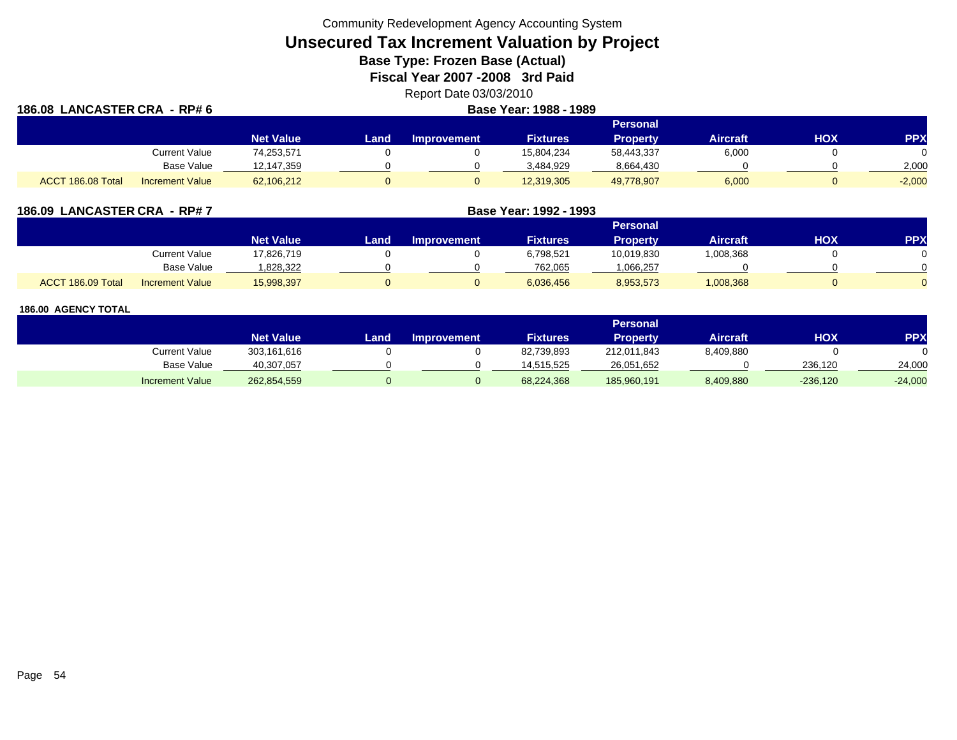**Unsecured Tax Increment Valuation by Project**

**Base Type: Frozen Base (Actual)** 

**Fiscal Year 2007 -2008 3rd Paid**

Report Date 03/03/2010

| 186.08 LANCASTER CRA - RP# 6 |                        | Base Year: 1988 - 1989 |      |                    |                 |                 |                 |     |            |
|------------------------------|------------------------|------------------------|------|--------------------|-----------------|-----------------|-----------------|-----|------------|
|                              |                        |                        |      |                    |                 | <b>Personal</b> |                 |     |            |
|                              |                        | <b>Net Value</b>       | Land | <b>Improvement</b> | <b>Fixtures</b> | <b>Property</b> | <b>Aircraft</b> | нох | <b>PPX</b> |
|                              | <b>Current Value</b>   | 74,253,571             |      |                    | 15,804,234      | 58,443,337      | 6,000           |     |            |
|                              | <b>Base Value</b>      | 12,147,359             |      |                    | 3.484.929       | 8,664,430       |                 |     | 2,000      |
| ACCT 186.08 Total            | <b>Increment Value</b> | 62,106,212             |      |                    | 12,319,305      | 49,778,907      | 6,000           |     | $-2,000$   |

| 186.09 LANCASTER CRA - RP#7                 |                  | Base Year: 1992 - 1993 |                    |                 |                 |                 |     |            |
|---------------------------------------------|------------------|------------------------|--------------------|-----------------|-----------------|-----------------|-----|------------|
|                                             |                  |                        |                    |                 | <b>Personal</b> |                 |     |            |
|                                             | <b>Net Value</b> | Land                   | <b>Improvement</b> | <b>Fixtures</b> | Property        | <b>Aircraft</b> | нох | <b>PPX</b> |
| Current Value                               | 17,826,719       |                        |                    | 6,798,521       | 10,019,830      | 1,008,368       |     |            |
| Base Value                                  | .828,322         |                        |                    | 762,065         | 066,257.ا       |                 |     |            |
| ACCT 186.09 Total<br><b>Increment Value</b> | 15,998,397       |                        |                    | 6,036,456       | 8,953,573       | 1,008,368       |     |            |

|                        |                  |      |                    |                 | Personal    |                 |            |           |
|------------------------|------------------|------|--------------------|-----------------|-------------|-----------------|------------|-----------|
|                        | <b>Net Value</b> | Land | <b>Improvement</b> | <b>Fixtures</b> | Property    | <b>Aircraft</b> | <b>HOX</b> | PPX       |
| <b>Current Value</b>   | 303,161,616      |      |                    | 82,739,893      | 212,011,843 | 8,409,880       |            |           |
| <b>Base Value</b>      | 40,307,057       |      |                    | 14.515.525      | 26,051,652  |                 | 236.120    | 24,000    |
| <b>Increment Value</b> | 262,854,559      |      |                    | 68,224,368      | 185,960,191 | 8,409,880       | $-236,120$ | $-24,000$ |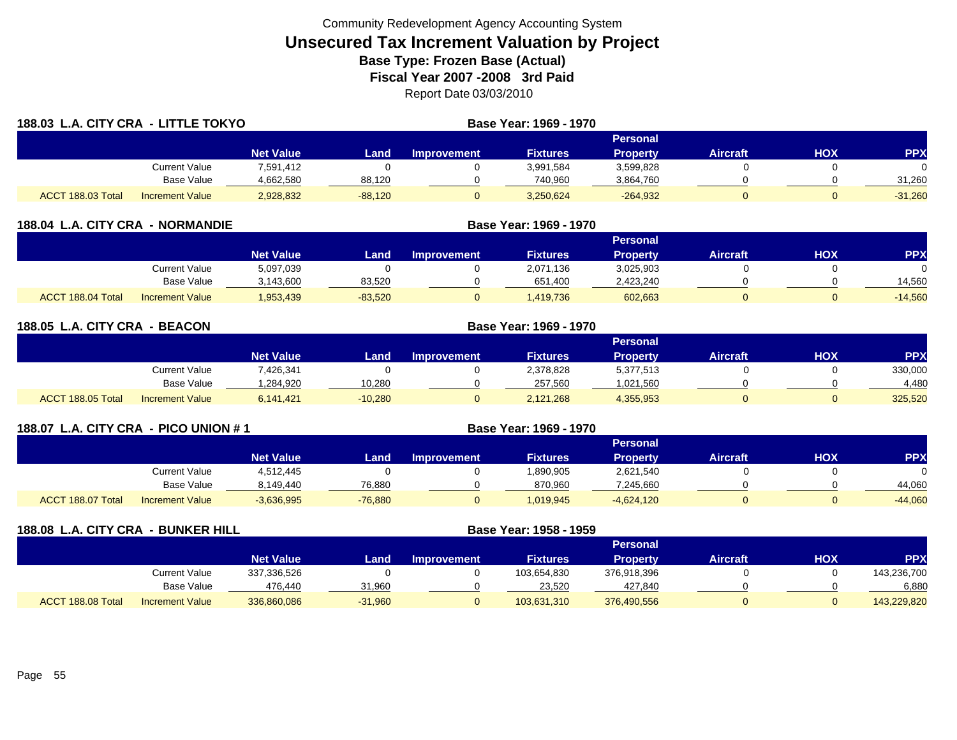| 188.03 L.A. CITY CRA - LITTLE TOKYO |                        |                  |           |                    | <b>Base Year: 1969 - 1970</b> |                 |                 |            |            |
|-------------------------------------|------------------------|------------------|-----------|--------------------|-------------------------------|-----------------|-----------------|------------|------------|
|                                     |                        |                  |           |                    |                               | <b>Personal</b> |                 |            |            |
|                                     |                        | <b>Net Value</b> | Landı     | <b>Improvement</b> | <b>Fixtures</b>               | <b>Property</b> | <b>Aircraft</b> | <b>HOX</b> | <b>PPX</b> |
|                                     | Current Value          | 7,591,412        |           |                    | 3,991,584                     | 3,599,828       |                 |            | $\Omega$   |
|                                     | Base Value             | 4,662,580        | 88,120    |                    | 740,960                       | 3,864,760       |                 |            | 31,260     |
| ACCT 188.03 Total                   | <b>Increment Value</b> | 2,928,832        | $-88,120$ |                    | 3,250,624                     | $-264,932$      |                 |            | $-31,260$  |

| 188.04            | L.A. CITY CRA - NORMANDIE |                  |           |                    |                 |                 |                 |            |            |
|-------------------|---------------------------|------------------|-----------|--------------------|-----------------|-----------------|-----------------|------------|------------|
|                   |                           |                  |           |                    |                 | Personal        |                 |            |            |
|                   |                           | <b>Net Value</b> | Land      | <b>Improvement</b> | <b>Fixtures</b> | <b>Property</b> | <b>Aircraft</b> | <b>HOX</b> | <b>PPX</b> |
|                   | Current Value             | 5,097,039        |           |                    | 2.071.136       | 3,025,903       |                 |            |            |
|                   | Base Value                | 3,143,600        | 83,520    |                    | 651,400         | 2,423,240       |                 |            | 14,560     |
| ACCT 188.04 Total | <b>Increment Value</b>    | 1,953,439        | $-83,520$ |                    | 1,419,736       | 602,663         |                 |            | $-14,560$  |

| 188.05 L.A. CITY CRA - BEACON |                        |                  | Base Year: 1969 - 1970 |                    |                 |                 |                 |     |            |
|-------------------------------|------------------------|------------------|------------------------|--------------------|-----------------|-----------------|-----------------|-----|------------|
|                               |                        |                  |                        |                    |                 | <b>Personal</b> |                 |     |            |
|                               |                        | <b>Net Value</b> | Land                   | <b>Improvement</b> | <b>Fixtures</b> | <b>Property</b> | <b>Aircraft</b> | HOX | <b>PPX</b> |
|                               | Current Value          | 7,426,341        |                        |                    | 2,378,828       | 5,377,513       |                 |     | 330,000    |
|                               | Base Value             | .284.920         | 10.280                 |                    | 257,560         | 1,021,560       |                 |     | 4.480      |
| ACCT 188.05 Total             | <b>Increment Value</b> | 6,141,421        | $-10,280$              |                    | 2,121,268       | 4,355,953       |                 |     | 325,520    |

| 188.07 L.A. CITY CRA - PICO UNION # 1 |                   |                        |                  |           |                    | Base Year: 1969 - 1970 |                 |                 |     |            |
|---------------------------------------|-------------------|------------------------|------------------|-----------|--------------------|------------------------|-----------------|-----------------|-----|------------|
|                                       |                   |                        |                  |           |                    |                        | <b>Personal</b> |                 |     |            |
|                                       |                   |                        | <b>Net Value</b> | Land      | <b>Improvement</b> | <b>Fixtures</b>        | <b>Property</b> | <b>Aircraft</b> | нох | <b>PPX</b> |
|                                       |                   | Current Value          | 4,512,445        |           |                    | 890,905.               | 2,621,540       |                 |     |            |
|                                       |                   | Base Value             | 8,149,440        | 76,880    |                    | 870,960                | 7,245,660       |                 |     | 44,060     |
|                                       | ACCT 188.07 Total | <b>Increment Value</b> | $-3,636,995$     | $-76.880$ |                    | 1,019,945              | $-4,624,120$    |                 |     | $-44,060$  |

| 188.08 L.A. CITY CRA - BUNKER HILL |                        |                  | Base Year: 1958 - 1959 |                    |                 |                 |                 |     |             |
|------------------------------------|------------------------|------------------|------------------------|--------------------|-----------------|-----------------|-----------------|-----|-------------|
|                                    |                        |                  |                        |                    |                 | <b>Personal</b> |                 |     |             |
|                                    |                        | <b>Net Value</b> | Land                   | <b>Improvement</b> | <b>Fixtures</b> | <b>Property</b> | <b>Aircraft</b> | НОХ | <b>PPX</b>  |
|                                    | Current Value          | 337,336,526      |                        |                    | 103,654,830     | 376,918,396     |                 |     | 143,236,700 |
|                                    | Base Value             | 476,440          | 31,960                 |                    | 23,520          | 427,840         |                 |     | 6,880       |
| ACCT 188.08 Total                  | <b>Increment Value</b> | 336,860,086      | $-31,960$              |                    | 103,631,310     | 376,490,556     |                 |     | 143,229,820 |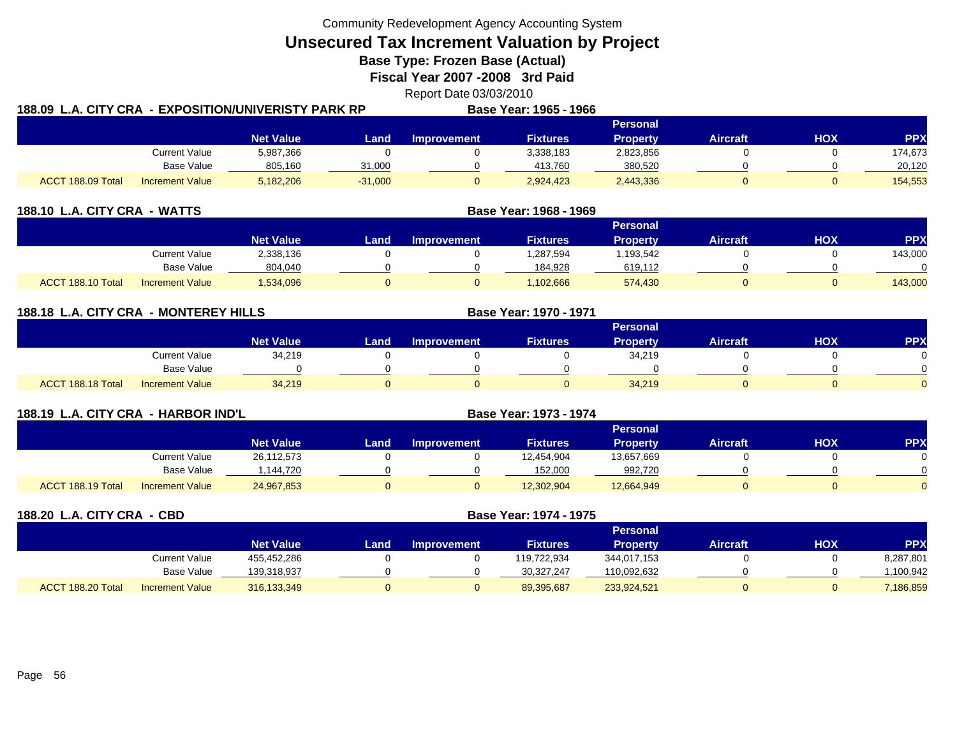**Unsecured Tax Increment Valuation by Project**

**Base Type: Frozen Base (Actual)** 

**Fiscal Year 2007 -2008 3rd Paid**

Report Date 03/03/2010

| 188.09  L.A. CITY CRA  - EXPOSITION/UNIVERISTY PARK RP |                        |                  |           |             | Base Year: 1965 - 1966 |                 |                 |     |         |
|--------------------------------------------------------|------------------------|------------------|-----------|-------------|------------------------|-----------------|-----------------|-----|---------|
|                                                        |                        |                  |           |             |                        | Personal        |                 |     |         |
|                                                        |                        | <b>Net Value</b> | Land.     | Improvement | <b>Fixtures</b>        | <b>Property</b> | <b>Aircraft</b> | ΗΟΧ | PPX     |
|                                                        | Current Value          | 5,987,366        |           |             | 3,338,183              | 2,823,856       |                 |     | 174,673 |
|                                                        | Base Value             | 805,160          | 31,000    |             | 413.760                | 380,520         |                 |     | 20.120  |
| ACCT 188.09 Total                                      | <b>Increment Value</b> | 5,182,206        | $-31,000$ |             | 2,924,423              | 2,443,336       |                 |     | 154,553 |

| 188.10 L.A. CITY CRA - WATTS |                        | Base Year: 1968 - 1969 |      |                    |                 |                 |                 |            |            |
|------------------------------|------------------------|------------------------|------|--------------------|-----------------|-----------------|-----------------|------------|------------|
|                              |                        |                        |      |                    |                 | <b>Personal</b> |                 |            |            |
|                              |                        | <b>Net Value</b>       | Land | <b>Improvement</b> | <b>Fixtures</b> | <b>Property</b> | <b>Aircraft</b> | <b>HOX</b> | <b>PPX</b> |
|                              | <b>Current Value</b>   | 2,338,136              |      |                    | 1,287,594       | 1,193,542       |                 |            | 143,000    |
|                              | <b>Base Value</b>      | 804,040                |      |                    | 184.928         | 619,112         |                 |            |            |
| ACCT 188.10 Total            | <b>Increment Value</b> | 1,534,096              |      | $\Omega$           | .102.666        | 574.430         |                 |            | 143,000    |

| 188.18 L.A. CITY CRA - MONTEREY HILLS |                        |                  |      |                    | Base Year: 1970 - 1971 |                 |                 |            |            |
|---------------------------------------|------------------------|------------------|------|--------------------|------------------------|-----------------|-----------------|------------|------------|
|                                       |                        |                  |      |                    |                        | Personal        |                 |            |            |
|                                       |                        | <b>Net Value</b> | Land | <b>Improvement</b> | <b>Fixtures</b>        | <b>Property</b> | <b>Aircraft</b> | <b>HOX</b> | <b>PPX</b> |
|                                       | <b>Current Value</b>   | 34,219           |      |                    |                        | 34,219          |                 |            |            |
|                                       | <b>Base Value</b>      |                  |      |                    |                        |                 |                 |            |            |
| ACCT 188.18 Total                     | <b>Increment Value</b> | 34,219           | 0    |                    |                        | 34,219          |                 |            |            |

| 188.19 L.A. CITY CRA - HARBOR IND'L |                        |                  |      | <b>Base Year: 1973 - 1974</b> |                 |                 |                 |            |            |
|-------------------------------------|------------------------|------------------|------|-------------------------------|-----------------|-----------------|-----------------|------------|------------|
|                                     |                        |                  |      |                               |                 | <b>Personal</b> |                 |            |            |
|                                     |                        | <b>Net Value</b> | Land | <b>Improvement</b>            | <b>Fixtures</b> | <b>Property</b> | <b>Aircraft</b> | <b>XOH</b> | <b>PPX</b> |
|                                     | Current Value          | 26,112,573       |      |                               | 12,454,904      | 13,657,669      |                 |            |            |
|                                     | Base Value             | 144,720          |      |                               | 152,000         | 992,720         |                 |            |            |
| ACCT 188.19 Total                   | <b>Increment Value</b> | 24,967,853       |      |                               | 12,302,904      | 12,664,949      |                 |            |            |

| 188.20 L.A. CITY CRA - CBD |                        |                  | Base Year: 1974 - 1975 |                    |                 |                 |                 |            |            |
|----------------------------|------------------------|------------------|------------------------|--------------------|-----------------|-----------------|-----------------|------------|------------|
|                            |                        |                  |                        |                    |                 | <b>Personal</b> |                 |            |            |
|                            |                        | <b>Net Value</b> | Land                   | <b>Improvement</b> | <b>Fixtures</b> | <b>Property</b> | <b>Aircraft</b> | <b>HOX</b> | <b>PPX</b> |
|                            | <b>Current Value</b>   | 455,452,286      |                        |                    | 119,722,934     | 344,017,153     |                 |            | 8,287,801  |
|                            | Base Value             | 139,318,937      |                        |                    | 30,327,247      | 110,092,632     |                 |            | .100,942   |
| ACCT 188.20 Total          | <b>Increment Value</b> | 316,133,349      | $\mathbf U$            |                    | 89,395,687      | 233,924,521     |                 |            | 7,186,859  |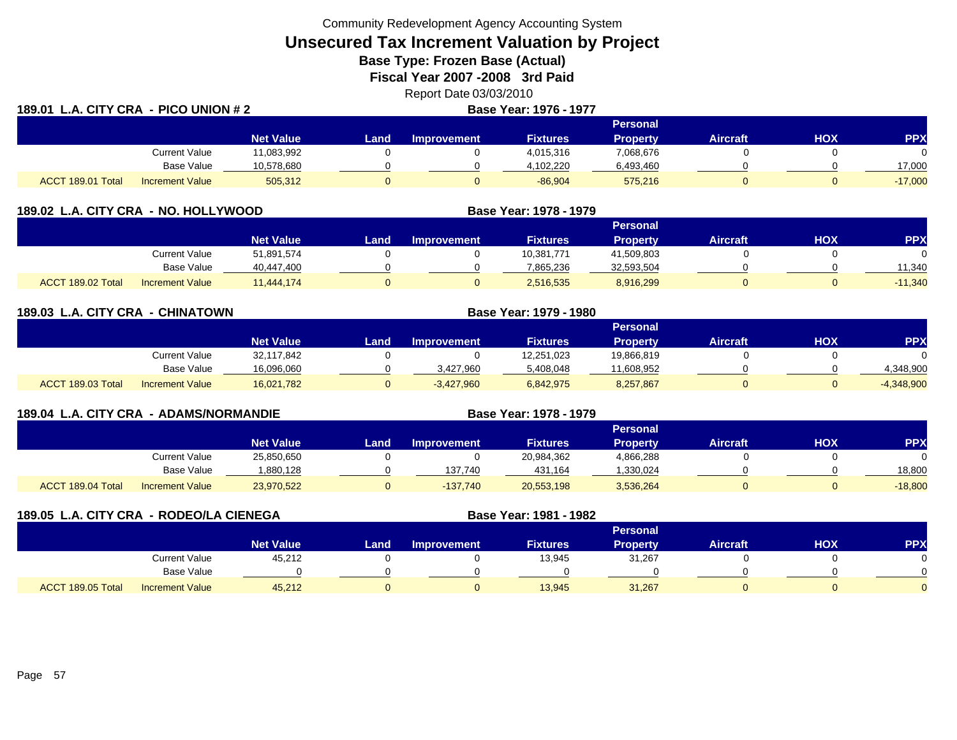**Unsecured Tax Increment Valuation by Project**

**Base Type: Frozen Base (Actual)** 

**Fiscal Year 2007 -2008 3rd Paid**

Report Date 03/03/2010<br>Rase Year: 1976 - 1977

| 189.01            | L.A. CITY CRA - PICO UNION # 2 |                  |       | Base Year: 1976 - 1977 |                 |                 |                 |     |            |
|-------------------|--------------------------------|------------------|-------|------------------------|-----------------|-----------------|-----------------|-----|------------|
|                   |                                |                  |       |                        |                 | <b>Personal</b> |                 |     |            |
|                   |                                | <b>Net Value</b> | Land. | <b>Improvement</b>     | <b>Fixtures</b> | <b>Property</b> | <b>Aircraft</b> | нох | <b>PPX</b> |
|                   | <b>Current Value</b>           | 11,083,992       |       |                        | 4,015,316       | 7,068,676       |                 |     |            |
|                   | <b>Base Value</b>              | 10,578,680       |       |                        | 4,102,220       | 6,493,460       |                 |     | 17,000     |
| ACCT 189.01 Total | <b>Increment Value</b>         | 505,312          |       |                        | $-86,904$       | 575,216         |                 |     | $-17,000$  |

| 189.02 L.A. CITY CRA - NO. HOLLYWOOD |                        |                  |      |                    | Base Year: 1978 - 1979 |                 |                 |     |           |
|--------------------------------------|------------------------|------------------|------|--------------------|------------------------|-----------------|-----------------|-----|-----------|
|                                      |                        |                  |      |                    |                        | <b>Personal</b> |                 |     |           |
|                                      |                        | <b>Net Value</b> | Land | <b>Improvement</b> | <b>Fixtures</b>        | <b>Property</b> | <b>Aircraft</b> | нох | <b>PP</b> |
|                                      | Current Value          | 51,891,574       |      |                    | 10,381,771             | 41,509,803      |                 |     |           |
|                                      | Base Value             | 40,447,400       |      |                    | 7.865.236              | 32,593,504      |                 |     | 11.340    |
| ACCT 189.02 Total                    | <b>Increment Value</b> | 11.444.174       |      |                    | 2,516,535              | 8,916,299       |                 |     | $-11,340$ |

| 189.03 L.A. CITY CRA - CHINATOWN |                        |                  | Base Year: 1979 - 1980 |                    |                 |                 |          |     |              |  |
|----------------------------------|------------------------|------------------|------------------------|--------------------|-----------------|-----------------|----------|-----|--------------|--|
|                                  |                        |                  |                        |                    |                 | <b>Personal</b> |          |     |              |  |
|                                  |                        | <b>Net Value</b> | Land                   | <b>Improvement</b> | <b>Fixtures</b> | <b>Property</b> | Aircraft | HOX | <b>PPX</b>   |  |
|                                  | <b>Current Value</b>   | 32,117,842       |                        |                    | 12,251,023      | 19,866,819      |          |     |              |  |
|                                  | Base Value             | 16,096,060       |                        | 3.427.960          | 5.408.048       | 11,608,952      |          |     | 4,348,900    |  |
| ACCT 189.03 Total                | <b>Increment Value</b> | 16,021,782       | 0                      | $-3,427,960$       | 6,842,975       | 8,257,867       |          |     | $-4,348,900$ |  |

|                   | 189.04 L.A. CITY CRA - ADAMS/NORMANDIE |                  |      |                    | Base Year: 1978 - 1979 |                 |                 |     |            |
|-------------------|----------------------------------------|------------------|------|--------------------|------------------------|-----------------|-----------------|-----|------------|
|                   |                                        |                  |      |                    |                        | Personal        |                 |     |            |
|                   |                                        | <b>Net Value</b> | Land | <b>Improvement</b> | <b>Fixtures</b>        | <b>Property</b> | <b>Aircraft</b> | HOX | <b>PPX</b> |
|                   | Current Value                          | 25,850,650       |      |                    | 20,984,362             | 4,866,288       |                 |     |            |
|                   | Base Value                             | .880,128         |      | 137,740            | 431,164                | ,330,024        |                 |     | 18,800     |
| ACCT 189.04 Total | <b>Increment Value</b>                 | 23,970,522       |      | $-137.740$         | 20,553,198             | 3,536,264       |                 |     | $-18,800$  |

| 189.05 L.A. CITY CRA - RODEO/LA CIENEGA |                        |                  | Base Year: 1981 - 1982 |                    |                 |                 |                 |            |            |
|-----------------------------------------|------------------------|------------------|------------------------|--------------------|-----------------|-----------------|-----------------|------------|------------|
|                                         |                        |                  |                        |                    |                 | <b>Personal</b> |                 |            |            |
|                                         |                        | <b>Net Value</b> | Land                   | <b>Improvement</b> | <b>Fixtures</b> | <b>Property</b> | <b>Aircraft</b> | <b>HOX</b> | <b>PPX</b> |
|                                         | <b>Current Value</b>   | 45,212           |                        |                    | 13,945          | 31,267          |                 |            |            |
|                                         | Base Value             |                  |                        |                    |                 |                 |                 |            |            |
| ACCT 189.05 Total                       | <b>Increment Value</b> | 45,212           |                        |                    | 13,945          | 31,267          |                 |            |            |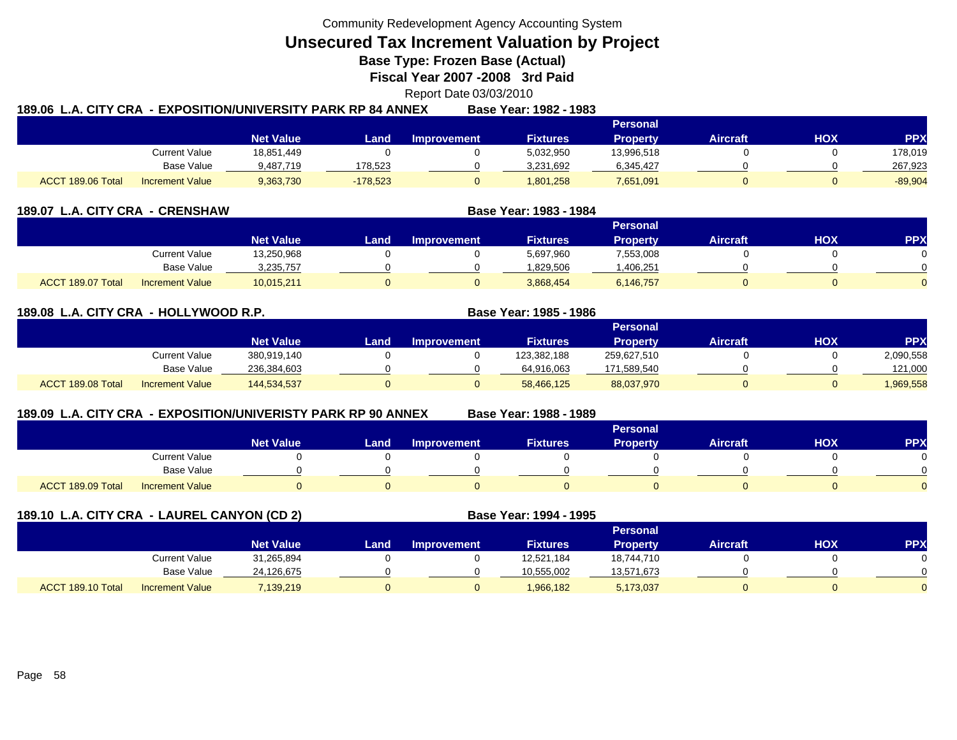**Unsecured Tax Increment Valuation by Project**

**Base Type: Frozen Base (Actual)** 

**Fiscal Year 2007 -2008 3rd Paid**

Report Date 03/03/2010

|                   |                        | 189.06  L.A. CITY CRA  - EXPOSITION/UNIVERSITY PARK RP 84 ANNEX |            |                    | Base Year: 1982 - 1983 |                 |                 |            |            |
|-------------------|------------------------|-----------------------------------------------------------------|------------|--------------------|------------------------|-----------------|-----------------|------------|------------|
|                   |                        |                                                                 |            |                    |                        | Personal        |                 |            |            |
|                   |                        | <b>Net Value</b>                                                | Land       | <b>Improvement</b> | <b>Fixtures</b>        | <b>Property</b> | <b>Aircraft</b> | <b>HOX</b> | <b>PPX</b> |
|                   | <b>Current Value</b>   | 18,851,449                                                      |            |                    | 5,032,950              | 13,996,518      |                 |            | 178,019    |
|                   | Base Value             | 9.487.719                                                       | 178,523    |                    | 3,231,692              | 6,345,427       |                 |            | 267,923    |
| ACCT 189.06 Total | <b>Increment Value</b> | 9,363,730                                                       | $-178,523$ |                    | 1,801,258              | 7,651,091       |                 |            | $-89,904$  |

| 189.07 L.A. CITY CRA - CRENSHAW             |                  | Base Year: 1983 - 1984 |                    |                 |                 |                 |     |     |  |
|---------------------------------------------|------------------|------------------------|--------------------|-----------------|-----------------|-----------------|-----|-----|--|
|                                             |                  |                        |                    |                 | <b>Personal</b> |                 |     |     |  |
|                                             | <b>Net Value</b> | Land                   | <b>Improvement</b> | <b>Fixtures</b> | <b>Property</b> | <b>Aircraft</b> | нох | PP) |  |
| Current Value                               | 13,250,968       |                        |                    | 5,697,960       | 7,553,008       |                 |     |     |  |
| Base Value                                  | 3,235,757        |                        |                    | .829,506        | 1,406,251       |                 |     |     |  |
| ACCT 189.07 Total<br><b>Increment Value</b> | 10,015,211       |                        |                    | 3,868,454       | 6,146,757       | 0               |     |     |  |

## **189.08 L.A. CITY CRA - HOLLYWOOD R.P. Base Year: 1985 - 1986**

|                   |                        |                  |      |             |                 | Personal        |          |            |            |
|-------------------|------------------------|------------------|------|-------------|-----------------|-----------------|----------|------------|------------|
|                   |                        | <b>Net Value</b> | Land | Improvement | <b>Fixtures</b> | <b>Property</b> | Aircraft | <b>HOX</b> | <b>PPX</b> |
|                   | Current Value          | 380,919,140      |      |             | 123,382,188     | 259,627,510     |          |            | 2,090,558  |
|                   | <b>Base Value</b>      | 236,384,603      |      |             | 64,916,063      | 171,589,540     |          |            | 121,000    |
| ACCT 189.08 Total | <b>Increment Value</b> | 144,534,537      |      |             | 58,466,125      | 88,037,970      |          |            | ,969,558   |

## **189.09 L.A. CITY CRA - EXPOSITION/UNIVERISTY PARK RP 90 ANNEX**

**Base Year: 1988 - 1989**

|                   |                        | <b>Personal</b>  |      |                    |                 |                 |                 |            |            |  |  |
|-------------------|------------------------|------------------|------|--------------------|-----------------|-----------------|-----------------|------------|------------|--|--|
|                   |                        | <b>Net Value</b> | Land | <b>Improvement</b> | <b>Fixtures</b> | <b>Property</b> | <b>Aircraft</b> | <b>HOX</b> | <b>PPX</b> |  |  |
|                   | <b>Current Value</b>   |                  |      |                    |                 |                 |                 |            |            |  |  |
|                   | <b>Base Value</b>      |                  |      |                    |                 |                 |                 |            |            |  |  |
| ACCT 189.09 Total | <b>Increment Value</b> |                  |      |                    |                 |                 |                 |            |            |  |  |

| 189.10 L.A. CITY CRA - LAUREL CANYON (CD 2) |                        |                  |      |                    | <b>Base Year: 1994 - 1995</b> |                 |                 |     |           |
|---------------------------------------------|------------------------|------------------|------|--------------------|-------------------------------|-----------------|-----------------|-----|-----------|
|                                             |                        |                  |      |                    |                               | <b>Personal</b> |                 |     |           |
|                                             |                        | <b>Net Value</b> | Land | <b>Improvement</b> | <b>Fixtures</b>               | <b>Property</b> | <b>Aircraft</b> | нох | <b>PP</b> |
|                                             | Current Value          | 31,265,894       |      |                    | 12.521.184                    | 18,744,710      |                 |     |           |
|                                             | Base Value             | 24,126,675       |      |                    | 10,555,002                    | 13,571,673      |                 |     |           |
| ACCT 189.10 Total                           | <b>Increment Value</b> | 7,139,219        |      | 0                  | 1,966,182                     | 5,173,037       | 0               |     |           |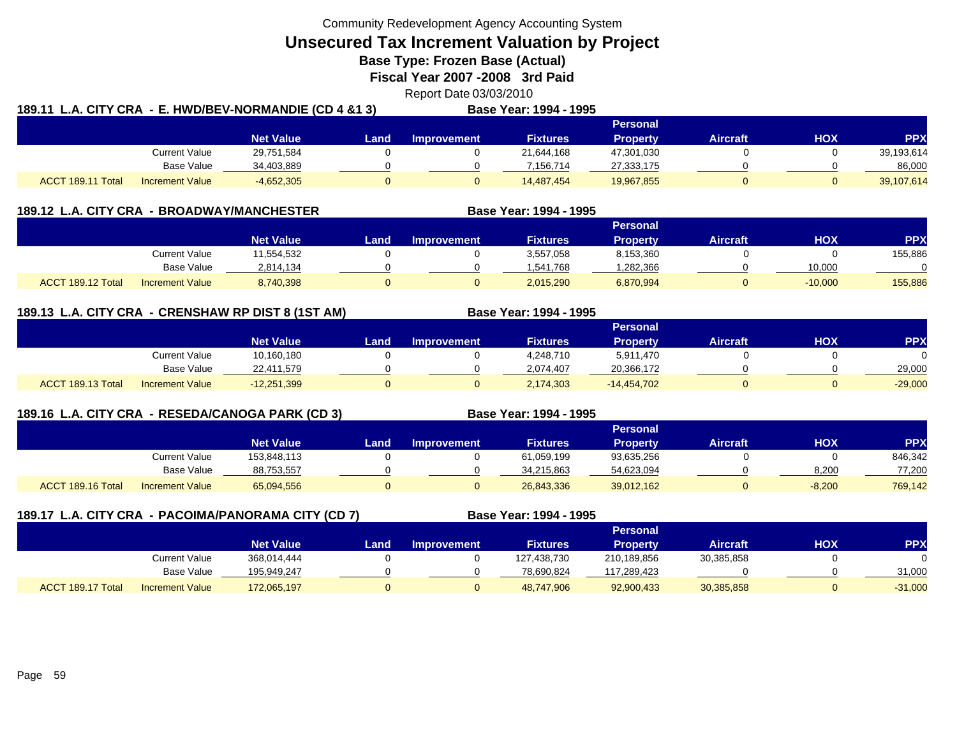**Unsecured Tax Increment Valuation by Project**

**Base Type: Frozen Base (Actual)** 

**Fiscal Year 2007 -2008 3rd Paid**

Report Date 03/03/2010

| 189.11 L.A. CITY CRA - E. HWD/BEV-NORMANDIE (CD 4 &1 3) |                        |                  |             |             | Base Year: 1994 - 1995 |                 |                 |     |            |
|---------------------------------------------------------|------------------------|------------------|-------------|-------------|------------------------|-----------------|-----------------|-----|------------|
|                                                         |                        |                  |             |             |                        | <b>Personal</b> |                 |     |            |
|                                                         |                        | <b>Net Value</b> | <b>Land</b> | Improvement | <b>Fixtures</b>        | Property        | <b>Aircraft</b> | нох | <b>PPX</b> |
|                                                         | <b>Current Value</b>   | 29,751,584       |             |             | 21,644,168             | 47,301,030      |                 |     | 39,193,614 |
|                                                         | Base Value             | 34,403,889       |             |             | 7.156.714              | 27,333,175      |                 |     | 86,000     |
| ACCT 189.11 Total                                       | <b>Increment Value</b> | $-4,652,305$     |             |             | 14.487.454             | 19,967,855      |                 |     | 39,107,614 |

| <b>189.12 L.A. CITY CRA</b><br>- BROADWAY/MANCHESTER |                        |            |      |                    | Base Year: 1994 - 1995 |                 |                 |           |           |
|------------------------------------------------------|------------------------|------------|------|--------------------|------------------------|-----------------|-----------------|-----------|-----------|
|                                                      |                        |            |      |                    |                        | <b>Personal</b> |                 |           |           |
|                                                      |                        | Net Value  | Land | <b>Improvement</b> | <b>Fixtures</b>        | <b>Property</b> | <b>Aircraft</b> | нох       | <b>PP</b> |
|                                                      | Current Value          | 11,554,532 |      |                    | 3,557,058              | 8,153,360       |                 |           | 155,886   |
|                                                      | Base Value             | 2,814,134  |      |                    | 1,541,768              | ,282,366        |                 | 10,000    |           |
| ACCT 189.12 Total                                    | <b>Increment Value</b> | 8,740,398  |      |                    | 2,015,290              | 6,870,994       | 0               | $-10,000$ | 155,886   |

## **189.13 L.A. CITY CRA - CRENSHAW RP DIST 8 (1ST AM) Base Year: 1994 - 1995**

|                                             |                  | <b>Personal</b> |             |                 |                 |          |            |           |
|---------------------------------------------|------------------|-----------------|-------------|-----------------|-----------------|----------|------------|-----------|
|                                             | <b>Net Value</b> | Land            | Improvement | <b>Fixtures</b> | <b>Property</b> | Aircraft | <b>HOX</b> | PPX       |
| Current Value                               | 10,160,180       |                 |             | 4,248,710       | 5,911,470       |          |            | 0         |
| <b>Base Value</b>                           | 22,411,579       |                 |             | 2.074.407       | 20,366,172      |          |            | 29,000    |
| ACCT 189.13 Total<br><b>Increment Value</b> | $-12,251,399$    |                 |             | 2,174,303       | $-14,454,702$   |          |            | $-29,000$ |

## **189.16 L.A. CITY CRA - RESEDA/CANOGA PARK (CD 3) Base Year: 1994 - 1995**

|                   |                        |                  |      |             |                 | <b>Personal</b> |                 |            |            |
|-------------------|------------------------|------------------|------|-------------|-----------------|-----------------|-----------------|------------|------------|
|                   |                        | <b>Net Value</b> | Land | Improvement | <b>Fixtures</b> | Property        | <b>Aircraft</b> | <b>HOX</b> | <b>PPX</b> |
|                   | <b>Current Value</b>   | 153.848.113      |      |             | 61,059,199      | 93,635,256      |                 |            | 846,342    |
|                   | <b>Base Value</b>      | 88,753,557       |      |             | 34,215,863      | 54,623,094      |                 | 8,200      | 77,200     |
| ACCT 189.16 Total | <b>Increment Value</b> | 65,094,556       |      |             | 26,843,336      | 39,012,162      |                 | $-8,200$   | 769,142    |

|                   |                        | 189.17 L.A. CITY CRA - PACOIMA/PANORAMA CITY (CD 7) |      |                    | Base Year: 1994 - 1995 |                 |                 |            |            |
|-------------------|------------------------|-----------------------------------------------------|------|--------------------|------------------------|-----------------|-----------------|------------|------------|
|                   |                        |                                                     |      |                    |                        | Personal        |                 |            |            |
|                   |                        | <b>Net Value</b>                                    | Land | <b>Improvement</b> | <b>Fixtures</b>        | <b>Property</b> | <b>Aircraft</b> | <b>XOH</b> | <b>PPX</b> |
|                   | Current Value          | 368.014.444                                         |      |                    | 127,438,730            | 210,189,856     | 30,385,858      |            |            |
|                   | Base Value             | 195.949.247                                         |      |                    | 78,690,824             | 117,289,423     |                 |            | 31,000     |
| ACCT 189.17 Total | <b>Increment Value</b> | 172,065,197                                         |      |                    | 48,747,906             | 92,900,433      | 30,385,858      |            | $-31,000$  |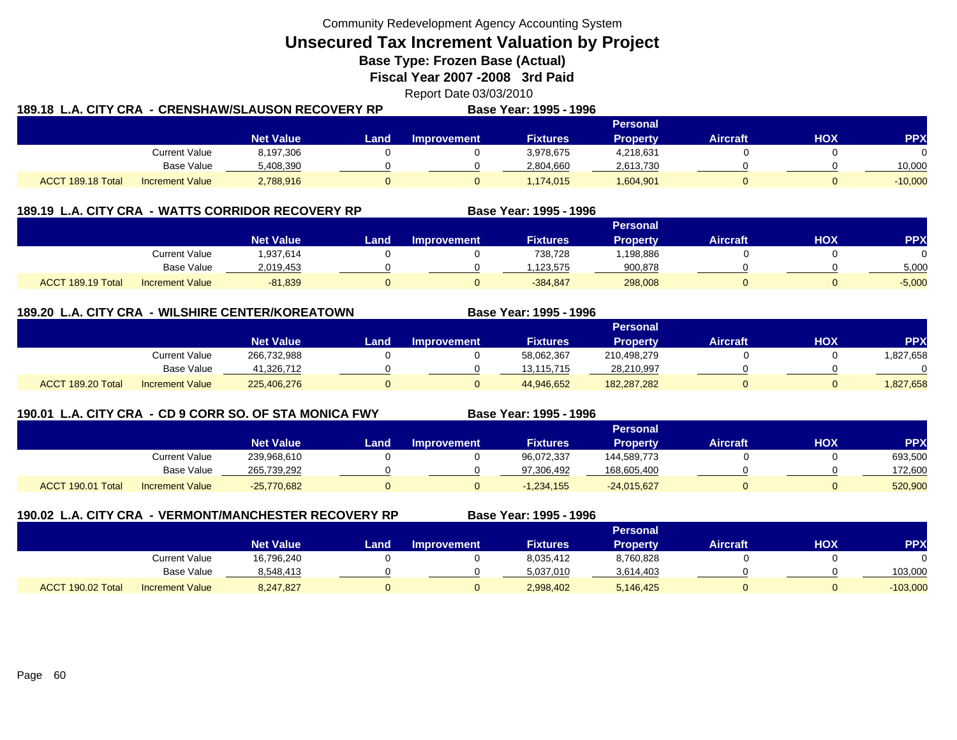**Unsecured Tax Increment Valuation by Project**

**Base Type: Frozen Base (Actual)** 

**Fiscal Year 2007 -2008 3rd Paid**

Report Date 03/03/2010

| 189.18  L.A. CITY CRA  - CRENSHAW/SLAUSON RECOVERY RP |                        |                  |       |             | Base Year: 1995 - 1996 |                 |                 |     |            |
|-------------------------------------------------------|------------------------|------------------|-------|-------------|------------------------|-----------------|-----------------|-----|------------|
|                                                       |                        |                  |       |             |                        | Personal        |                 |     |            |
|                                                       |                        | <b>Net Value</b> | Land. | Improvement | <b>Fixtures</b>        | <b>Property</b> | <b>Aircraft</b> | HOX | <b>PPX</b> |
|                                                       | Current Value          | 8,197,306        |       |             | 3,978,675              | 4,218,631       |                 |     | $\Omega$   |
|                                                       | Base Value             | 5,408,390        |       |             | 2,804,660              | 2,613,730       |                 |     | 10,000     |
| ACCT 189.18 Total                                     | <b>Increment Value</b> | 2,788,916        |       |             | 1,174,015              | 1,604,901       |                 |     | $-10,000$  |

| - WATTS CORRIDOR RECOVERY RP<br><b>189.19 L.A. CITY CRA</b> |                        |                  |      |                    | Base Year: 1995 - 1996 |                 |                 |     |          |
|-------------------------------------------------------------|------------------------|------------------|------|--------------------|------------------------|-----------------|-----------------|-----|----------|
|                                                             |                        |                  |      |                    |                        | Personal        |                 |     |          |
|                                                             |                        | <b>Net Value</b> | Land | <b>Improvement</b> | <b>Fixtures</b>        | <b>Property</b> | <b>Aircraft</b> | нох | PPX      |
|                                                             | Current Value          | 1,937,614        |      |                    | 738.728                | 198,886         |                 |     |          |
|                                                             | Base Value             | 2.019.453        |      |                    | .123.575               | 900,878         |                 |     | 5,000    |
| ACCT 189.19 Total                                           | <b>Increment Value</b> | $-81,839$        |      |                    | $-384,847$             | 298,008         |                 |     | $-5,000$ |

## **189.20 L.A. CITY CRA - WILSHIRE CENTER/KOREATOWN**

|                                             |                  |      |                    |                   | <b>Personal</b> |                 |            |            |
|---------------------------------------------|------------------|------|--------------------|-------------------|-----------------|-----------------|------------|------------|
|                                             | <b>Net Value</b> | Land | <b>Improvement</b> | Fixtures <b>'</b> | <b>Property</b> | <b>Aircraft</b> | <b>HOX</b> | <b>PPX</b> |
| Current Value                               | 266,732,988      |      |                    | 58,062,367        | 210,498,279     |                 |            | ,827,658   |
| Base Value                                  | 41.326.712       |      |                    | 13.115.715        | 28,210,997      |                 |            |            |
| ACCT 189.20 Total<br><b>Increment Value</b> | 225,406,276      |      |                    | 44,946,652        | 182,287,282     |                 |            | ,827,658   |

## **190.01 L.A. CITY CRA - CD 9 CORR SO. OF STA MONICA FWY**

**Base Year: 1995 - 1996**

**Base Year: 1995 - 1996**

|  |                   |                        |                  |       |                    | ----------------- |                 |          |            |         |
|--|-------------------|------------------------|------------------|-------|--------------------|-------------------|-----------------|----------|------------|---------|
|  |                   |                        |                  |       | Personal           |                   |                 |          |            |         |
|  |                   |                        | <b>Net Value</b> | Land. | <b>Improvement</b> | <b>Fixtures</b>   | <b>Property</b> | Aircraft | <b>HOX</b> | PPX     |
|  |                   | Current Value          | 239.968.610      |       |                    | 96,072,337        | 144,589,773     |          |            | 693,500 |
|  |                   | <b>Base Value</b>      | 265,739,292      |       |                    | 97.306.492        | 168,605,400     |          |            | 172.600 |
|  | ACCT 190.01 Total | <b>Increment Value</b> | $-25,770,682$    |       |                    | $-1.234.155$      | $-24,015,627$   |          |            | 520,900 |

| 190.02 L.A. CITY CRA - VERMONT/MANCHESTER RECOVERY RP |                        |                  |      |                    | Base Year: 1995 - 1996 |                 |                 |     |            |
|-------------------------------------------------------|------------------------|------------------|------|--------------------|------------------------|-----------------|-----------------|-----|------------|
|                                                       |                        |                  |      |                    |                        | <b>Personal</b> |                 |     |            |
|                                                       |                        | <b>Net Value</b> | Land | <b>Improvement</b> | <b>Fixtures</b>        | <b>Property</b> | <b>Aircraft</b> | ΗΟΧ | <b>PPX</b> |
|                                                       | <b>Current Value</b>   | 16,796,240       |      |                    | 8,035,412              | 8,760,828       |                 |     |            |
|                                                       | Base Value             | 8,548,413        |      |                    | 5,037,010              | 3,614,403       |                 |     | 103,000    |
| ACCT 190.02 Total                                     | <b>Increment Value</b> | 8,247,827        |      | 0                  | 2,998,402              | 5.146.425       |                 |     | $-103,000$ |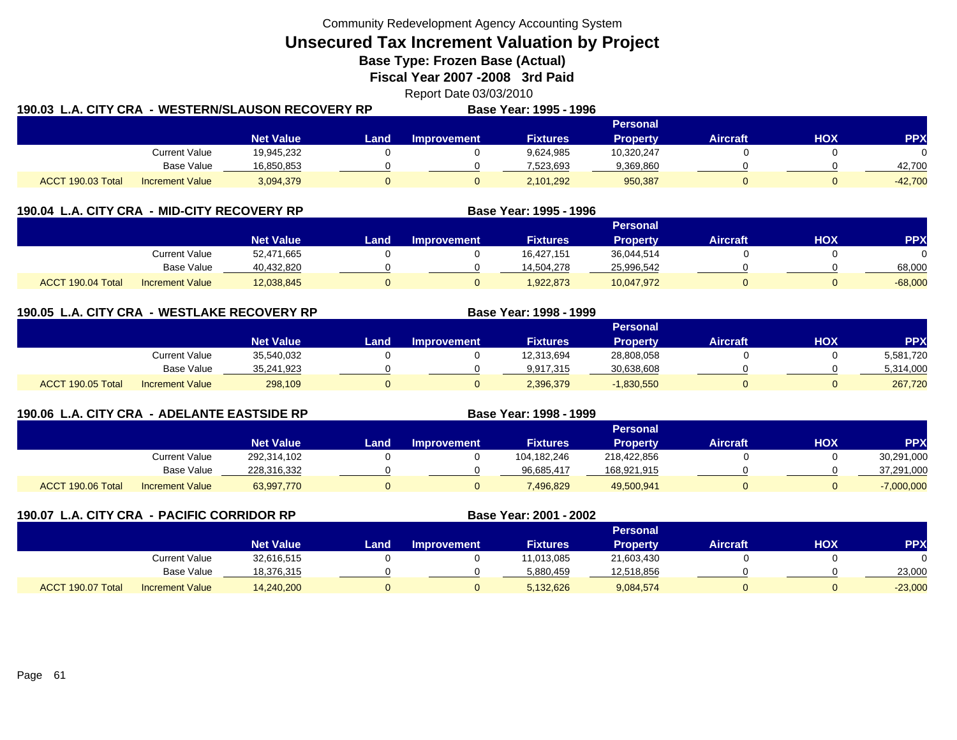**Unsecured Tax Increment Valuation by Project**

**Base Type: Frozen Base (Actual)** 

**Fiscal Year 2007 -2008 3rd Paid**

Report Date 03/03/2010

| 190.03 L.A. CITY CRA |                        | - WESTERN/SLAUSON RECOVERY RP |       |             | Base Year: 1995 - 1996 |                 |          |            |            |  |  |
|----------------------|------------------------|-------------------------------|-------|-------------|------------------------|-----------------|----------|------------|------------|--|--|
|                      |                        |                               |       |             |                        | Personal        |          |            |            |  |  |
|                      |                        | <b>Net Value</b>              | Land. | Improvement | <b>Fixtures</b>        | <b>Property</b> | Aircraft | <b>HOX</b> | <b>PPX</b> |  |  |
|                      | <b>Current Value</b>   | 19,945,232                    |       |             | 9,624,985              | 10.320.247      |          |            | $\Omega$   |  |  |
|                      | Base Value             | 16,850,853                    |       |             | 7.523.693              | 9,369,860       |          |            | 42.700     |  |  |
| ACCT 190.03 Total    | <b>Increment Value</b> | 3,094,379                     |       |             | 2,101,292              | 950,387         |          |            | $-42,700$  |  |  |

|                   | 190.04 L.A. CITY CRA - MID-CITY RECOVERY RP |                  |      | Base Year: 1995 - 1996 |                 |                 |                 |     |            |
|-------------------|---------------------------------------------|------------------|------|------------------------|-----------------|-----------------|-----------------|-----|------------|
|                   |                                             |                  |      |                        |                 | <b>Personal</b> |                 |     |            |
|                   |                                             | <b>Net Value</b> | Land | <b>Improvement</b>     | <b>Fixtures</b> | <b>Property</b> | <b>Aircraft</b> | нох | <b>PPX</b> |
|                   | Current Value                               | 52,471,665       |      |                        | 16,427,151      | 36,044,514      |                 |     |            |
|                   | <b>Base Value</b>                           | 40,432,820       |      |                        | 14,504,278      | 25,996,542      |                 |     | 68,000     |
| ACCT 190.04 Total | <b>Increment Value</b>                      | 12,038,845       |      |                        | 1,922,873       | 10,047,972      |                 |     | $-68,000$  |

**190.05 L.A. CITY CRA - WESTLAKE RECOVERY RP Base Year: 1998 - 1999 Personal Net Value Land Improvement Fixtures Property Aircraft HOX PPX** Current Value 35,540,032 0 0 12,313,694 28,808,058 0 0 5,581,720 Base Value 35,241,923 0 0 9,917,315 30,638,608 0 0 5,314,000 ACCT 190.05 Totall Increment Value 298,109 0 2,396,379 -1,830,550 0 267,720

| 190.06 L.A. CITY CRA - ADELANTE EASTSIDE RP |                        |                  |      | Base Year: 1998 - 1999 |                 |                 |                 |     |              |
|---------------------------------------------|------------------------|------------------|------|------------------------|-----------------|-----------------|-----------------|-----|--------------|
|                                             |                        |                  |      |                        |                 | <b>Personal</b> |                 |     |              |
|                                             |                        | <b>Net Value</b> | Land | <b>Improvement</b>     | <b>Fixtures</b> | <b>Property</b> | <b>Aircraft</b> | нох | <b>PPX</b>   |
|                                             | Current Value          | 292,314,102      |      |                        | 104.182.246     | 218,422,856     |                 |     | 30,291,000   |
|                                             | Base Value             | 228,316,332      |      |                        | 96,685,417      | 168,921,915     |                 |     | 37,291,000   |
| ACCT 190.06 Total                           | <b>Increment Value</b> | 63,997,770       | O    | 0                      | 7,496,829       | 49,500,941      |                 |     | $-7,000,000$ |

| 190.07 L.A. CITY CRA - PACIFIC CORRIDOR RP |                        |                  |      |                    | Base Year: 2001 - 2002 |                 |                 |     |            |
|--------------------------------------------|------------------------|------------------|------|--------------------|------------------------|-----------------|-----------------|-----|------------|
|                                            |                        |                  |      |                    |                        | <b>Personal</b> |                 |     |            |
|                                            |                        | <b>Net Value</b> | Land | <b>Improvement</b> | <b>Fixtures</b>        | <b>Property</b> | <b>Aircraft</b> | нох | <b>PPX</b> |
|                                            | Current Value          | 32,616,515       |      |                    | 11,013,085             | 21,603,430      |                 |     |            |
|                                            | Base Value             | 18,376,315       |      |                    | 5,880,459              | 12,518,856      |                 |     | 23,000     |
| ACCT 190.07 Total                          | <b>Increment Value</b> | 14,240,200       | O    |                    | 5,132,626              | 9,084,574       |                 |     | $-23,000$  |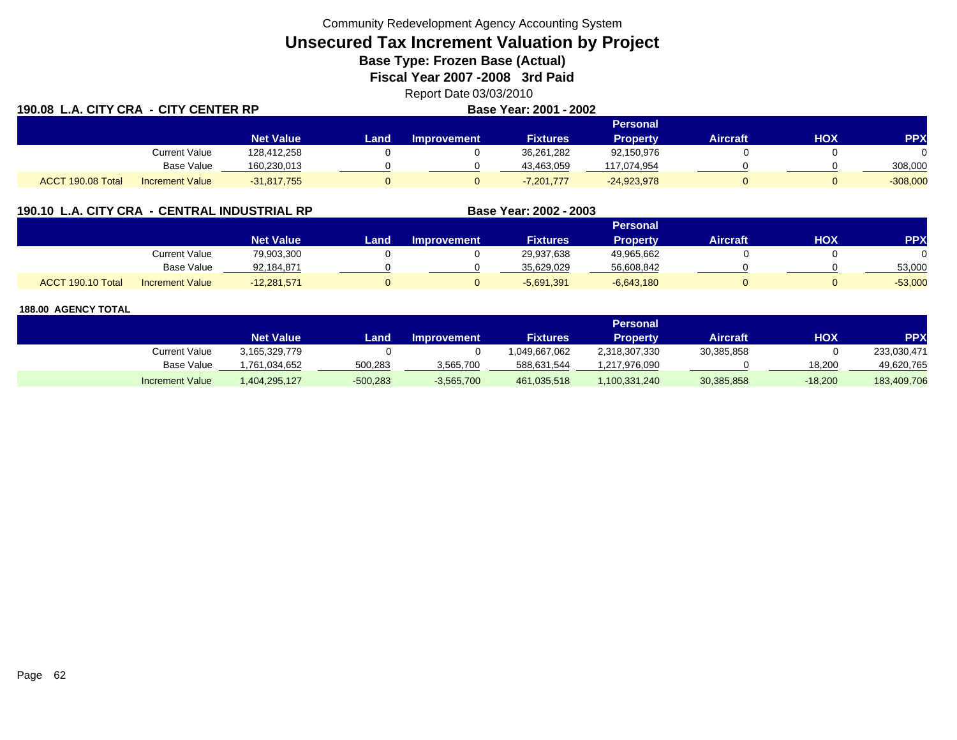# **Unsecured Tax Increment Valuation by Project**

**Base Type: Frozen Base (Actual)** 

**Fiscal Year 2007 -2008 3rd Paid**

Report Date 03/03/2010

| 190.08            | L.A. CITY CRA - CITY CENTER RP |                  |      | Base Year: 2001 - 2002 |                 |                 |                 |            |            |
|-------------------|--------------------------------|------------------|------|------------------------|-----------------|-----------------|-----------------|------------|------------|
|                   |                                |                  |      |                        |                 | <b>Personal</b> |                 |            |            |
|                   |                                | <b>Net Value</b> | .and | <b>Improvement</b>     | <b>Fixtures</b> | <b>Property</b> | <b>Aircraft</b> | <b>HOX</b> | <b>PPX</b> |
|                   | Current Value                  | 128.412.258      |      |                        | 36,261,282      | 92,150,976      |                 |            |            |
|                   | <b>Base Value</b>              | 160,230,013      |      |                        | 43,463,059      | 117,074,954     |                 |            | 308,000    |
| ACCT 190.08 Total | <b>Increment Value</b>         | $-31,817,755$    | 0    |                        | $-7,201,777$    | $-24,923,978$   |                 |            | $-308,000$ |

## **190.10 L.A. CITY CRA - CENTRAL INDUSTRIAL RP**

|                   |                        |                  |      |                    |                 | Personal     |                 |            |            |
|-------------------|------------------------|------------------|------|--------------------|-----------------|--------------|-----------------|------------|------------|
|                   |                        | <b>Net Value</b> | Land | <b>Improvement</b> | <b>Fixtures</b> | Property     | <b>Aircraft</b> | <b>HOX</b> | <b>PPX</b> |
|                   | <b>Current Value</b>   | 79,903,300       |      |                    | 29,937,638      | 49,965,662   |                 |            |            |
|                   | <b>Base Value</b>      | 92,184,871       |      |                    | 35.629.029      | 56,608,842   |                 |            | 53,000     |
| ACCT 190.10 Total | <b>Increment Value</b> | $-12,281,571$    |      |                    | $-5,691,391$    | $-6,643,180$ |                 |            | $-53,000$  |

**Base Year: 2002 - 2003**

### **188.00 AGENCY TOTAL**

**190.08**

|                        |                  |            |                    |                   | Personal        |            |           |             |
|------------------------|------------------|------------|--------------------|-------------------|-----------------|------------|-----------|-------------|
|                        | <b>Net Value</b> | Land       | <b>Improvement</b> | Fixtures <b>'</b> | <b>Property</b> | Aircraft'  | ΗΟΧ       | PPX         |
| Current Value          | 3.165.329.779    |            |                    | 049.667.062       | 2,318,307,330   | 30,385,858 |           | 233.030.471 |
| Base Value             | .761.034.652     | 500,283    | 3,565,700          | 588,631,544       | 1,217,976,090   |            | 18.200    | 49.620.765  |
| <b>Increment Value</b> | 404,295,127      | $-500,283$ | $-3,565,700$       | 461,035,518       | 1,100,331,240   | 30,385,858 | $-18,200$ | 183,409,706 |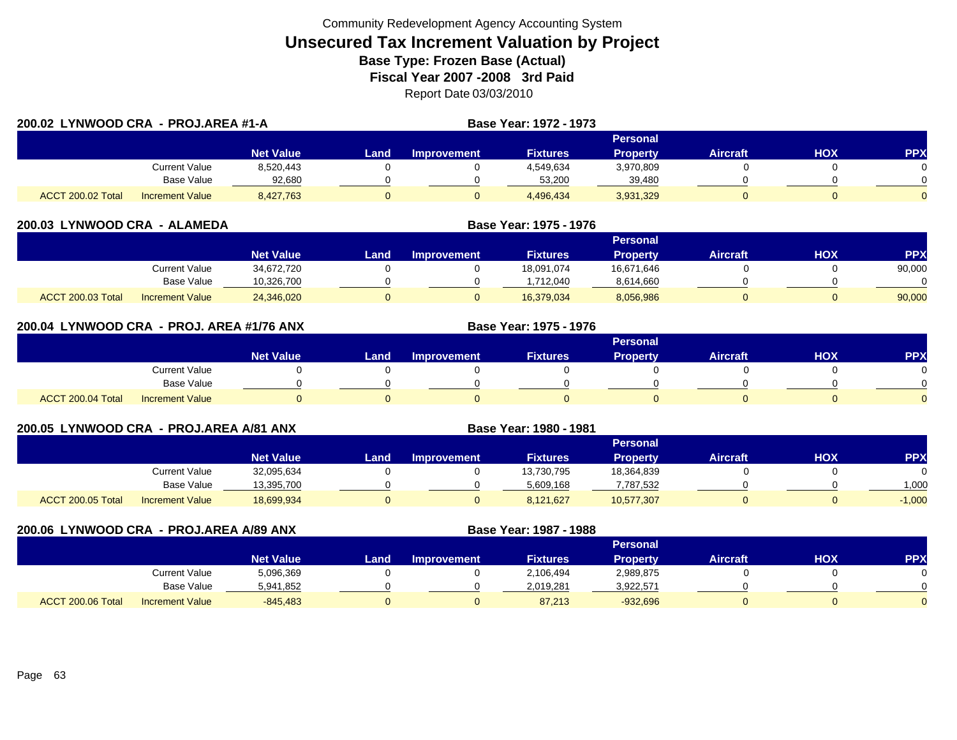|                   | 200.02 LYNWOOD CRA - PROJ.AREA #1-A |                  |      |                    | <b>Base Year: 1972 - 1973</b> |                 |                 |     |          |
|-------------------|-------------------------------------|------------------|------|--------------------|-------------------------------|-----------------|-----------------|-----|----------|
|                   |                                     |                  |      |                    |                               | Personal        |                 |     |          |
|                   |                                     | <b>Net Value</b> | Land | <b>Improvement</b> | <b>Fixtures</b>               | <b>Property</b> | <b>Aircraft</b> | HOX | PPX      |
|                   | Current Value                       | 8,520,443        |      |                    | 4,549,634                     | 3,970,809       |                 |     | $\Omega$ |
|                   | Base Value                          | 92,680           |      |                    | 53.200                        | 39,480          |                 |     | $\Omega$ |
| ACCT 200.02 Total | <b>Increment Value</b>              | 8,427,763        |      |                    | 4.496.434                     | 3,931,329       |                 |     | $\Omega$ |

| 200.03 LYNWOOD CRA | - ALAMEDA              |                  |      | Base Year: 1975 - 1976 |                 |                 |                 |     |           |
|--------------------|------------------------|------------------|------|------------------------|-----------------|-----------------|-----------------|-----|-----------|
|                    |                        |                  |      |                        |                 | <b>Personal</b> |                 |     |           |
|                    |                        | <b>Net Value</b> | Land | Improvement            | <b>Fixtures</b> | <b>Property</b> | <b>Aircraft</b> | нох | <b>PP</b> |
|                    | Current Value          | 34.672.720       |      |                        | 18.091.074      | 16,671,646      |                 |     | 90,000    |
|                    | Base Value             | 10.326.700       |      |                        | .712.040        | 8,614,660       |                 |     |           |
| ACCT 200.03 Total  | <b>Increment Value</b> | 24,346,020       |      |                        | 16,379,034      | 8,056,986       |                 |     | 90,000    |

| 200.04 LYNWOOD CRA - PROJ. AREA #1/76 ANX |                        |                  | Base Year: 1975 - 1976 |                    |                 |                 |                 |     |            |  |  |
|-------------------------------------------|------------------------|------------------|------------------------|--------------------|-----------------|-----------------|-----------------|-----|------------|--|--|
|                                           |                        |                  |                        |                    |                 | <b>Personal</b> |                 |     |            |  |  |
|                                           |                        | <b>Net Value</b> | Land                   | <b>Improvement</b> | <b>Fixtures</b> | <b>Property</b> | <b>Aircraft</b> | нох | <b>PPX</b> |  |  |
|                                           | Current Value          |                  |                        |                    |                 |                 |                 |     |            |  |  |
|                                           | Base Value             |                  |                        |                    |                 |                 |                 |     |            |  |  |
| ACCT 200.04 Total                         | <b>Increment Value</b> |                  |                        |                    |                 |                 |                 |     |            |  |  |

|                   | 200.05 LYNWOOD CRA - PROJ.AREA A/81 ANX |                  |      |                    | <b>Base Year: 1980 - 1981</b> |                 |                 |     |            |
|-------------------|-----------------------------------------|------------------|------|--------------------|-------------------------------|-----------------|-----------------|-----|------------|
|                   |                                         |                  |      |                    |                               | <b>Personal</b> |                 |     |            |
|                   |                                         | <b>Net Value</b> | Land | <b>Improvement</b> | <b>Fixtures</b>               | <b>Property</b> | <b>Aircraft</b> | нох | <b>PPX</b> |
|                   | Current Value                           | 32,095,634       |      |                    | 13,730,795                    | 18,364,839      |                 |     |            |
|                   | <b>Base Value</b>                       | 13,395,700       |      |                    | 5.609.168                     | 7,787,532       |                 |     | 1.000      |
| ACCT 200.05 Total | <b>Increment Value</b>                  | 18,699,934       |      |                    | 8,121,627                     | 10,577,307      |                 |     | $-1,000$   |

| 200.06 LYNWOOD CRA - PROJ.AREA A/89 ANX |                        |                  |      |                    | Base Year: 1987 - 1988 |                 |                 |     |            |  |  |
|-----------------------------------------|------------------------|------------------|------|--------------------|------------------------|-----------------|-----------------|-----|------------|--|--|
|                                         |                        |                  |      | Personal           |                        |                 |                 |     |            |  |  |
|                                         |                        | <b>Net Value</b> | Land | <b>Improvement</b> | <b>Fixtures</b>        | <b>Property</b> | <b>Aircraft</b> | нох | <b>PPX</b> |  |  |
|                                         | <b>Current Value</b>   | 5,096,369        |      |                    | 2,106,494              | 2,989,875       |                 |     |            |  |  |
|                                         | Base Value             | 5,941,852        |      |                    | 2,019,281              | 3,922,571       |                 |     |            |  |  |
| ACCT 200.06 Total                       | <b>Increment Value</b> | $-845.483$       |      |                    | 87.213                 | $-932,696$      |                 |     |            |  |  |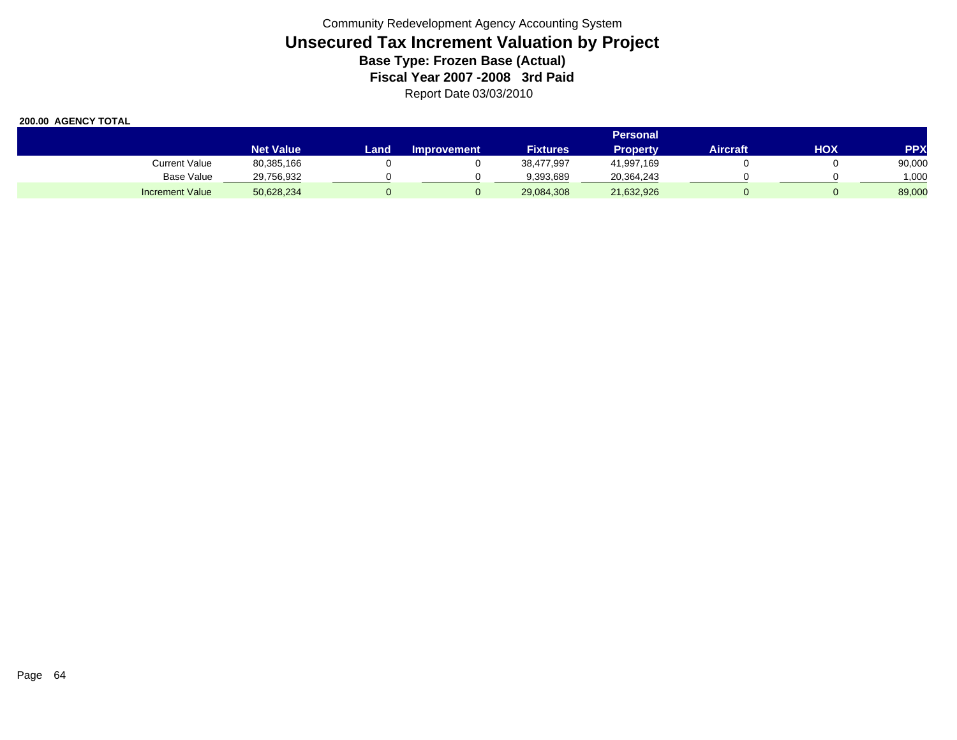|                        | <b>Personal</b>  |      |                    |                 |                 |          |            |            |  |  |
|------------------------|------------------|------|--------------------|-----------------|-----------------|----------|------------|------------|--|--|
|                        | <b>Net Value</b> | Land | <b>Improvement</b> | <b>Fixtures</b> | <b>Property</b> | Aircraft | <b>HOX</b> | <b>PPX</b> |  |  |
| <b>Current Value</b>   | 80,385,166       |      |                    | 38,477,997      | 41,997,169      |          |            | 90,000     |  |  |
| Base Value             | 29,756,932       |      |                    | 9,393,689       | 20,364,243      |          |            | 000,       |  |  |
| <b>Increment Value</b> | 50,628,234       |      |                    | 29,084,308      | 21,632,926      |          |            | 89,000     |  |  |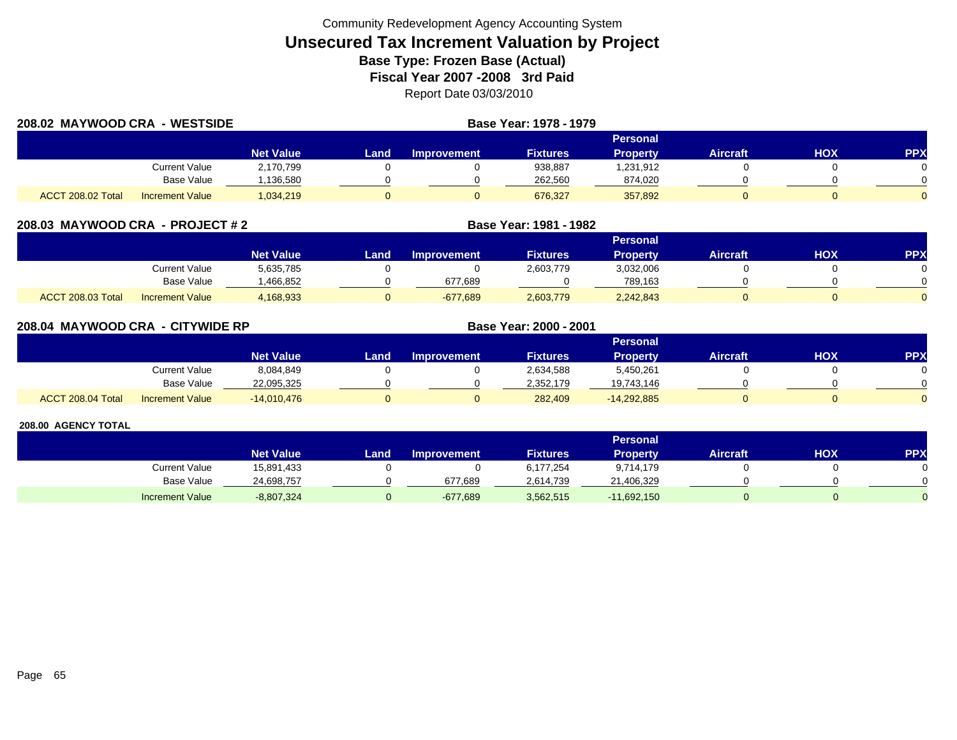| 208.02 MAYWOOD CRA - WESTSIDE |                        |                  |      |                    | Base Year: 1978 - 1979 |                 |                 |     |     |  |  |
|-------------------------------|------------------------|------------------|------|--------------------|------------------------|-----------------|-----------------|-----|-----|--|--|
|                               |                        |                  |      | Personal           |                        |                 |                 |     |     |  |  |
|                               |                        | <b>Net Value</b> | Land | <b>Improvement</b> | <b>Fixtures</b>        | <b>Property</b> | <b>Aircraft</b> | нох | PPX |  |  |
|                               | Current Value          | 2,170,799        |      |                    | 938,887                | 1,231,912       |                 |     |     |  |  |
|                               | Base Value             | .136,580         |      |                    | 262,560                | 874,020         |                 |     |     |  |  |
| ACCT 208.02 Total             | <b>Increment Value</b> | 1,034,219        |      |                    | 676,327                | 357,892         |                 |     |     |  |  |

|  |  |  | 208.03 MAYWOOD CRA - PROJECT # 2 |
|--|--|--|----------------------------------|
|--|--|--|----------------------------------|

|                   |                        |                  |      |                    |                 | Personal        |                 |     |     |
|-------------------|------------------------|------------------|------|--------------------|-----------------|-----------------|-----------------|-----|-----|
|                   |                        | <b>Net Value</b> | Land | <b>Improvement</b> | <b>Fixtures</b> | <b>Property</b> | <b>Aircraft</b> | HOX | PPX |
|                   | Current Value          | 5,635,785        |      |                    | 2,603,779       | 3,032,006       |                 |     |     |
|                   | Base Value             | .466.852         |      | 677.689            |                 | 789.163         |                 |     |     |
| ACCT 208.03 Total | <b>Increment Value</b> | 1,168,933        |      | $-677,689$         | 2,603,779       | 2,242,843       |                 |     |     |

**MAYWOOD CRA - PROJECT # 2 Base Year: 1981 - 1982**

| 208.04 MAYWOOD CRA - CITYWIDE RP |                      |                  |                 |                    | Base Year: 2000 - 2001 |                 |                 |     |            |  |
|----------------------------------|----------------------|------------------|-----------------|--------------------|------------------------|-----------------|-----------------|-----|------------|--|
|                                  |                      |                  | <b>Personal</b> |                    |                        |                 |                 |     |            |  |
|                                  |                      | <b>Net Value</b> | Land.           | <b>Improvement</b> | <b>Fixtures</b>        | <b>Property</b> | <b>Aircraft</b> | нох | <b>PPX</b> |  |
|                                  | <b>Current Value</b> | 8,084,849        |                 |                    | 2,634,588              | 5,450,261       |                 |     |            |  |
|                                  | Base Value           | 22,095,325       |                 |                    | 2,352,179              | 19,743,146      |                 |     |            |  |
| ACCT 208.04 Total                | Increment Value      | $-14,010,476$    | 0               |                    | 282,409                | $-14,292,885$   |                 |     |            |  |

|                        | <b>Personal</b>  |       |                    |                 |               |                 |     |           |  |  |  |
|------------------------|------------------|-------|--------------------|-----------------|---------------|-----------------|-----|-----------|--|--|--|
|                        | <b>Net Value</b> | Land. | <b>Improvement</b> | <b>Fixtures</b> | Property      | <b>Aircraft</b> | HOX | <b>PP</b> |  |  |  |
| Current Value          | 15,891,433       |       |                    | 6,177,254       | 9,714,179     |                 |     |           |  |  |  |
| Base Value             | 24,698,757       |       | 677,689            | 2.614.739       | 21,406,329    |                 |     |           |  |  |  |
| <b>Increment Value</b> | $-8,807,324$     |       | $-677,689$         | 3,562,515       | $-11,692,150$ |                 |     |           |  |  |  |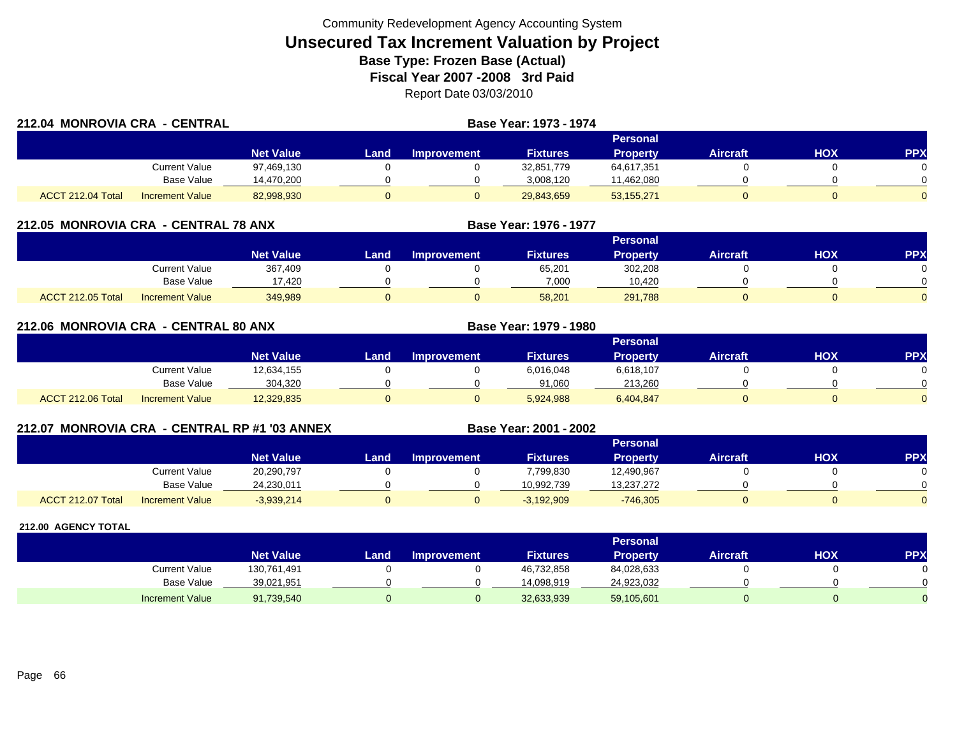| 212.04 MONROVIA CRA - CENTRAL |                        |                  |          |                    | <b>Base Year: 1973 - 1974</b> |                 |                 |     |            |  |
|-------------------------------|------------------------|------------------|----------|--------------------|-------------------------------|-----------------|-----------------|-----|------------|--|
|                               |                        |                  | Personal |                    |                               |                 |                 |     |            |  |
|                               |                        | <b>Net Value</b> | Land     | <b>Improvement</b> | <b>Fixtures</b>               | <b>Property</b> | <b>Aircraft</b> | нох | <b>PPX</b> |  |
|                               | Current Value          | 97,469,130       |          |                    | 32,851,779                    | 64,617,351      |                 |     |            |  |
|                               | Base Value             | 14,470,200       |          |                    | 3.008.120                     | 11,462,080      |                 |     |            |  |
| ACCT 212.04 Total             | <b>Increment Value</b> | 82,998,930       |          |                    | 29,843,659                    | 53,155,271      |                 |     | $\Omega$   |  |

### **212.05 MONROVIA CRA - CENTRAL 78 ANX**

|                          |                        |                        |      |                    |                 | <b>Personal</b> |                 |            |           |
|--------------------------|------------------------|------------------------|------|--------------------|-----------------|-----------------|-----------------|------------|-----------|
|                          |                        | Net Value <sup>1</sup> | Land | <b>Improvement</b> | <b>Fixtures</b> | Propertv        | <b>Aircraft</b> | <b>HOX</b> | <b>PP</b> |
|                          | Current Value          | 367,409                |      |                    | 65,201          | 302,208         |                 |            |           |
|                          | <b>Base Value</b>      | 17,420                 |      |                    | 7,000           | 10.420          |                 |            |           |
| <b>ACCT 212.05 Total</b> | <b>Increment Value</b> | 349,989                |      |                    | 58,201          | 291,788         |                 |            |           |

**Base Year: 1976 - 1977**

**Base Year: 2001 - 2002**

| 212.06 MONROVIA CRA - CENTRAL 80 ANX |                        |                  |      |                    | <b>Base Year: 1979 - 1980</b> |           |          |            |            |  |  |
|--------------------------------------|------------------------|------------------|------|--------------------|-------------------------------|-----------|----------|------------|------------|--|--|
|                                      |                        |                  |      | Personal           |                               |           |          |            |            |  |  |
|                                      |                        | <b>Net Value</b> | Land | <b>Improvement</b> | <b>Fixtures</b>               | Property  | Aircraft | <b>NOH</b> | <b>PPX</b> |  |  |
|                                      | Current Value          | 12,634,155       |      |                    | 6,016,048                     | 6,618,107 |          |            |            |  |  |
|                                      | Base Value             | 304.320          |      |                    | 91.060                        | 213.260   |          |            |            |  |  |
| ACCT 212.06 Total                    | <b>Increment Value</b> | 12,329,835       |      |                    | 5.924.988                     | 6,404,847 |          |            |            |  |  |

### **212.07 MONROVIA CRA - CENTRAL RP #1 '03 ANNEX**

|                   |                        |                  |      |                    |                 | Personal        |                 |            |              |
|-------------------|------------------------|------------------|------|--------------------|-----------------|-----------------|-----------------|------------|--------------|
|                   |                        | <b>Net Value</b> | Land | <b>Improvement</b> | <b>Fixtures</b> | <b>Property</b> | <b>Aircraft</b> | <b>HOX</b> | PPX          |
|                   | Current Value          | 20,290,797       |      |                    | 7,799,830       | 12,490,967      |                 |            |              |
|                   | <b>Base Value</b>      | 24,230,011       |      |                    | 10.992.739      | 13,237,272      |                 |            | <sup>n</sup> |
| ACCT 212.07 Total | <b>Increment Value</b> | $-3,939,214$     |      |                    | $-3,192,909$    | $-746,305$      |                 |            | $\Omega$     |

|                        |                  |      |                    |                 | <b>Personal</b> |                 |     |     |
|------------------------|------------------|------|--------------------|-----------------|-----------------|-----------------|-----|-----|
|                        | <b>Net Value</b> | Land | <b>Improvement</b> | <b>Fixtures</b> | <b>Property</b> | <b>Aircraft</b> | нох | PPX |
| <b>Current Value</b>   | 130,761,491      |      |                    | 46,732,858      | 84,028,633      |                 |     |     |
| <b>Base Value</b>      | 39,021,951       |      |                    | 14,098,919      | 24,923,032      |                 |     | 0   |
| <b>Increment Value</b> | 91,739,540       |      |                    | 32,633,939      | 59,105,601      |                 |     |     |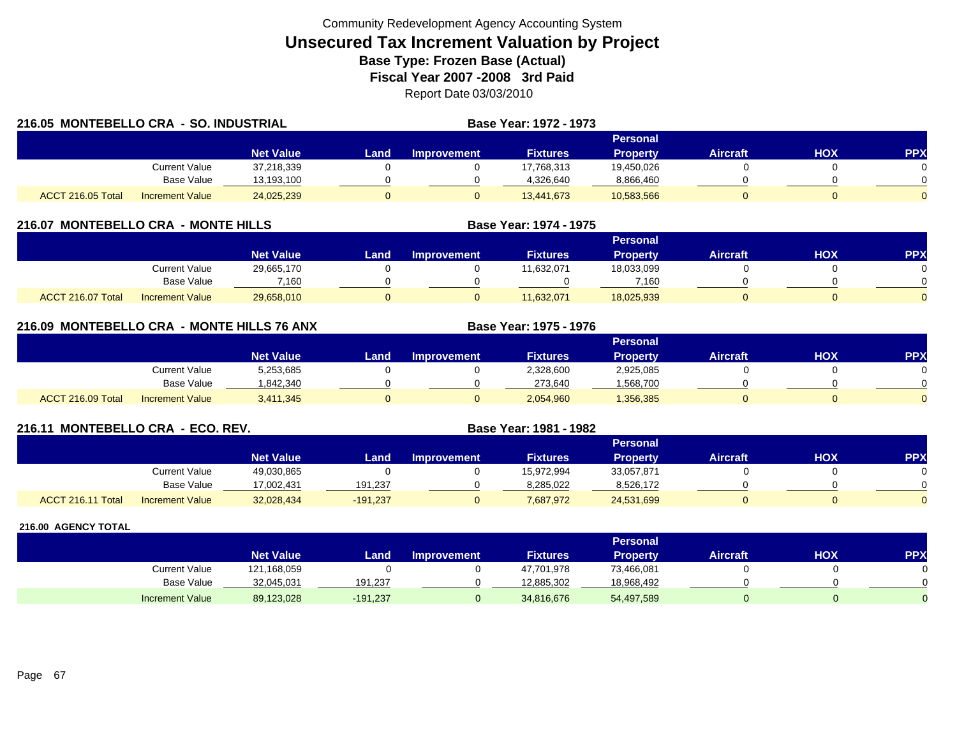|                   | 216.05 MONTEBELLO CRA - SO. INDUSTRIAL |                  |      |                    | <b>Base Year: 1972 - 1973</b> |                 |                 |            |            |
|-------------------|----------------------------------------|------------------|------|--------------------|-------------------------------|-----------------|-----------------|------------|------------|
|                   |                                        |                  |      |                    |                               | Personal        |                 |            |            |
|                   |                                        | <b>Net Value</b> | Land | <b>Improvement</b> | <b>Fixtures</b>               | <b>Property</b> | <b>Aircraft</b> | <b>HOX</b> | <b>PPX</b> |
|                   | Current Value                          | 37,218,339       |      |                    | 17,768,313                    | 19,450,026      |                 |            | $\Omega$   |
|                   | Base Value                             | 13,193,100       |      |                    | 4,326,640                     | 8,866,460       |                 |            | $\Omega$   |
| ACCT 216.05 Total | <b>Increment Value</b>                 | 24,025,239       |      |                    | 13,441,673                    | 10,583,566      |                 |            | $\Omega$   |

### **216.07 MONTEBELLO CRA - MONTE HILLS**

|                                             |                  |      |                    |                 | Personal        |          |            |              |
|---------------------------------------------|------------------|------|--------------------|-----------------|-----------------|----------|------------|--------------|
|                                             | <b>Net Value</b> | Land | <b>Improvement</b> | <b>Fixtures</b> | <b>Property</b> | Aircraft | <b>HOX</b> | <b>PPX</b>   |
| <b>Current Value</b>                        | 29,665,170       |      |                    | 11,632,071      | 18,033,099      |          |            |              |
| Base Value                                  | 7.160            |      |                    |                 | 7.160           |          |            | <sup>n</sup> |
| ACCT 216.07 Total<br><b>Increment Value</b> | 29,658,010       |      |                    | 11,632,071      | 18,025,939      |          |            | $\Omega$     |

**Base Year: 1974 - 1975**

**Base Year: 1975 - 1976**

## **216.09 MONTEBELLO CRA - MONTE HILLS 76 ANX**

|                   |                        |                  |      |                    |                 | Personal        |          |            |          |
|-------------------|------------------------|------------------|------|--------------------|-----------------|-----------------|----------|------------|----------|
|                   |                        | <b>Net Value</b> | Land | <b>Improvement</b> | <b>Fixtures</b> | <b>Property</b> | Aircraft | <b>HOX</b> | PPX      |
|                   | Current Value          | 5,253,685        |      |                    | 2,328,600       | 2,925,085       |          |            |          |
|                   | <b>Base Value</b>      | 1,842,340        |      |                    | 273,640         | ,568,700        |          |            | 0        |
| ACCT 216.09 Total | <b>Increment Value</b> | 3,411,345        |      |                    | 2,054,960       | 356,385         |          |            | $\Omega$ |

### **216.11 MONTEBELLO CRA - ECO. REV. Base Year: 1981 - 1982**

|                   |                        |                  |            |                    |                 | Personal        |                 |     |     |
|-------------------|------------------------|------------------|------------|--------------------|-----------------|-----------------|-----------------|-----|-----|
|                   |                        | <b>Net Value</b> | Land       | <b>Improvement</b> | <b>Fixtures</b> | <b>Property</b> | <b>Aircraft</b> | нох | PPX |
|                   | Current Value          | 49,030,865       |            |                    | 15,972,994      | 33,057,871      |                 |     |     |
|                   | <b>Base Value</b>      | 17.002.431       | 191.237    |                    | 8.285.022       | 8,526,172       |                 |     |     |
| ACCT 216.11 Total | <b>Increment Value</b> | 32,028,434       | $-191,237$ |                    | 7,687,972       | 24,531,699      |                 |     |     |

|                        |                  |          |                    |                 | <b>Personal</b> |          |     |     |
|------------------------|------------------|----------|--------------------|-----------------|-----------------|----------|-----|-----|
|                        | <b>Net Value</b> | Land     | <b>Improvement</b> | <b>Fixtures</b> | Property        | Aircraft | нох | PPX |
| <b>Current Value</b>   | 121,168,059      |          |                    | 47,701,978      | 73,466,081      |          |     | 0   |
| <b>Base Value</b>      | 32,045,031       | 191,237  |                    | 12.885.302      | 18,968,492      |          |     | 0   |
| <b>Increment Value</b> | 89,123,028       | -191,237 |                    | 34,816,676      | 54,497,589      |          |     |     |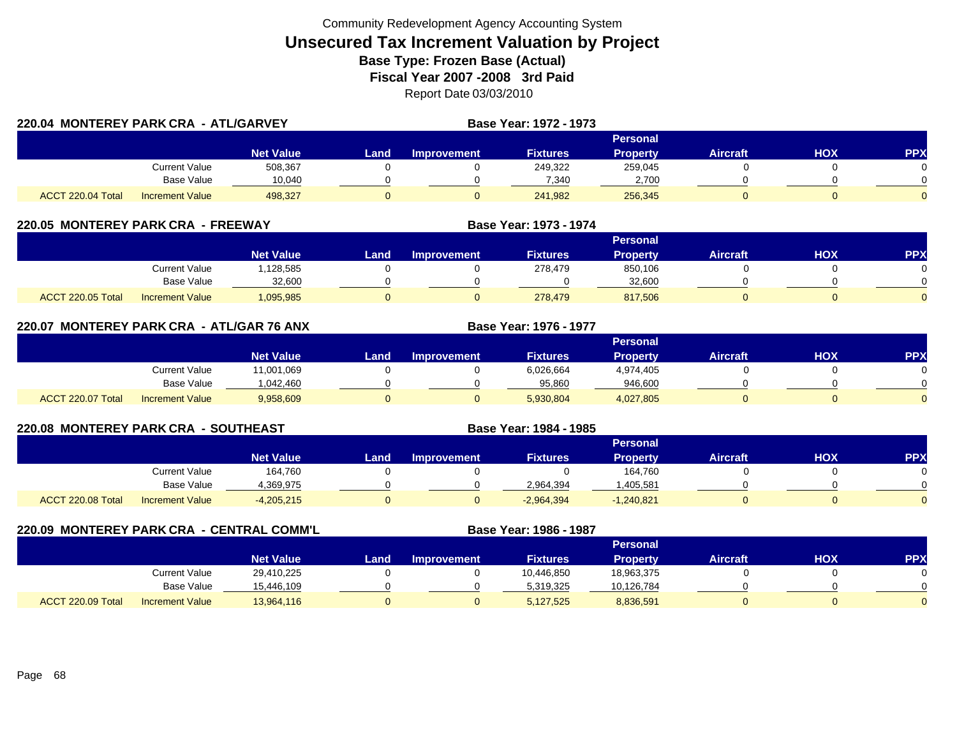|                   | 220.04 MONTEREY PARK CRA - ATL/GARVEY |                  |      |                    | Base Year: 1972 - 1973 |                 |                 |     |                |
|-------------------|---------------------------------------|------------------|------|--------------------|------------------------|-----------------|-----------------|-----|----------------|
|                   |                                       |                  |      |                    |                        |                 |                 |     |                |
|                   |                                       | <b>Net Value</b> | Land | <b>Improvement</b> | <b>Fixtures</b>        | <b>Property</b> | <b>Aircraft</b> | нох | <b>PPX</b>     |
|                   | <b>Current Value</b>                  | 508,367          |      |                    | 249,322                | 259,045         |                 |     | 0.             |
|                   | Base Value                            | 10.040           |      |                    | 7.340                  | 2,700           |                 |     |                |
| ACCT 220.04 Total | Increment Value                       | 498.327          |      |                    | 241.982                | 256,345         |                 |     | $\overline{0}$ |

### **220.05 MONTEREY PARK CRA - FREEWAY**

|                                             |                  |      |                    |                 | Personal |          |            |            |
|---------------------------------------------|------------------|------|--------------------|-----------------|----------|----------|------------|------------|
|                                             | <b>Net Value</b> | _and | <b>Improvement</b> | <b>Fixtures</b> | Property | Aircraft | <b>XOH</b> | <b>PPX</b> |
| Current Value                               | .128,585         |      |                    | 278,479         | 850,106  |          |            |            |
| Base Value                                  | 32,600           |      |                    |                 | 32.600   |          |            | ∩          |
| ACCT 220.05 Total<br><b>Increment Value</b> | 1,095,985        |      |                    | 278,479         | 817,506  |          |            |            |

**Base Year: 1973 - 1974**

**Base Year: 1976 - 1977**

**Base Year: 1984 - 1985**

|                   |                        |                  |      |             |                 | <b>Personal</b> |                 |     |     |
|-------------------|------------------------|------------------|------|-------------|-----------------|-----------------|-----------------|-----|-----|
|                   |                        | <b>Net Value</b> | Land | Improvement | <b>Fixtures</b> | <b>Property</b> | <b>Aircraft</b> | нох | PPX |
|                   | Current Value          | 11,001,069       |      |             | 6,026,664       | 4,974,405       |                 |     |     |
|                   | <b>Base Value</b>      | 1.042.460        |      |             | 95,860          | 946.600         |                 |     |     |
| ACCT 220.07 Total | <b>Increment Value</b> | 9,958,609        |      |             | 5,930,804       | 4,027,805       |                 |     |     |

## **220.08 MONTEREY PARK CRA - SOUTHEAST**

|                   |                        |                  |       |             |                 | Personal        |                 |            |            |
|-------------------|------------------------|------------------|-------|-------------|-----------------|-----------------|-----------------|------------|------------|
|                   |                        | <b>Net Value</b> | Land, | Improvement | <b>Fixtures</b> | <b>Property</b> | <b>Aircraft</b> | <b>HOX</b> | <b>PPX</b> |
|                   | <b>Current Value</b>   | 164,760          |       |             |                 | 164,760         |                 |            |            |
|                   | <b>Base Value</b>      | 369,975.ا        |       |             | 2,964,394       | ,405,581        |                 |            |            |
| ACCT 220.08 Total | <b>Increment Value</b> | $-4,205,215$     |       |             | $-2,964,394$    | 1,240,821       |                 |            |            |

**220.09 MONTEREY PARK CRA - CENTRAL COMM'L Base Year: 1986 - 1987 Personal Net Value Land Improvement Fixtures Property Aircraft HOX PPX** Current Value 29,410,225 0 0 10,446,850 18,963,375 0 0 0 Base Value 15,446,109 0 0 5,319,325 10,126,784 0 0 ACCT 220.09 TotalI Increment Value 13,964,116 0 5,127,525 8,836,591 0 0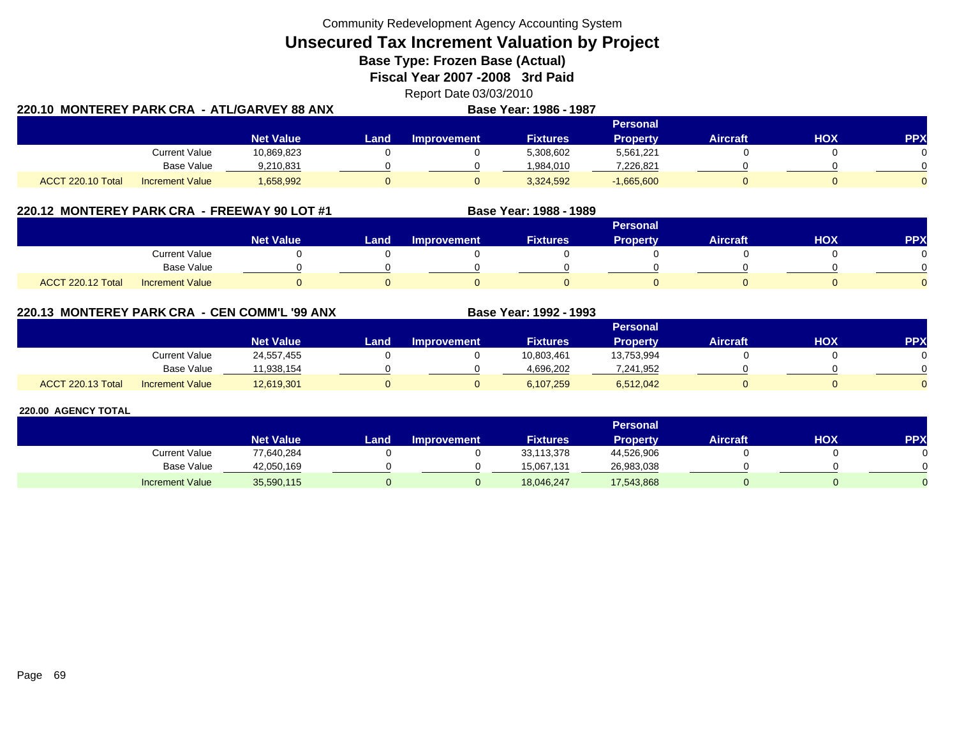**Unsecured Tax Increment Valuation by Project**

**Base Type: Frozen Base (Actual)** 

**Fiscal Year 2007 -2008 3rd Paid**

Report Date 03/03/2010 **220.10 MONTEREY PARK CRA - ATL/GARVEY 88 ANXBase Year: 1986 - 1987**

|                   |                        |                  |      |                    |                 | Personal        |          |     |              |
|-------------------|------------------------|------------------|------|--------------------|-----------------|-----------------|----------|-----|--------------|
|                   |                        | <b>Net Value</b> | Land | <b>Improvement</b> | <b>Fixtures</b> | <b>Property</b> | Aircraft | HOX | PPX          |
|                   | <b>Current Value</b>   | 10,869,823       |      |                    | 5,308,602       | 5,561,221       |          |     | 0            |
|                   | <b>Base Value</b>      | 9,210,831        |      |                    | 1.984.010       | 7,226,821       |          |     | <sup>n</sup> |
| ACCT 220.10 Total | <b>Increment Value</b> | 1,658,992        |      |                    | 3,324,592       | $-1,665,600$    |          |     | $\Omega$     |

## **220.12 MONTEREY PARK CRA - FREEWAY 90 LOT #1 Base Year: 1988 - 1989**

|                                             |                        |      |                    |                 | <b>Personal</b> |                 |            |          |
|---------------------------------------------|------------------------|------|--------------------|-----------------|-----------------|-----------------|------------|----------|
|                                             | Net Value <sup>1</sup> | Land | <b>Improvement</b> | <b>Fixtures</b> | <b>Property</b> | <b>Aircraft</b> | <b>HOX</b> | PPX      |
| <b>Current Value</b>                        |                        |      |                    |                 |                 |                 |            |          |
| Base Value                                  |                        |      |                    |                 |                 |                 |            |          |
| ACCT 220.12 Total<br><b>Increment Value</b> |                        |      |                    |                 |                 |                 |            | $\Omega$ |

**220.13 MONTEREY PARK CRA - CEN COMM'L '99 ANX**

|                   |                        |                  |      |                    |                 | Personal        |                 |     |            |
|-------------------|------------------------|------------------|------|--------------------|-----------------|-----------------|-----------------|-----|------------|
|                   |                        | <b>Net Value</b> | Land | <b>Improvement</b> | <b>Fixtures</b> | <b>Property</b> | <b>Aircraft</b> | нох | <b>PPX</b> |
|                   | <b>Current Value</b>   | 24,557,455       |      |                    | 10,803,461      | 13,753,994      |                 |     |            |
|                   | <b>Base Value</b>      | 11.938.154       |      |                    | 4.696.202       | 7.241.952       |                 |     |            |
| ACCT 220.13 Total | <b>Increment Value</b> | 12,619,301       |      |                    | 6,107,259       | 6,512,042       |                 |     |            |

**Base Year: 1992 - 1993**

|                        |                  |       |                    |                 | <b>Personal</b> |                 |     |            |
|------------------------|------------------|-------|--------------------|-----------------|-----------------|-----------------|-----|------------|
|                        | <b>Net Value</b> | Land. | <b>Improvement</b> | <b>Fixtures</b> | Property        | <b>Aircraft</b> | нох | <b>PPX</b> |
| <b>Current Value</b>   | 77,640,284       |       |                    | 33,113,378      | 44,526,906      |                 |     |            |
| <b>Base Value</b>      | 42,050,169       |       |                    | 15.067.131      | 26,983,038      |                 |     |            |
| <b>Increment Value</b> | 35,590,115       |       |                    | 18,046,247      | 17,543,868      |                 |     |            |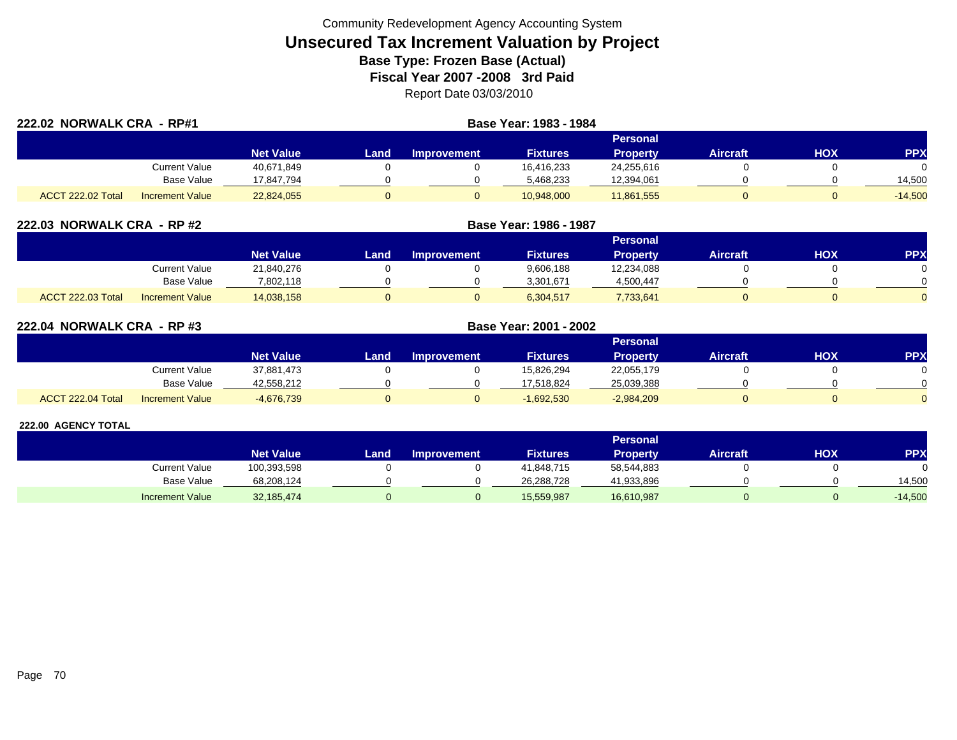| 222.02 NORWALK CRA - RP#1 |                        |                  |      |                    |                 |                 |                 |            |            |
|---------------------------|------------------------|------------------|------|--------------------|-----------------|-----------------|-----------------|------------|------------|
|                           |                        |                  |      |                    |                 | <b>Personal</b> |                 |            |            |
|                           |                        | <b>Net Value</b> | Land | <b>Improvement</b> | <b>Fixtures</b> | <b>Property</b> | <b>Aircraft</b> | <b>HOX</b> | <b>PPX</b> |
|                           | Current Value          | 40,671,849       |      |                    | 16,416,233      | 24,255,616      |                 |            | $\Omega$   |
|                           | <b>Base Value</b>      | 17,847,794       |      |                    | 5,468,233       | 12,394,061      |                 |            | 14,500     |
| <b>ACCT 222.02 Total</b>  | <b>Increment Value</b> | 22,824,055       |      |                    | 10,948,000      | 11,861,555      |                 |            | $-14,500$  |

| 222.03 NORWALK CRA - RP #2 |                        |                  |      | Base Year: 1986 - 1987 |                 |                 |                 |     |            |
|----------------------------|------------------------|------------------|------|------------------------|-----------------|-----------------|-----------------|-----|------------|
|                            |                        |                  |      |                        |                 | <b>Personal</b> |                 |     |            |
|                            |                        | <b>Net Value</b> | Land | <b>Improvement</b>     | <b>Fixtures</b> | <b>Property</b> | <b>Aircraft</b> | нох | <b>PPX</b> |
|                            | Current Value          | 21,840,276       |      |                        | 9,606,188       | 12,234,088      |                 |     |            |
|                            | <b>Base Value</b>      | 7,802,118        |      |                        | 3,301,671       | 4,500,447       |                 |     |            |
| <b>ACCT 222.03 Total</b>   | <b>Increment Value</b> | 14,038,158       |      |                        | 6,304,517       | 7,733,641       |                 |     |            |

| 222.04 NORWALK CRA - RP #3 |                        |                  |       | Base Year: 2001 - 2002 |                 |                 |                 |     |            |
|----------------------------|------------------------|------------------|-------|------------------------|-----------------|-----------------|-----------------|-----|------------|
|                            |                        |                  |       |                        |                 | Personal        |                 |     |            |
|                            |                        | <b>Net Value</b> | Land. | Improvement            | <b>Fixtures</b> | <b>Property</b> | <b>Aircraft</b> | HOX | <b>PPX</b> |
|                            | Current Value          | 37,881,473       |       |                        | 15,826,294      | 22,055,179      |                 |     |            |
|                            | <b>Base Value</b>      | 42,558,212       |       |                        | 17,518,824      | 25,039,388      |                 |     |            |
| ACCT 222.04 Total          | <b>Increment Value</b> | $-4,676,739$     |       |                        | $-1,692,530$    | $-2,984,209$    |                 |     |            |

|                        |                  |      |                    |                 | <b>Personal</b> |                 |     |           |
|------------------------|------------------|------|--------------------|-----------------|-----------------|-----------------|-----|-----------|
|                        | <b>Net Value</b> | Land | <b>Improvement</b> | <b>Fixtures</b> | Property        | <b>Aircraft</b> | нох | <b>PP</b> |
| <b>Current Value</b>   | 100,393,598      |      |                    | 41.848.715      | 58,544,883      |                 |     |           |
| Base Value             | 68,208,124       |      |                    | 26,288,728      | 11,933,896      |                 |     | 14,500    |
| <b>Increment Value</b> | 32,185,474       |      |                    | 15,559,987      | 16,610,987      |                 |     | $-14,500$ |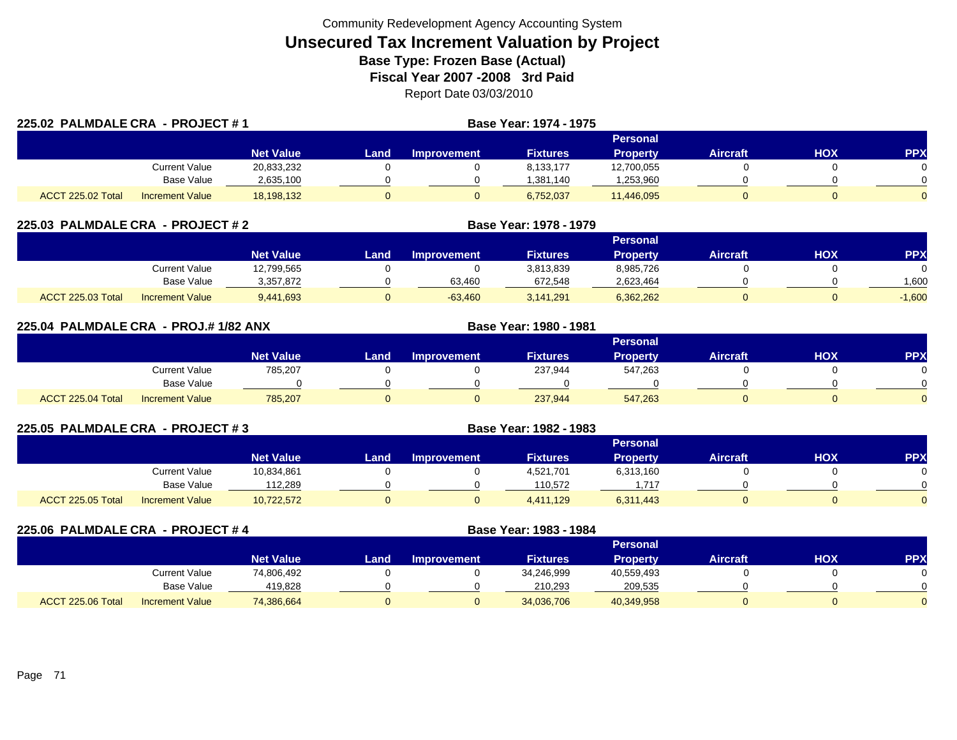| 225.02 PALMDALE CRA - PROJECT #1 |                 |                  |      |                    | Base Year: 1974 - 1975 |                 |                 |     |            |
|----------------------------------|-----------------|------------------|------|--------------------|------------------------|-----------------|-----------------|-----|------------|
|                                  |                 |                  |      |                    |                        | Personal        |                 |     |            |
|                                  |                 | <b>Net Value</b> | Land | <b>Improvement</b> | <b>Fixtures</b>        | <b>Property</b> | <b>Aircraft</b> | HOX | <b>PPX</b> |
|                                  | Current Value   | 20,833,232       |      |                    | 8.133.177              | 12,700,055      |                 |     |            |
|                                  | Base Value      | 2,635,100        |      |                    | 1.381.140              | ,253,960        |                 |     |            |
| <b>ACCT 225.02 Total</b>         | Increment Value | 18,198,132       |      |                    | 6,752,037              | 11,446,095      |                 |     | $\Omega$   |

| 225.03 PALMDALE CRA - PROJECT # 2 |                        |                  |      | Base Year: 1978 - 1979 |                 |                 |                 |     |            |
|-----------------------------------|------------------------|------------------|------|------------------------|-----------------|-----------------|-----------------|-----|------------|
|                                   |                        |                  |      |                        |                 | Personal        |                 |     |            |
|                                   |                        | <b>Net Value</b> | Land | <b>Improvement</b>     | <b>Fixtures</b> | <b>Property</b> | <b>Aircraft</b> | нох | <b>PPX</b> |
|                                   | Current Value          | 12,799,565       |      |                        | 3,813,839       | 8,985,726       |                 |     |            |
|                                   | Base Value             | 3,357,872        |      | 63,460                 | 672,548         | 2,623,464       |                 |     | 600, ا     |
| ACCT 225.03 Total                 | <b>Increment Value</b> | 9,441,693        |      | $-63,460$              | 3,141,291       | 6,362,262       |                 |     | $-1,600$   |

| 225.04 PALMDALE CRA - PROJ.#1/82 ANX |                        |                  |      |                    | Base Year: 1980 - 1981 |                 |                 |            |            |
|--------------------------------------|------------------------|------------------|------|--------------------|------------------------|-----------------|-----------------|------------|------------|
|                                      |                        |                  |      |                    |                        | <b>Personal</b> |                 |            |            |
|                                      |                        | <b>Net Value</b> | Land | <b>Improvement</b> | <b>Fixtures</b>        | <b>Property</b> | <b>Aircraft</b> | <b>HOX</b> | <b>PPX</b> |
|                                      | Current Value          | 785,207          |      |                    | 237,944                | 547,263         |                 |            | 0          |
|                                      | <b>Base Value</b>      |                  |      |                    |                        |                 |                 |            | $\Omega$   |
| ACCT 225.04 Total                    | <b>Increment Value</b> | 785,207          |      |                    | 237,944                | 547,263         |                 |            | $\Omega$   |

| 225.05 PALMDALE CRA - PROJECT #3 |                        |                  |      | Base Year: 1982 - 1983 |                 |                 |                 |     |           |
|----------------------------------|------------------------|------------------|------|------------------------|-----------------|-----------------|-----------------|-----|-----------|
|                                  |                        |                  |      |                        |                 | <b>Personal</b> |                 |     |           |
|                                  |                        | <b>Net Value</b> | Land | Improvement            | <b>Fixtures</b> | <b>Property</b> | <b>Aircraft</b> | нох | <b>PP</b> |
|                                  | <b>Current Value</b>   | 10,834,861       |      |                        | 4,521,701       | 6,313,160       |                 |     |           |
|                                  | Base Value             | 112.289          |      |                        | 110.572         | .717            |                 |     |           |
| ACCT 225.05 Total                | <b>Increment Value</b> | 10,722,572       |      |                        | 4,411,129       | 6,311,443       |                 |     |           |

| 225.06 PALMDALE CRA - PROJECT #4 |                        |                  |      |                    | Base Year: 1983 - 1984 |                 |                 |            |            |
|----------------------------------|------------------------|------------------|------|--------------------|------------------------|-----------------|-----------------|------------|------------|
|                                  |                        |                  |      |                    |                        | <b>Personal</b> |                 |            |            |
|                                  |                        | <b>Net Value</b> | Land | <b>Improvement</b> | <b>Fixtures</b>        | <b>Property</b> | <b>Aircraft</b> | <b>HOX</b> | <b>PPX</b> |
|                                  | <b>Current Value</b>   | 74,806,492       |      |                    | 34,246,999             | 40,559,493      |                 |            |            |
|                                  | Base Value             | 419,828          |      |                    | 210,293                | 209,535         |                 |            |            |
| ACCT 225.06 Total                | <b>Increment Value</b> | 74,386,664       |      |                    | 34,036,706             | 40,349,958      | 0               |            |            |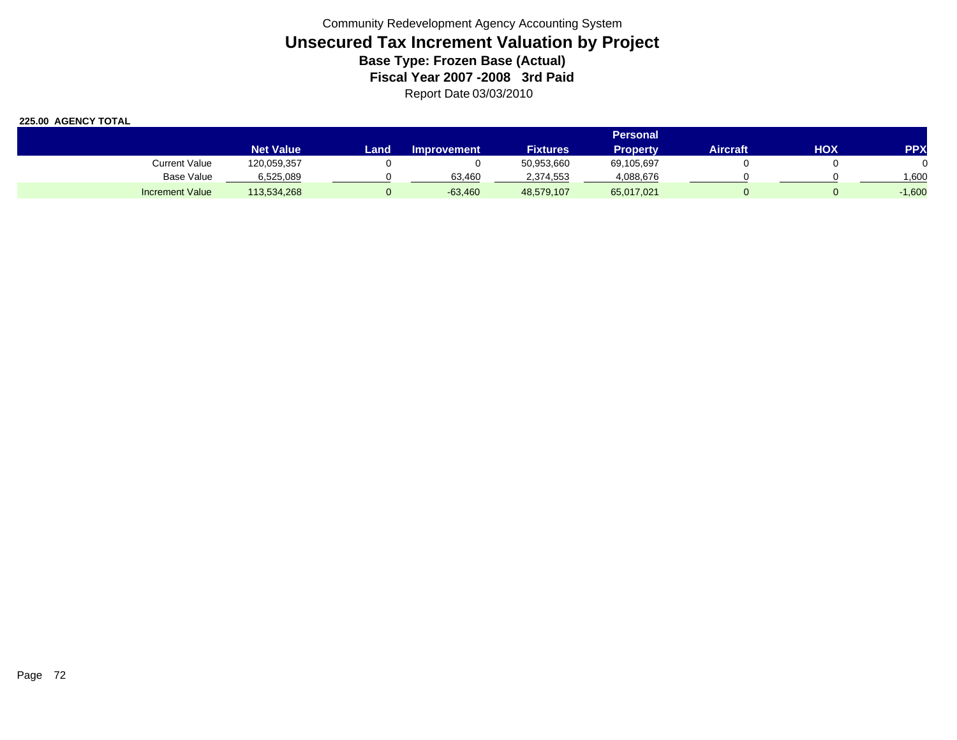|                        | Personal         |       |                    |                 |            |          |     |            |  |  |  |
|------------------------|------------------|-------|--------------------|-----------------|------------|----------|-----|------------|--|--|--|
|                        | <b>Net Value</b> | Landı | <b>Improvement</b> | <b>Fixtures</b> | Property   | Aircraft | HOX | <b>PPX</b> |  |  |  |
| <b>Current Value</b>   | 120,059,357      |       |                    | 50,953,660      | 69,105,697 |          |     |            |  |  |  |
| Base Value             | 6,525,089        |       | 63.460             | 2,374,553       | 4,088,676  |          |     | .600       |  |  |  |
| <b>Increment Value</b> | 113,534,268      |       | $-63,460$          | 48,579,107      | 65,017,021 |          |     | $-1,600$   |  |  |  |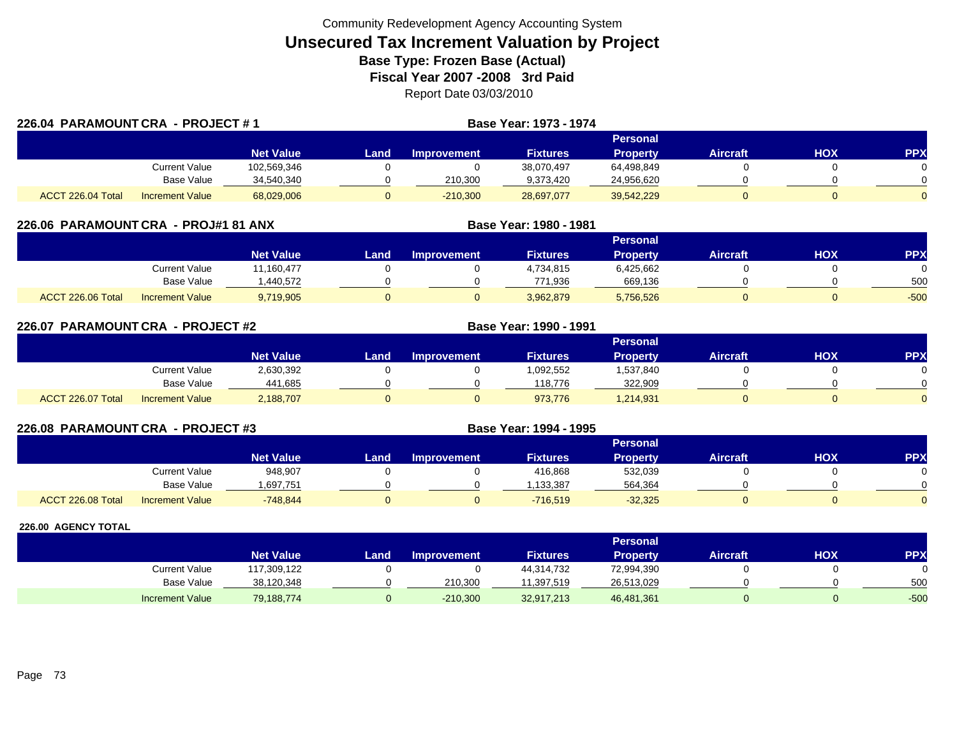|                   | 226.04 PARAMOUNT CRA - PROJECT #1 |                  |      |                    | <b>Base Year: 1973 - 1974</b> |                 |          |     |          |
|-------------------|-----------------------------------|------------------|------|--------------------|-------------------------------|-----------------|----------|-----|----------|
|                   |                                   |                  |      |                    |                               | Personal        |          |     |          |
|                   |                                   | <b>Net Value</b> | Land | <b>Improvement</b> | <b>Fixtures</b>               | <b>Property</b> | Aircraft | HOX | PPX      |
|                   | Current Value                     | 102,569,346      |      |                    | 38,070,497                    | 64,498,849      |          |     |          |
|                   | Base Value                        | 34,540,340       |      | 210.300            | 9,373,420                     | 24,956,620      |          |     |          |
| ACCT 226.04 Total | <b>Increment Value</b>            | 68,029,006       |      | $-210.300$         | 28,697,077                    | 39,542,229      |          |     | $\Omega$ |

| 226.06 PARAMOUNT CRA - PROJ#1 81 ANX |                        |                  | Base Year: 1980 - 1981 |                    |                 |                 |                 |     |                 |
|--------------------------------------|------------------------|------------------|------------------------|--------------------|-----------------|-----------------|-----------------|-----|-----------------|
|                                      |                        |                  |                        |                    |                 | <b>Personal</b> |                 |     |                 |
|                                      |                        | <b>Net Value</b> | Land                   | <b>Improvement</b> | <b>Fixtures</b> | <b>Property</b> | <b>Aircraft</b> | нох | PP <sub>2</sub> |
|                                      | Current Value          | 11,160,477       |                        |                    | 4,734,815       | 6,425,662       |                 |     |                 |
|                                      | <b>Base Value</b>      | .440.572         |                        |                    | 771.936         | 669,136         |                 |     | 500             |
| ACCT 226.06 Total                    | <b>Increment Value</b> | 9,719,905        |                        |                    | 3,962,879       | 5,756,526       | 0               |     | $-500$          |

| 226.07            | PARAMOUNT CRA - PROJECT #2 |                  |      |             | Base Year: 1990 - 1991 |                 |                 |            |            |
|-------------------|----------------------------|------------------|------|-------------|------------------------|-----------------|-----------------|------------|------------|
|                   |                            |                  |      |             |                        | Personal        |                 |            |            |
|                   |                            | <b>Net Value</b> | Land | Improvement | <b>Fixtures</b>        | <b>Property</b> | <b>Aircraft</b> | <b>HOX</b> | <b>PPX</b> |
|                   | Current Value              | 2,630,392        |      |             | 1,092,552              | 1,537,840       |                 |            | $\Omega$   |
|                   | <b>Base Value</b>          | 441,685          |      |             | 118.776                | 322,909         |                 |            | $\Omega$   |
| ACCT 226.07 Total | <b>Increment Value</b>     | 2,188,707        |      |             | 973,776                | 1,214,931       |                 |            | $\Omega$   |

| 226.08 PARAMOUNT CRA - PROJECT #3 |                        |                  | <b>Base Year: 1994 - 1995</b> |                    |                 |                 |                 |     |            |
|-----------------------------------|------------------------|------------------|-------------------------------|--------------------|-----------------|-----------------|-----------------|-----|------------|
|                                   |                        |                  |                               |                    |                 | <b>Personal</b> |                 |     |            |
|                                   |                        | <b>Net Value</b> | Land                          | <b>Improvement</b> | <b>Fixtures</b> | <b>Property</b> | <b>Aircraft</b> | HOX | <b>PPX</b> |
|                                   | Current Value          | 948.907          |                               |                    | 416,868         | 532,039         |                 |     |            |
|                                   | Base Value             | .697.751         |                               |                    | ,133,387        | 564,364         |                 |     |            |
| ACCT 226.08 Total                 | <b>Increment Value</b> | $-748.844$       |                               |                    | $-716.519$      | $-32,325$       | 0.              |     |            |

|                        |                  |      |                    |                 | <b>Personal</b> |                 |     |        |
|------------------------|------------------|------|--------------------|-----------------|-----------------|-----------------|-----|--------|
|                        | <b>Net Value</b> | Land | <b>Improvement</b> | <b>Fixtures</b> | Property        | <b>Aircraft</b> | нох | PPX    |
| Current Value          | 117,309,122      |      |                    | 44,314,732      | 72,994,390      |                 |     |        |
| Base Value             | 38,120,348       |      | 210,300            | 11,397,519      | 26,513,029      |                 |     | 500    |
| <b>Increment Value</b> | 79,188,774       |      | $-210,300$         | 32,917,213      | 46,481,361      |                 |     | $-500$ |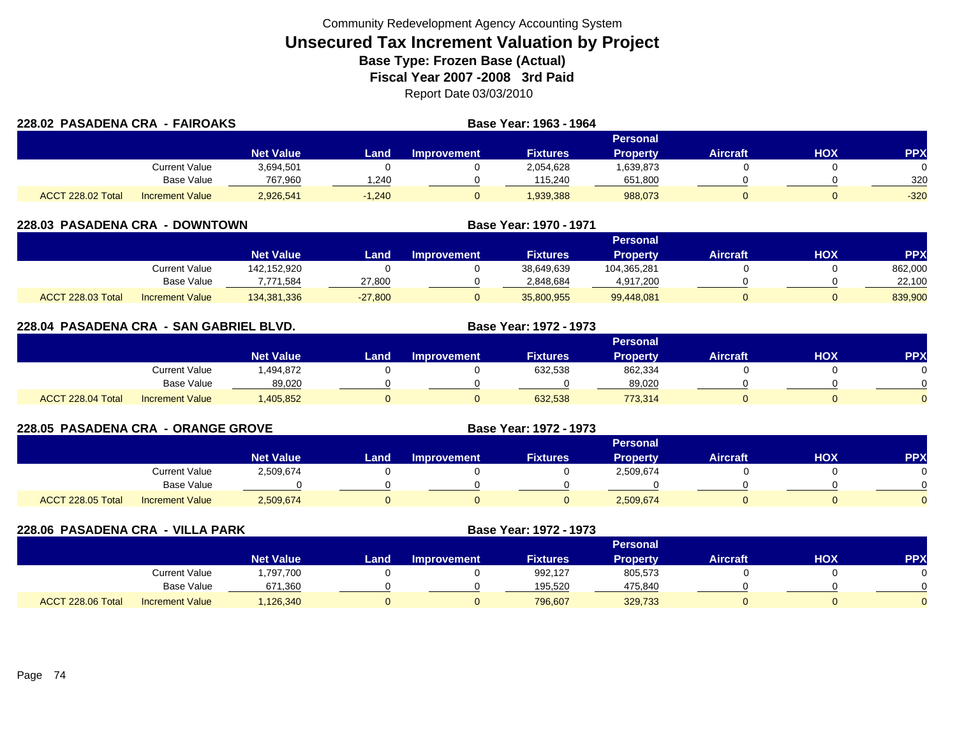| 228.02 PASADENA CRA - FAIROAKS |                        |                  | Base Year: 1963 - 1964 |                    |                 |                 |                 |     |            |
|--------------------------------|------------------------|------------------|------------------------|--------------------|-----------------|-----------------|-----------------|-----|------------|
|                                |                        |                  |                        |                    |                 | Personal        |                 |     |            |
|                                |                        | <b>Net Value</b> | Land                   | <b>Improvement</b> | <b>Fixtures</b> | <b>Property</b> | <b>Aircraft</b> | нох | <b>PPX</b> |
|                                | Current Value          | 3,694,501        |                        |                    | 2,054,628       | 1,639,873       |                 |     |            |
|                                | Base Value             | 767.960          | .240                   |                    | 115.240         | 651,800         |                 |     | 320        |
| ACCT 228.02 Total              | <b>Increment Value</b> | 2,926,541        | $-1.240$               |                    | 1,939,388       | 988,073         |                 |     | $-320$     |

| <b>228.03 PASADENA CRA</b><br>- DOWNTOWN |                        |                  |           |                    | Base Year: 1970 - 1971 |                 |                 |     |            |
|------------------------------------------|------------------------|------------------|-----------|--------------------|------------------------|-----------------|-----------------|-----|------------|
|                                          |                        |                  |           |                    |                        | <b>Personal</b> |                 |     |            |
|                                          |                        | <b>Net Value</b> | Land      | <b>Improvement</b> | <b>Fixtures</b>        | <b>Property</b> | <b>Aircraft</b> | нох | <b>PPX</b> |
|                                          | Current Value          | 142.152.920      |           |                    | 38,649,639             | 104.365.281     |                 |     | 862,000    |
|                                          | Base Value             | 7,771,584        | 27,800    |                    | 2,848,684              | 4,917,200       |                 |     | 22,100     |
| ACCT 228.03 Total                        | <b>Increment Value</b> | 134,381,336      | $-27,800$ |                    | 35,800,955             | 99,448,081      |                 |     | 839,900    |

| 228.04 PASADENA CRA - SAN GABRIEL BLVD. |                        |                  |      | Base Year: 1972 - 1973 |                 |                 |                 |     |            |
|-----------------------------------------|------------------------|------------------|------|------------------------|-----------------|-----------------|-----------------|-----|------------|
|                                         |                        |                  |      |                        |                 | <b>Personal</b> |                 |     |            |
|                                         |                        | <b>Net Value</b> | Land | <b>Improvement</b>     | <b>Fixtures</b> | <b>Property</b> | <b>Aircraft</b> | HOX | <b>PPX</b> |
|                                         | Current Value          | .494,872         |      |                        | 632,538         | 862,334         |                 |     |            |
|                                         | Base Value             | 89,020           |      |                        |                 | 89,020          |                 |     |            |
| ACCT 228.04 Total                       | <b>Increment Value</b> | ,405,852         |      |                        | 632.538         | 773.314         |                 |     |            |

| <b>228.05 PASADENA CRA - ORANGE GROVE</b> |                        |                  |      |                    | <b>Base Year: 1972 - 1973</b> |                 |                 |            |            |
|-------------------------------------------|------------------------|------------------|------|--------------------|-------------------------------|-----------------|-----------------|------------|------------|
|                                           |                        |                  |      |                    |                               | <b>Personal</b> |                 |            |            |
|                                           |                        | <b>Net Value</b> | Land | <b>Improvement</b> | <b>Fixtures</b>               | Property        | <b>Aircraft</b> | <b>HOX</b> | <b>PPX</b> |
|                                           | <b>Current Value</b>   | 2,509,674        |      |                    |                               | 2,509,674       |                 |            |            |
|                                           | Base Value             |                  |      |                    |                               |                 |                 |            |            |
| ACCT 228.05 Total                         | <b>Increment Value</b> | 2,509,674        |      |                    |                               | 2,509,674       |                 |            |            |

| 228.06 PASADENA CRA - VILLA PARK |                        |                  | Base Year: 1972 - 1973 |                    |                 |                 |                 |            |            |
|----------------------------------|------------------------|------------------|------------------------|--------------------|-----------------|-----------------|-----------------|------------|------------|
|                                  |                        |                  |                        |                    |                 | <b>Personal</b> |                 |            |            |
|                                  |                        | <b>Net Value</b> | Land                   | <b>Improvement</b> | <b>Fixtures</b> | <b>Property</b> | <b>Aircraft</b> | <b>NOH</b> | <b>PPX</b> |
|                                  | <b>Current Value</b>   | ,797,700         |                        |                    | 992.127         | 805,573         |                 |            |            |
|                                  | <b>Base Value</b>      | 671,360          |                        |                    | 195,520         | 475,840         |                 |            |            |
| ACCT 228.06 Total                | <b>Increment Value</b> | 126,340          |                        |                    | 796,607         | 329,733         |                 |            |            |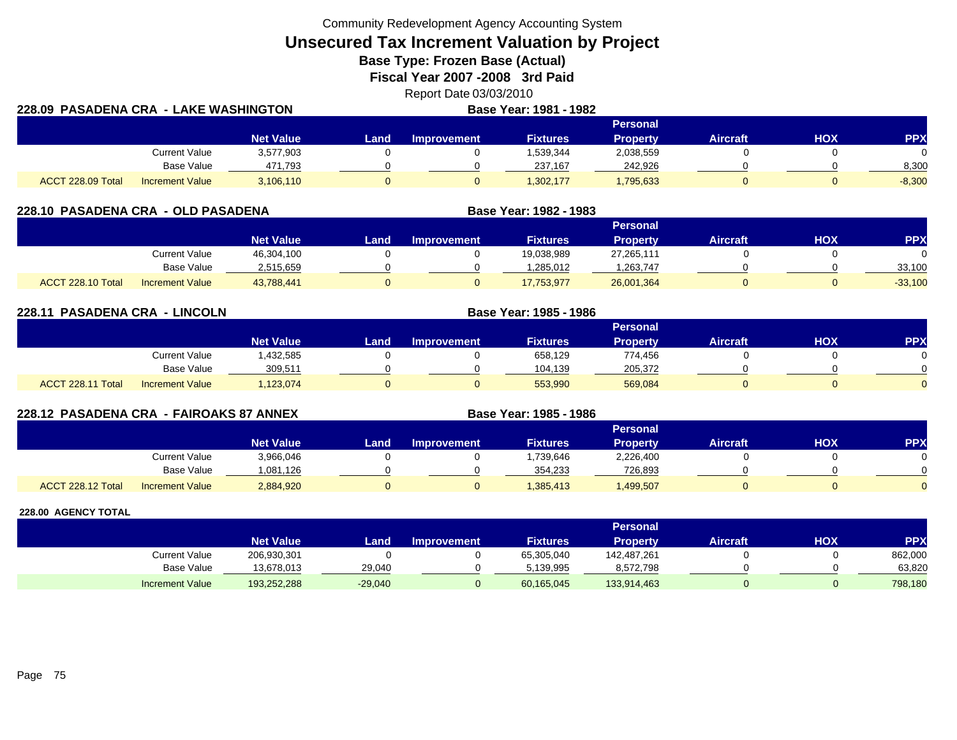Community Redevelopment Agency Accounting System

**Unsecured Tax Increment Valuation by Project**

**Base Type: Frozen Base (Actual)** 

**Fiscal Year 2007 -2008 3rd Paid**

Report Date 03/03/2010 **LAKE WASHINGTON Base Year: 1981 - 1982**

| 228.09 PASADENA CRA - LAKE WASHINGTON |                        |                  | Base Year: 1981 - 1982 |             |                 |                 |                 |     |            |
|---------------------------------------|------------------------|------------------|------------------------|-------------|-----------------|-----------------|-----------------|-----|------------|
|                                       |                        |                  |                        |             |                 | Personal        |                 |     |            |
|                                       |                        | <b>Net Value</b> | Landı                  | Improvement | <b>Fixtures</b> | <b>Property</b> | <b>Aircraft</b> | HOX | <b>PPX</b> |
|                                       | Current Value          | 3,577,903        |                        |             | 1,539,344       | 2,038,559       |                 |     |            |
|                                       | Base Value             | 471,793          |                        |             | 237,167         | 242.926         |                 |     | 8,300      |
| ACCT 228.09 Total                     | <b>Increment Value</b> | 3,106,110        |                        |             | 1,302,177       | 1,795,633       |                 |     | $-8,300$   |

| 228.10 PASADENA CRA - OLD PASADENA |                        |                  |      | Base Year: 1982 - 1983 |                 |            |                 |     |            |
|------------------------------------|------------------------|------------------|------|------------------------|-----------------|------------|-----------------|-----|------------|
|                                    |                        |                  |      |                        |                 | Personal   |                 |     |            |
|                                    |                        | <b>Net Value</b> | Land | <b>Improvement</b>     | <b>Fixtures</b> | Property   | <b>Aircraft</b> | нох | <b>PPX</b> |
|                                    | Current Value          | 46,304,100       |      |                        | 19.038.989      | 27,265,111 |                 |     |            |
|                                    | Base Value             | 2,515,659        |      |                        | .285.012        | 1,263,747  |                 |     | 33,100     |
| ACCT 228.10 Total                  | <b>Increment Value</b> | 43.788.441       |      |                        | 17.753.977      | 26,001,364 |                 |     | $-33,100$  |

**228.11 PASADENA CRA - LINCOLN Base Year: 1985 - 1986 Personal Net Value Land Improvement Fixtures Property Aircraft HOX PPX** Current Value 1,432,585 0 0 658,129 774,456 0 0 0 Base Value 309,511 0 0 104,139 205,372 0 0 ACCT 228.11 TotalI Increment Value 1,123,074 0 0 553,990 569,084 0 0

**228.12 PASADENA CRA - FAIROAKS 87 ANNEX Base Year: 1985 - 1986 Personal Net Value Land Improvement Fixtures Property Aircraft HOX PPX** Current Value 3,966,046 0 0 1,739,646 2,226,400 0 0 0 Base Value 1,081,126 0 0 354,233 726,893 0 0 0 ACCT 228.12 TotalI Increment Value 2,884,920 0 1,385,413 1,499,507 0 0

|                        |                  |           |                    |                 | <b>Personal</b> |                 |     |         |
|------------------------|------------------|-----------|--------------------|-----------------|-----------------|-----------------|-----|---------|
|                        | <b>Net Value</b> | Land.     | <b>Improvement</b> | <b>Fixtures</b> | Property        | <b>Aircraft</b> | HOX | PPX     |
| Current Value          | 206,930,301      |           |                    | 65,305,040      | 142,487,261     |                 |     | 862,000 |
| Base Value             | 13,678,013       | 29,040    |                    | 5.139.995       | 8,572,798       |                 |     | 63,820  |
| <b>Increment Value</b> | 193,252,288      | $-29,040$ |                    | 60,165,045      | 133,914,463     |                 |     | 798,180 |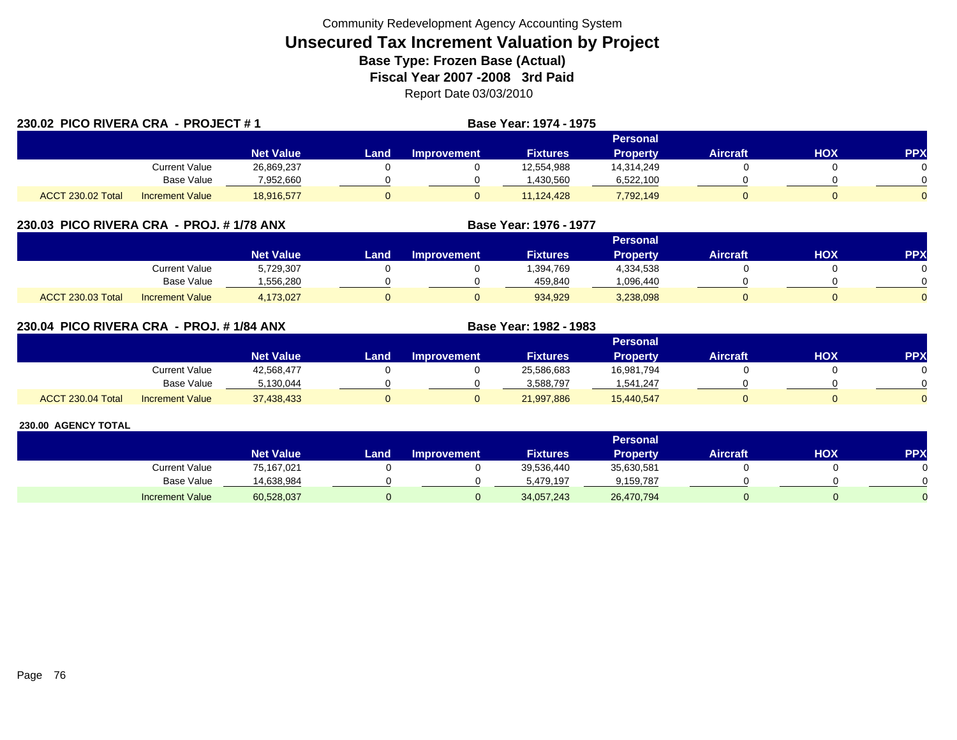| 230.02 PICO RIVERA CRA - PROJECT #1 |                        |                  |      |                    | <b>Base Year: 1974 - 1975</b> |                 |                 |     |            |
|-------------------------------------|------------------------|------------------|------|--------------------|-------------------------------|-----------------|-----------------|-----|------------|
|                                     |                        |                  |      |                    |                               | <b>Personal</b> |                 |     |            |
|                                     |                        | <b>Net Value</b> | Land | <b>Improvement</b> | <b>Fixtures</b>               | <b>Property</b> | <b>Aircraft</b> | HOX | <b>PPX</b> |
|                                     | Current Value          | 26,869,237       |      |                    | 12,554,988                    | 14.314.249      |                 |     |            |
|                                     | <b>Base Value</b>      | 7,952,660        |      |                    | .430.560                      | 6,522,100       |                 |     |            |
| <b>ACCT 230.02 Total</b>            | <b>Increment Value</b> | 18.916.577       |      |                    | 11.124.428                    | 7,792,149       |                 |     | $\Omega$   |

## **230.03 PICO RIVERA CRA - PROJ. # 1/78 ANX**

|                          |                        |                  |      |                    |                 | Personal  |                 |            |          |
|--------------------------|------------------------|------------------|------|--------------------|-----------------|-----------|-----------------|------------|----------|
|                          |                        | <b>Net Value</b> | Land | <b>Improvement</b> | <b>Fixtures</b> | Property  | <b>Aircraft</b> | <b>HOX</b> | PPX      |
|                          | Current Value          | 5,729,307        |      |                    | .394,769        | 4,334,538 |                 |            |          |
|                          | <b>Base Value</b>      | .556.280         |      |                    | 459.840         | .096,440  |                 |            | 0        |
| <b>ACCT 230.03 Total</b> | <b>Increment Value</b> | 4,173,027        |      |                    | 934,929         | 3,238,098 |                 |            | $\Omega$ |

**Base Year: 1976 - 1977**

**Base Year: 1982 - 1983**

## **230.04 PICO RIVERA CRA - PROJ. # 1/84 ANX**

|                   |                        |                  |      |                    |                 | Personal   |                 |            |          |
|-------------------|------------------------|------------------|------|--------------------|-----------------|------------|-----------------|------------|----------|
|                   |                        | <b>Net Value</b> | Land | <b>Improvement</b> | <b>Fixtures</b> | Property   | <b>Aircraft</b> | <b>HOX</b> | PPX      |
|                   | Current Value          | 42,568,477       |      |                    | 25,586,683      | 16,981,794 |                 |            |          |
|                   | <b>Base Value</b>      | 5.130.044        |      |                    | 3.588.797       | 1.541.247  |                 |            | 0        |
| ACCT 230.04 Total | <b>Increment Value</b> | 37,438,433       |      |                    | 21,997,886      | 15,440,547 |                 |            | $\Omega$ |

|                        |                  |      |                    |                 | Personal   |                 |     |            |
|------------------------|------------------|------|--------------------|-----------------|------------|-----------------|-----|------------|
|                        | <b>Net Value</b> | Land | <b>Improvement</b> | <b>Fixtures</b> | Property   | <b>Aircraft</b> | HOX | <b>PPX</b> |
| Current Value          | 75,167,021       |      |                    | 39,536,440      | 35,630,581 |                 |     |            |
| <b>Base Value</b>      | 14,638,984       |      |                    | 5.479.197       | 9,159,787  |                 |     |            |
| <b>Increment Value</b> | 60,528,037       |      |                    | 34,057,243      | 26,470,794 |                 |     |            |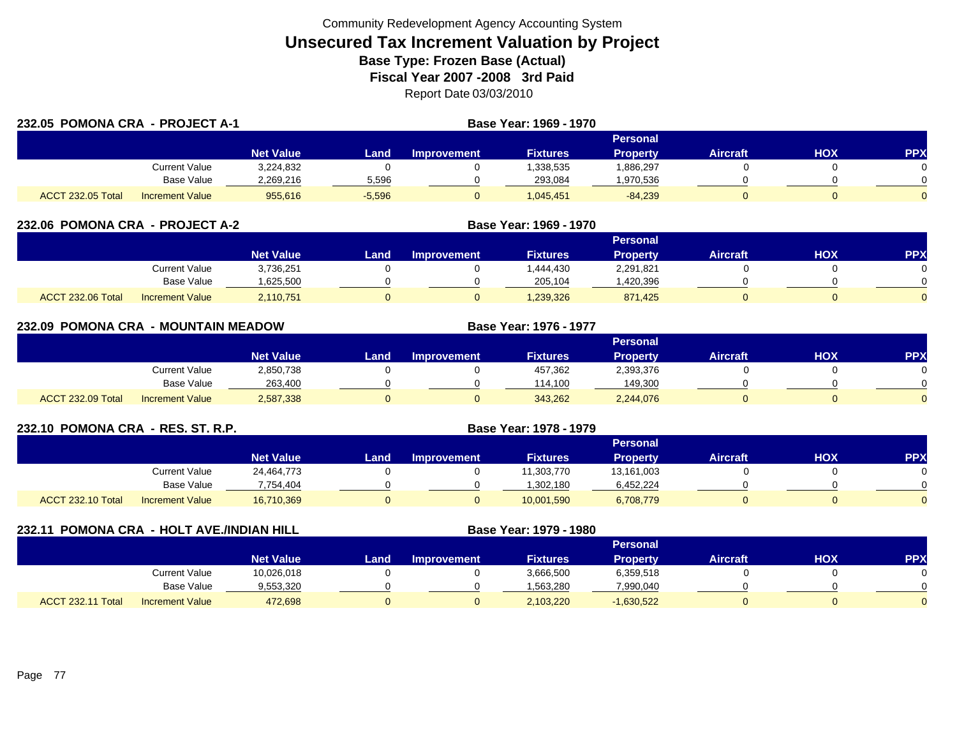| 232.05 POMONA CRA - PROJECT A-1 |                        |                  |          | Base Year: 1969 - 1970 |                 |                 |                 |     |            |
|---------------------------------|------------------------|------------------|----------|------------------------|-----------------|-----------------|-----------------|-----|------------|
|                                 |                        |                  |          |                        |                 | Personal        |                 |     |            |
|                                 |                        | <b>Net Value</b> | Land     | <b>Improvement</b>     | <b>Fixtures</b> | <b>Property</b> | <b>Aircraft</b> | HOX | <b>PPX</b> |
|                                 | Current Value          | 3,224,832        |          |                        | 1,338,535       | .886,297        |                 |     |            |
|                                 | Base Value             | 2.269.216        | 5,596    |                        | 293.084         | .970,536        |                 |     |            |
| <b>ACCT 232.05 Total</b>        | <b>Increment Value</b> | 955,616          | $-5,596$ |                        | 1,045,451       | $-84,239$       |                 |     | $\Omega$   |

| 232.06 POMONA CRA - PROJECT A-2 |                        |                  |      | Base Year: 1969 - 1970 |                 |           |                 |     |            |
|---------------------------------|------------------------|------------------|------|------------------------|-----------------|-----------|-----------------|-----|------------|
|                                 |                        |                  |      |                        |                 |           |                 |     |            |
|                                 |                        | <b>Net Value</b> | Land | <b>Improvement</b>     | <b>Fixtures</b> | Property  | <b>Aircraft</b> | нох | <b>PPX</b> |
|                                 | Current Value          | 3,736,251        |      |                        | .444.430        | 2,291,821 |                 |     |            |
|                                 | Base Value             | 625,500          |      |                        | 205,104         | ,420,396  |                 |     |            |
| ACCT 232.06 Total               | <b>Increment Value</b> | 2,110,751        |      | 0                      | 1,239,326       | 871.425   |                 |     |            |

| 232.09 POMONA CRA - MOUNTAIN MEADOW |                        |                  |       |                    | Base Year: 1976 - 1977 |                 |                 |            |          |
|-------------------------------------|------------------------|------------------|-------|--------------------|------------------------|-----------------|-----------------|------------|----------|
|                                     |                        |                  |       |                    |                        | Personal        |                 |            |          |
|                                     |                        | <b>Net Value</b> | Land. | <b>Improvement</b> | <b>Fixtures</b>        | <b>Property</b> | <b>Aircraft</b> | <b>HOX</b> | PPX      |
|                                     | Current Value          | 2,850,738        |       |                    | 457,362                | 2,393,376       |                 |            | $\Omega$ |
|                                     | Base Value             | 263,400          |       |                    | 114.100                | 149,300         |                 |            | $\Omega$ |
| ACCT 232.09 Total                   | <b>Increment Value</b> | 2,587,338        |       | U.                 | 343,262                | 2,244,076       |                 |            | $\Omega$ |

| 232.10 POMONA CRA - RES. ST. R.P. |                        |                  |      |                    |                 |                 |                 |     |     |
|-----------------------------------|------------------------|------------------|------|--------------------|-----------------|-----------------|-----------------|-----|-----|
|                                   |                        |                  |      |                    |                 | <b>Personal</b> |                 |     |     |
|                                   |                        | <b>Net Value</b> | Land | <b>Improvement</b> | <b>Fixtures</b> | <b>Property</b> | <b>Aircraft</b> | нох | PP) |
|                                   | Current Value          | 24,464,773       |      |                    | 11,303,770      | 13,161,003      |                 |     |     |
|                                   | Base Value             | 7,754,404        |      |                    | 1,302,180       | 6,452,224       |                 |     |     |
| <b>ACCT 232.10 Total</b>          | <b>Increment Value</b> | 16,710,369       |      |                    | 10,001,590      | 6,708,779       | 0               |     |     |

| 232.11            | POMONA CRA - HOLT AVE./INDIAN HILL |                  |      |                    | Base Year: 1979 - 1980 |                 |                 |     |            |
|-------------------|------------------------------------|------------------|------|--------------------|------------------------|-----------------|-----------------|-----|------------|
|                   |                                    |                  |      |                    |                        | <b>Personal</b> |                 |     |            |
|                   |                                    | <b>Net Value</b> | Land | <b>Improvement</b> | <b>Fixtures</b>        | <b>Property</b> | <b>Aircraft</b> | нох | <b>PPX</b> |
|                   | Current Value                      | 10,026,018       |      |                    | 3,666,500              | 6,359,518       |                 |     |            |
|                   | Base Value                         | 9,553,320        |      |                    | .563,280               | 7,990,040       |                 |     |            |
| ACCT 232.11 Total | <b>Increment Value</b>             | 472,698          |      |                    | 2,103,220              | $-1,630,522$    |                 |     |            |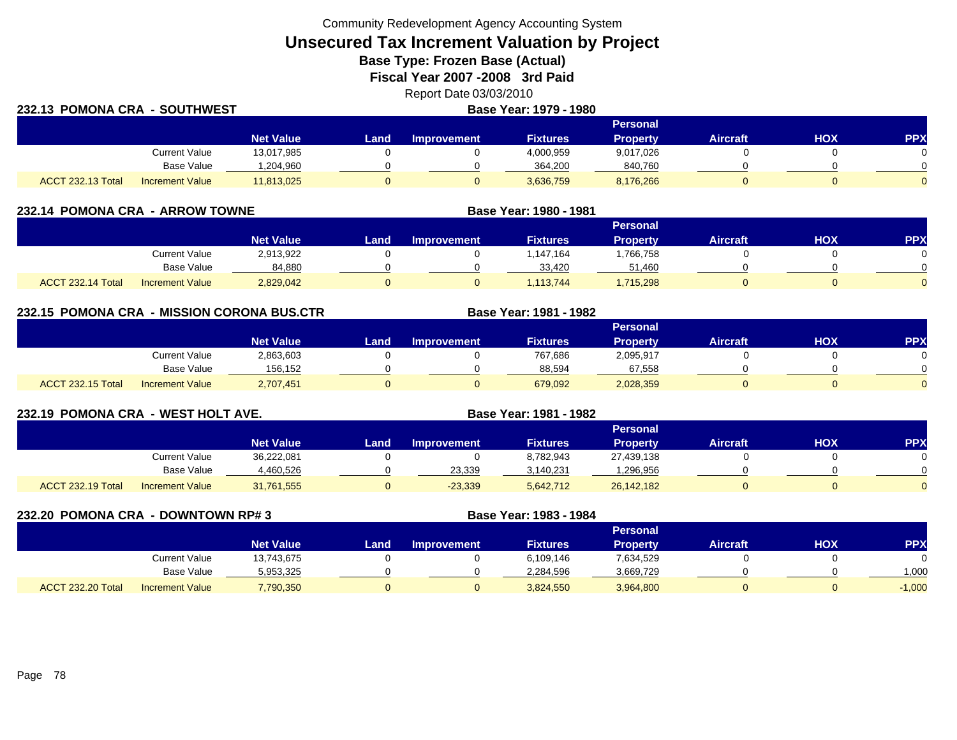Community Redevelopment Agency Accounting System

**Unsecured Tax Increment Valuation by Project**

**Base Type: Frozen Base (Actual)** 

**Fiscal Year 2007 -2008 3rd Paid**

Report Date 03/03/2010 **Base Year: 1979 - 1990**<br>**Base Year: 1979 - 1990** 

| 232.13 POMONA CRA - SOUTHWEST |                        |                  | <b>Base Year: 1979 - 1980</b> |                    |                 |                 |                 |     |            |  |
|-------------------------------|------------------------|------------------|-------------------------------|--------------------|-----------------|-----------------|-----------------|-----|------------|--|
|                               |                        |                  |                               |                    |                 | <b>Personal</b> |                 |     |            |  |
|                               |                        | <b>Net Value</b> | Land.                         | <b>Improvement</b> | <b>Fixtures</b> | Propertv        | <b>Aircraft</b> | нох | <b>PPX</b> |  |
|                               | <b>Current Value</b>   | 13,017,985       |                               |                    | 4,000,959       | 9,017,026       |                 |     |            |  |
|                               | <b>Base Value</b>      | .204,960         |                               |                    | 364,200         | 840,760         |                 |     |            |  |
| <b>ACCT 232.13 Total</b>      | <b>Increment Value</b> | 11,813,025       |                               |                    | 3,636,759       | 8,176,266       |                 |     |            |  |

| 232.14 POMONA CRA - ARROW TOWNE |                        |                  |      |                    | Base Year: 1980 - 1981 |                 |                 |     |            |
|---------------------------------|------------------------|------------------|------|--------------------|------------------------|-----------------|-----------------|-----|------------|
|                                 |                        |                  |      |                    |                        | <b>Personal</b> |                 |     |            |
|                                 |                        | <b>Net Value</b> | Land | <b>Improvement</b> | <b>Fixtures</b>        | Property        | <b>Aircraft</b> | нох | <b>PPX</b> |
|                                 | Current Value          | 2,913,922        |      |                    | .147.164               | ,766,758        |                 |     |            |
|                                 | Base Value             | 84,880           |      |                    | 33.420                 | 51.460          |                 |     |            |
| ACCT 232.14 Total               | <b>Increment Value</b> | 2,829,042        |      |                    | , 113, 744             | 1,715,298       |                 |     |            |

**232.15 POMONA CRA - MISSION CORONA BUS.CTR Base Year: 1981 - 1982 Personal Net Value Land Improvement Fixtures Property Aircraft HOX PPX** Current Value 2,863,603 0 0 767,686 2,095,917 0 0 Base Value 156,152 0 0 88,594 67,558 0 0 ACCT 232.15 Totall Increment Value 2,707,451 0 679,092 2,028,359 0 0

| 232.19 POMONA CRA - WEST HOLT AVE. |                        |                  |      |                    | Base Year: 1981 - 1982 |                 |                 |     |            |
|------------------------------------|------------------------|------------------|------|--------------------|------------------------|-----------------|-----------------|-----|------------|
|                                    |                        |                  |      |                    |                        | <b>Personal</b> |                 |     |            |
|                                    |                        | <b>Net Value</b> | Land | <b>Improvement</b> | Fixtures               | <b>Property</b> | <b>Aircraft</b> | НОХ | <b>PPX</b> |
|                                    | Current Value          | 36,222,081       |      |                    | 8,782,943              | 27,439,138      |                 |     |            |
|                                    | Base Value             | 4,460,526        |      | 23,339             | 3,140,231              | .296,956        |                 |     |            |
| ACCT 232.19 Total                  | <b>Increment Value</b> | 31,761,555       |      | $-23,339$          | 5,642,712              | 26,142,182      |                 |     |            |

| 232.20 POMONA CRA        | - DOWNTOWN RP# 3       |                  |      |                    | Base Year: 1983 - 1984 |                 |                 |     |           |
|--------------------------|------------------------|------------------|------|--------------------|------------------------|-----------------|-----------------|-----|-----------|
|                          |                        |                  |      |                    |                        | <b>Personal</b> |                 |     |           |
|                          |                        | <b>Net Value</b> | Land | <b>Improvement</b> | <b>Fixtures</b>        | <b>Property</b> | <b>Aircraft</b> | нох | <b>PP</b> |
|                          | <b>Current Value</b>   | 13,743,675       |      |                    | 6,109,146              | 7,634,529       |                 |     |           |
|                          | Base Value             | 5,953,325        |      |                    | 2,284,596              | 3,669,729       |                 |     | 1,000     |
| <b>ACCT 232.20 Total</b> | <b>Increment Value</b> | 7,790,350        |      |                    | 3,824,550              | 3,964,800       | 0               |     | $-1,000$  |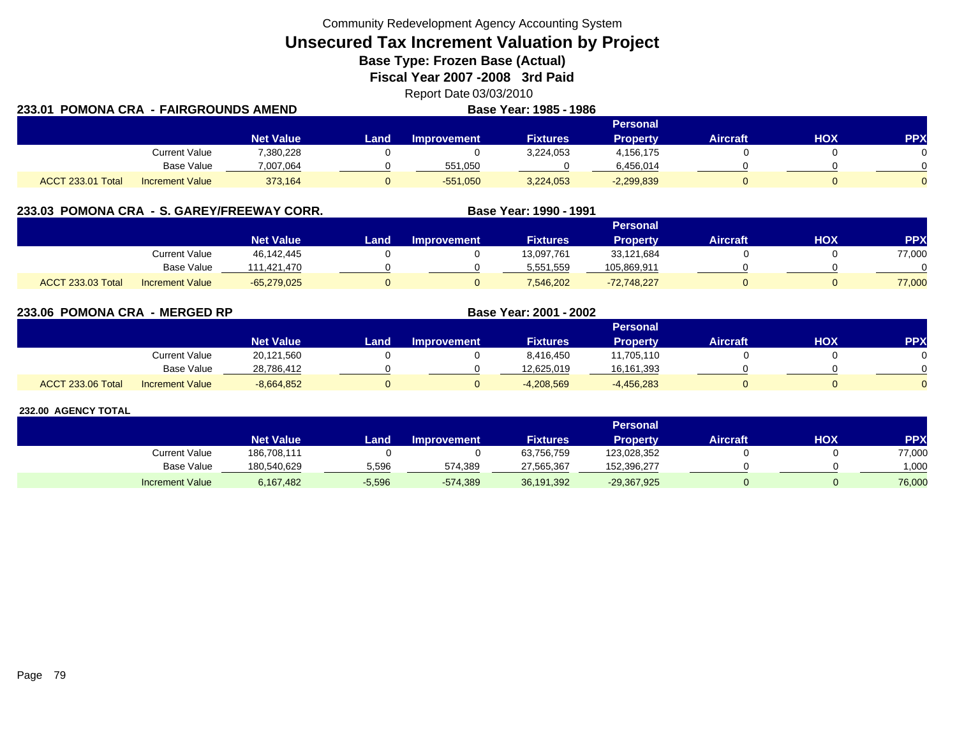Community Redevelopment Agency Accounting System

**Unsecured Tax Increment Valuation by Project**

**Base Type: Frozen Base (Actual)** 

**Fiscal Year 2007 -2008 3rd Paid**

Report Date 03/03/2010

| 233.01 POMONA CRA  - FAIRGROUNDS AMEND |                        |                  | Base Year: 1985 - 1986 |             |           |                 |          |            |            |
|----------------------------------------|------------------------|------------------|------------------------|-------------|-----------|-----------------|----------|------------|------------|
|                                        |                        |                  |                        |             |           | Personal        |          |            |            |
|                                        |                        | <b>Net Value</b> | Land.                  | Improvement | Fixtures  | <b>Property</b> | Aircraft | <b>HOX</b> | <b>PPX</b> |
|                                        | <b>Current Value</b>   | 7,380,228        |                        |             | 3,224,053 | 4.156.175       |          |            |            |
|                                        | Base Value             | 7.007.064        |                        | 551.050     |           | 6.456.014       |          |            |            |
| <b>ACCT 233.01 Total</b>               | <b>Increment Value</b> | 373.164          |                        | $-551,050$  | 3,224,053 | $-2,299,839$    |          |            |            |

|                   |                        | 233.03 POMONA CRA - S. GAREY/FREEWAY CORR. |      |                    | Base Year: 1990 - 1991 |                 |                 |     |            |
|-------------------|------------------------|--------------------------------------------|------|--------------------|------------------------|-----------------|-----------------|-----|------------|
|                   |                        |                                            |      |                    |                        | <b>Personal</b> |                 |     |            |
|                   |                        | <b>Net Value</b>                           | Land | <b>Improvement</b> | <b>Fixtures</b>        | <b>Property</b> | <b>Aircraft</b> | нох | <b>PPX</b> |
|                   | Current Value          | 46,142,445                                 |      |                    | 13,097,761             | 33,121,684      |                 |     | 77,000     |
|                   | Base Value             | 111,421,470                                |      |                    | 5,551,559              | 105,869,911     |                 |     |            |
| ACCT 233.03 Total | <b>Increment Value</b> | $-65,279,025$                              |      |                    | 7,546,202              | $-72,748,227$   |                 |     | 77,000     |

**233.06 POMONA CRA - MERGED RP Base Year: 2001 - 2002 Personal Net Value Land Improvement Fixtures Property Aircraft HOX PPX** Current Value 20,121,560 0 0 8,416,450 11,705,110 0 0 Base Value 28,786,412 0 0 12,625,019 16,161,393 0 0 ACCT 233.06 Totall Increment Value -8,664,852 0 0 -4,208,569 -4,456,283 0 0 0

|                        |                  |          |                    |                 | <b>Personal</b> |                 |     |            |
|------------------------|------------------|----------|--------------------|-----------------|-----------------|-----------------|-----|------------|
|                        | <b>Net Value</b> | _and     | <b>Improvement</b> | <b>Fixtures</b> | Property        | <b>Aircraft</b> | нох | <b>PPX</b> |
| <b>Current Value</b>   | 186,708,111      |          |                    | 63,756,759      | 123,028,352     |                 |     | 77,000     |
| Base Value             | 180.540.629      | 5,596    | 574,389            | 27.565.367      | 152.396.277     |                 |     | 1.000      |
| <b>Increment Value</b> | 6,167,482        | $-5,596$ | $-574,389$         | 36,191,392      | $-29,367,925$   |                 |     | 76,000     |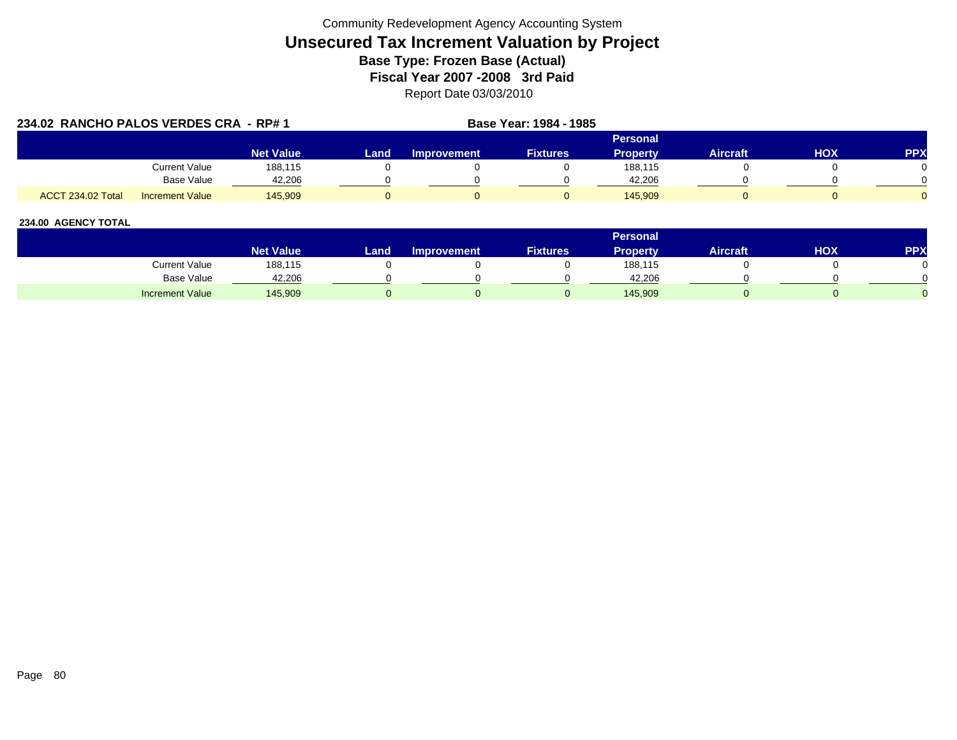| 234.02 RANCHO PALOS VERDES CRA - RP# 1 |                        |                  |      |                    | Base Year: 1984 - 1985 |                 |                 |     |            |
|----------------------------------------|------------------------|------------------|------|--------------------|------------------------|-----------------|-----------------|-----|------------|
|                                        |                        |                  |      |                    |                        | Personal        |                 |     |            |
|                                        |                        | <b>Net Value</b> | Land | <b>Improvement</b> | <b>Fixtures</b>        | <b>Property</b> | <b>Aircraft</b> | нох | <b>PPX</b> |
|                                        | <b>Current Value</b>   | 188.115          |      |                    |                        | 188,115         |                 |     |            |
|                                        | Base Value             | 42,206           |      |                    |                        | 42,206          |                 |     |            |
| <b>ACCT 234.02 Total</b>               | <b>Increment Value</b> | 145.909          |      |                    |                        | 145.909         |                 |     |            |

|                        |                        |       |                    |                 | <b>Personal</b> |                 |     |            |
|------------------------|------------------------|-------|--------------------|-----------------|-----------------|-----------------|-----|------------|
|                        | Net Value <sup>1</sup> | Land. | <b>Improvement</b> | <b>Fixtures</b> | Property        | <b>Aircraft</b> | нох | <b>PPX</b> |
| Current Value          | 188,115                |       |                    |                 | 188,115         |                 |     |            |
| <b>Base Value</b>      | 42,206                 |       |                    |                 | 42.206          |                 |     |            |
| <b>Increment Value</b> | 145,909                |       |                    |                 | 145,909         |                 |     |            |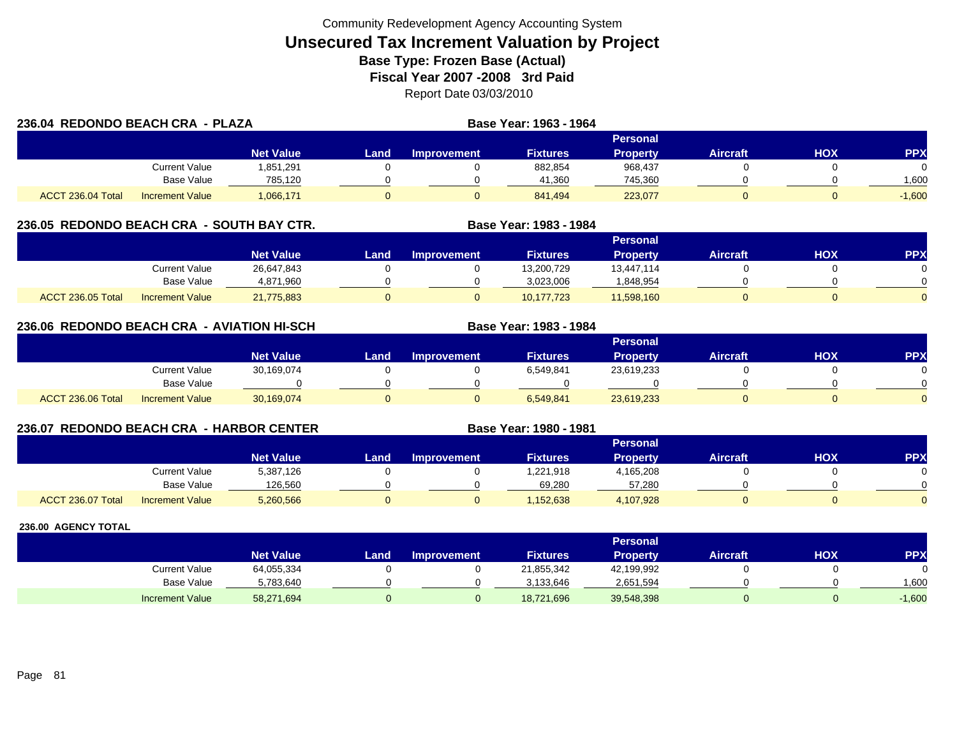| 236.04 REDONDO BEACH CRA - PLAZA |                        |                  |      |                    | Base Year: 1963 - 1964 |                 |                 |            |            |
|----------------------------------|------------------------|------------------|------|--------------------|------------------------|-----------------|-----------------|------------|------------|
|                                  |                        |                  |      |                    |                        | <b>Personal</b> |                 |            |            |
|                                  |                        | <b>Net Value</b> | Land | <b>Improvement</b> | <b>Fixtures</b>        | <b>Property</b> | <b>Aircraft</b> | <b>HOX</b> | <b>PPX</b> |
|                                  | Current Value          | 851.291.         |      |                    | 882,854                | 968,437         |                 |            | 0          |
|                                  | <b>Base Value</b>      | 785,120          |      |                    | 41,360                 | 745,360         |                 |            | 1,600      |
| ACCT 236.04 Total                | <b>Increment Value</b> | 1,066,171        |      |                    | 841.494                | 223,077         |                 |            | $-1,600$   |

## **236.05 REDONDO BEACH CRA - SOUTH BAY CTR. Base Year: 1983 - 1984**

|                                             |                  |      |                    |                 | Personal   |                 |            |          |
|---------------------------------------------|------------------|------|--------------------|-----------------|------------|-----------------|------------|----------|
|                                             | <b>Net Value</b> | Land | <b>Improvement</b> | <b>Fixtures</b> | Property   | <b>Aircraft</b> | <b>HOX</b> | PPX      |
| Current Value                               | 26,647,843       |      |                    | 13,200,729      | 13,447,114 |                 |            |          |
| Base Value                                  | 4,871,960        |      |                    | 3,023,006       | 848,954    |                 |            | 0        |
| ACCT 236.05 Total<br><b>Increment Value</b> | 21,775,883       |      |                    | 10,177,723      | 11,598,160 |                 |            | $\Omega$ |

## **236.06 REDONDO BEACH CRA - AVIATION HI-SCH**

|                   |                        |                  |      |                    |                 | Personal        |                 |            |           |
|-------------------|------------------------|------------------|------|--------------------|-----------------|-----------------|-----------------|------------|-----------|
|                   |                        | <b>Net Value</b> | Land | <b>Improvement</b> | <b>Fixtures</b> | <b>Property</b> | <b>Aircraft</b> | <b>HOX</b> | <b>PP</b> |
|                   | Current Value          | 30,169,074       |      |                    | 6,549,841       | 23,619,233      |                 |            |           |
|                   | Base Value             |                  |      |                    |                 |                 |                 |            |           |
| ACCT 236.06 Total | <b>Increment Value</b> | 30,169,074       |      |                    | 6,549,841       | 23,619,233      |                 |            |           |

**Base Year: 1983 - 1984**

**Base Year: 1980 - 1981**

## **236.07 REDONDO BEACH CRA - HARBOR CENTER**

|                   |                        |                  |      |                    |                 | Personal  |                 |            |           |
|-------------------|------------------------|------------------|------|--------------------|-----------------|-----------|-----------------|------------|-----------|
|                   |                        | <b>Net Value</b> | Land | <b>Improvement</b> | <b>Fixtures</b> | Property  | <b>Aircraft</b> | <b>HOX</b> | <b>PP</b> |
|                   | Current Value          | 5,387,126        |      |                    | 1,221,918       | 4,165,208 |                 |            |           |
|                   | <b>Base Value</b>      | 126.560          |      |                    | 69.280          | 57.280    |                 |            |           |
| ACCT 236.07 Total | <b>Increment Value</b> | 5,260,566        |      |                    | 152,638         | 4,107,928 |                 |            |           |

|                        |                  |      |                    |                 | Personal   |                 |     |          |
|------------------------|------------------|------|--------------------|-----------------|------------|-----------------|-----|----------|
|                        | <b>Net Value</b> | Land | <b>Improvement</b> | <b>Fixtures</b> | Property   | <b>Aircraft</b> | нох | PPX      |
| Current Value          | 64,055,334       |      |                    | 21,855,342      | 42,199,992 |                 |     |          |
| <b>Base Value</b>      | 5,783,640        |      |                    | 3.133.646       | 2,651,594  |                 |     | 1,600    |
| <b>Increment Value</b> | 58,271,694       |      |                    | 18,721,696      | 39,548,398 |                 |     | $-1,600$ |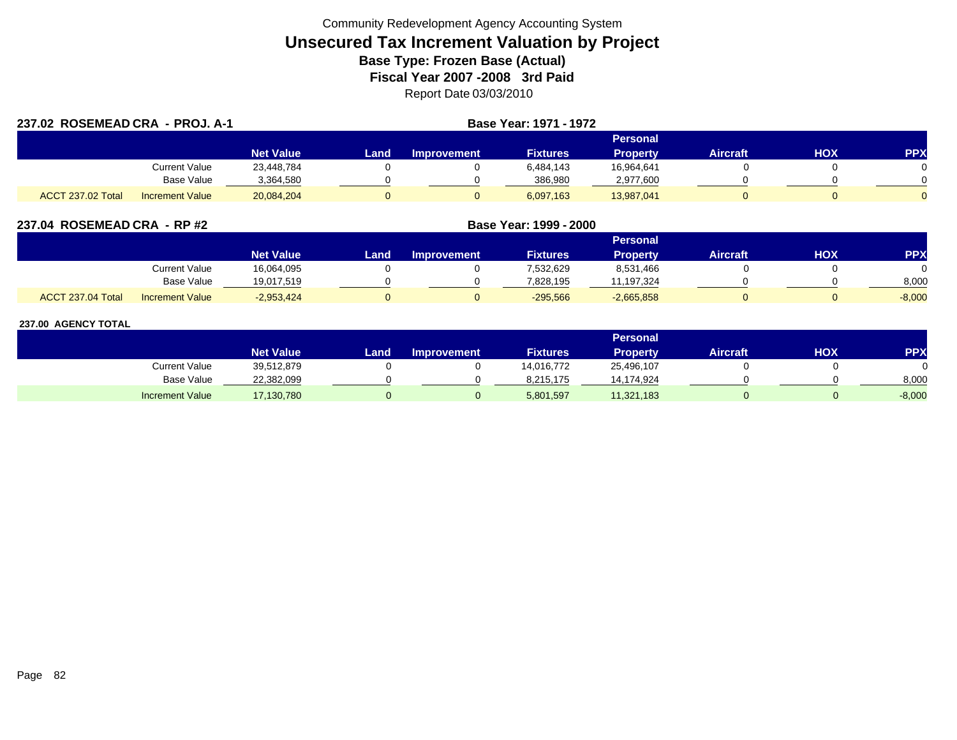| 237.02 ROSEMEAD CRA - PROJ. A-1 |                        |                  |      |                    | Base Year: 1971 - 1972 |                 |                 |     |            |
|---------------------------------|------------------------|------------------|------|--------------------|------------------------|-----------------|-----------------|-----|------------|
|                                 |                        |                  |      |                    |                        | <b>Personal</b> |                 |     |            |
|                                 |                        | <b>Net Value</b> | Land | <b>Improvement</b> | <b>Fixtures</b>        | <b>Property</b> | <b>Aircraft</b> | HOX | <b>PPX</b> |
|                                 | Current Value          | 23,448,784       |      |                    | 6,484,143              | 16,964,641      |                 |     |            |
|                                 | Base Value             | 3,364,580        |      |                    | 386,980                | 2,977,600       |                 |     |            |
| ACCT 237.02 Total               | <b>Increment Value</b> | 20,084,204       |      |                    | 6,097,163              | 13,987,041      |                 |     |            |

| 237.04 ROSEMEAD CRA - RP #2                 |                  | Base Year: 1999 - 2000 |                    |                 |                 |          |            |          |  |  |
|---------------------------------------------|------------------|------------------------|--------------------|-----------------|-----------------|----------|------------|----------|--|--|
|                                             |                  |                        |                    |                 |                 |          |            |          |  |  |
|                                             | <b>Net Value</b> | Land                   | <b>Improvement</b> | <b>Fixtures</b> | <b>Property</b> | Aircraft | <b>HOX</b> | PPX      |  |  |
| Current Value                               | 16,064,095       |                        |                    | 7,532,629       | 8,531,466       |          |            |          |  |  |
| Base Value                                  | 19,017,519       |                        |                    | 7,828,195       | 11,197,324      |          |            | 8,000    |  |  |
| ACCT 237.04 Total<br><b>Increment Value</b> | $-2,953,424$     |                        |                    | $-295,566$      | $-2,665,858$    |          |            | $-8,000$ |  |  |

|                        |                  |      |                    |                 | Personal . |                 |     |            |
|------------------------|------------------|------|--------------------|-----------------|------------|-----------------|-----|------------|
|                        | <b>Net Value</b> | Land | <b>Improvement</b> | <b>Fixtures</b> | Property   | <b>Aircraft</b> | нох | <b>PPX</b> |
| Current Value          | 39,512,879       |      |                    | 14,016,772      | 25,496,107 |                 |     |            |
| <b>Base Value</b>      | 22,382,099       |      |                    | 8.215.175       | 14.174.924 |                 |     | 8,000      |
| <b>Increment Value</b> | 17,130,780       |      |                    | 5,801,597       | 11,321,183 |                 |     | $-8,000$   |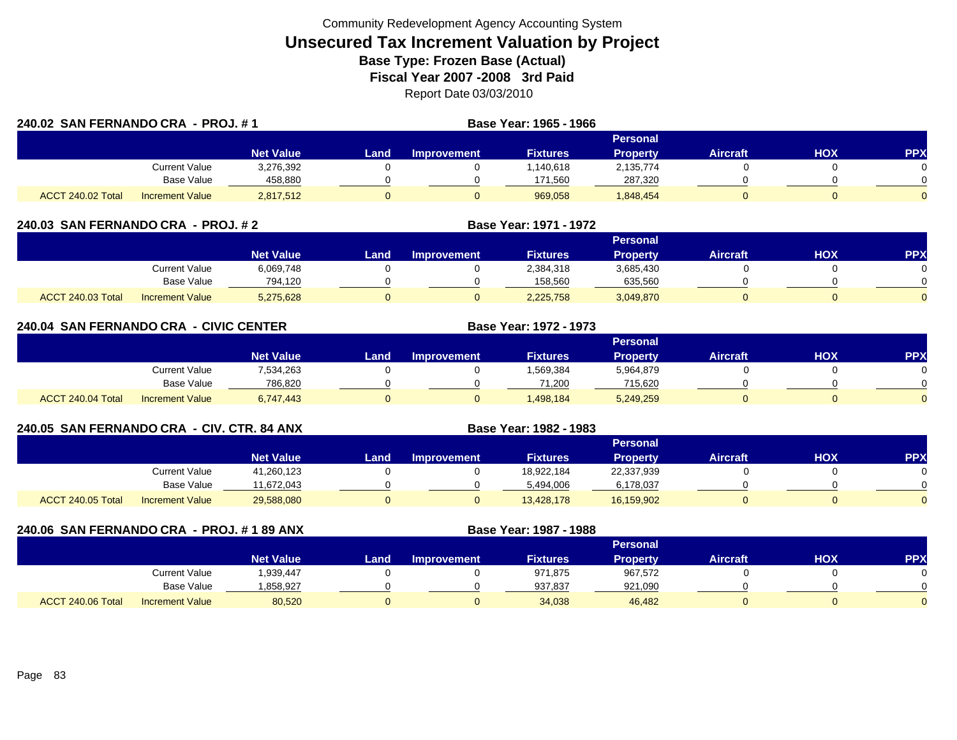| 240.02 SAN FERNANDO CRA - PROJ. #1 |                        |                  |      |                    | Base Year: 1965 - 1966 |                 |                 |            |            |
|------------------------------------|------------------------|------------------|------|--------------------|------------------------|-----------------|-----------------|------------|------------|
|                                    |                        |                  |      |                    |                        | Personal        |                 |            |            |
|                                    |                        | <b>Net Value</b> | Land | <b>Improvement</b> | <b>Fixtures</b>        | <b>Property</b> | <b>Aircraft</b> | <b>HOX</b> | <b>PPX</b> |
|                                    | Current Value          | 3,276,392        |      |                    | .140.618               | 2,135,774       |                 |            | 0          |
|                                    | Base Value             | 458,880          |      |                    | 171,560                | 287,320         |                 |            | $\Omega$   |
| ACCT 240.02 Total                  | <b>Increment Value</b> | 2,817,512        |      |                    | 969,058                | 848,454         |                 |            | $\Omega$   |

| 240.03 SAN FERNANDO CRA - PROJ. # 2 |  |
|-------------------------------------|--|
|-------------------------------------|--|

|                                                    |                  |      |                    |                 | Personal  |                 |     |           |
|----------------------------------------------------|------------------|------|--------------------|-----------------|-----------|-----------------|-----|-----------|
|                                                    | <b>Net Value</b> | Land | <b>Improvement</b> | <b>Fixtures</b> | Property  | <b>Aircraft</b> | НОХ | <b>PP</b> |
| Current Value                                      | 6,069,748        |      |                    | 2,384,318       | 3,685,430 |                 |     |           |
| Base Value                                         | 794.120          |      |                    | 158.560         | 635,560   |                 |     |           |
| <b>ACCT 240.03 Total</b><br><b>Increment Value</b> | 5,275,628        |      |                    | 2,225,758       | 3,049,870 |                 |     |           |

**SAN FERNANDO CRA - PROJ. # 2 Base Year: 1971 - 1972**

| 240.04 SAN FERNANDO CRA - CIVIC CENTER |                        |                  |      |                    | Base Year: 1972 - 1973 |           |                 |     |            |  |  |
|----------------------------------------|------------------------|------------------|------|--------------------|------------------------|-----------|-----------------|-----|------------|--|--|
|                                        |                        |                  |      | <b>Personal</b>    |                        |           |                 |     |            |  |  |
|                                        |                        | <b>Net Value</b> | Land | <b>Improvement</b> | <b>Fixtures</b>        | Property  | <b>Aircraft</b> | нох | <b>PPX</b> |  |  |
|                                        | Current Value          | 7,534,263        |      |                    | 1,569,384              | 5,964,879 |                 |     |            |  |  |
|                                        | Base Value             | 786,820          |      |                    | 71.200                 | 715.620   |                 |     |            |  |  |
| ACCT 240.04 Total                      | <b>Increment Value</b> | 6,747,443        |      |                    | 1,498,184              | 5,249,259 |                 |     |            |  |  |

|                          | 240.05 SAN FERNANDO CRA - CIV. CTR. 84 ANX |                  |      |                    | Base Year: 1982 - 1983 |                 |                 |     |            |
|--------------------------|--------------------------------------------|------------------|------|--------------------|------------------------|-----------------|-----------------|-----|------------|
|                          |                                            |                  |      |                    |                        | <b>Personal</b> |                 |     |            |
|                          |                                            | <b>Net Value</b> | Land | <b>Improvement</b> | <b>Fixtures</b>        | <b>Property</b> | <b>Aircraft</b> | нох | <b>PPX</b> |
|                          | Current Value                              | 41.260.123       |      |                    | 18.922.184             | 22,337,939      |                 |     |            |
|                          | Base Value                                 | 11.672.043       |      |                    | 5,494,006              | 6,178,037       |                 |     |            |
| <b>ACCT 240.05 Total</b> | <b>Increment Value</b>                     | 29,588,080       |      |                    | 13,428,178             | 16,159,902      |                 | 0   |            |

| 240.06 SAN FERNANDO CRA - PROJ. #189 ANX |                        |                  |      |                    | Base Year: 1987 - 1988 |                 |                 |     |            |
|------------------------------------------|------------------------|------------------|------|--------------------|------------------------|-----------------|-----------------|-----|------------|
|                                          |                        |                  |      |                    |                        | <b>Personal</b> |                 |     |            |
|                                          |                        | <b>Net Value</b> | Land | <b>Improvement</b> | <b>Fixtures</b>        | <b>Property</b> | <b>Aircraft</b> | нох | <b>PPX</b> |
|                                          | Current Value          | 1,939,447        |      |                    | 971,875                | 967,572         |                 |     |            |
|                                          | <b>Base Value</b>      | 858,927          |      |                    | 937,837                | 921,090         |                 |     |            |
| ACCT 240.06 Total                        | <b>Increment Value</b> | 80,520           |      | 0                  | 34,038                 | 46,482          | 0               |     |            |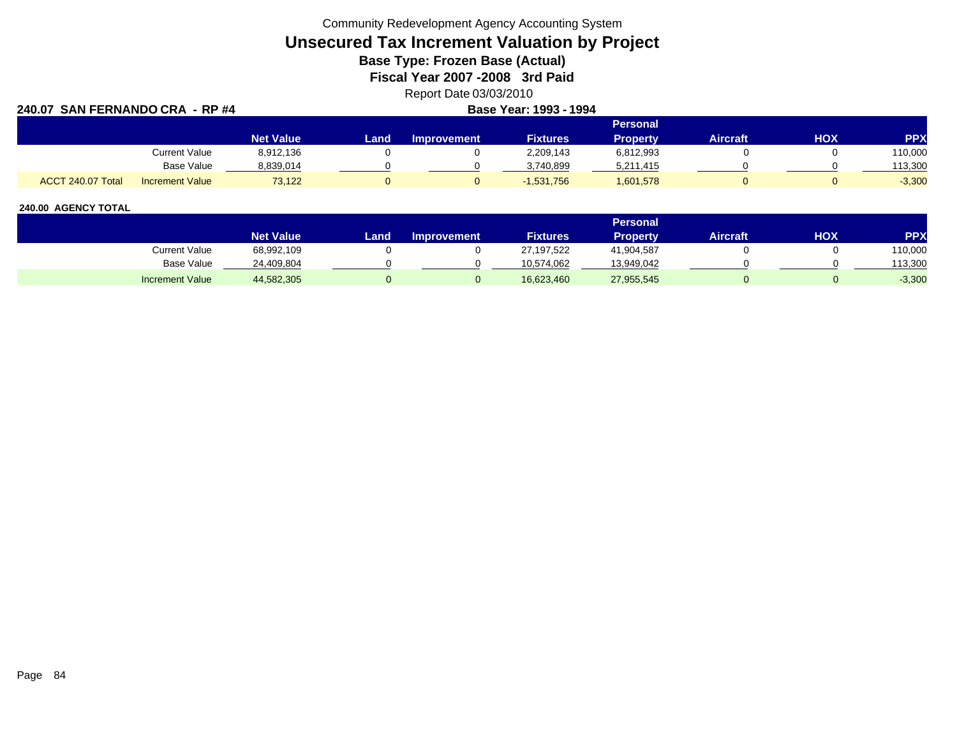Community Redevelopment Agency Accounting System

# **Unsecured Tax Increment Valuation by Project**

**Base Type: Frozen Base (Actual)** 

**Fiscal Year 2007 -2008 3rd Paid**

Report Date 03/03/2010

| 240.07 SAN FERNANDO CRA - RP #4 |                        |                  |      | Base Year: 1993 - 1994 |                 |                 |                 |            |            |
|---------------------------------|------------------------|------------------|------|------------------------|-----------------|-----------------|-----------------|------------|------------|
|                                 |                        |                  |      |                        |                 | <b>Personal</b> |                 |            |            |
|                                 |                        | <b>Net Value</b> | Land | <b>Improvement</b>     | <b>Fixtures</b> | Property        | <b>Aircraft</b> | <b>HOX</b> | <b>PPX</b> |
|                                 | Current Value          | 8,912,136        |      |                        | 2,209,143       | 6,812,993       |                 |            | 110,000    |
|                                 | <b>Base Value</b>      | 8,839,014        |      |                        | 3,740,899       | 5,211,415       |                 |            | 113,300    |
| ACCT 240.07 Total               | <b>Increment Value</b> | 73,122           |      |                        | $-1,531,756$    | 1,601,578       |                 |            | $-3,300$   |

|                        |                  |      |                    |                 | Personal        |                 |     |            |
|------------------------|------------------|------|--------------------|-----------------|-----------------|-----------------|-----|------------|
|                        | <b>Net Value</b> | Land | <b>Improvement</b> | <b>Fixtures</b> | <b>Property</b> | <b>Aircraft</b> | нох | <b>PPX</b> |
| Current Value          | 68,992,109       |      |                    | 27,197,522      | 41,904,587      |                 |     | 110,000    |
| <b>Base Value</b>      | 24,409,804       |      |                    | 10,574,062      | 13,949,042      |                 |     | 113,300    |
| <b>Increment Value</b> | 44,582,305       |      |                    | 16,623,460      | 27,955,545      |                 |     | $-3,300$   |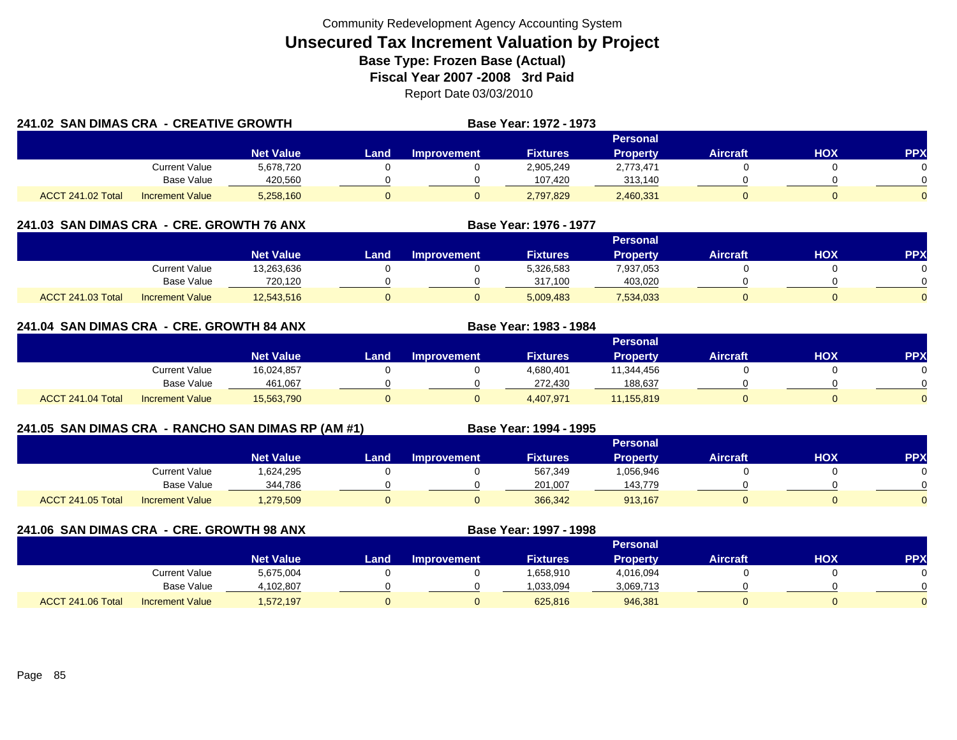| 241.02 SAN DIMAS CRA - CREATIVE GROWTH |                        |                  |      |             | <b>Base Year: 1972 - 1973</b> |                 |          |     |          |
|----------------------------------------|------------------------|------------------|------|-------------|-------------------------------|-----------------|----------|-----|----------|
|                                        |                        |                  |      |             |                               | Personal        |          |     |          |
|                                        |                        | <b>Net Value</b> | Land | Improvement | <b>Fixtures</b>               | <b>Property</b> | Aircraft | HOX | PPX      |
|                                        | <b>Current Value</b>   | 5,678,720        |      |             | 2,905,249                     | 2,773,471       |          |     | $\Omega$ |
|                                        | Base Value             | 420.560          |      |             | 107.420                       | 313,140         |          |     | $\Omega$ |
| ACCT 241.02 Total                      | <b>Increment Value</b> | 5,258,160        |      |             | 2,797,829                     | 2,460,331       |          |     | $\Omega$ |

## **241.03 SAN DIMAS CRA - CRE. GROWTH 76 ANX**

|                          |                        |                  |      |                    |                 | <b>Personal</b> |                 |            |     |
|--------------------------|------------------------|------------------|------|--------------------|-----------------|-----------------|-----------------|------------|-----|
|                          |                        | <b>Net Value</b> | Land | <b>Improvement</b> | <b>Fixtures</b> | <b>Property</b> | <b>Aircraft</b> | <b>XOH</b> | PPX |
|                          | Current Value          | 13,263,636       |      |                    | 5,326,583       | 7,937,053       |                 |            |     |
|                          | <b>Base Value</b>      | 720.120          |      |                    | 317.100         | 403.020         |                 |            | 0   |
| <b>ACCT 241.03 Total</b> | <b>Increment Value</b> | 12,543,516       |      |                    | 5,009,483       | 7,534,033       |                 |            |     |

**Base Year: 1976 - 1977**

**Base Year: 1983 - 1984**

## **241.04 SAN DIMAS CRA - CRE. GROWTH 84 ANX**

|                   |                        |                  |       |             |                 | Personal        |                 |            |            |
|-------------------|------------------------|------------------|-------|-------------|-----------------|-----------------|-----------------|------------|------------|
|                   |                        | <b>Net Value</b> | Land, | Improvement | <b>Fixtures</b> | <b>Property</b> | <b>Aircraft</b> | <b>HOX</b> | <b>PPX</b> |
|                   | <b>Current Value</b>   | 16,024,857       |       |             | 4,680,401       | 11,344,456      |                 |            |            |
|                   | <b>Base Value</b>      | 461.067          |       |             | 272.430         | 188.637         |                 |            |            |
| ACCT 241.04 Total | <b>Increment Value</b> | 15,563,790       |       |             | 4,407,971       | 11,155,819      |                 |            |            |

## **241.05 SAN DIMAS CRA - RANCHO SAN DIMAS RP (AM #1) Base Year: 1994 - 1995**

|                          |                        | Personal         |       |                    |                 |                 |                 |            |            |  |  |
|--------------------------|------------------------|------------------|-------|--------------------|-----------------|-----------------|-----------------|------------|------------|--|--|
|                          |                        | <b>Net Value</b> | Land. | <b>Improvement</b> | <b>Fixtures</b> | <b>Property</b> | <b>Aircraft</b> | <b>NOH</b> | <b>PPX</b> |  |  |
|                          | <b>Current Value</b>   | 624,295.         |       |                    | 567,349         | 1,056,946       |                 |            |            |  |  |
|                          | <b>Base Value</b>      | 344,786          |       |                    | 201.007         | 143.779         |                 |            |            |  |  |
| <b>ACCT 241.05 Total</b> | <b>Increment Value</b> | 1,279,509        |       |                    | 366,342         | 913,167         |                 |            |            |  |  |

**241.06 SAN DIMAS CRA - CRE. GROWTH 98 ANX**

**Base Year: 1997 - 1998**

|                                             |                  |        |                    |                 | Personal  |                 |     |            |
|---------------------------------------------|------------------|--------|--------------------|-----------------|-----------|-----------------|-----|------------|
|                                             | <b>Net Value</b> | Land . | <b>Improvement</b> | <b>Fixtures</b> | Property  | <b>Aircraft</b> | нох | <b>PPX</b> |
| Current Value                               | 5,675,004        |        |                    | 1,658,910       | 4,016,094 |                 |     |            |
| <b>Base Value</b>                           | 4.102.807        |        |                    | 1.033.094       | 3,069,713 |                 |     |            |
| ACCT 241.06 Total<br><b>Increment Value</b> | 1,572,197        |        |                    | 625,816         | 946,381   |                 |     |            |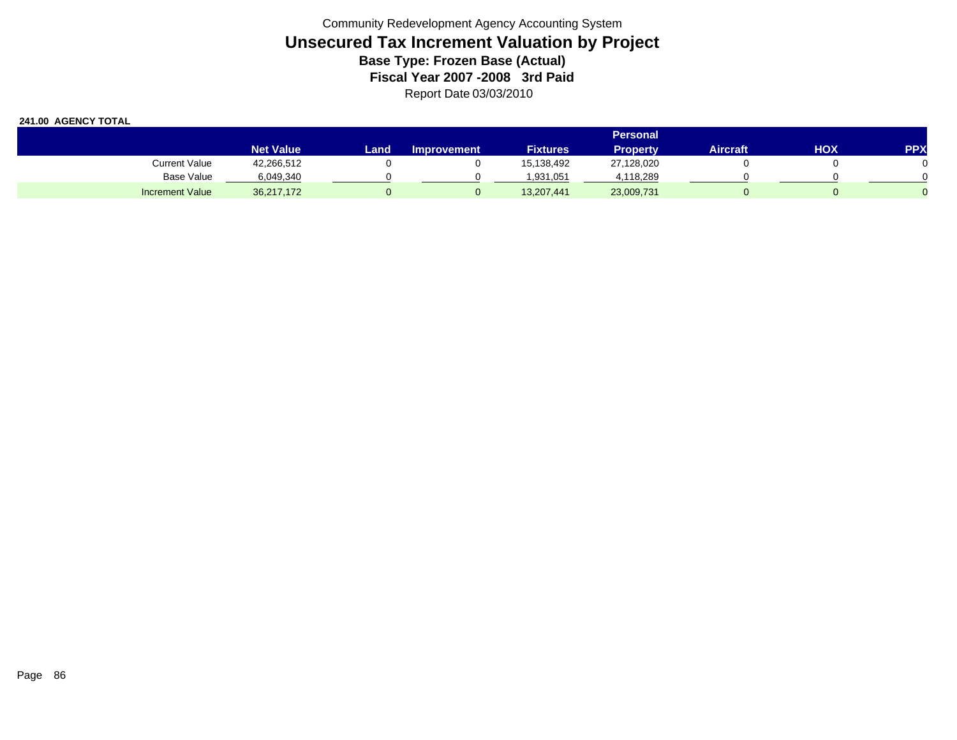|                        | <b>Personal</b>  |      |                    |                 |            |                 |     |            |  |  |  |
|------------------------|------------------|------|--------------------|-----------------|------------|-----------------|-----|------------|--|--|--|
|                        | <b>Net Value</b> | Land | <b>Improvement</b> | <b>Fixtures</b> | Propertv   | <b>Aircraft</b> | нох | <b>PPX</b> |  |  |  |
| Current Value          | 42,266,512       |      |                    | 15,138,492      | 27,128,020 |                 |     |            |  |  |  |
| Base Value             | 6,049,340        |      |                    | 1.931.051       | 4,118,289  |                 |     |            |  |  |  |
| <b>Increment Value</b> | 36,217,172       |      |                    | 13,207,441      | 23,009,731 |                 |     |            |  |  |  |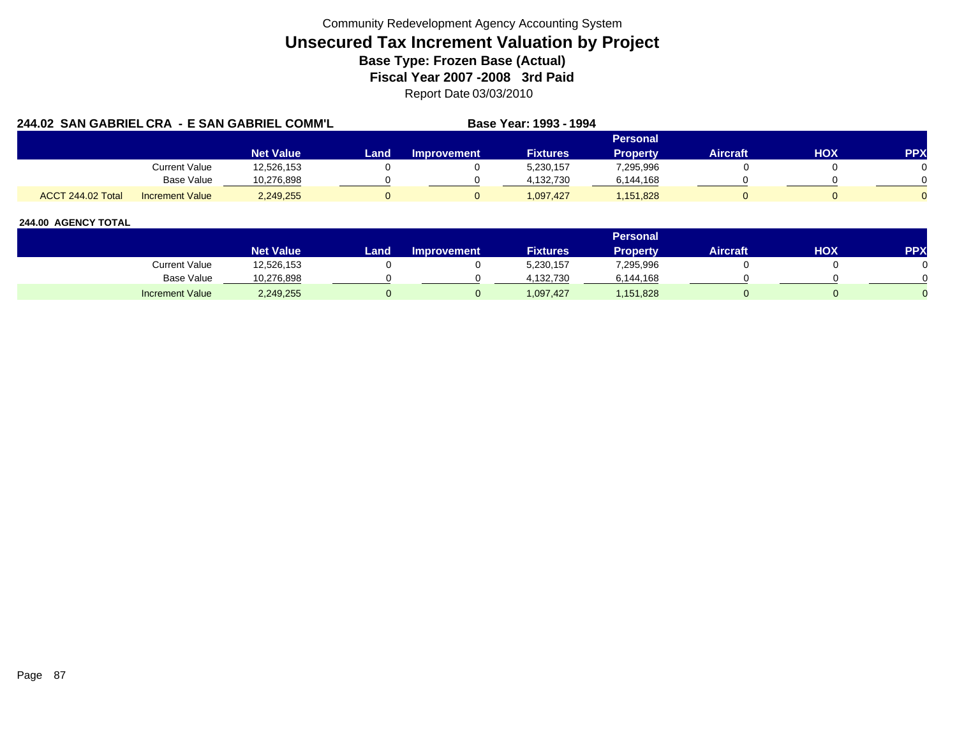| 244.02 SAN GABRIEL CRA - E SAN GABRIEL COMM'L |                        |                  |      |                    | Base Year: 1993 - 1994 |                 |                 |     |            |
|-----------------------------------------------|------------------------|------------------|------|--------------------|------------------------|-----------------|-----------------|-----|------------|
|                                               |                        |                  |      |                    |                        | Personal        |                 |     |            |
|                                               |                        | <b>Net Value</b> | Land | <b>Improvement</b> | <b>Fixtures</b>        | <b>Property</b> | <b>Aircraft</b> | нох | <b>PPX</b> |
|                                               | Current Value          | 12.526.153       |      |                    | 5.230.157              | 7,295,996       |                 |     |            |
|                                               | Base Value             | 10.276.898       |      |                    | 4.132.730              | 6,144,168       |                 |     |            |
| ACCT 244.02 Total                             | <b>Increment Value</b> | 2,249,255        |      |                    | 1.097.427              | 1,151,828       |                 |     |            |

|                        |                  |      |                    |                 | <b>Personal</b> |                 |     |        |
|------------------------|------------------|------|--------------------|-----------------|-----------------|-----------------|-----|--------|
|                        | <b>Net Value</b> | Land | <b>Improvement</b> | <b>Fixtures</b> | Property        | <b>Aircraft</b> | нох | PPX    |
| Current Value          | 12,526,153       |      |                    | 5,230,157       | 7,295,996       |                 |     |        |
| Base Value             | 10,276,898       |      |                    | 4.132.730       | 6,144,168       |                 |     | $\cap$ |
| <b>Increment Value</b> | 2,249,255        |      |                    | 1,097,427       | 1,151,828       |                 |     |        |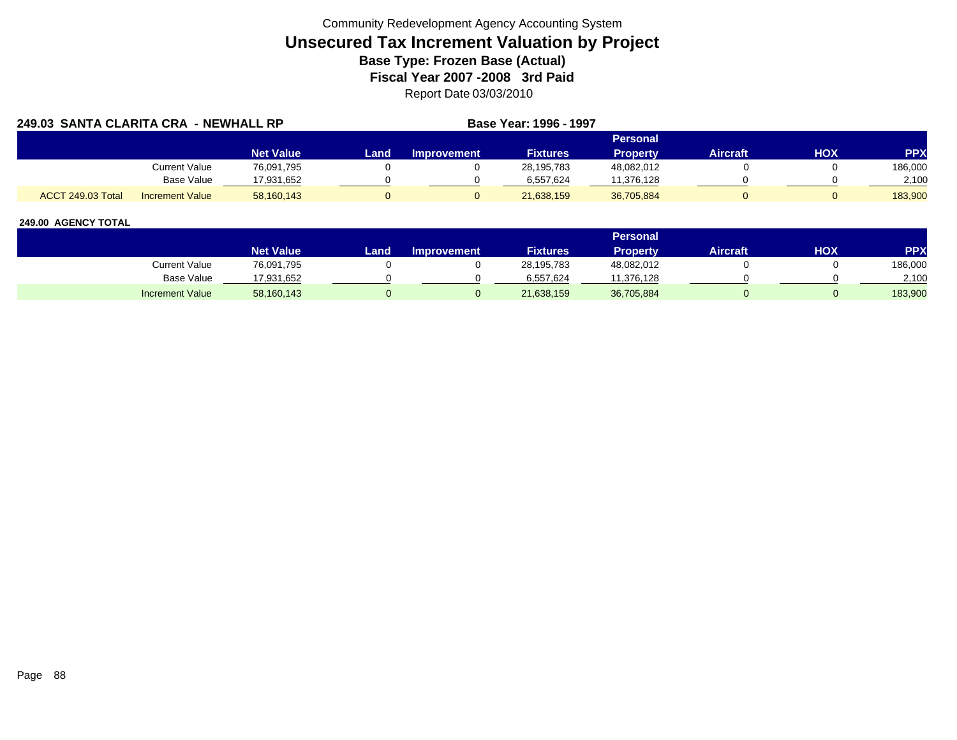| 249.03 SANTA CLARITA CRA - NEWHALL RP |                        |                  |      |             | Base Year: 1996 - 1997 |                 |                 |     |            |
|---------------------------------------|------------------------|------------------|------|-------------|------------------------|-----------------|-----------------|-----|------------|
|                                       |                        |                  |      |             |                        | <b>Personal</b> |                 |     |            |
|                                       |                        | <b>Net Value</b> | Land | Improvement | <b>Fixtures</b>        | <b>Property</b> | <b>Aircraft</b> | HOX | <b>PPX</b> |
|                                       | <b>Current Value</b>   | 76,091,795       |      |             | 28.195.783             | 48,082,012      |                 |     | 186,000    |
|                                       | <b>Base Value</b>      | 17.931.652       |      |             | 6.557.624              | 11,376,128      |                 |     | 2.100      |
| ACCT 249.03 Total                     | <b>Increment Value</b> | 58,160,143       |      |             | 21,638,159             | 36,705,884      |                 |     | 183.900    |

|                        |                  |      |                    |                 | Personal   |                 |     |           |
|------------------------|------------------|------|--------------------|-----------------|------------|-----------------|-----|-----------|
|                        | <b>Net Value</b> | Land | <b>Improvement</b> | <b>Fixtures</b> | Property   | <b>Aircraft</b> | HOX | <b>PP</b> |
| Current Value          | 76,091,795       |      |                    | 28,195,783      | 48,082,012 |                 |     | 186,000   |
| <b>Base Value</b>      | '7,931,652       |      |                    | 6.557.624       | 11.376.128 |                 |     | 2,100     |
| <b>Increment Value</b> | 58,160,143       |      |                    | 21,638,159      | 36,705,884 |                 |     | 183,900   |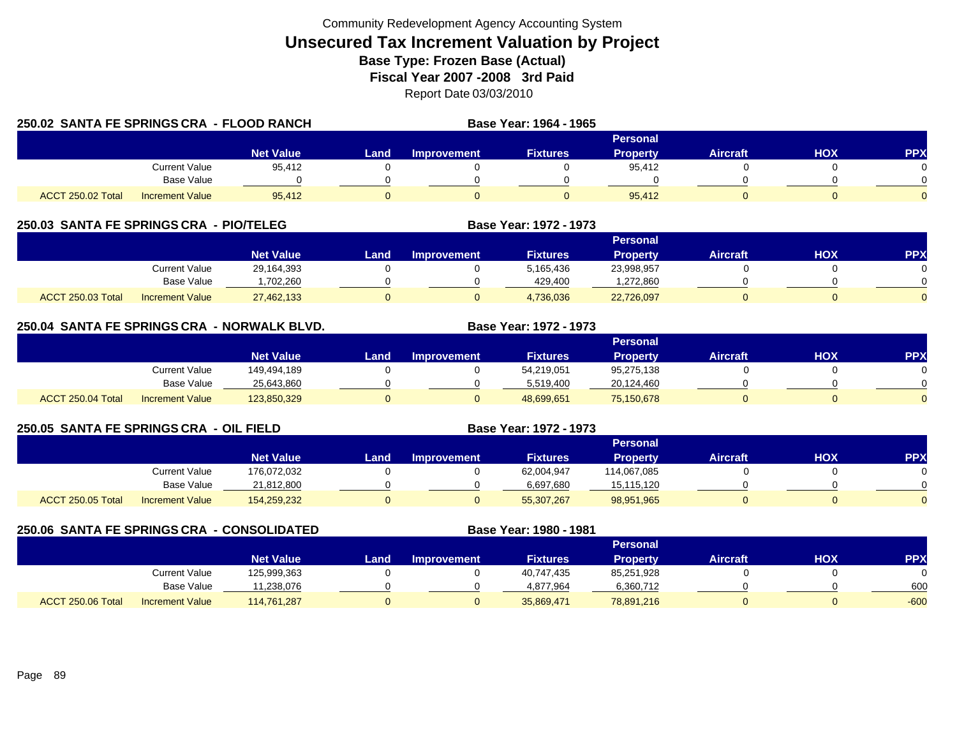| 250.02 SANTA FE SPRINGS CRA - FLOOD RANCH |                      |                  |      |                    | Base Year: 1964 - 1965 |                 |                 |     |            |
|-------------------------------------------|----------------------|------------------|------|--------------------|------------------------|-----------------|-----------------|-----|------------|
|                                           |                      |                  |      |                    |                        | Personal        |                 |     |            |
|                                           |                      | <b>Net Value</b> | Land | <b>Improvement</b> | <b>Fixtures</b>        | <b>Property</b> | <b>Aircraft</b> | HOX | <b>PPX</b> |
|                                           | <b>Current Value</b> | 95,412           |      |                    |                        | 95,412          |                 |     |            |
|                                           | <b>Base Value</b>    |                  |      |                    |                        |                 |                 |     |            |
| <b>ACCT 250.02 Total</b>                  | Increment Value      | 95.412           |      |                    |                        | 95.412          |                 |     |            |

## **250.03 SANTA FE SPRINGS CRA - PIO/TELEG**

|                   |                        |                  |      |                    |                 | <b>Personal</b> |                 |            |           |
|-------------------|------------------------|------------------|------|--------------------|-----------------|-----------------|-----------------|------------|-----------|
|                   |                        | <b>Net Value</b> | Land | <b>Improvement</b> | <b>Fixtures</b> | Propertv        | <b>Aircraft</b> | <b>HOX</b> | <b>PP</b> |
|                   | Current Value          | 29,164,393       |      |                    | 5,165,436       | 23,998,957      |                 |            |           |
|                   | <b>Base Value</b>      | .702.260         |      |                    | 429.400         | ,272,860        |                 |            |           |
| ACCT 250.03 Total | <b>Increment Value</b> | 27,462,133       |      |                    | 4,736,036       | 22,726,097      |                 |            |           |

**Base Year: 1972 - 1973**

**Base Year: 1972 - 1973**

## **250.04 SANTA FE SPRINGS CRA - NORWALK BLVD. Base Year: 1972 - 1973**

|                   |                        |                  |      |             |                 | Personal        |                 |            |            |
|-------------------|------------------------|------------------|------|-------------|-----------------|-----------------|-----------------|------------|------------|
|                   |                        | <b>Net Value</b> | Land | Improvement | <b>Fixtures</b> | <b>Property</b> | <b>Aircraft</b> | <b>HOX</b> | <b>PPX</b> |
|                   | Current Value          | 149,494,189      |      |             | 54,219,051      | 95,275,138      |                 |            |            |
|                   | Base Value             | 25,643,860       |      |             | 5,519,400       | 20,124,460      |                 |            | $\Omega$   |
| ACCT 250.04 Total | <b>Increment Value</b> | 123,850,329      |      |             | 48,699,651      | 75,150,678      |                 |            | $\Omega$   |

## **250.05 SANTA FE SPRINGS CRA - OIL FIELD**

|                   |                        |                  |      |                    |                 | Personal        |          |            |          |
|-------------------|------------------------|------------------|------|--------------------|-----------------|-----------------|----------|------------|----------|
|                   |                        | <b>Net Value</b> | Land | <b>Improvement</b> | <b>Fixtures</b> | <b>Property</b> | Aircraft | <b>HOX</b> | PPX      |
|                   | <b>Current Value</b>   | 176,072,032      |      |                    | 62,004,947      | 114,067,085     |          |            |          |
|                   | <b>Base Value</b>      | 21,812,800       |      |                    | 6,697,680       | 15,115,120      |          |            | 0        |
| ACCT 250.05 Total | <b>Increment Value</b> | 154,259,232      |      |                    | 55,307,267      | 98,951,965      |          |            | $\Omega$ |

|                   | 250.06 SANTA FE SPRINGS CRA - CONSOLIDATED |                  |      |                    | Base Year: 1980 - 1981 |                 |                 |     |            |
|-------------------|--------------------------------------------|------------------|------|--------------------|------------------------|-----------------|-----------------|-----|------------|
|                   |                                            |                  |      |                    |                        | <b>Personal</b> |                 |     |            |
|                   |                                            | <b>Net Value</b> | Land | <b>Improvement</b> | <b>Fixtures</b>        | <b>Property</b> | <b>Aircraft</b> | нох | <b>PPX</b> |
|                   | Current Value                              | 125,999,363      |      |                    | 40.747.435             | 85,251,928      |                 |     |            |
|                   | <b>Base Value</b>                          | 11,238,076       |      |                    | 4,877,964              | 6,360,712       |                 |     | 600        |
| ACCT 250.06 Total | <b>Increment Value</b>                     | 114,761,287      |      |                    | 35,869,471             | 78,891,216      |                 |     | $-600$     |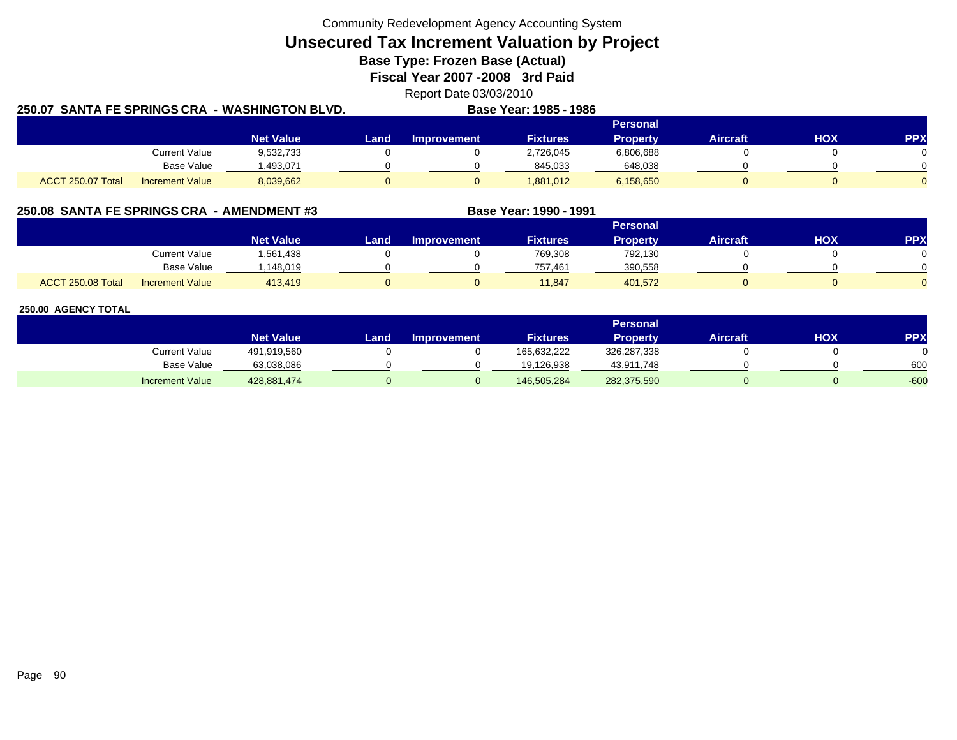Community Redevelopment Agency Accounting System

**Unsecured Tax Increment Valuation by Project**

**Base Type: Frozen Base (Actual)** 

**Fiscal Year 2007 -2008 3rd Paid**

Report Date 03/03/2010

| 250.07 SANTA FE SPRINGS CRA |                        | <b>WASHINGTON BLVD.</b> |      |                    | Base Year: 1985 - 1986 |                 |                 |     |            |
|-----------------------------|------------------------|-------------------------|------|--------------------|------------------------|-----------------|-----------------|-----|------------|
|                             |                        |                         |      |                    |                        | <b>Personal</b> |                 |     |            |
|                             |                        | <b>Net Value</b>        | Land | <b>Improvement</b> | <b>Fixtures</b>        | <b>Property</b> | <b>Aircraft</b> | HOX | <b>PPX</b> |
|                             | <b>Current Value</b>   | 9,532,733               |      |                    | 2,726,045              | 6,806,688       |                 |     |            |
|                             | Base Value             | 1,493,071               |      |                    | 845,033                | 648,038         |                 |     |            |
| ACCT 250.07 Total           | <b>Increment Value</b> | 8,039,662               |      |                    | 1,881,012              | 6,158,650       |                 |     |            |

## **250.08 SANTA FE SPRINGS CRA - AMENDMENT #3 Base Year: 1990 - 1991**

|                          |                        |                  |      |                    |                 | <b>Personal</b> |                 |            |          |
|--------------------------|------------------------|------------------|------|--------------------|-----------------|-----------------|-----------------|------------|----------|
|                          |                        | <b>Net Value</b> | Land | <b>Improvement</b> | <b>Fixtures</b> | <b>Property</b> | <b>Aircraft</b> | <b>XOH</b> | PPX      |
|                          | <b>Current Value</b>   | 561,438. ا       |      |                    | 769,308         | 792,130         |                 |            |          |
|                          | <b>Base Value</b>      | 148,019          |      |                    | 757.461         | 390,558         |                 |            | ∩        |
| <b>ACCT 250.08 Total</b> | <b>Increment Value</b> | 413,419          |      |                    | 11,847          | 401,572         |                 |            | $\Omega$ |

|                        |                  |      |                    |                 | <b>Personal</b> |          |            |        |
|------------------------|------------------|------|--------------------|-----------------|-----------------|----------|------------|--------|
|                        | <b>Net Value</b> | Land | <b>Improvement</b> | <b>Fixtures</b> | <b>Property</b> | Aircraft | <b>HOX</b> | PPX    |
| <b>Current Value</b>   | 491,919,560      |      |                    | 165,632,222     | 326,287,338     |          |            |        |
| <b>Base Value</b>      | 63,038,086       |      |                    | 19.126.938      | 43,911,748      |          |            | 600    |
| <b>Increment Value</b> | 428,881,474      |      |                    | 146,505,284     | 282,375,590     |          |            | $-600$ |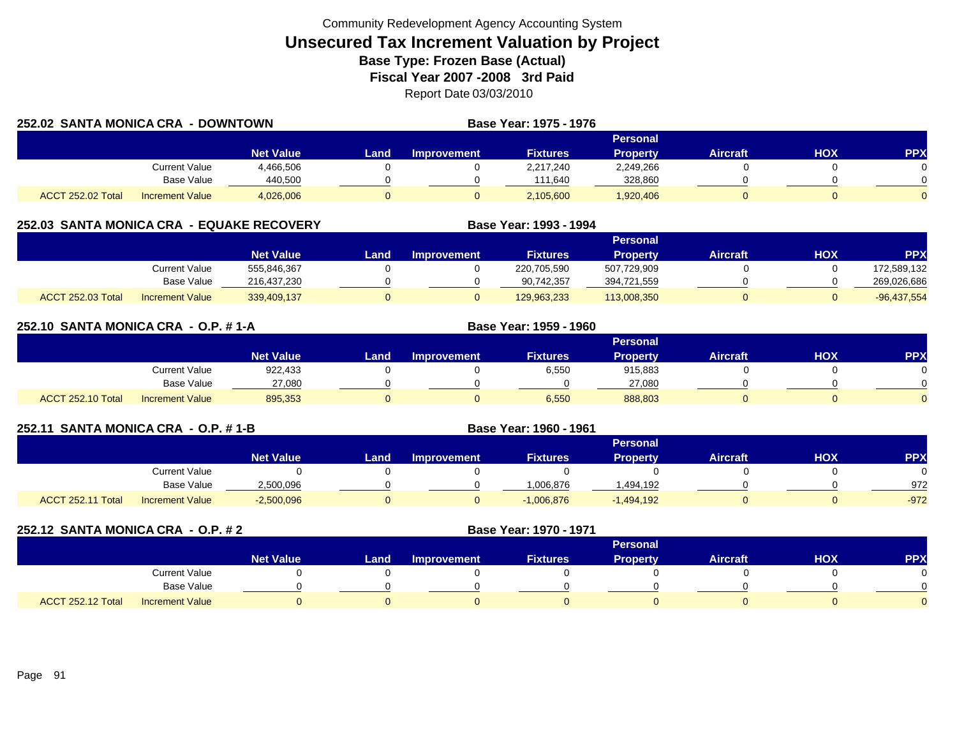| 252.02 SANTA MONICA CRA - DOWNTOWN |                        |                  |       |             | Base Year: 1975 - 1976 |                 |          |     |            |
|------------------------------------|------------------------|------------------|-------|-------------|------------------------|-----------------|----------|-----|------------|
|                                    |                        |                  |       |             |                        | Personal        |          |     |            |
|                                    |                        | <b>Net Value</b> | Land. | Improvement | <b>Fixtures</b>        | <b>Property</b> | Aircraft | ΗΟΧ | <b>PPX</b> |
|                                    | Current Value          | 4,466,506        |       |             | 2,217,240              | 2,249,266       |          |     | 0          |
|                                    | Base Value             | 440.500          |       |             | 111.640                | 328,860         |          |     | ∩          |
| ACCT 252.02 Total                  | <b>Increment Value</b> | 4,026,006        |       |             | 2,105,600              | 1,920,406       |          |     | 0          |

## **252.03 SANTA MONICA CRA - EQUAKE RECOVERY**

|                                                    |                  |      |             |                 | Personal    |          |            |               |
|----------------------------------------------------|------------------|------|-------------|-----------------|-------------|----------|------------|---------------|
|                                                    | <b>Net Value</b> | Land | Improvement | <b>Fixtures</b> | Property    | Aircraft | <b>HOX</b> | PPX           |
| Current Value                                      | 555.846.367      |      |             | 220,705,590     | 507,729,909 |          |            | 172,589,132   |
| Base Value                                         | 216,437,230      |      |             | 90.742.357      | 394,721,559 |          |            | 269,026,686   |
| <b>ACCT 252.03 Total</b><br><b>Increment Value</b> | 339,409,137      |      |             | 129,963,233     | 113,008,350 |          |            | $-96,437,554$ |

**Base Year: 1993 - 1994**

|                          | 252.10 SANTA MONICA CRA - O.P. #1-A |                  |      | Base Year: 1959 - 1960 |                 |                 |                 |     |            |
|--------------------------|-------------------------------------|------------------|------|------------------------|-----------------|-----------------|-----------------|-----|------------|
|                          |                                     |                  |      |                        |                 | <b>Personal</b> |                 |     |            |
|                          |                                     | <b>Net Value</b> | Land | <b>Improvement</b>     | <b>Fixtures</b> | <b>Property</b> | <b>Aircraft</b> | нох | <b>PPX</b> |
|                          | Current Value                       | 922.433          |      |                        | 6,550           | 915.883         |                 |     |            |
|                          | <b>Base Value</b>                   | 27.080           |      |                        |                 | 27,080          |                 |     |            |
| <b>ACCT 252.10 Total</b> | <b>Increment Value</b>              | 895.353          |      |                        | 6,550           | 888,803         |                 |     |            |

| 252.11 SANTA MONICA CRA - O.P. # 1-B |                        |                  |      |             | <b>Base Year: 1960 - 1961</b> |                 |                 |     |            |
|--------------------------------------|------------------------|------------------|------|-------------|-------------------------------|-----------------|-----------------|-----|------------|
|                                      |                        |                  |      |             |                               | <b>Personal</b> |                 |     |            |
|                                      |                        | <b>Net Value</b> | Land | Improvement | <b>Fixtures</b>               | Property        | <b>Aircraft</b> | нох | <b>PPX</b> |
|                                      | Current Value          |                  |      |             |                               |                 |                 |     |            |
|                                      | Base Value             | 2,500,096        |      |             | 1.006.876                     | .494.192        |                 |     | 972        |
| ACCT 252.11 Total                    | <b>Increment Value</b> | $-2,500,096$     |      |             | $-1,006,876$                  | $-1,494,192$    |                 |     | $-972$     |

| 252.12 SANTA MONICA CRA - O.P. # 2 |                        |           |      |                    | Base Year: 1970 - 1971 |                 |                 |            |            |
|------------------------------------|------------------------|-----------|------|--------------------|------------------------|-----------------|-----------------|------------|------------|
|                                    |                        |           |      |                    |                        | <b>Personal</b> |                 |            |            |
|                                    |                        | Net Value | Land | <b>Improvement</b> | <b>Fixtures</b>        | Property        | <b>Aircraft</b> | <b>HOX</b> | <b>PPX</b> |
|                                    | <b>Current Value</b>   |           |      |                    |                        |                 |                 |            |            |
|                                    | Base Value             |           |      |                    |                        |                 |                 |            |            |
| <b>ACCT 252.12 Total</b>           | <b>Increment Value</b> |           |      | 0.                 |                        |                 |                 |            |            |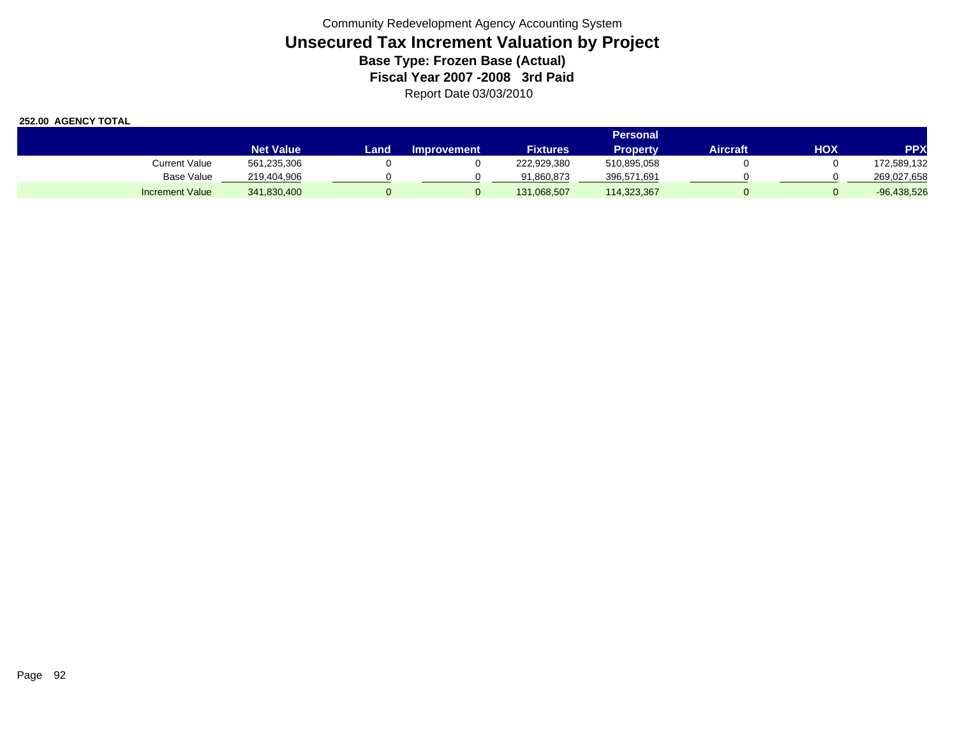|                        |                  |      |                    |                 | Personal    |          |     |               |
|------------------------|------------------|------|--------------------|-----------------|-------------|----------|-----|---------------|
|                        | <b>Net Value</b> | Land | <b>Improvement</b> | <b>Fixtures</b> | Propertv    | Aircraft | HOX | <b>PPX</b>    |
| Current Value          | 561,235,306      |      |                    | 222,929,380     | 510,895,058 |          |     | 172,589,132   |
| <b>Base Value</b>      | 219,404,906      |      |                    | 91,860,873      | 396,571,691 |          |     | 269,027,658   |
| <b>Increment Value</b> | 341,830,400      |      |                    | 131,068,507     | 114,323,367 |          |     | $-96,438,526$ |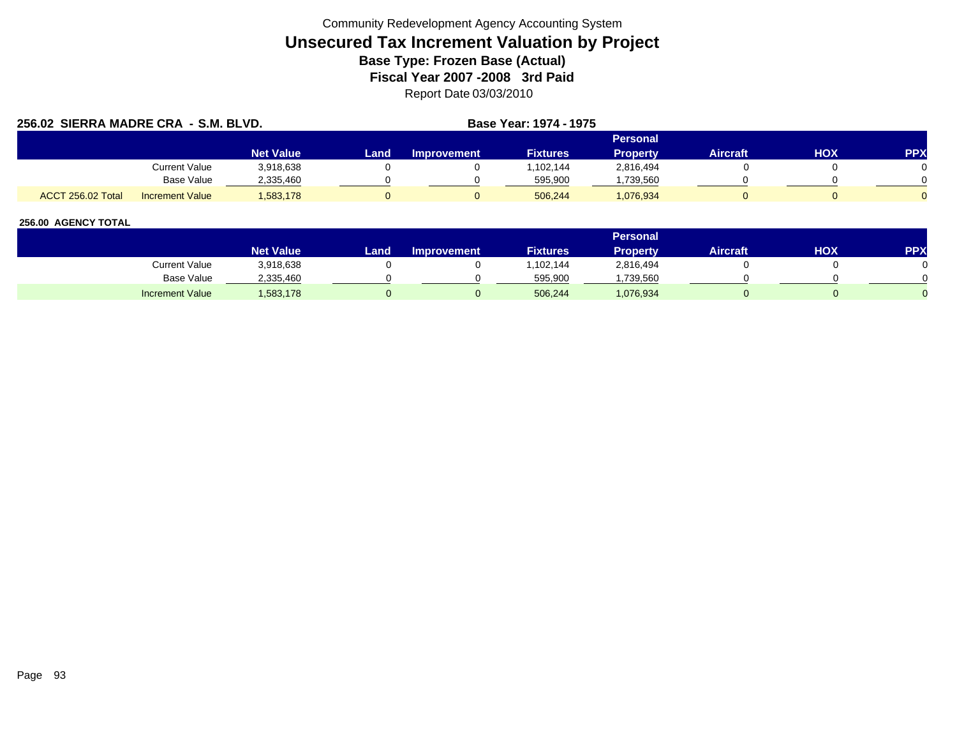| 256.02 SIERRA MADRE CRA - S.M. BLVD. |                        |                  |      |                    | Base Year: 1974 - 1975 |                 |                 |            |            |
|--------------------------------------|------------------------|------------------|------|--------------------|------------------------|-----------------|-----------------|------------|------------|
|                                      |                        |                  |      |                    |                        | <b>Personal</b> |                 |            |            |
|                                      |                        | <b>Net Value</b> | Land | <b>Improvement</b> | <b>Fixtures</b>        | <b>Property</b> | <b>Aircraft</b> | <b>HOX</b> | <b>PPX</b> |
|                                      | <b>Current Value</b>   | 3,918,638        |      |                    | 1.102.144              | 2,816,494       |                 |            |            |
|                                      | Base Value             | 2.335.460        |      |                    | 595.900                | ,739,560        |                 |            |            |
| ACCT 256.02 Total                    | <b>Increment Value</b> | 1,583,178        |      |                    | 506.244                | 1,076,934       |                 |            |            |

|                        |                        |      |                    |                 | <b>Personal</b> |                 |     |     |
|------------------------|------------------------|------|--------------------|-----------------|-----------------|-----------------|-----|-----|
|                        | Net Value <sup>l</sup> | _and | <b>Improvement</b> | <b>Fixtures</b> | Property        | <b>Aircraft</b> | HOX | PPX |
| Current Value          | 3,918,638              |      |                    | ,102,144        | 2,816,494       |                 |     |     |
| <b>Base Value</b>      | 2,335,460              |      |                    | 595,900         | ,739,560        |                 |     |     |
| <b>Increment Value</b> | 1,583,178              |      |                    | 506,244         | 1,076,934       |                 |     |     |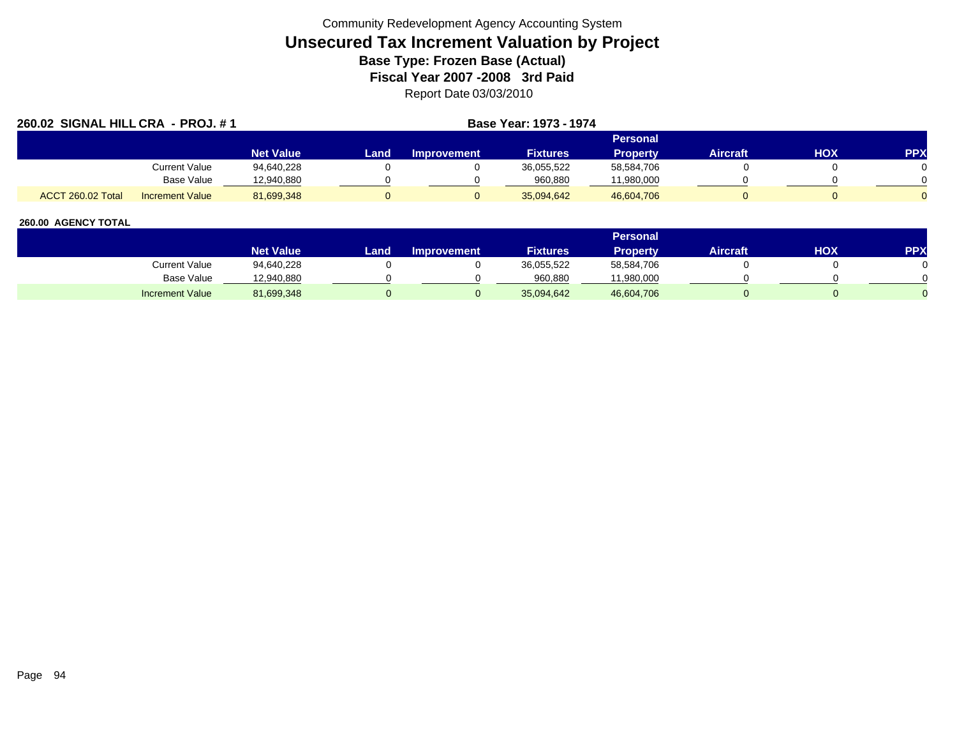| 260.02 SIGNAL HILL CRA - PROJ. #1           |                  |       |                    | Base Year: 1973 - 1974 |                 |          |     |            |
|---------------------------------------------|------------------|-------|--------------------|------------------------|-----------------|----------|-----|------------|
|                                             |                  |       |                    |                        | <b>Personal</b> |          |     |            |
|                                             | <b>Net Value</b> | Landı | <b>Improvement</b> | <b>Fixtures</b>        | <b>Property</b> | Aircraft | HOX | <b>PPX</b> |
| Current Value                               | 94.640.228       |       |                    | 36,055,522             | 58,584,706      |          |     |            |
| Base Value                                  | 12,940,880       |       |                    | 960.880                | 11,980,000      |          |     |            |
| ACCT 260.02 Total<br><b>Increment Value</b> | 81,699,348       |       |                    | 35.094.642             | 46,604,706      |          |     |            |

|                        |                  |      |                    |                 | <b>Personal</b> |                 |            |     |
|------------------------|------------------|------|--------------------|-----------------|-----------------|-----------------|------------|-----|
|                        | <b>Net Value</b> | Land | <b>Improvement</b> | <b>Fixtures</b> | Property        | <b>Aircraft</b> | <b>HOX</b> | PPX |
| Current Value          | 94,640,228       |      |                    | 36,055,522      | 58,584,706      |                 |            |     |
| Base Value             | 12,940,880       |      |                    | 960,880         | 11,980,000      |                 |            |     |
| <b>Increment Value</b> | 81,699,348       |      |                    | 35,094,642      | 46,604,706      |                 |            |     |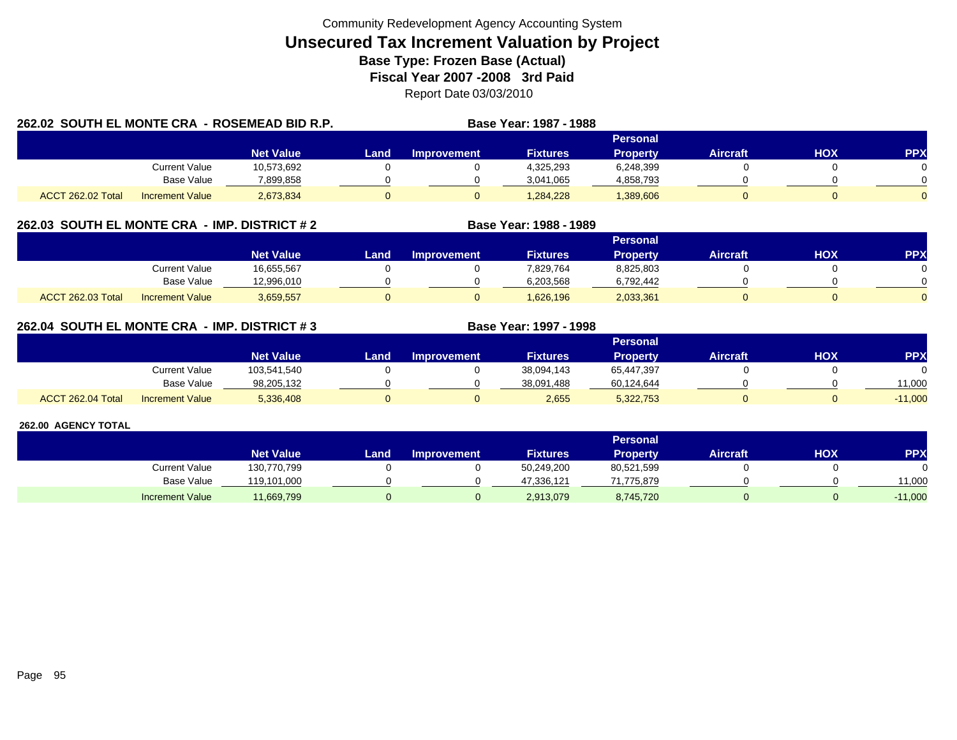| 262.02 SOUTH EL MONTE CRA - ROSEMEAD BID R.P. |                        |                  |      |             | Base Year: 1987 - 1988 |                 |                 |     |            |
|-----------------------------------------------|------------------------|------------------|------|-------------|------------------------|-----------------|-----------------|-----|------------|
|                                               |                        |                  |      |             |                        | <b>Personal</b> |                 |     |            |
|                                               |                        | <b>Net Value</b> | Land | Improvement | <b>Fixtures</b>        | <b>Property</b> | <b>Aircraft</b> | нох | <b>PPX</b> |
|                                               | Current Value          | 10,573,692       |      |             | 4,325,293              | 6,248,399       |                 |     |            |
|                                               | <b>Base Value</b>      | 7,899,858        |      |             | 3,041,065              | 4,858,793       |                 |     |            |
| ACCT 262.02 Total                             | <b>Increment Value</b> | 2,673,834        |      |             | 1,284,228              | 389,606         |                 |     |            |

## **262.03 SOUTH EL MONTE CRA - IMP. DISTRICT # 2 Base Year: 1988 - 1989**

|                          |                        |                  |      |                    |                 | <b>Personal</b> |                 |            |          |
|--------------------------|------------------------|------------------|------|--------------------|-----------------|-----------------|-----------------|------------|----------|
|                          |                        | <b>Net Value</b> | Land | <b>Improvement</b> | <b>Fixtures</b> | Property        | <b>Aircraft</b> | <b>HOX</b> | PPX      |
|                          | Current Value          | 16,655,567       |      |                    | 7,829,764       | 8,825,803       |                 |            |          |
|                          | <b>Base Value</b>      | 12,996,010       |      |                    | 6,203,568       | 6,792,442       |                 |            | 0        |
| <b>ACCT 262.03 Total</b> | <b>Increment Value</b> | 3,659,557        |      |                    | 1,626,196       | 2,033,361       |                 |            | $\Omega$ |

## **262.04 SOUTH EL MONTE CRA - IMP. DISTRICT # 3 Base Year: 1997 - 1998**

|                   |                        |                  |       |                    |                 | <b>Personal</b> |                 |     |            |
|-------------------|------------------------|------------------|-------|--------------------|-----------------|-----------------|-----------------|-----|------------|
|                   |                        | <b>Net Value</b> | Land. | <b>Improvement</b> | <b>Fixtures</b> | Propertv        | <b>Aircraft</b> | нох | <b>PPX</b> |
|                   | <b>Current Value</b>   | 103,541,540      |       |                    | 38,094,143      | 65,447,397      |                 |     |            |
|                   | <b>Base Value</b>      | 98,205,132       |       |                    | 38.091.488      | 60,124,644      |                 |     | 1,000      |
| ACCT 262.04 Total | <b>Increment Value</b> | 5,336,408        |       |                    | 2,655           | 5,322,753       |                 |     | $-11,000$  |

|                        |                  |      |                    |                 | Personal        |                 |     |            |
|------------------------|------------------|------|--------------------|-----------------|-----------------|-----------------|-----|------------|
|                        | <b>Net Value</b> | Land | <b>Improvement</b> | <b>Fixtures</b> | <b>Property</b> | <b>Aircraft</b> | нох | <b>PPX</b> |
| <b>Current Value</b>   | 130,770,799      |      |                    | 50,249,200      | 80,521,599      |                 |     |            |
| <b>Base Value</b>      | 119,101,000      |      |                    | 47,336,121      | 71.775.879      |                 |     | 11,000     |
| <b>Increment Value</b> | 11,669,799       |      |                    | 2,913,079       | 8,745,720       |                 |     | $-11,000$  |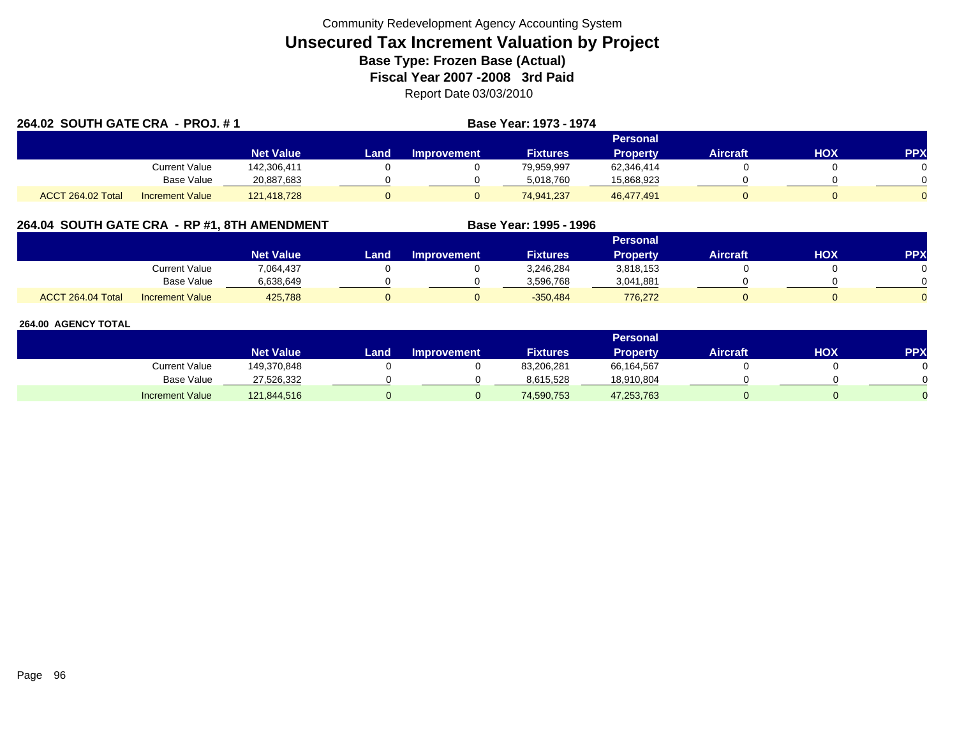| 264.02 SOUTH GATE CRA - PROJ. #1 |                        |                  | <b>Base Year: 1973 - 1974</b> |                    |                 |                 |                 |     |            |
|----------------------------------|------------------------|------------------|-------------------------------|--------------------|-----------------|-----------------|-----------------|-----|------------|
|                                  |                        |                  |                               |                    |                 | <b>Personal</b> |                 |     |            |
|                                  |                        | <b>Net Value</b> | Land                          | <b>Improvement</b> | <b>Fixtures</b> | <b>Property</b> | <b>Aircraft</b> | HOX | <b>PPX</b> |
|                                  | <b>Current Value</b>   | 142,306,411      |                               |                    | 79,959,997      | 62,346,414      |                 |     |            |
|                                  | <b>Base Value</b>      | 20,887,683       |                               |                    | 5,018,760       | 15,868,923      |                 |     |            |
| ACCT 264.02 Total                | <b>Increment Value</b> | 121,418,728      |                               |                    | 74,941,237      | 46,477,491      |                 |     |            |

## **264.04 SOUTH GATE CRA - RP #1, 8TH AMENDMENT Base Year: 1995 - 1996**

|                   |                        |                  | Personal |                    |                 |                 |          |     |     |  |  |  |  |
|-------------------|------------------------|------------------|----------|--------------------|-----------------|-----------------|----------|-----|-----|--|--|--|--|
|                   |                        | <b>Net Value</b> | Land     | <b>Improvement</b> | <b>Fixtures</b> | <b>Property</b> | Aircraft | нох | PPX |  |  |  |  |
|                   | <b>Current Value</b>   | 7,064,437        |          |                    | 3,246,284       | 3,818,153       |          |     |     |  |  |  |  |
|                   | Base Value             | 6.638.649        |          |                    | 3,596,768       | 3,041,881       |          |     |     |  |  |  |  |
| ACCT 264.04 Total | <b>Increment Value</b> | 425,788          |          |                    | $-350,484$      | 776,272         |          |     |     |  |  |  |  |

|                        |                  |      |                    |                 | Personal        |                 |     |           |
|------------------------|------------------|------|--------------------|-----------------|-----------------|-----------------|-----|-----------|
|                        | <b>Net Value</b> | Land | <b>Improvement</b> | <b>Fixtures</b> | <b>Property</b> | <b>Aircraft</b> | нох | <b>PP</b> |
| Current Value          | 149,370,848      |      |                    | 83,206,281      | 66,164,567      |                 |     |           |
| Base Value             | 27,526,332       |      |                    | 8,615,528       | 18,910,804      |                 |     |           |
| <b>Increment Value</b> | 121,844,516      |      |                    | 74,590,753      | 47,253,763      |                 |     |           |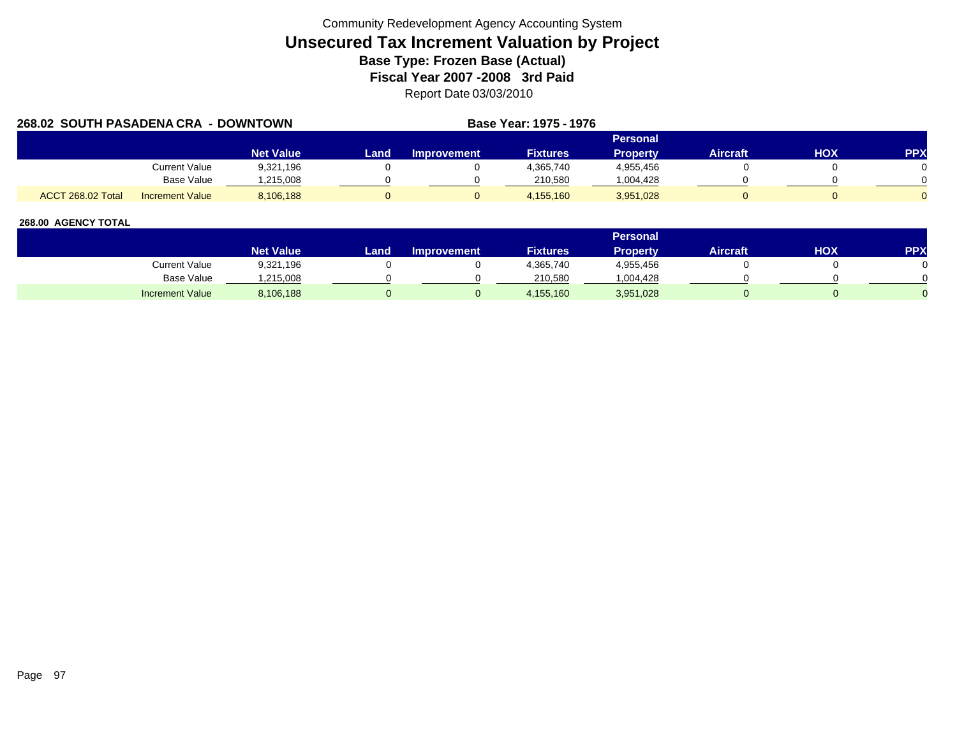| 268.02 SOUTH PASADENA CRA - DOWNTOWN |                        |                  |      |                    | <b>Base Year: 1975 - 1976</b> |                 |                 |     |            |
|--------------------------------------|------------------------|------------------|------|--------------------|-------------------------------|-----------------|-----------------|-----|------------|
|                                      |                        |                  |      |                    |                               | Personal        |                 |     |            |
|                                      |                        | <b>Net Value</b> | Land | <b>Improvement</b> | <b>Fixtures</b>               | <b>Property</b> | <b>Aircraft</b> | нох | <b>PPX</b> |
|                                      | Current Value          | 9,321,196        |      |                    | 4,365,740                     | 4,955,456       |                 |     |            |
|                                      | Base Value             | .215.008         |      |                    | 210.580                       | 1,004,428       |                 |     |            |
| ACCT 268.02 Total                    | <b>Increment Value</b> | 8,106,188        |      |                    | 4,155,160                     | 3,951,028       |                 |     |            |

|                        |                    |      |                    |                 | <b>Personal</b> |                 |            |     |
|------------------------|--------------------|------|--------------------|-----------------|-----------------|-----------------|------------|-----|
|                        | Net Value <b>\</b> | Land | <b>Improvement</b> | <b>Fixtures</b> | <b>Property</b> | <b>Aircraft</b> | <b>HOX</b> | PPX |
| Current Value          | 9,321,196          |      |                    | 4,365,740       | 4,955,456       |                 |            |     |
| Base Value             | ,215,008           |      |                    | 210.580         | ,004,428        |                 |            |     |
| <b>Increment Value</b> | 8,106,188          |      |                    | 4,155,160       | 3,951,028       |                 |            |     |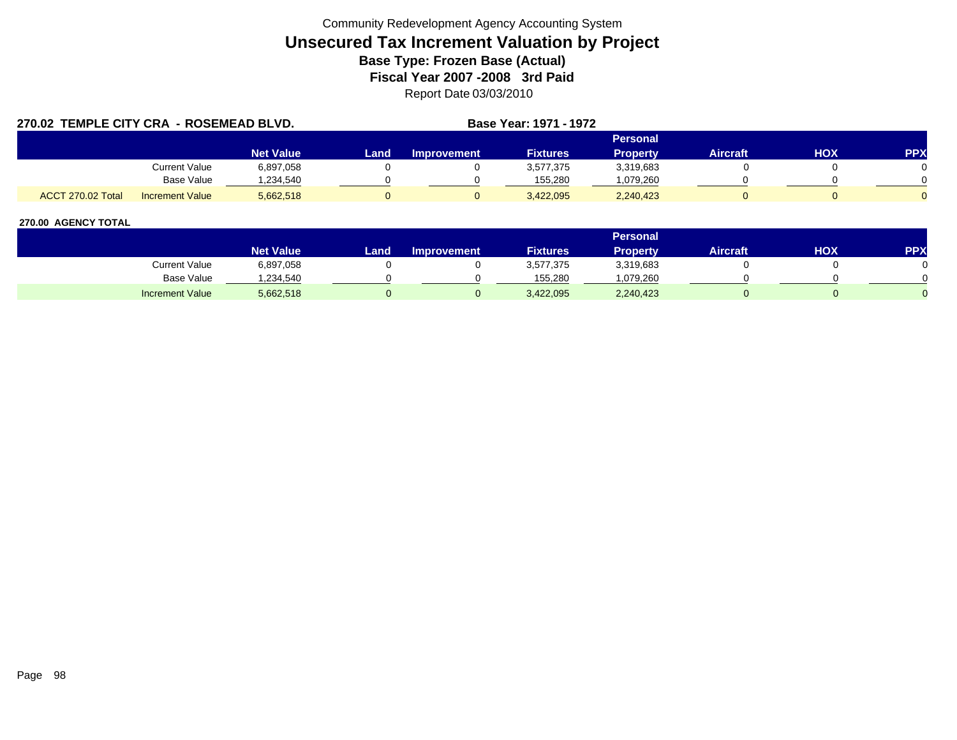| 270.02 TEMPLE CITY CRA - ROSEMEAD BLVD. |                        |                  |      |                    | <b>Base Year: 1971 - 1972</b> |                 |          |            |            |
|-----------------------------------------|------------------------|------------------|------|--------------------|-------------------------------|-----------------|----------|------------|------------|
|                                         |                        |                  |      |                    |                               | Personal        |          |            |            |
|                                         |                        | <b>Net Value</b> | Land | <b>Improvement</b> | <b>Fixtures</b>               | <b>Property</b> | Aircraft | <b>HOX</b> | <b>PPX</b> |
|                                         | Current Value          | 6,897,058        |      |                    | 3,577,375                     | 3,319,683       |          |            |            |
|                                         | Base Value             | .234.540         |      |                    | 155.280                       | 1,079,260       |          |            |            |
| ACCT 270.02 Total                       | <b>Increment Value</b> | 5,662,518        |      |                    | 3,422,095                     | 2,240,423       |          |            |            |

|                        |                  |        |                    |                 | Personal  |                 |     |            |
|------------------------|------------------|--------|--------------------|-----------------|-----------|-----------------|-----|------------|
|                        | <b>Net Value</b> | Land . | <b>Improvement</b> | <b>Fixtures</b> | Property  | <b>Aircraft</b> | НОХ | <b>PPX</b> |
| Current Value          | 6,897,058        |        |                    | 3,577,375       | 3,319,683 |                 |     |            |
| <b>Base Value</b>      | .234.540         |        |                    | 155.280         | .079.260  |                 |     |            |
| <b>Increment Value</b> | 5,662,518        |        |                    | 3,422,095       | 2,240,423 |                 |     |            |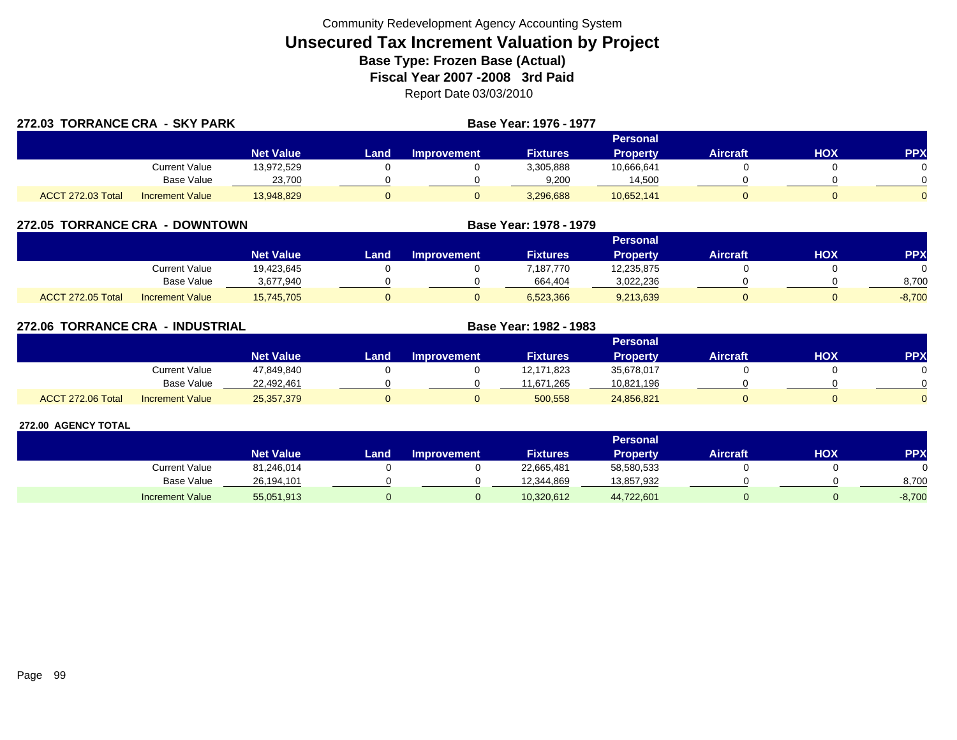| 272.03 TORRANCE CRA - SKY PARK |                        |                  |      | Base Year: 1976 - 1977 |                 |                 |          |     |            |
|--------------------------------|------------------------|------------------|------|------------------------|-----------------|-----------------|----------|-----|------------|
|                                |                        |                  |      |                        |                 | Personal        |          |     |            |
|                                |                        | <b>Net Value</b> | Land | Improvement            | <b>Fixtures</b> | <b>Property</b> | Aircraft | нох | <b>PPX</b> |
|                                | Current Value          | 13,972,529       |      |                        | 3,305,888       | 10,666,641      |          |     |            |
|                                | Base Value             | 23,700           |      |                        | 9,200           | 14,500          |          |     |            |
| ACCT 272.03 Total              | <b>Increment Value</b> | 13,948,829       |      |                        | 3,296,688       | 10,652,141      |          |     |            |

| 272.05 TORRANCE CRA | - DOWNTOWN             |                  |      |                    | Base Year: 1978 - 1979 |                 |                 |     |            |
|---------------------|------------------------|------------------|------|--------------------|------------------------|-----------------|-----------------|-----|------------|
|                     |                        |                  |      |                    |                        | Personal        |                 |     |            |
|                     |                        | <b>Net Value</b> | Land | <b>Improvement</b> | <b>Fixtures</b>        | <b>Property</b> | <b>Aircraft</b> | нох | <b>PPX</b> |
|                     | Current Value          | 19.423.645       |      |                    | 7.187.770              | 12,235,875      |                 |     |            |
|                     | <b>Base Value</b>      | 3,677,940        |      |                    | 664,404                | 3,022,236       |                 |     | 8,700      |
| ACCT 272.05 Total   | <b>Increment Value</b> | 15,745,705       |      |                    | 6,523,366              | 9,213,639       |                 |     | $-8,700$   |

| 272.06 TORRANCE CRA | - INDUSTRIAL           |                  |      |                    | Base Year: 1982 - 1983 |                 |                 |     |            |
|---------------------|------------------------|------------------|------|--------------------|------------------------|-----------------|-----------------|-----|------------|
|                     |                        |                  |      |                    |                        | Personal        |                 |     |            |
|                     |                        | <b>Net Value</b> | Land | <b>Improvement</b> | <b>Fixtures</b>        | <b>Property</b> | <b>Aircraft</b> | нох | <b>PPX</b> |
|                     | Current Value          | 47,849,840       |      |                    | 12,171,823             | 35,678,017      |                 |     |            |
|                     | Base Value             | 22,492,461       |      |                    | 11,671,265             | 10,821,196      |                 |     |            |
| ACCT 272.06 Total   | <b>Increment Value</b> | 25,357,379       |      | υ                  | 500,558                | 24,856,821      |                 |     |            |

|                        |                  |        |                    |                 | Personal   |                 |     |            |
|------------------------|------------------|--------|--------------------|-----------------|------------|-----------------|-----|------------|
|                        | <b>Net Value</b> | Land i | <b>Improvement</b> | <b>Fixtures</b> | Property   | <b>Aircraft</b> | нох | <b>PPX</b> |
| Current Value          | 81,246,014       |        |                    | 22,665,481      | 58,580,533 |                 |     |            |
| Base Value             | 26.194.101       |        |                    | 12,344,869      | 13,857,932 |                 |     | 8.700      |
| <b>Increment Value</b> | 55,051,913       |        |                    | 10,320,612      | 44,722,601 |                 |     | $-8,700$   |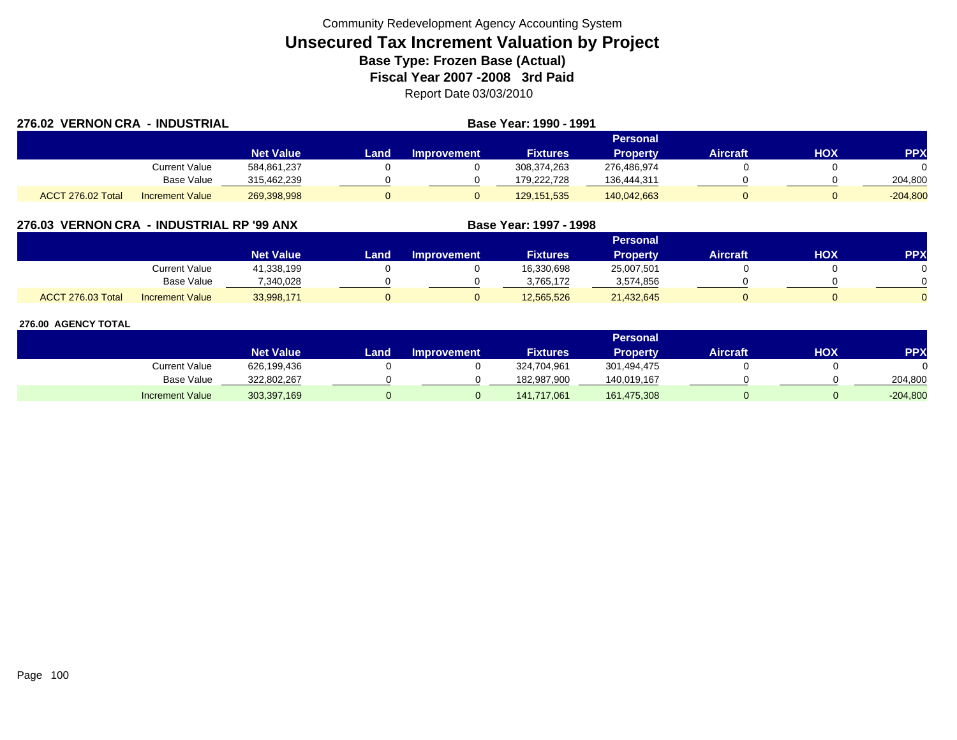| 276.02 VERNON CRA - INDUSTRIAL |                        |                  |      | Base Year: 1990 - 1991 |                 |                 |                 |     |            |
|--------------------------------|------------------------|------------------|------|------------------------|-----------------|-----------------|-----------------|-----|------------|
|                                |                        |                  |      |                        |                 | Personal        |                 |     |            |
|                                |                        | <b>Net Value</b> | Land | <b>Improvement</b>     | <b>Fixtures</b> | <b>Property</b> | <b>Aircraft</b> | HOX | <b>PPX</b> |
|                                | Current Value          | 584,861,237      |      |                        | 308,374,263     | 276,486,974     |                 |     |            |
|                                | Base Value             | 315,462,239      |      |                        | 179.222.728     | 136,444,311     |                 |     | 204,800    |
| ACCT 276.02 Total              | <b>Increment Value</b> | 269,398,998      |      |                        | 129, 151, 535   | 140,042,663     |                 |     | $-204,800$ |

## **276.03 VERNON CRA - INDUSTRIAL RP '99 ANX**

|                   |                        |                  |      |                    |                 | <b>Personal</b> |          |     |            |
|-------------------|------------------------|------------------|------|--------------------|-----------------|-----------------|----------|-----|------------|
|                   |                        | <b>Net Value</b> | Land | <b>Improvement</b> | <b>Fixtures</b> | <b>Property</b> | Aircraft | нох | <b>PPX</b> |
|                   | <b>Current Value</b>   | 41,338,199       |      |                    | 16,330,698      | 25,007,501      |          |     |            |
|                   | <b>Base Value</b>      | 340.028          |      |                    | 3.765.172       | 3,574,856       |          |     |            |
| ACCT 276.03 Total | <b>Increment Value</b> | 33,998,171       |      |                    | 12,565,526      | 21,432,645      |          |     |            |

**Base Year: 1997 - 1998**

|                        |                  |      |                    |                 | Personal        |                 |            |            |
|------------------------|------------------|------|--------------------|-----------------|-----------------|-----------------|------------|------------|
|                        | <b>Net Value</b> | Land | <b>Improvement</b> | <b>Fixtures</b> | <b>Property</b> | <b>Aircraft</b> | <b>XOH</b> | <b>PPX</b> |
| Current Value          | 626,199,436      |      |                    | 324,704,961     | 301,494,475     |                 |            |            |
| <b>Base Value</b>      | 322,802,267      |      |                    | 182,987,900     | 140.019.167     |                 |            | 204,800    |
| <b>Increment Value</b> | 303,397,169      |      |                    | 141,717,061     | 161,475,308     |                 |            | $-204,800$ |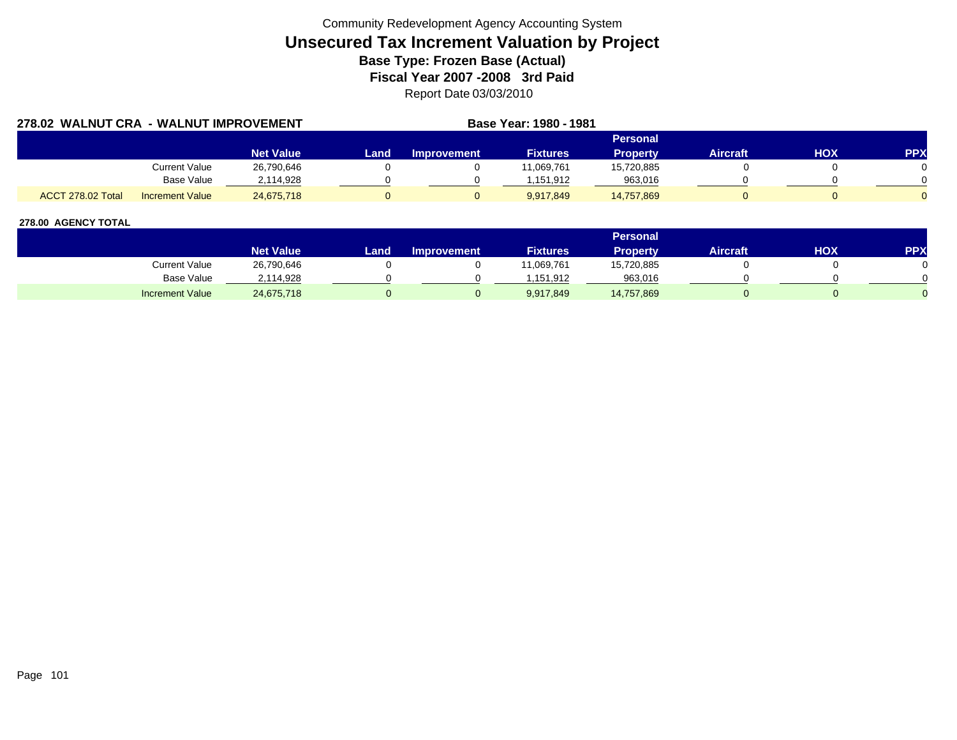| 278.02 WALNUT CRA - WALNUT IMPROVEMENT |                        |                  |      | Base Year: 1980 - 1981 |                 |                 |                 |            |            |
|----------------------------------------|------------------------|------------------|------|------------------------|-----------------|-----------------|-----------------|------------|------------|
|                                        |                        |                  |      |                        |                 | Personal        |                 |            |            |
|                                        |                        | <b>Net Value</b> | Land | <b>Improvement</b>     | <b>Fixtures</b> | <b>Property</b> | <b>Aircraft</b> | <b>HOX</b> | <b>PPX</b> |
|                                        | Current Value          | 26,790,646       |      |                        | 11.069.761      | 15,720,885      |                 |            |            |
|                                        | Base Value             | 2.114.928        |      |                        | 1.151.912       | 963,016         |                 |            |            |
| ACCT 278.02 Total                      | <b>Increment Value</b> | 24.675.718       |      |                        | 9.917.849       | 14.757.869      |                 |            |            |

|                        |                  |        |                    |                 | Personal   |                 |     |            |
|------------------------|------------------|--------|--------------------|-----------------|------------|-----------------|-----|------------|
|                        | <b>Net Value</b> | Land . | <b>Improvement</b> | <b>Fixtures</b> | Property   | <b>Aircraft</b> | ΗΟΧ | <b>PPX</b> |
| Current Value          | 26,790,646       |        |                    | 1,069,761       | 15,720,885 |                 |     |            |
| <b>Base Value</b>      | 2,114,928        |        |                    | .151.912        | 963,016    |                 |     |            |
| <b>Increment Value</b> | 24,675,718       |        |                    | 9,917,849       | 14,757,869 |                 |     |            |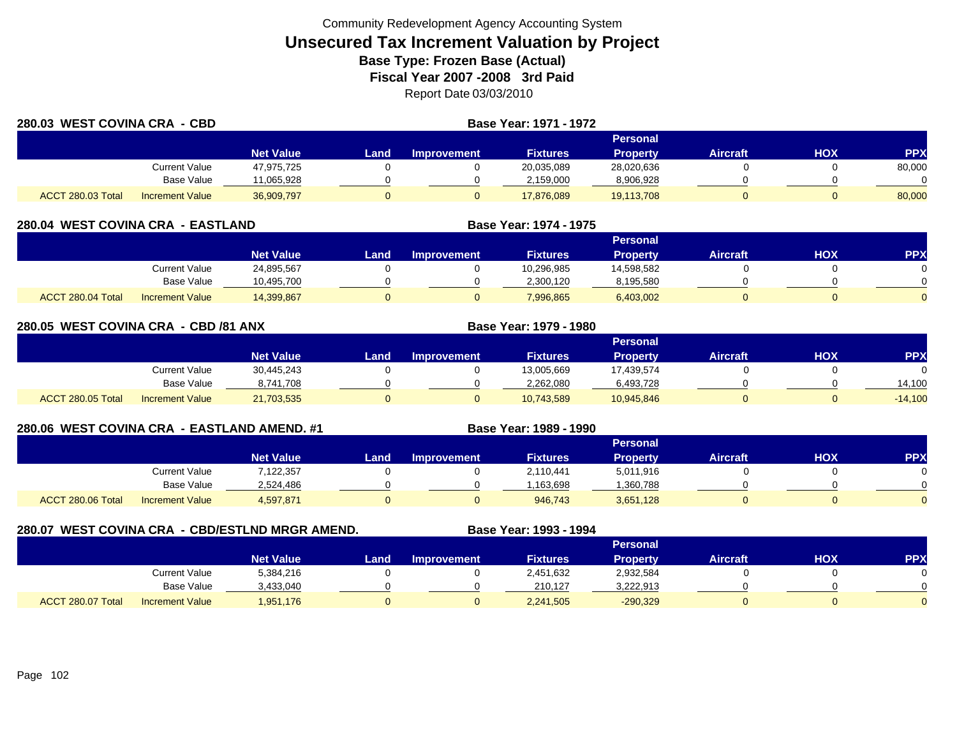| 280.03 WEST COVINA CRA - CBD |                        |                  |      | Base Year: 1971 - 1972 |                 |                 |                 |            |            |
|------------------------------|------------------------|------------------|------|------------------------|-----------------|-----------------|-----------------|------------|------------|
|                              |                        |                  |      |                        |                 | <b>Personal</b> |                 |            |            |
|                              |                        | <b>Net Value</b> | Land | Improvement            | <b>Fixtures</b> | <b>Property</b> | <b>Aircraft</b> | <b>HOX</b> | <b>PPX</b> |
|                              | <b>Current Value</b>   | 47,975,725       |      |                        | 20,035,089      | 28,020,636      |                 |            | 80,000     |
|                              | <b>Base Value</b>      | 1,065,928        |      |                        | 2,159,000       | 8,906,928       |                 |            |            |
| ACCT 280.03 Total            | <b>Increment Value</b> | 36,909,797       |      |                        | 17,876,089      | 19,113,708      |                 |            | 80,000     |

| 280.04 WEST COVINA CRA - EASTLAND |                        |                  |      | Base Year: 1974 - 1975 |                 |                 |                 |     |            |
|-----------------------------------|------------------------|------------------|------|------------------------|-----------------|-----------------|-----------------|-----|------------|
|                                   |                        |                  |      |                        |                 | Personal        |                 |     |            |
|                                   |                        | <b>Net Value</b> | Land | <b>Improvement</b>     | <b>Fixtures</b> | <b>Property</b> | <b>Aircraft</b> | нох | <b>PPX</b> |
|                                   | Current Value          | 24,895,567       |      |                        | 10,296,985      | 14.598.582      |                 |     |            |
|                                   | Base Value             | 10,495,700       |      |                        | 2,300,120       | 8,195,580       |                 |     |            |
| ACCT 280.04 Total                 | <b>Increment Value</b> | 14,399,867       |      |                        | 7,996,865       | 6,403,002       |                 | 0   |            |

| 280.05 WEST COVINA CRA - CBD /81 ANX |                        |                  | Base Year: 1979 - 1980 |                    |                 |                 |                 |            |            |
|--------------------------------------|------------------------|------------------|------------------------|--------------------|-----------------|-----------------|-----------------|------------|------------|
|                                      |                        |                  |                        |                    |                 | <b>Personal</b> |                 |            |            |
|                                      |                        | <b>Net Value</b> | Land                   | <b>Improvement</b> | <b>Fixtures</b> | <b>Property</b> | <b>Aircraft</b> | <b>HOX</b> | <b>PPX</b> |
|                                      | Current Value          | 30.445.243       |                        |                    | 13,005,669      | 17.439.574      |                 |            | $\Omega$   |
|                                      | Base Value             | 8,741,708        |                        |                    | 2,262,080       | 6,493,728       |                 |            | 14.100     |
| ACCT 280.05 Total                    | <b>Increment Value</b> | 21,703,535       |                        |                    | 10,743,589      | 10,945,846      |                 |            | $-14,100$  |

## **280.06 WEST COVINA CRA - EASTLAND AMEND. #1 Base Year: 1989 - 1990**

|                   |                        |                  |       |             |                 | Personal        |                 |            |            |
|-------------------|------------------------|------------------|-------|-------------|-----------------|-----------------|-----------------|------------|------------|
|                   |                        | <b>Net Value</b> | Land. | Improvement | <b>Fixtures</b> | <b>Property</b> | <b>Aircraft</b> | <b>HOX</b> | <b>PPX</b> |
|                   | <b>Current Value</b>   | 7,122,357        |       |             | 2,110,441       | 5,011,916       |                 |            |            |
|                   | <b>Base Value</b>      | 2,524,486        |       |             | 163,698         | ,360,788        |                 |            |            |
| ACCT 280.06 Total | <b>Increment Value</b> | 4,597,871        |       |             | 946,743         | 3,651,128       |                 |            |            |

## **280.07 WEST COVINA CRA - CBD/ESTLND MRGR AMEND. Base Year: 1993 - 1994**

|                   |                        |                  |             |                    |                 | <b>Personal</b> |                 |     |            |
|-------------------|------------------------|------------------|-------------|--------------------|-----------------|-----------------|-----------------|-----|------------|
|                   |                        | <b>Net Value</b> | <b>Land</b> | <b>Improvement</b> | <b>Fixtures</b> | Property        | <b>Aircraft</b> | нох | <b>PPX</b> |
|                   | <b>Current Value</b>   | 5,384,216        |             |                    | 2,451,632       | 2,932,584       |                 |     |            |
|                   | <b>Base Value</b>      | 3,433,040        |             |                    | 210.127         | 3,222,913       |                 |     |            |
| ACCT 280.07 Total | <b>Increment Value</b> | 1,951,176        |             |                    | 2,241,505       | $-290,329$      |                 |     |            |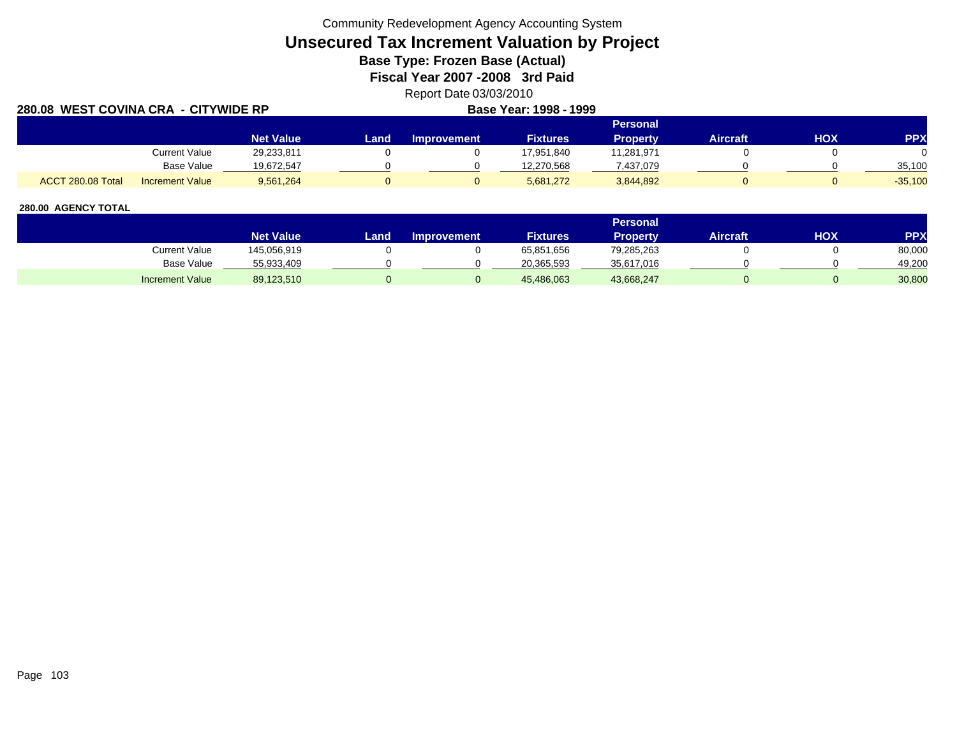Community Redevelopment Agency Accounting System

# **Unsecured Tax Increment Valuation by Project**

**Base Type: Frozen Base (Actual)** 

**Fiscal Year 2007 -2008 3rd Paid**

Report Date 03/03/2010

| <b>280.08 WEST COVINA CRA</b> |                        |                  | Base Year: 1998 - 1999 |                    |                 |            |          |     |            |
|-------------------------------|------------------------|------------------|------------------------|--------------------|-----------------|------------|----------|-----|------------|
|                               |                        |                  |                        |                    |                 | Personal   |          |     |            |
|                               |                        | <b>Net Value</b> | Land                   | <b>Improvement</b> | <b>Fixtures</b> | Property   | Aircraft | HOX | <b>PPX</b> |
|                               | Current Value          | 29,233,811       |                        |                    | 17,951,840      | 11,281,971 |          |     |            |
|                               | Base Value             | 19,672,547       |                        |                    | 12.270.568      | 437,079    |          |     | 35.100     |
| ACCT 280.08 Total             | <b>Increment Value</b> | 9,561,264        |                        |                    | 5,681,272       | 3,844,892  |          |     | $-35,100$  |

|                        |                  |       |                    |                 | <b>Personal</b> |                 |     |        |
|------------------------|------------------|-------|--------------------|-----------------|-----------------|-----------------|-----|--------|
|                        | <b>Net Value</b> | Land. | <b>Improvement</b> | <b>Fixtures</b> | Property.       | <b>Aircraft</b> | HOX | PPX    |
| Current Value          | 145,056,919      |       |                    | 65,851,656      | 79,285,263      |                 |     | 80,000 |
| <b>Base Value</b>      | 55,933,409       |       |                    | 20,365,593      | 35,617,016      |                 |     | 49.200 |
| <b>Increment Value</b> | 89,123,510       |       |                    | 45,486,063      | 43,668,247      |                 |     | 30,800 |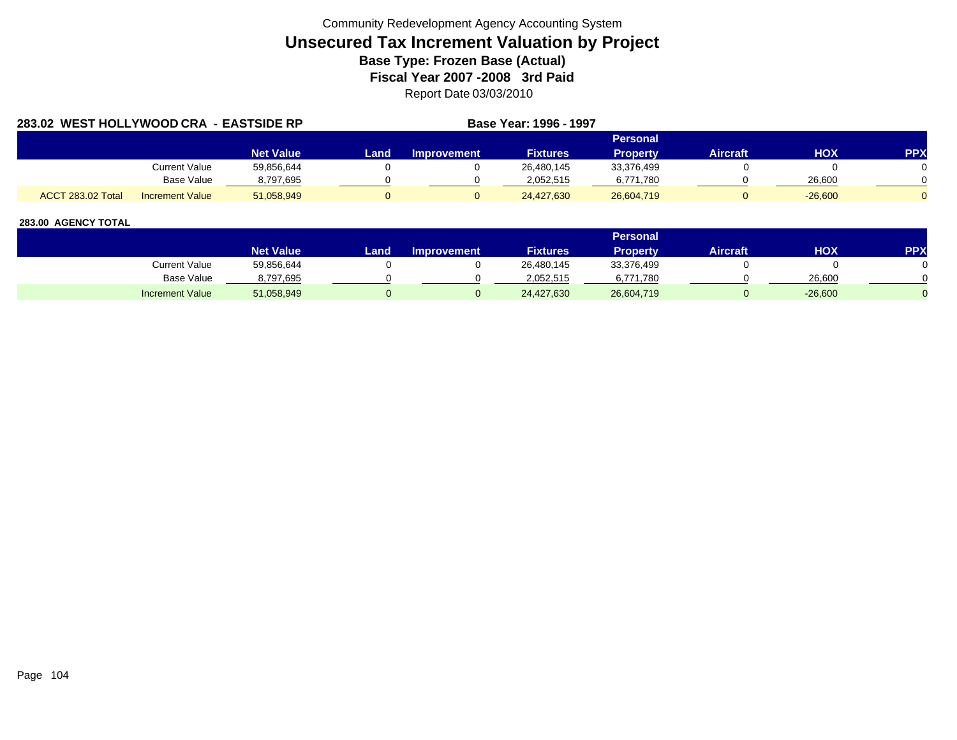| 283.02 WEST HOLLYWOOD CRA - EASTSIDE RP |                        |                  | Base Year: 1996 - 1997 |                    |                 |            |          |           |            |
|-----------------------------------------|------------------------|------------------|------------------------|--------------------|-----------------|------------|----------|-----------|------------|
|                                         |                        |                  |                        |                    |                 | Personal   |          |           |            |
|                                         |                        | <b>Net Value</b> | Land                   | <b>Improvement</b> | <b>Fixtures</b> | Property   | Aircraft | HOX       | <b>PPX</b> |
|                                         | <b>Current Value</b>   | 59,856,644       |                        |                    | 26,480,145      | 33,376,499 |          |           |            |
|                                         | Base Value             | 8,797,695        |                        |                    | 2,052,515       | 6.771.780  |          | 26,600    |            |
| <b>ACCT 283.02 Total</b>                | <b>Increment Value</b> | 51,058,949       |                        |                    | 24,427,630      | 26,604,719 |          | $-26,600$ |            |

|                        |                    |      |                    |                 | Personal   |                 |           |     |
|------------------------|--------------------|------|--------------------|-----------------|------------|-----------------|-----------|-----|
|                        | Net Value <b>\</b> | Land | <b>Improvement</b> | <b>Fixtures</b> | Property   | <b>Aircraft</b> | ΗΟΧ       | PPX |
| Current Value          | 59,856,644         |      |                    | 26,480,145      | 33,376,499 |                 |           |     |
| Base Value             | 8,797,695          |      |                    | 2.052.515       | 6,771,780  |                 | 26,600    |     |
| <b>Increment Value</b> | 51,058,949         |      |                    | 24,427,630      | 26,604,719 |                 | $-26,600$ |     |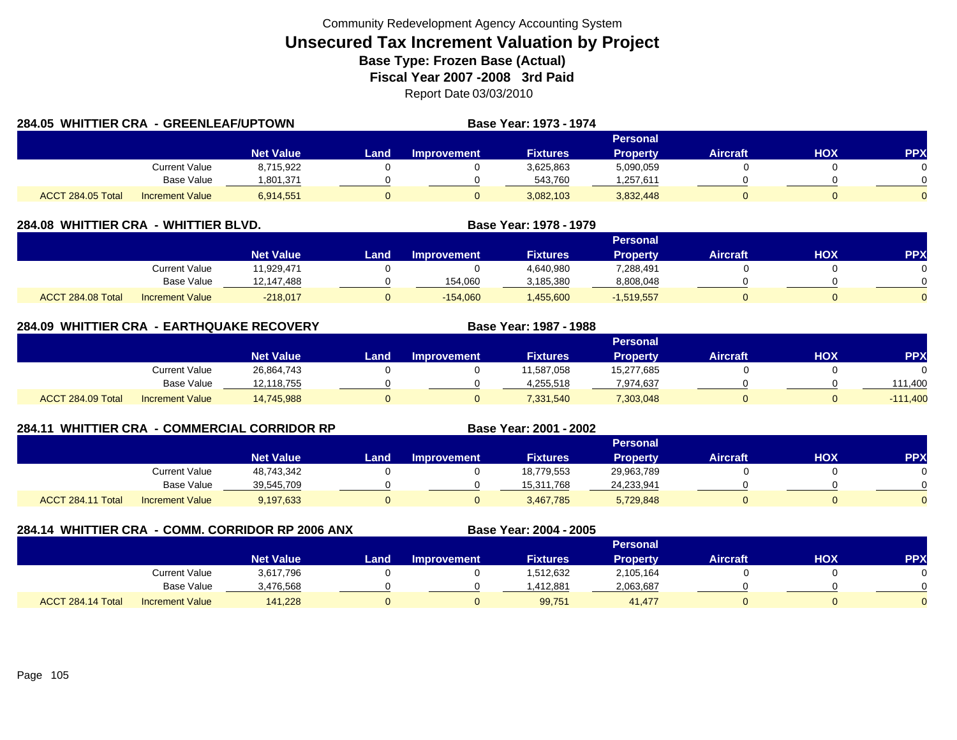| 284.05 WHITTIER CRA - GREENLEAF/UPTOWN |                      |                  |       |                    | Base Year: 1973 - 1974 |                 |                 |     |            |
|----------------------------------------|----------------------|------------------|-------|--------------------|------------------------|-----------------|-----------------|-----|------------|
|                                        |                      |                  |       |                    |                        | Personal        |                 |     |            |
|                                        |                      | <b>Net Value</b> | Land. | <b>Improvement</b> | <b>Fixtures</b>        | <b>Property</b> | <b>Aircraft</b> | HOX | <b>PPX</b> |
|                                        | <b>Current Value</b> | 8,715,922        |       |                    | 3,625,863              | 5,090,059       |                 |     |            |
|                                        | Base Value           | 1,801,371        |       |                    | 543,760                | 1,257,611       |                 |     |            |
| ACCT 284.05 Total                      | Increment Value      | 6,914,551        | 0     |                    | 3,082,103              | 3,832,448       |                 |     |            |

| 284.08 WHITTIER CRA - WHITTIER BLVD. |                        |                  | Base Year: 1978 - 1979 |                    |                 |                 |                 |     |            |
|--------------------------------------|------------------------|------------------|------------------------|--------------------|-----------------|-----------------|-----------------|-----|------------|
|                                      |                        |                  |                        |                    |                 |                 |                 |     |            |
|                                      |                        | <b>Net Value</b> | Land                   | <b>Improvement</b> | <b>Fixtures</b> | <b>Property</b> | <b>Aircraft</b> | НОХ | <b>PPX</b> |
|                                      | Current Value          | 11.929.471       |                        |                    | 4,640,980       | 7,288,491       |                 |     |            |
|                                      | Base Value             | 12,147,488       |                        | 154,060            | 3,185,380       | 8,808,048       |                 |     |            |
| ACCT 284.08 Total                    | <b>Increment Value</b> | $-218,017$       |                        | $-154,060$         | .455,600        | $-1,519,557$    |                 |     |            |

|                   | 284.09 WHITTIER CRA - EARTHQUAKE RECOVERY |                  |      |                    | Base Year: 1987 - 1988 |                 |                 |     |            |
|-------------------|-------------------------------------------|------------------|------|--------------------|------------------------|-----------------|-----------------|-----|------------|
|                   |                                           |                  |      |                    |                        | Personal        |                 |     |            |
|                   |                                           | <b>Net Value</b> | Land | <b>Improvement</b> | <b>Fixtures</b>        | <b>Property</b> | <b>Aircraft</b> | нох | <b>PPX</b> |
|                   | Current Value                             | 26,864,743       |      |                    | 11,587,058             | 15,277,685      |                 |     |            |
|                   | Base Value                                | 12,118,755       |      |                    | 4,255,518              | 7,974,637       |                 |     | 111.400    |
| ACCT 284.09 Total | <b>Increment Value</b>                    | 14,745,988       |      |                    | 7,331,540              | 7,303,048       |                 |     | $-111,400$ |

| 284.11 |                   |                        | <b>WHITTIER CRA - COMMERCIAL CORRIDOR RP</b> |      | Base Year: 2001 - 2002 |                 |                 |                 |            |            |
|--------|-------------------|------------------------|----------------------------------------------|------|------------------------|-----------------|-----------------|-----------------|------------|------------|
|        |                   |                        |                                              |      |                        |                 | Personal        |                 |            |            |
|        |                   |                        | <b>Net Value</b>                             | Land | <b>Improvement</b>     | <b>Fixtures</b> | <b>Property</b> | <b>Aircraft</b> | <b>HOX</b> | <b>PPX</b> |
|        |                   | <b>Current Value</b>   | 48,743,342                                   |      |                        | 18,779,553      | 29,963,789      |                 |            |            |
|        |                   | <b>Base Value</b>      | 39,545,709                                   |      |                        | 15,311,768      | 24,233,941      |                 |            |            |
|        | ACCT 284.11 Total | <b>Increment Value</b> | 9,197,633                                    | 0    |                        | 3,467,785       | 5,729,848       |                 |            |            |

| 284.14 WHITTIER CRA - COMM. CORRIDOR RP 2006 ANX |                   |                        |                  |      |                    | Base Year: 2004 - 2005 |                 |                 |     |            |  |  |
|--------------------------------------------------|-------------------|------------------------|------------------|------|--------------------|------------------------|-----------------|-----------------|-----|------------|--|--|
|                                                  |                   |                        |                  |      | <b>Personal</b>    |                        |                 |                 |     |            |  |  |
|                                                  |                   |                        | <b>Net Value</b> | Land | <b>Improvement</b> | <b>Fixtures</b>        | <b>Property</b> | <b>Aircraft</b> | НОХ | <b>PPX</b> |  |  |
|                                                  |                   | Current Value          | 3,617,796        |      |                    | 1,512,632              | 2,105,164       |                 |     |            |  |  |
|                                                  |                   | <b>Base Value</b>      | 3,476,568        |      |                    | .412,881               | 2,063,687       |                 |     |            |  |  |
|                                                  | ACCT 284.14 Total | <b>Increment Value</b> | 141.228          |      |                    | 99,751                 | 41,477          |                 |     |            |  |  |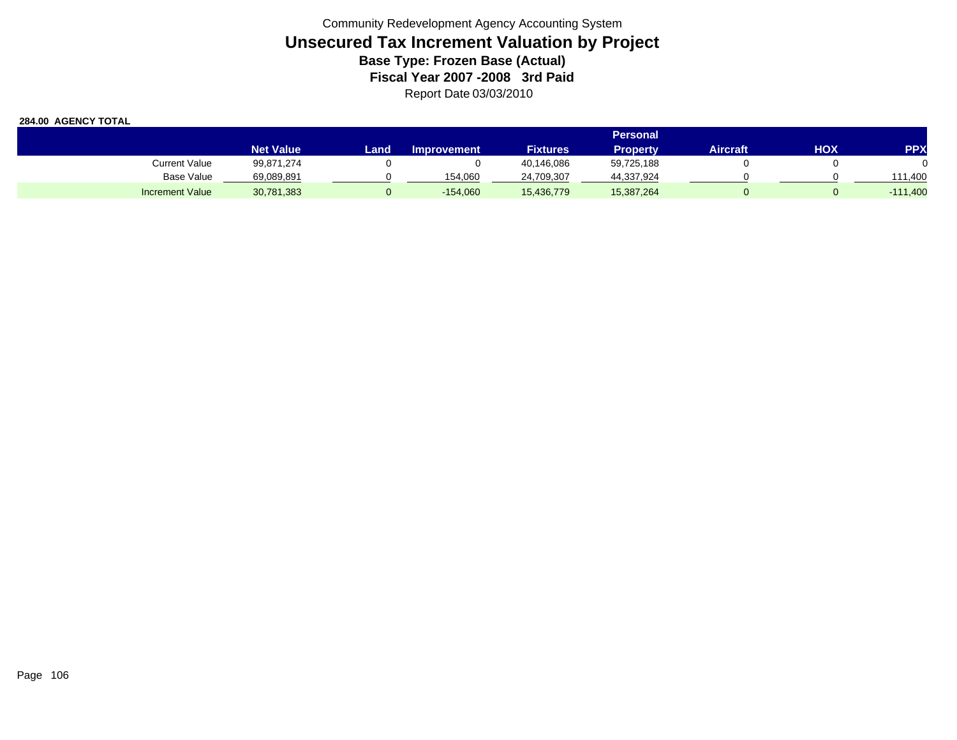|                        | Personal         |      |                    |                 |                 |          |     |                   |
|------------------------|------------------|------|--------------------|-----------------|-----------------|----------|-----|-------------------|
|                        | <b>Net Value</b> | Land | <b>Improvement</b> | <b>Fixtures</b> | <b>Property</b> | Aircraft | нох | PPX               |
| Current Value          | 99,871,274       |      |                    | 40,146,086      | 59,725,188      |          |     |                   |
| Base Value             | 69,089,891       |      | 154.060            | 24,709,307      | 44,337,924      |          |     | 111.400           |
| <b>Increment Value</b> | 30,781,383       |      | $-154,060$         | 15,436,779      | 15,387,264      |          |     | $-111,400$<br>- 1 |